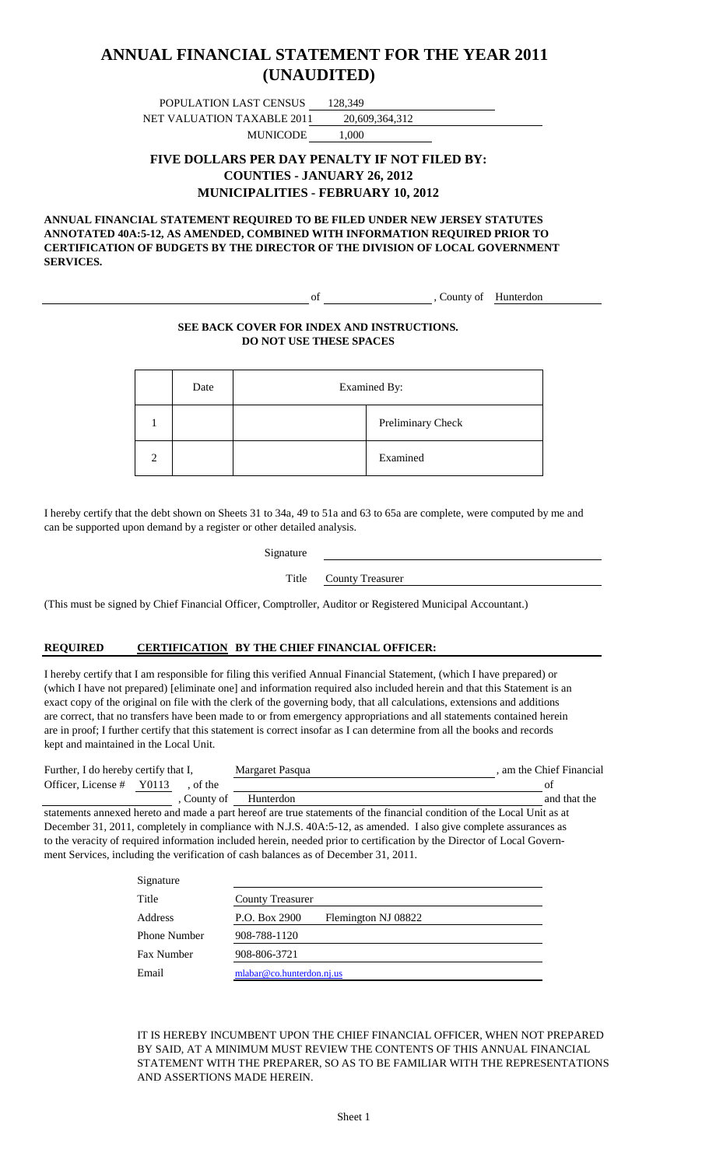### **(UNAUDITED) ANNUAL FINANCIAL STATEMENT FOR THE YEAR 2011**

POPULATION LAST CENSUS 128,349 NET VALUATION TAXABLE 2011 20,609,364,312

MUNICODE 1,000

#### **FIVE DOLLARS PER DAY PENALTY IF NOT FILED BY: COUNTIES - JANUARY 26, 2012 MUNICIPALITIES - FEBRUARY 10, 2012**

**ANNUAL FINANCIAL STATEMENT REQUIRED TO BE FILED UNDER NEW JERSEY STATUTES ANNOTATED 40A:5-12, AS AMENDED, COMBINED WITH INFORMATION REQUIRED PRIOR TO CERTIFICATION OF BUDGETS BY THE DIRECTOR OF THE DIVISION OF LOCAL GOVERNMENT SERVICES.**

of County of Hunterdon

#### **SEE BACK COVER FOR INDEX AND INSTRUCTIONS. DO NOT USE THESE SPACES**

| Date | Examined By: |                   |
|------|--------------|-------------------|
|      |              | Preliminary Check |
|      |              | Examined          |

I hereby certify that the debt shown on Sheets 31 to 34a, 49 to 51a and 63 to 65a are complete, were computed by me and can be supported upon demand by a register or other detailed analysis.

Title County Treasurer

(This must be signed by Chief Financial Officer, Comptroller, Auditor or Registered Municipal Accountant.)

#### **REQUIRED CERTIFICATION BY THE CHIEF FINANCIAL OFFICER:**

I hereby certify that I am responsible for filing this verified Annual Financial Statement, (which I have prepared) or (which I have not prepared) [eliminate one] and information required also included herein and that this Statement is an exact copy of the original on file with the clerk of the governing body, that all calculations, extensions and additions are correct, that no transfers have been made to or from emergency appropriations and all statements contained herein are in proof; I further certify that this statement is correct insofar as I can determine from all the books and records kept and maintained in the Local Unit.

| Further, I do hereby certify that I, |  |           | Margaret Pasqua | am the Chief Financial |
|--------------------------------------|--|-----------|-----------------|------------------------|
| Officer, License # Y0113             |  | of the    |                 |                        |
|                                      |  | County of | Hunterdon       | and that the           |

statements annexed hereto and made a part hereof are true statements of the financial condition of the Local Unit as at December 31, 2011, completely in compliance with N.J.S. 40A:5-12, as amended. I also give complete assurances as to the veracity of required information included herein, needed prior to certification by the Director of Local Government Services, including the verification of cash balances as of December 31, 2011.

| Signature           |                                      |
|---------------------|--------------------------------------|
| Title               | <b>County Treasurer</b>              |
| Address             | P.O. Box 2900<br>Flemington NJ 08822 |
| <b>Phone Number</b> | 908-788-1120                         |
| Fax Number          | 908-806-3721                         |
| Email               | mlabar@co.hunterdon.nj.us            |

IT IS HEREBY INCUMBENT UPON THE CHIEF FINANCIAL OFFICER, WHEN NOT PREPARED BY SAID, AT A MINIMUM MUST REVIEW THE CONTENTS OF THIS ANNUAL FINANCIAL STATEMENT WITH THE PREPARER, SO AS TO BE FAMILIAR WITH THE REPRESENTATIONS AND ASSERTIONS MADE HEREIN.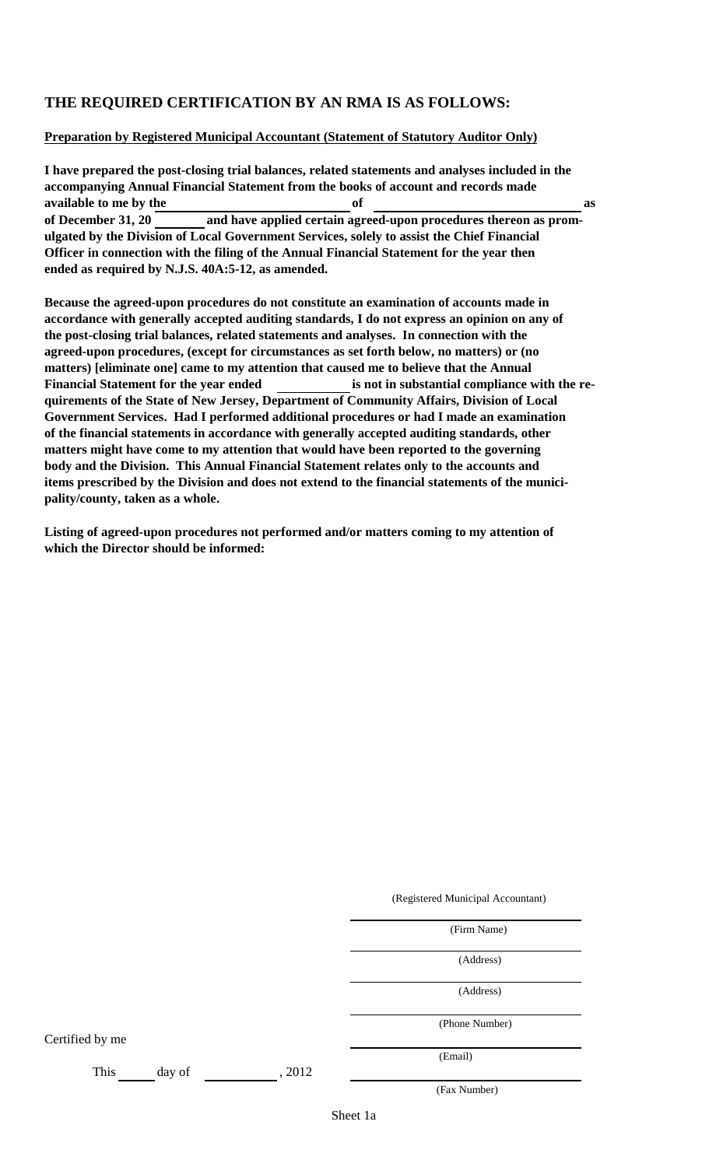#### **THE REQUIRED CERTIFICATION BY AN RMA IS AS FOLLOWS:**

#### **Preparation by Registered Municipal Accountant (Statement of Statutory Auditor Only)**

**I have prepared the post-closing trial balances, related statements and analyses included in the accompanying Annual Financial Statement from the books of account and records made available to me by the of as of December 31, 20 and have applied certain agreed-upon procedures thereon as promulgated by the Division of Local Government Services, solely to assist the Chief Financial Officer in connection with the filing of the Annual Financial Statement for the year then ended as required by N.J.S. 40A:5-12, as amended.**

**Because the agreed-upon procedures do not constitute an examination of accounts made in accordance with generally accepted auditing standards, I do not express an opinion on any of the post-closing trial balances, related statements and analyses. In connection with the agreed-upon procedures, (except for circumstances as set forth below, no matters) or (no matters) [eliminate one] came to my attention that caused me to believe that the Annual** Financial Statement for the year ended **is not in substantial compliance with the requirements of the State of New Jersey, Department of Community Affairs, Division of Local Government Services. Had I performed additional procedures or had I made an examination of the financial statements in accordance with generally accepted auditing standards, other matters might have come to my attention that would have been reported to the governing body and the Division. This Annual Financial Statement relates only to the accounts and items prescribed by the Division and does not extend to the financial statements of the municipality/county, taken as a whole.**

**Listing of agreed-upon procedures not performed and/or matters coming to my attention of which the Director should be informed:**

(Registered Municipal Accountant)

(Firm Name)

(Address)

(Address)

(Phone Number)

Certified by me

This day of , 2012

(Fax Number)

(Email)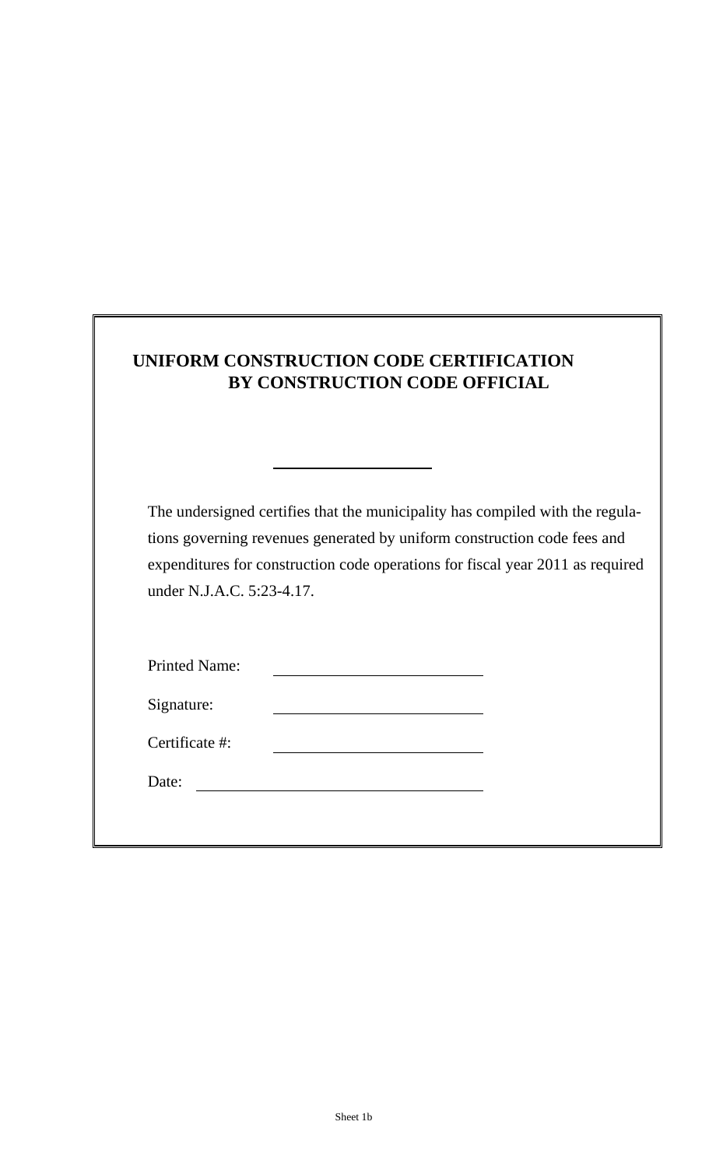| UNIFORM CONSTRUCTION CODE CERTIFICATION |
|-----------------------------------------|
| BY CONSTRUCTION CODE OFFICIAL           |

The undersigned certifies that the municipality has compiled with the regulations governing revenues generated by uniform construction code fees and expenditures for construction code operations for fiscal year 2011 as required under N.J.A.C. 5:23-4.17.

| <b>Printed Name:</b> |  |
|----------------------|--|
| Signature:           |  |

Date: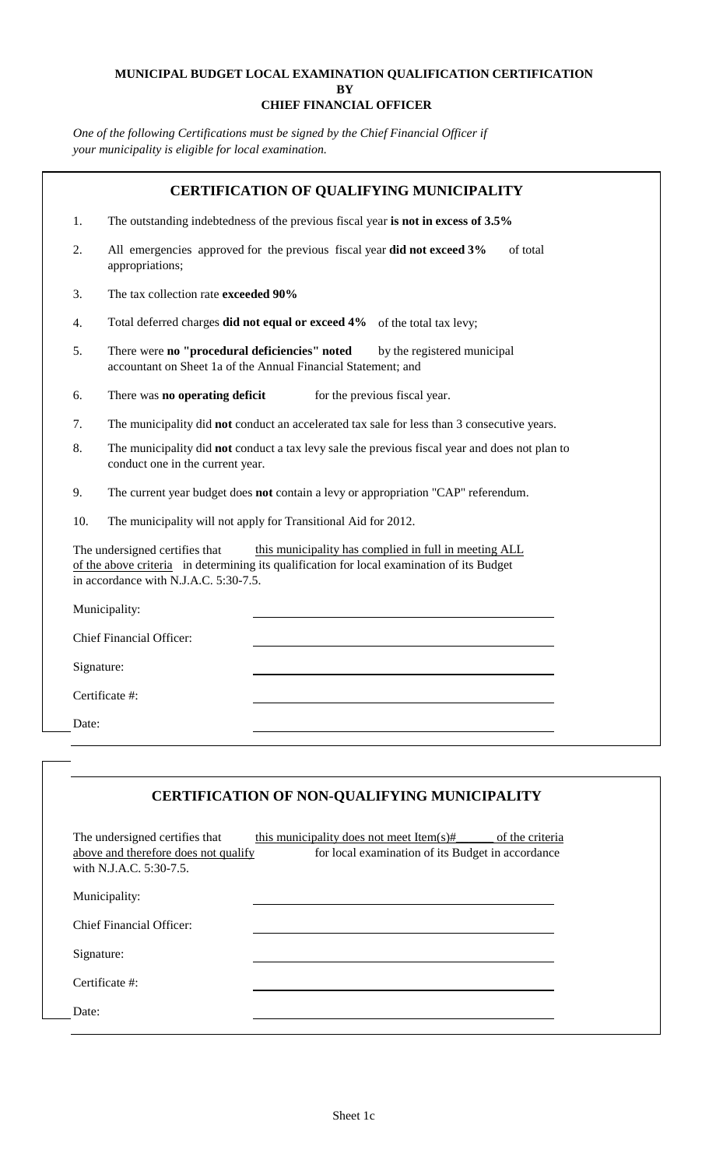#### **MUNICIPAL BUDGET LOCAL EXAMINATION QUALIFICATION CERTIFICATION BY CHIEF FINANCIAL OFFICER**

*One of the following Certifications must be signed by the Chief Financial Officer if your municipality is eligible for local examination.*

| 1.         | The outstanding indebtedness of the previous fiscal year is not in excess of 3.5%                                                                                                                                              |  |  |
|------------|--------------------------------------------------------------------------------------------------------------------------------------------------------------------------------------------------------------------------------|--|--|
| 2.         | All emergencies approved for the previous fiscal year did not exceed 3%<br>of total<br>appropriations;                                                                                                                         |  |  |
| 3.         | The tax collection rate exceeded 90%                                                                                                                                                                                           |  |  |
| 4.         | Total deferred charges did not equal or exceed 4% of the total tax levy;                                                                                                                                                       |  |  |
| 5.         | There were no "procedural deficiencies" noted<br>by the registered municipal<br>accountant on Sheet 1a of the Annual Financial Statement; and                                                                                  |  |  |
| 6.         | There was no operating deficit<br>for the previous fiscal year.                                                                                                                                                                |  |  |
| 7.         | The municipality did not conduct an accelerated tax sale for less than 3 consecutive years.                                                                                                                                    |  |  |
| 8.         | The municipality did not conduct a tax levy sale the previous fiscal year and does not plan to<br>conduct one in the current year.                                                                                             |  |  |
| 9.         | The current year budget does not contain a levy or appropriation "CAP" referendum.                                                                                                                                             |  |  |
| 10.        | The municipality will not apply for Transitional Aid for 2012.                                                                                                                                                                 |  |  |
|            | The undersigned certifies that<br>this municipality has complied in full in meeting ALL<br>of the above criteria in determining its qualification for local examination of its Budget<br>in accordance with N.J.A.C. 5:30-7.5. |  |  |
|            | Municipality:                                                                                                                                                                                                                  |  |  |
|            | <b>Chief Financial Officer:</b>                                                                                                                                                                                                |  |  |
| Signature: |                                                                                                                                                                                                                                |  |  |
|            | Certificate #:                                                                                                                                                                                                                 |  |  |
|            |                                                                                                                                                                                                                                |  |  |

| The undersigned certifies that<br>above and therefore does not qualify<br>with N.J.A.C. 5:30-7.5. | this municipality does not meet Item(s)#<br>of the criteria<br>for local examination of its Budget in accordance |  |
|---------------------------------------------------------------------------------------------------|------------------------------------------------------------------------------------------------------------------|--|
| Municipality:                                                                                     |                                                                                                                  |  |
| Chief Financial Officer:                                                                          |                                                                                                                  |  |
| Signature:                                                                                        |                                                                                                                  |  |
| Certificate #:                                                                                    |                                                                                                                  |  |
| Date:                                                                                             |                                                                                                                  |  |
|                                                                                                   |                                                                                                                  |  |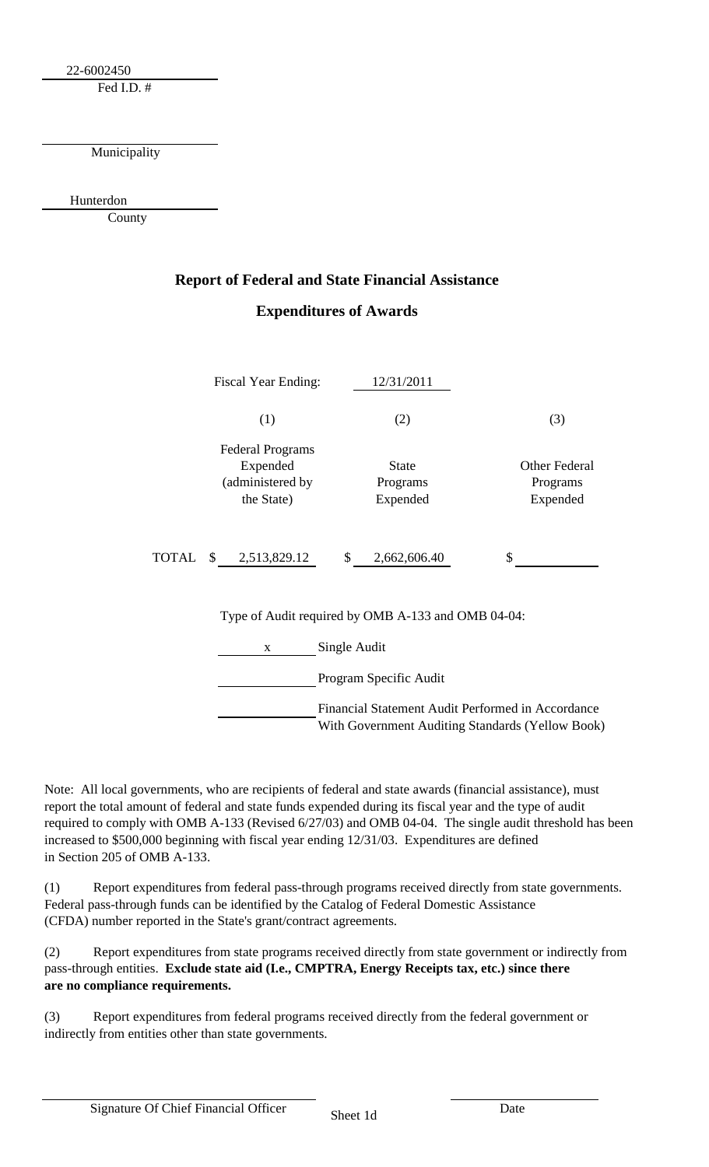22-6002450

Fed I.D. #

Municipality

Hunterdon

County

### **Report of Federal and State Financial Assistance Expenditures of Awards**

|  | Fiscal Year Ending:                                                     | 12/31/2011                           |                                       |  |  |
|--|-------------------------------------------------------------------------|--------------------------------------|---------------------------------------|--|--|
|  | (1)                                                                     | (2)                                  | (3)                                   |  |  |
|  | <b>Federal Programs</b><br>Expended<br>(administered by<br>the State)   | <b>State</b><br>Programs<br>Expended | Other Federal<br>Programs<br>Expended |  |  |
|  | TOTAL \$ 2,513,829.12                                                   | $\mathbb{S}$<br>2,662,606.40         | \$                                    |  |  |
|  | Type of Audit required by OMB A-133 and OMB 04-04:<br>Single Audit<br>X |                                      |                                       |  |  |
|  |                                                                         |                                      |                                       |  |  |
|  | Program Specific Audit                                                  |                                      |                                       |  |  |
|  | Financial Statement Audit Performed in Accordance                       |                                      |                                       |  |  |

With Government Auditing Standards (Yellow Book)

Note: All local governments, who are recipients of federal and state awards (financial assistance), must report the total amount of federal and state funds expended during its fiscal year and the type of audit required to comply with OMB A-133 (Revised 6/27/03) and OMB 04-04. The single audit threshold has been increased to \$500,000 beginning with fiscal year ending 12/31/03. Expenditures are defined in Section 205 of OMB A-133.

(1) Report expenditures from federal pass-through programs received directly from state governments. Federal pass-through funds can be identified by the Catalog of Federal Domestic Assistance (CFDA) number reported in the State's grant/contract agreements.

(2) Report expenditures from state programs received directly from state government or indirectly from pass-through entities. **Exclude state aid (I.e., CMPTRA, Energy Receipts tax, etc.) since there are no compliance requirements.**

(3) Report expenditures from federal programs received directly from the federal government or indirectly from entities other than state governments.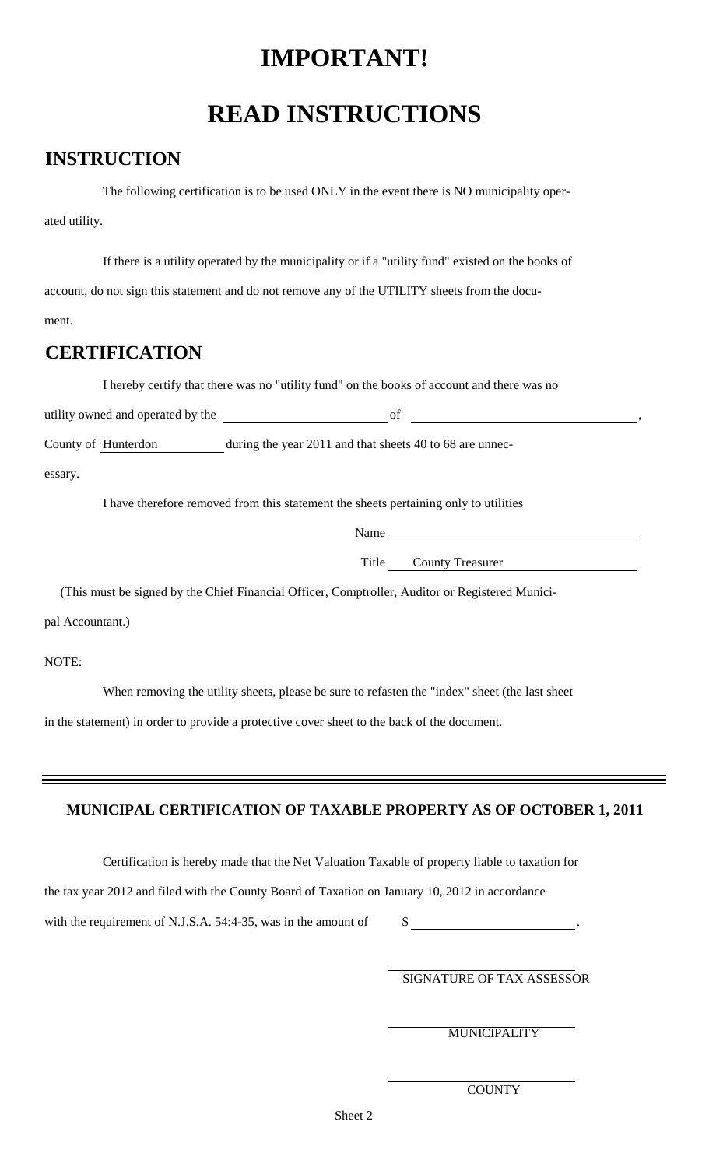## **IMPORTANT!**

# **READ INSTRUCTIONS**

### **INSTRUCTION**

The following certification is to be used ONLY in the event there is NO municipality operated utility.

If there is a utility operated by the municipality or if a "utility fund" existed on the books of account, do not sign this statement and do not remove any of the UTILITY sheets from the document.

### **CERTIFICATION**

I hereby certify that there was no "utility fund" on the books of account and there was no

| utility owned and operated by the |  |
|-----------------------------------|--|
|                                   |  |

County of Hunterdon during the year 2011 and that sheets 40 to 68 are unnec-

essary.

I have therefore removed from this statement the sheets pertaining only to utilities

Name

Title County Treasurer

(This must be signed by the Chief Financial Officer, Comptroller, Auditor or Registered Munici-

pal Accountant.)

NOTE:

When removing the utility sheets, please be sure to refasten the "index" sheet (the last sheet

in the statement) in order to provide a protective cover sheet to the back of the document.

#### **MUNICIPAL CERTIFICATION OF TAXABLE PROPERTY AS OF OCTOBER 1, 2011**

Certification is hereby made that the Net Valuation Taxable of property liable to taxation for

the tax year 2012 and filed with the County Board of Taxation on January 10, 2012 in accordance

with the requirement of N.J.S.A. 54:4-35, was in the amount of  $\$\$$ 

SIGNATURE OF TAX ASSESSOR

MUNICIPALITY

**COUNTY**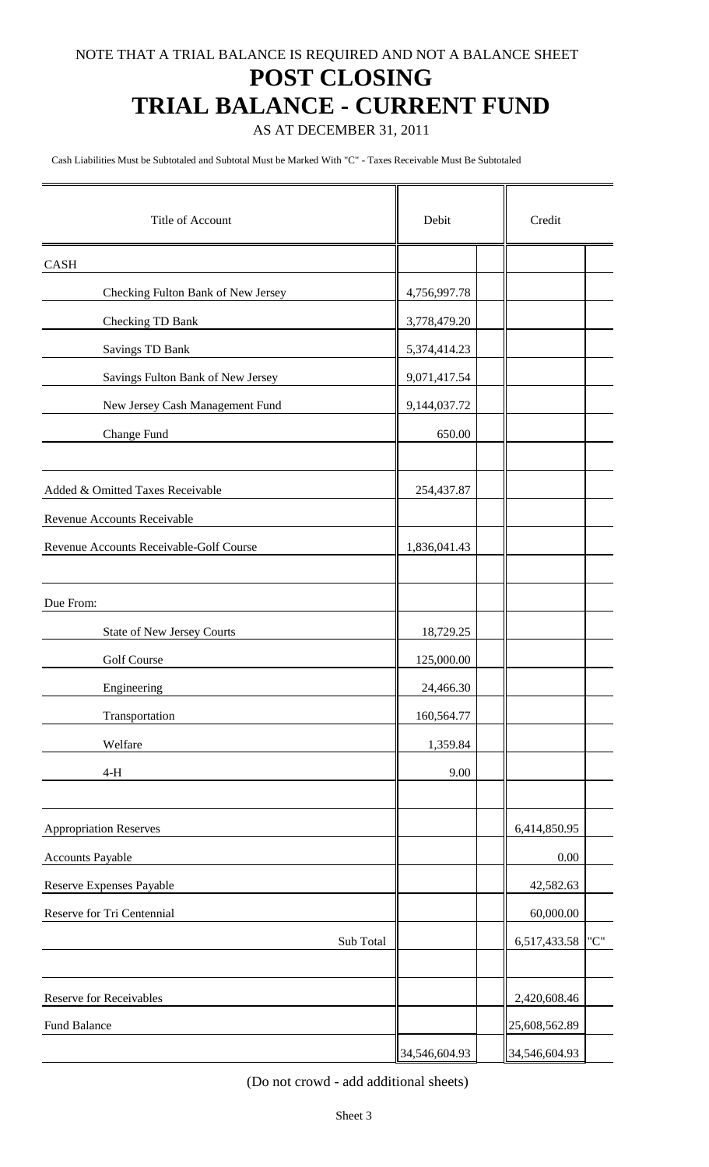### **POST CLOSING**

## **TRIAL BALANCE - CURRENT FUND**

AS AT DECEMBER 31, 2011

Cash Liabilities Must be Subtotaled and Subtotal Must be Marked With "C" - Taxes Receivable Must Be Subtotaled

| Title of Account                        | Debit         | Credit        |     |  |
|-----------------------------------------|---------------|---------------|-----|--|
| CASH                                    |               |               |     |  |
| Checking Fulton Bank of New Jersey      | 4,756,997.78  |               |     |  |
| Checking TD Bank                        | 3,778,479.20  |               |     |  |
| Savings TD Bank                         | 5,374,414.23  |               |     |  |
| Savings Fulton Bank of New Jersey       | 9,071,417.54  |               |     |  |
| New Jersey Cash Management Fund         | 9,144,037.72  |               |     |  |
| Change Fund                             | 650.00        |               |     |  |
| Added & Omitted Taxes Receivable        | 254,437.87    |               |     |  |
| Revenue Accounts Receivable             |               |               |     |  |
| Revenue Accounts Receivable-Golf Course | 1,836,041.43  |               |     |  |
|                                         |               |               |     |  |
| Due From:                               |               |               |     |  |
| State of New Jersey Courts              | 18,729.25     |               |     |  |
| Golf Course                             | 125,000.00    |               |     |  |
| Engineering                             | 24,466.30     |               |     |  |
| Transportation                          | 160,564.77    |               |     |  |
| Welfare                                 | 1,359.84      |               |     |  |
| $4-H$                                   | 9.00          |               |     |  |
| <b>Appropriation Reserves</b>           |               | 6,414,850.95  |     |  |
| <b>Accounts Payable</b>                 |               | 0.00          |     |  |
| Reserve Expenses Payable                |               | 42,582.63     |     |  |
| Reserve for Tri Centennial              |               | 60,000.00     |     |  |
| Sub Total                               |               | 6,517,433.58  | "C" |  |
| <b>Reserve for Receivables</b>          |               | 2,420,608.46  |     |  |
| Fund Balance                            |               | 25,608,562.89 |     |  |
|                                         | 34,546,604.93 | 34,546,604.93 |     |  |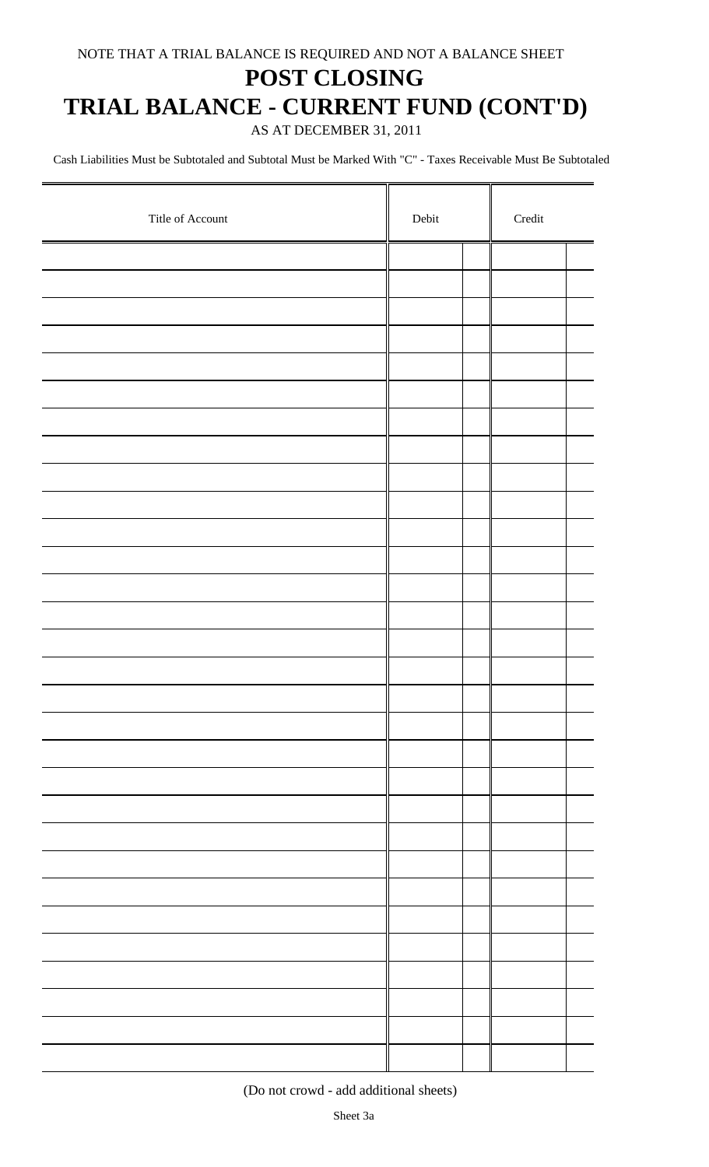### **POST CLOSING**

## **TRIAL BALANCE - CURRENT FUND (CONT'D)**

AS AT DECEMBER 31, 2011

Cash Liabilities Must be Subtotaled and Subtotal Must be Marked With "C" - Taxes Receivable Must Be Subtotaled

| Title of Account | Debit | $\bf Credit$ |  |  |
|------------------|-------|--------------|--|--|
|                  |       |              |  |  |
|                  |       |              |  |  |
|                  |       |              |  |  |
|                  |       |              |  |  |
|                  |       |              |  |  |
|                  |       |              |  |  |
|                  |       |              |  |  |
|                  |       |              |  |  |
|                  |       |              |  |  |
|                  |       |              |  |  |
|                  |       |              |  |  |
|                  |       |              |  |  |
|                  |       |              |  |  |
|                  |       |              |  |  |
|                  |       |              |  |  |
|                  |       |              |  |  |
|                  |       |              |  |  |
|                  |       |              |  |  |
|                  |       |              |  |  |
|                  |       |              |  |  |
|                  |       |              |  |  |
|                  |       |              |  |  |
|                  |       |              |  |  |
|                  |       |              |  |  |
|                  |       |              |  |  |
|                  |       |              |  |  |
|                  |       |              |  |  |
|                  |       |              |  |  |
|                  |       |              |  |  |
|                  |       |              |  |  |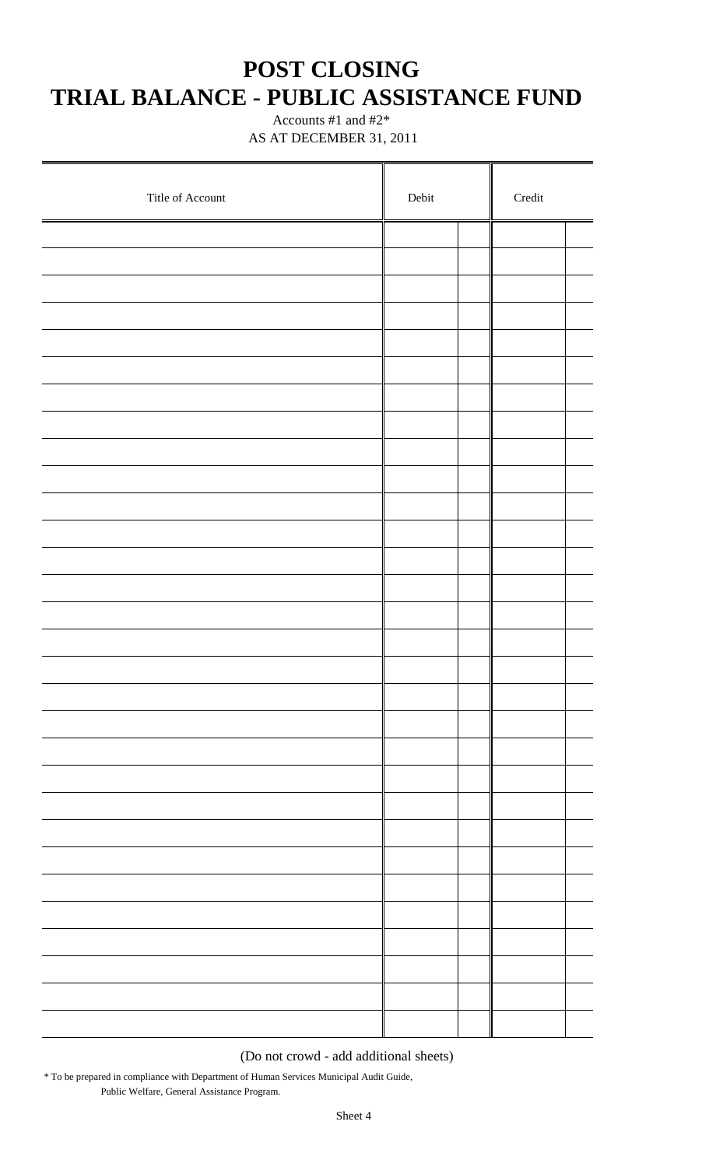### **POST CLOSING TRIAL BALANCE - PUBLIC ASSISTANCE FUND**

 Accounts #1 and #2\* AS AT DECEMBER 31, 2011

| Title of Account | Debit | $\bf Credit$ |  |  |
|------------------|-------|--------------|--|--|
|                  |       |              |  |  |
|                  |       |              |  |  |
|                  |       |              |  |  |
|                  |       |              |  |  |
|                  |       |              |  |  |
|                  |       |              |  |  |
|                  |       |              |  |  |
|                  |       |              |  |  |
|                  |       |              |  |  |
|                  |       |              |  |  |
|                  |       |              |  |  |
|                  |       |              |  |  |
|                  |       |              |  |  |
|                  |       |              |  |  |
|                  |       |              |  |  |
|                  |       |              |  |  |
|                  |       |              |  |  |
|                  |       |              |  |  |
|                  |       |              |  |  |
|                  |       |              |  |  |
|                  |       |              |  |  |
|                  |       |              |  |  |
|                  |       |              |  |  |
|                  |       |              |  |  |
|                  |       |              |  |  |
|                  |       |              |  |  |
|                  |       |              |  |  |
|                  |       |              |  |  |
|                  |       |              |  |  |
|                  |       |              |  |  |

(Do not crowd - add additional sheets)

\* To be prepared in compliance with Department of Human Services Municipal Audit Guide, Public Welfare, General Assistance Program.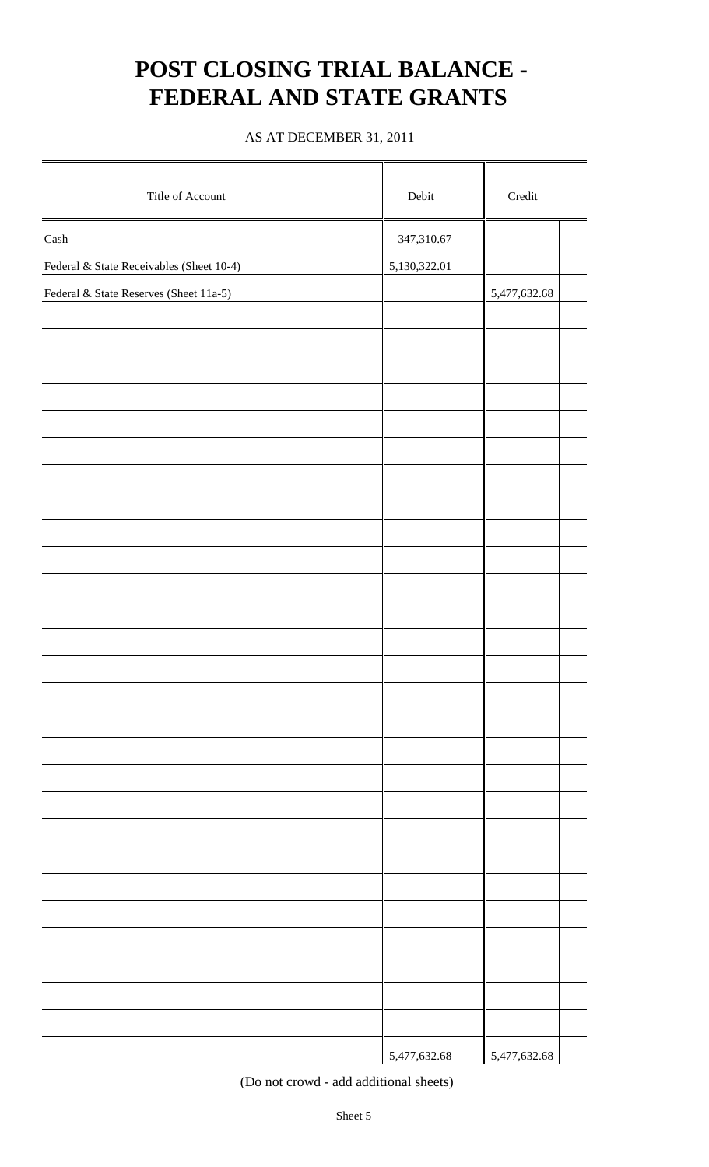## **POST CLOSING TRIAL BALANCE - FEDERAL AND STATE GRANTS**

#### AS AT DECEMBER 31, 2011

| Title of Account                         | Debit        | $\bf Credit$ |  |  |
|------------------------------------------|--------------|--------------|--|--|
| $\operatorname{Cash}$                    | 347,310.67   |              |  |  |
| Federal & State Receivables (Sheet 10-4) | 5,130,322.01 |              |  |  |
| Federal & State Reserves (Sheet 11a-5)   |              | 5,477,632.68 |  |  |
|                                          |              |              |  |  |
|                                          |              |              |  |  |
|                                          |              |              |  |  |
|                                          |              |              |  |  |
|                                          |              |              |  |  |
|                                          |              |              |  |  |
|                                          |              |              |  |  |
|                                          |              |              |  |  |
|                                          |              |              |  |  |
|                                          |              |              |  |  |
|                                          |              |              |  |  |
|                                          |              |              |  |  |
|                                          |              |              |  |  |
|                                          |              |              |  |  |
|                                          |              |              |  |  |
|                                          |              |              |  |  |
|                                          |              |              |  |  |
|                                          |              |              |  |  |
|                                          |              |              |  |  |
|                                          |              |              |  |  |
|                                          |              |              |  |  |
|                                          |              |              |  |  |
|                                          |              |              |  |  |
|                                          |              |              |  |  |
|                                          |              |              |  |  |
|                                          |              |              |  |  |
|                                          |              |              |  |  |
|                                          | 5,477,632.68 | 5,477,632.68 |  |  |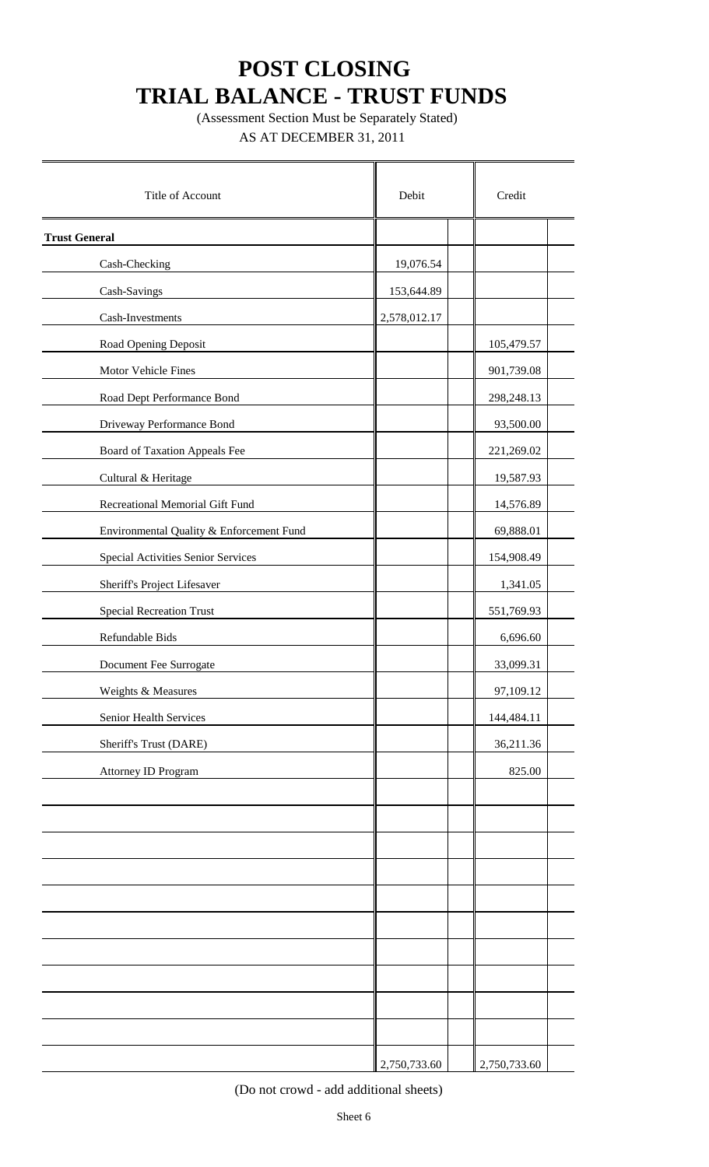(Assessment Section Must be Separately Stated)

AS AT DECEMBER 31, 2011

| Title of Account                         | Debit        | Credit       |
|------------------------------------------|--------------|--------------|
| <b>Trust General</b>                     |              |              |
| Cash-Checking                            | 19,076.54    |              |
| Cash-Savings                             | 153,644.89   |              |
| Cash-Investments                         | 2,578,012.17 |              |
| Road Opening Deposit                     |              | 105,479.57   |
| Motor Vehicle Fines                      |              | 901,739.08   |
| Road Dept Performance Bond               |              | 298,248.13   |
| Driveway Performance Bond                |              | 93,500.00    |
| Board of Taxation Appeals Fee            |              | 221,269.02   |
| Cultural & Heritage                      |              | 19,587.93    |
| Recreational Memorial Gift Fund          |              | 14,576.89    |
| Environmental Quality & Enforcement Fund |              | 69,888.01    |
| Special Activities Senior Services       |              | 154,908.49   |
| Sheriff's Project Lifesaver              |              | 1,341.05     |
| <b>Special Recreation Trust</b>          |              | 551,769.93   |
| Refundable Bids                          |              | 6,696.60     |
| Document Fee Surrogate                   |              | 33,099.31    |
| Weights & Measures                       |              | 97,109.12    |
| Senior Health Services                   |              | 144,484.11   |
| Sheriff's Trust (DARE)                   |              | 36,211.36    |
| Attorney ID Program                      |              | 825.00       |
|                                          |              |              |
|                                          |              |              |
|                                          |              |              |
|                                          |              |              |
|                                          |              |              |
|                                          |              |              |
|                                          |              |              |
|                                          |              |              |
|                                          |              |              |
|                                          |              |              |
|                                          | 2,750,733.60 | 2,750,733.60 |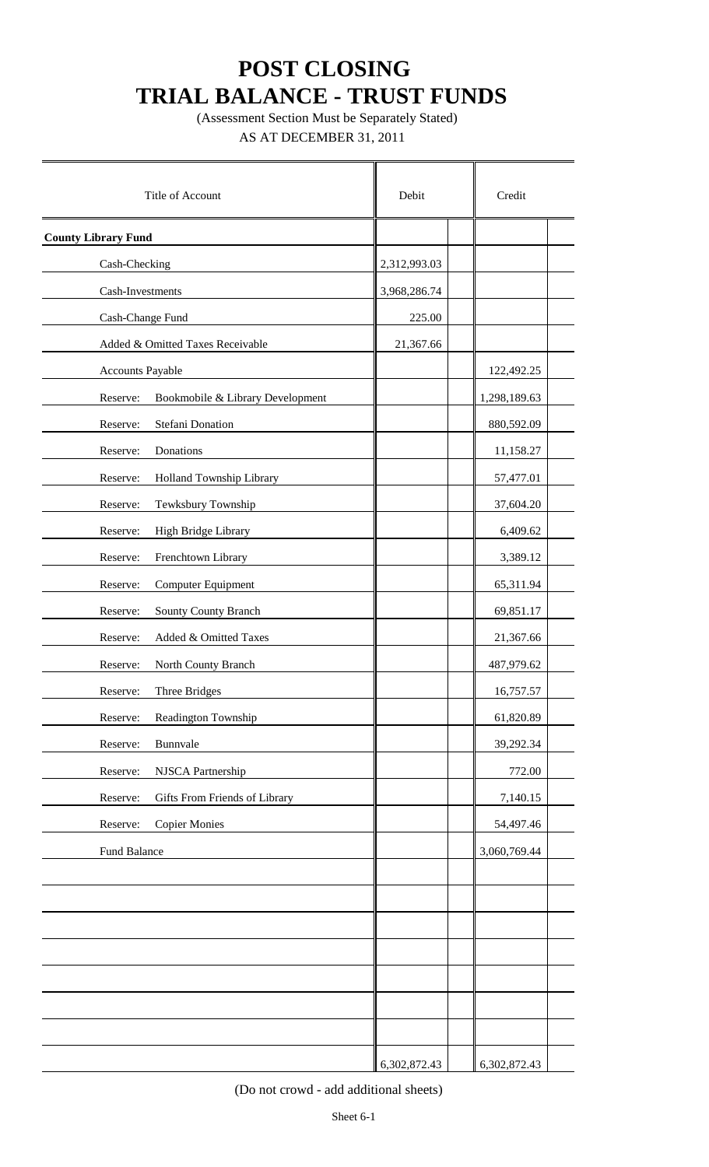(Assessment Section Must be Separately Stated)

AS AT DECEMBER 31, 2011

| Title of Account                             | Debit        | Credit       |
|----------------------------------------------|--------------|--------------|
| <b>County Library Fund</b>                   |              |              |
| Cash-Checking                                | 2,312,993.03 |              |
| Cash-Investments                             | 3,968,286.74 |              |
| Cash-Change Fund                             | 225.00       |              |
| Added & Omitted Taxes Receivable             | 21,367.66    |              |
| Accounts Payable                             |              | 122,492.25   |
| Bookmobile & Library Development<br>Reserve: |              | 1,298,189.63 |
| <b>Stefani Donation</b><br>Reserve:          |              | 880,592.09   |
| Reserve:<br>Donations                        |              | 11,158.27    |
| Holland Township Library<br>Reserve:         |              | 57,477.01    |
| Tewksbury Township<br>Reserve:               |              | 37,604.20    |
| High Bridge Library<br>Reserve:              |              | 6,409.62     |
| Reserve:<br>Frenchtown Library               |              | 3,389.12     |
| Reserve:<br>Computer Equipment               |              | 65,311.94    |
| Reserve:<br>Sounty County Branch             |              | 69,851.17    |
| Reserve:<br>Added & Omitted Taxes            |              | 21,367.66    |
| Reserve:<br>North County Branch              |              | 487,979.62   |
| Three Bridges<br>Reserve:                    |              | 16,757.57    |
| Readington Township<br>Reserve:              |              | 61,820.89    |
| Bunnvale<br>Reserve:                         |              | 39,292.34    |
| Reserve:<br>NJSCA Partnership                |              | 772.00       |
| Reserve:<br>Gifts From Friends of Library    |              | 7,140.15     |
| Reserve:<br><b>Copier Monies</b>             |              | 54,497.46    |
| Fund Balance                                 |              | 3,060,769.44 |
|                                              |              |              |
|                                              |              |              |
|                                              |              |              |
|                                              |              |              |
|                                              |              |              |
|                                              |              |              |
|                                              |              |              |
|                                              | 6,302,872.43 | 6,302,872.43 |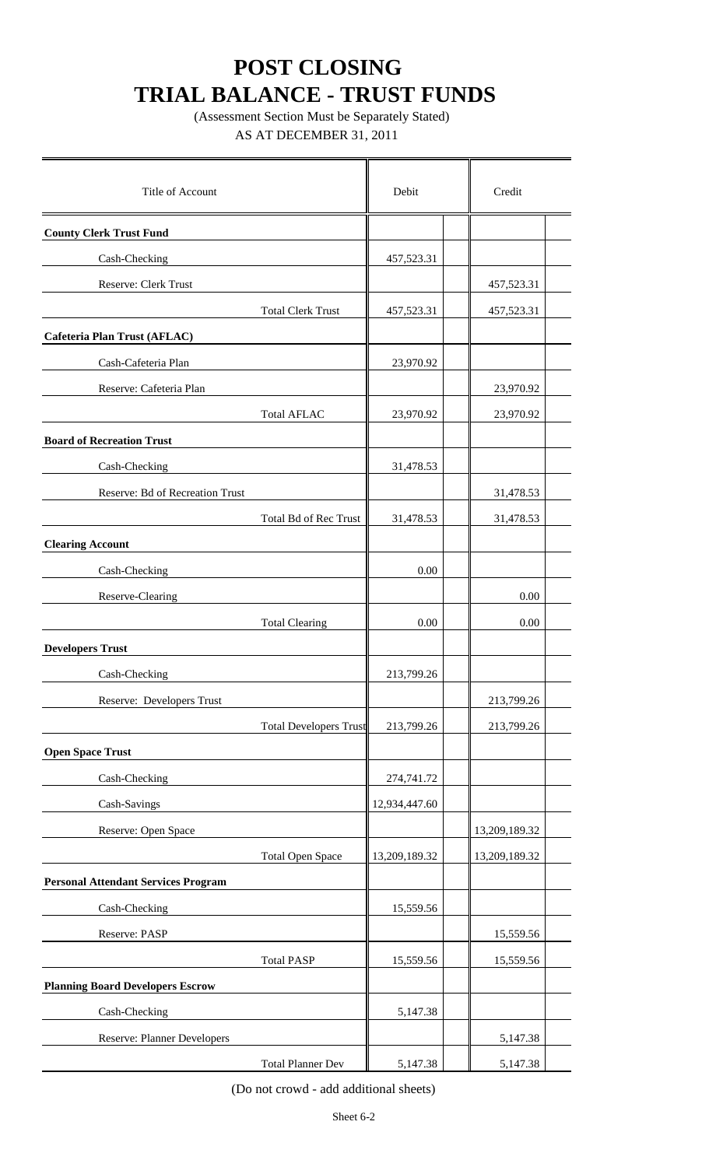(Assessment Section Must be Separately Stated) AS AT DECEMBER 31, 2011

| Title of Account                           | Debit         | Credit        |  |
|--------------------------------------------|---------------|---------------|--|
| <b>County Clerk Trust Fund</b>             |               |               |  |
| Cash-Checking                              | 457,523.31    |               |  |
| Reserve: Clerk Trust                       |               | 457,523.31    |  |
| <b>Total Clerk Trust</b>                   | 457,523.31    | 457,523.31    |  |
| Cafeteria Plan Trust (AFLAC)               |               |               |  |
| Cash-Cafeteria Plan                        | 23,970.92     |               |  |
| Reserve: Cafeteria Plan                    |               | 23,970.92     |  |
| <b>Total AFLAC</b>                         | 23,970.92     | 23,970.92     |  |
| <b>Board of Recreation Trust</b>           |               |               |  |
| Cash-Checking                              | 31,478.53     |               |  |
| Reserve: Bd of Recreation Trust            |               | 31,478.53     |  |
| <b>Total Bd of Rec Trust</b>               | 31,478.53     | 31,478.53     |  |
| <b>Clearing Account</b>                    |               |               |  |
| Cash-Checking                              | 0.00          |               |  |
| Reserve-Clearing                           |               | 0.00          |  |
| <b>Total Clearing</b>                      | 0.00          | 0.00          |  |
| <b>Developers Trust</b>                    |               |               |  |
| Cash-Checking                              | 213,799.26    |               |  |
| Reserve: Developers Trust                  |               | 213,799.26    |  |
| <b>Total Developers Trust</b>              | 213,799.26    | 213,799.26    |  |
| <b>Open Space Trust</b>                    |               |               |  |
| Cash-Checking                              | 274,741.72    |               |  |
| Cash-Savings                               | 12,934,447.60 |               |  |
| Reserve: Open Space                        |               | 13,209,189.32 |  |
| <b>Total Open Space</b>                    | 13,209,189.32 | 13,209,189.32 |  |
| <b>Personal Attendant Services Program</b> |               |               |  |
| Cash-Checking                              | 15,559.56     |               |  |
| Reserve: PASP                              |               | 15,559.56     |  |
| <b>Total PASP</b>                          | 15,559.56     | 15,559.56     |  |
| <b>Planning Board Developers Escrow</b>    |               |               |  |
| Cash-Checking                              | 5,147.38      |               |  |
| <b>Reserve: Planner Developers</b>         |               | 5,147.38      |  |
| <b>Total Planner Dev</b>                   | 5,147.38      | 5,147.38      |  |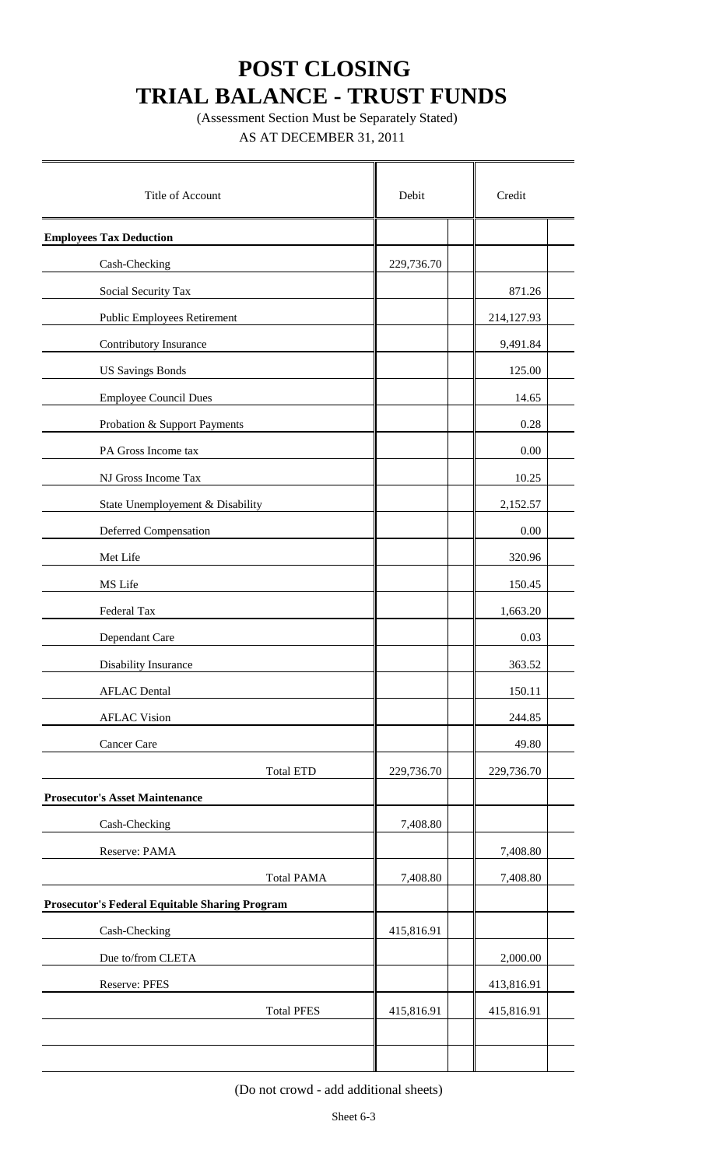(Assessment Section Must be Separately Stated)

AS AT DECEMBER 31, 2011

| Title of Account                                      | Debit      | Credit     |  |
|-------------------------------------------------------|------------|------------|--|
| <b>Employees Tax Deduction</b>                        |            |            |  |
| Cash-Checking                                         | 229,736.70 |            |  |
| Social Security Tax                                   |            | 871.26     |  |
| <b>Public Employees Retirement</b>                    |            | 214,127.93 |  |
| Contributory Insurance                                |            | 9,491.84   |  |
| <b>US Savings Bonds</b>                               |            | 125.00     |  |
| <b>Employee Council Dues</b>                          |            | 14.65      |  |
| Probation & Support Payments                          |            | 0.28       |  |
| PA Gross Income tax                                   |            | 0.00       |  |
| NJ Gross Income Tax                                   |            | 10.25      |  |
| State Unemployement & Disability                      |            | 2,152.57   |  |
| <b>Deferred Compensation</b>                          |            | 0.00       |  |
| Met Life                                              |            | 320.96     |  |
| MS Life                                               |            | 150.45     |  |
| Federal Tax                                           |            | 1,663.20   |  |
| Dependant Care                                        |            | 0.03       |  |
| Disability Insurance                                  |            | 363.52     |  |
| <b>AFLAC</b> Dental                                   |            | 150.11     |  |
| <b>AFLAC Vision</b>                                   |            | 244.85     |  |
| Cancer Care                                           |            | 49.80      |  |
| <b>Total ETD</b>                                      | 229,736.70 | 229,736.70 |  |
| <b>Prosecutor's Asset Maintenance</b>                 |            |            |  |
| Cash-Checking                                         | 7,408.80   |            |  |
| Reserve: PAMA                                         |            | 7,408.80   |  |
| <b>Total PAMA</b>                                     | 7,408.80   | 7,408.80   |  |
| <b>Prosecutor's Federal Equitable Sharing Program</b> |            |            |  |
| Cash-Checking                                         | 415,816.91 |            |  |
| Due to/from CLETA                                     |            | 2,000.00   |  |
| <b>Reserve: PFES</b>                                  |            | 413,816.91 |  |
| <b>Total PFES</b>                                     | 415,816.91 | 415,816.91 |  |
|                                                       |            |            |  |
|                                                       |            |            |  |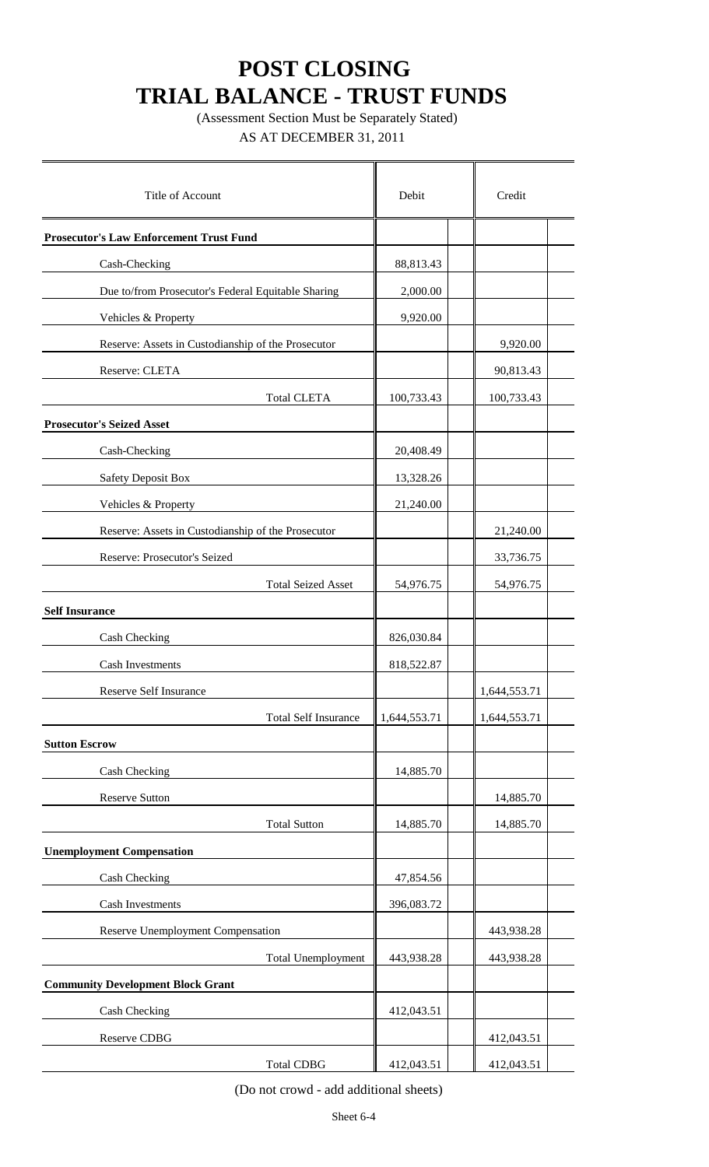(Assessment Section Must be Separately Stated)

AS AT DECEMBER 31, 2011

| Title of Account                                   | Debit        | Credit       |
|----------------------------------------------------|--------------|--------------|
|                                                    |              |              |
| <b>Prosecutor's Law Enforcement Trust Fund</b>     |              |              |
| Cash-Checking                                      | 88,813.43    |              |
| Due to/from Prosecutor's Federal Equitable Sharing | 2,000.00     |              |
| Vehicles & Property                                | 9,920.00     |              |
| Reserve: Assets in Custodianship of the Prosecutor |              | 9,920.00     |
| Reserve: CLETA                                     |              | 90,813.43    |
| <b>Total CLETA</b>                                 | 100,733.43   | 100,733.43   |
| <b>Prosecutor's Seized Asset</b>                   |              |              |
| Cash-Checking                                      | 20,408.49    |              |
| <b>Safety Deposit Box</b>                          | 13,328.26    |              |
| Vehicles & Property                                | 21,240.00    |              |
| Reserve: Assets in Custodianship of the Prosecutor |              | 21,240.00    |
| Reserve: Prosecutor's Seized                       |              | 33,736.75    |
| <b>Total Seized Asset</b>                          | 54,976.75    | 54,976.75    |
| <b>Self Insurance</b>                              |              |              |
| Cash Checking                                      | 826,030.84   |              |
| <b>Cash Investments</b>                            | 818,522.87   |              |
| Reserve Self Insurance                             |              | 1,644,553.71 |
| <b>Total Self Insurance</b>                        | 1,644,553.71 | 1,644,553.71 |
| <b>Sutton Escrow</b>                               |              |              |
| Cash Checking                                      | 14,885.70    |              |
| <b>Reserve Sutton</b>                              |              | 14,885.70    |
| <b>Total Sutton</b>                                | 14,885.70    | 14,885.70    |
| <b>Unemployment Compensation</b>                   |              |              |
|                                                    |              |              |
| Cash Checking                                      | 47,854.56    |              |
| <b>Cash Investments</b>                            | 396,083.72   |              |
| Reserve Unemployment Compensation                  |              | 443,938.28   |
| <b>Total Unemployment</b>                          | 443,938.28   | 443,938.28   |
| <b>Community Development Block Grant</b>           |              |              |
| Cash Checking                                      | 412,043.51   |              |
| Reserve CDBG                                       |              | 412,043.51   |
| <b>Total CDBG</b>                                  | 412,043.51   | 412,043.51   |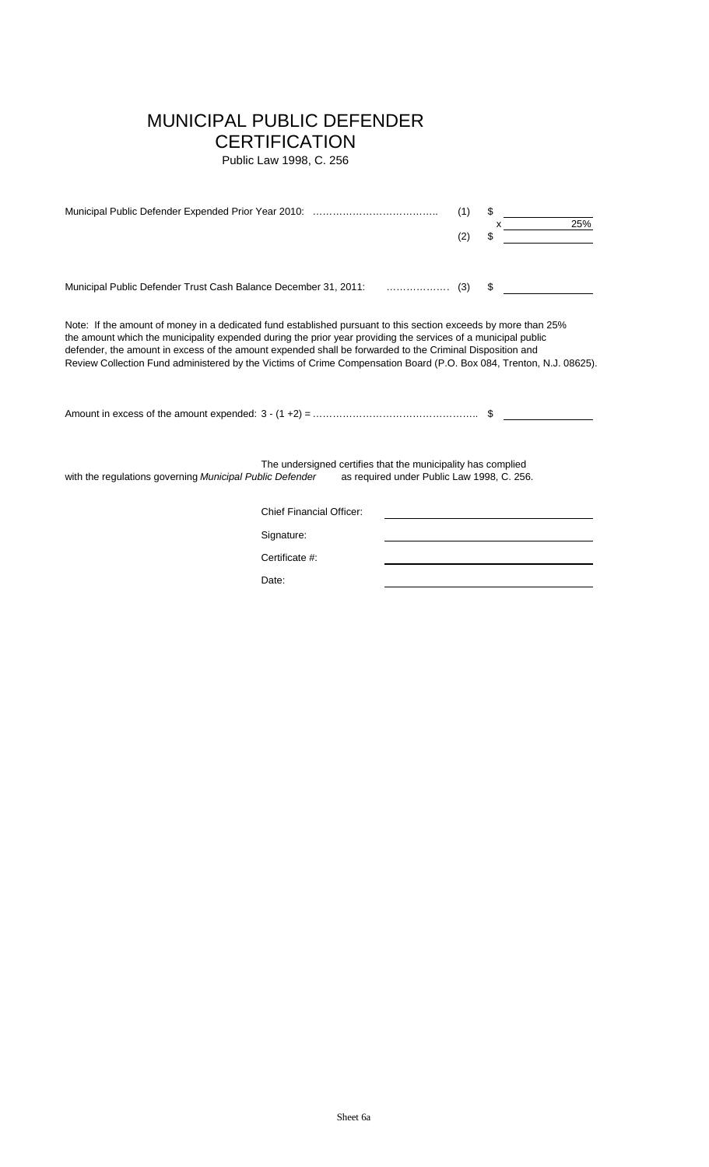### MUNICIPAL PUBLIC DEFENDER

### **CERTIFICATION**

Public Law 1998, C. 256

|                                                                                                                                                                                                                                                                                                                                                                                                                                                                    |                                                              |                                            | (1)<br>(2) | \$<br>25%<br>\$ |
|--------------------------------------------------------------------------------------------------------------------------------------------------------------------------------------------------------------------------------------------------------------------------------------------------------------------------------------------------------------------------------------------------------------------------------------------------------------------|--------------------------------------------------------------|--------------------------------------------|------------|-----------------|
| Municipal Public Defender Trust Cash Balance December 31, 2011:  (3)                                                                                                                                                                                                                                                                                                                                                                                               |                                                              |                                            |            | \$              |
| Note: If the amount of money in a dedicated fund established pursuant to this section exceeds by more than 25%<br>the amount which the municipality expended during the prior year providing the services of a municipal public<br>defender, the amount in excess of the amount expended shall be forwarded to the Criminal Disposition and<br>Review Collection Fund administered by the Victims of Crime Compensation Board (P.O. Box 084, Trenton, N.J. 08625). |                                                              |                                            |            |                 |
| with the regulations governing Municipal Public Defender                                                                                                                                                                                                                                                                                                                                                                                                           | The undersigned certifies that the municipality has complied | as required under Public Law 1998, C. 256. |            |                 |
|                                                                                                                                                                                                                                                                                                                                                                                                                                                                    | <b>Chief Financial Officer:</b>                              |                                            |            |                 |
|                                                                                                                                                                                                                                                                                                                                                                                                                                                                    | Signature:                                                   |                                            |            |                 |
|                                                                                                                                                                                                                                                                                                                                                                                                                                                                    | Certificate #:                                               |                                            |            |                 |
|                                                                                                                                                                                                                                                                                                                                                                                                                                                                    | Date:                                                        |                                            |            |                 |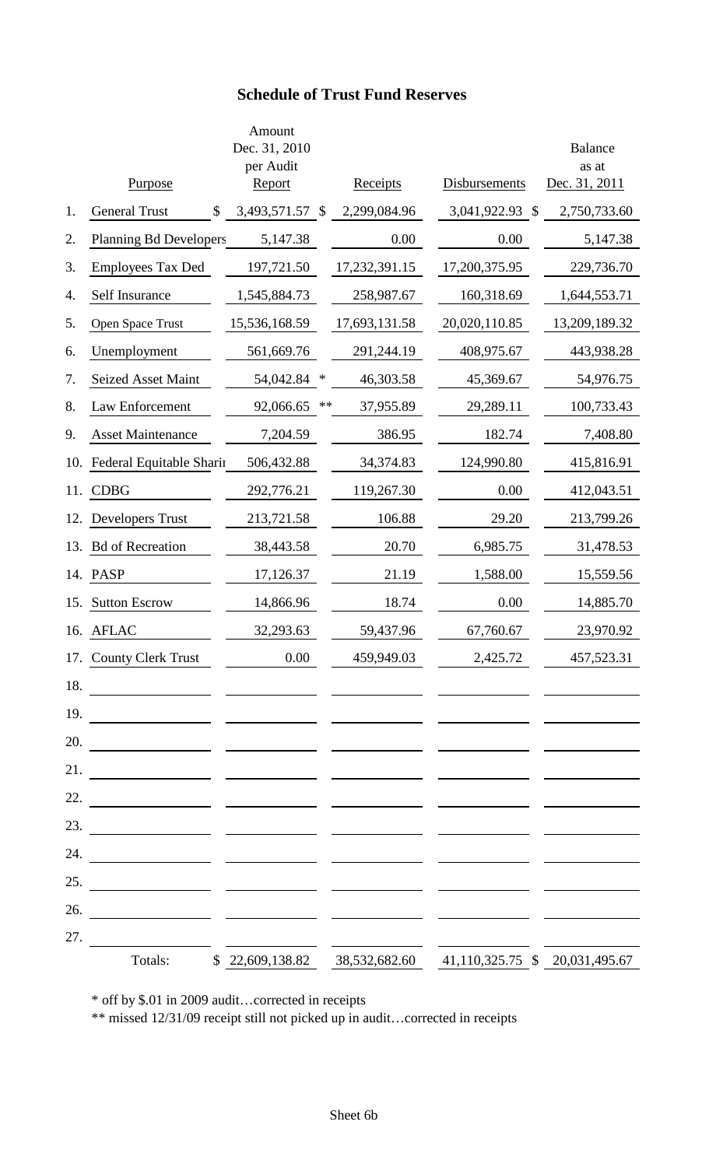### **Schedule of Trust Fund Reserves**

|     | Purpose                                                                                                               | Amount<br>Dec. 31, 2010<br>per Audit<br><b>Report</b> |               | Receipts      | Disbursements                  | <b>Balance</b><br>as at<br>Dec. 31, 2011 |
|-----|-----------------------------------------------------------------------------------------------------------------------|-------------------------------------------------------|---------------|---------------|--------------------------------|------------------------------------------|
| 1.  | <b>General Trust</b><br>\$                                                                                            | 3,493,571.57                                          | $\mathcal{S}$ | 2,299,084.96  | 3,041,922.93 \$                | 2,750,733.60                             |
| 2.  | <b>Planning Bd Developers</b>                                                                                         | 5,147.38                                              |               | 0.00          | 0.00                           | 5,147.38                                 |
| 3.  | <b>Employees Tax Ded</b>                                                                                              | 197,721.50                                            |               | 17,232,391.15 | 17,200,375.95                  | 229,736.70                               |
| 4.  | Self Insurance                                                                                                        | 1,545,884.73                                          |               | 258,987.67    | 160,318.69                     | 1,644,553.71                             |
| 5.  | Open Space Trust                                                                                                      | 15,536,168.59                                         |               | 17,693,131.58 | 20,020,110.85                  | 13,209,189.32                            |
| 6.  | Unemployment                                                                                                          | 561,669.76                                            |               | 291,244.19    | 408,975.67                     | 443,938.28                               |
| 7.  | <b>Seized Asset Maint</b>                                                                                             | 54,042.84                                             | ∗             | 46,303.58     | 45,369.67                      | 54,976.75                                |
| 8.  | Law Enforcement                                                                                                       | 92,066.65                                             | **            | 37,955.89     | 29,289.11                      | 100,733.43                               |
| 9.  | <b>Asset Maintenance</b>                                                                                              | 7,204.59                                              |               | 386.95        | 182.74                         | 7,408.80                                 |
| 10. | Federal Equitable Sharin                                                                                              | 506,432.88                                            |               | 34,374.83     | 124,990.80                     | 415,816.91                               |
| 11. | <b>CDBG</b>                                                                                                           | 292,776.21                                            |               | 119,267.30    | 0.00                           | 412,043.51                               |
| 12. | <b>Developers Trust</b>                                                                                               | 213,721.58                                            |               | 106.88        | 29.20                          | 213,799.26                               |
| 13. | <b>Bd</b> of Recreation                                                                                               | 38,443.58                                             |               | 20.70         | 6,985.75                       | 31,478.53                                |
| 14. | <b>PASP</b>                                                                                                           | 17,126.37                                             |               | 21.19         | 1,588.00                       | 15,559.56                                |
| 15. | <b>Sutton Escrow</b>                                                                                                  | 14,866.96                                             |               | 18.74         | 0.00                           | 14,885.70                                |
| 16. | <b>AFLAC</b>                                                                                                          | 32,293.63                                             |               | 59,437.96     | 67,760.67                      | 23,970.92                                |
|     | 17. County Clerk Trust                                                                                                | 0.00                                                  |               | 459,949.03    | 2,425.72                       | 457,523.31                               |
| 18. | <u> 1980 - Jan James James James James James James James James James James James James James James James James Ja</u> |                                                       |               |               |                                |                                          |
| 19. | <u> 1990 - Johann John Stone, mars et al. 1990 - John Stone (f. 1980)</u>                                             |                                                       |               |               |                                |                                          |
| 20. |                                                                                                                       |                                                       |               |               |                                |                                          |
| 21. |                                                                                                                       |                                                       |               |               |                                |                                          |
| 22. |                                                                                                                       |                                                       |               |               |                                |                                          |
| 23. |                                                                                                                       |                                                       |               |               |                                |                                          |
| 24. |                                                                                                                       |                                                       |               |               |                                |                                          |
| 25. | <u> 1989 - Johann John Stone, mars et al. 19</u>                                                                      |                                                       |               |               |                                |                                          |
| 26. | <u> 1980 - John Harry Barn, mars and de la partie de la partie de la partie de la partie de la partie de la part</u>  |                                                       |               |               |                                |                                          |
| 27. |                                                                                                                       |                                                       |               |               |                                |                                          |
|     | Totals:                                                                                                               | \$22,609,138.82                                       |               | 38,532,682.60 | 41,110,325.75 \$ 20,031,495.67 |                                          |

\* off by \$.01 in 2009 audit…corrected in receipts

\*\* missed 12/31/09 receipt still not picked up in audit…corrected in receipts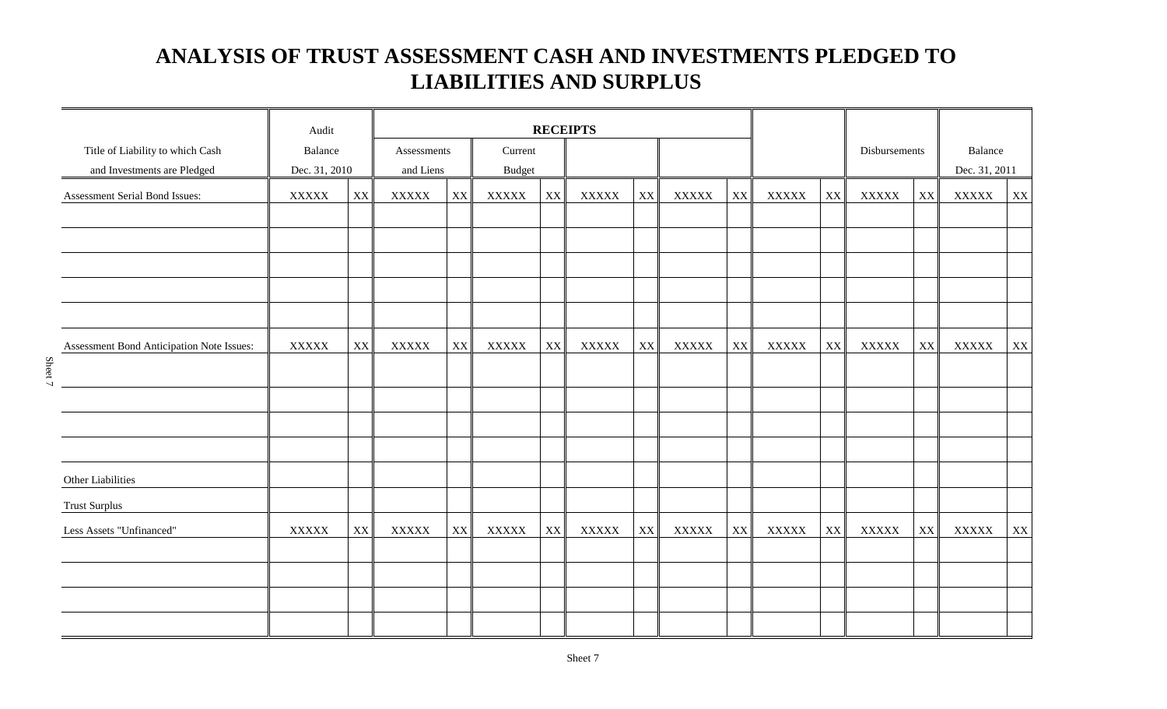### **ANALYSIS OF TRUST ASSESSMENT CASH AND INVESTMENTS PLEDGED TO LIABILITIES AND SURPLUS**

|                                           | Audit          |                        | <b>RECEIPTS</b> |                        |              |                        |              |                        |              |               |                |    |              |    |               |    |
|-------------------------------------------|----------------|------------------------|-----------------|------------------------|--------------|------------------------|--------------|------------------------|--------------|---------------|----------------|----|--------------|----|---------------|----|
| Title of Liability to which Cash          | Balance        |                        |                 | Current<br>Assessments |              |                        |              |                        |              |               | Disbursements  |    | Balance      |    |               |    |
| and Investments are Pledged               | Dec. 31, 2010  |                        | and Liens       |                        | Budget       |                        |              |                        |              |               |                |    |              |    | Dec. 31, 2011 |    |
| Assessment Serial Bond Issues:            | <b>XXXXX</b>   | $\mathbf{X}\mathbf{X}$ | <b>XXXXX</b>    | $\mathbf{X}\mathbf{X}$ | <b>XXXXX</b> | $\mathbf{X}\mathbf{X}$ | <b>XXXXX</b> | XX                     | <b>XXXXX</b> | XX            | <b>XXXXX</b>   | XX | <b>XXXXX</b> | XX | <b>XXXXX</b>  | XX |
|                                           |                |                        |                 |                        |              |                        |              |                        |              |               |                |    |              |    |               |    |
|                                           |                |                        |                 |                        |              |                        |              |                        |              |               |                |    |              |    |               |    |
|                                           |                |                        |                 |                        |              |                        |              |                        |              |               |                |    |              |    |               |    |
|                                           |                |                        |                 |                        |              |                        |              |                        |              |               |                |    |              |    |               |    |
|                                           |                |                        |                 |                        |              |                        |              |                        |              |               |                |    |              |    |               |    |
| Assessment Bond Anticipation Note Issues: | $\bold{XXXXX}$ | XX                     | <b>XXXXX</b>    | $\mathbf{X}\mathbf{X}$ | <b>XXXXX</b> | XX                     | <b>XXXXX</b> | $\mathbf{X}\mathbf{X}$ | <b>XXXXX</b> | XX            | $\bold{XXXXX}$ | XX | <b>XXXXX</b> | XX | <b>XXXXX</b>  | XX |
|                                           |                |                        |                 |                        |              |                        |              |                        |              |               |                |    |              |    |               |    |
|                                           |                |                        |                 |                        |              |                        |              |                        |              |               |                |    |              |    |               |    |
|                                           |                |                        |                 |                        |              |                        |              |                        |              |               |                |    |              |    |               |    |
|                                           |                |                        |                 |                        |              |                        |              |                        |              |               |                |    |              |    |               |    |
| Other Liabilities                         |                |                        |                 |                        |              |                        |              |                        |              |               |                |    |              |    |               |    |
| <b>Trust Surplus</b>                      |                |                        |                 |                        |              |                        |              |                        |              |               |                |    |              |    |               |    |
| Less Assets "Unfinanced"                  | <b>XXXXX</b>   | $\mathbf{XX}$          | <b>XXXXX</b>    | $\mathbf{XX}$          | <b>XXXXX</b> | XX <sup>I</sup>        | <b>XXXXX</b> | XX                     | <b>XXXXX</b> | $\mathbf{XX}$ | <b>XXXXX</b>   | XX | <b>XXXXX</b> | XX | <b>XXXXX</b>  | XX |
|                                           |                |                        |                 |                        |              |                        |              |                        |              |               |                |    |              |    |               |    |
|                                           |                |                        |                 |                        |              |                        |              |                        |              |               |                |    |              |    |               |    |
|                                           |                |                        |                 |                        |              |                        |              |                        |              |               |                |    |              |    |               |    |
|                                           |                |                        |                 |                        |              |                        |              |                        |              |               |                |    |              |    |               |    |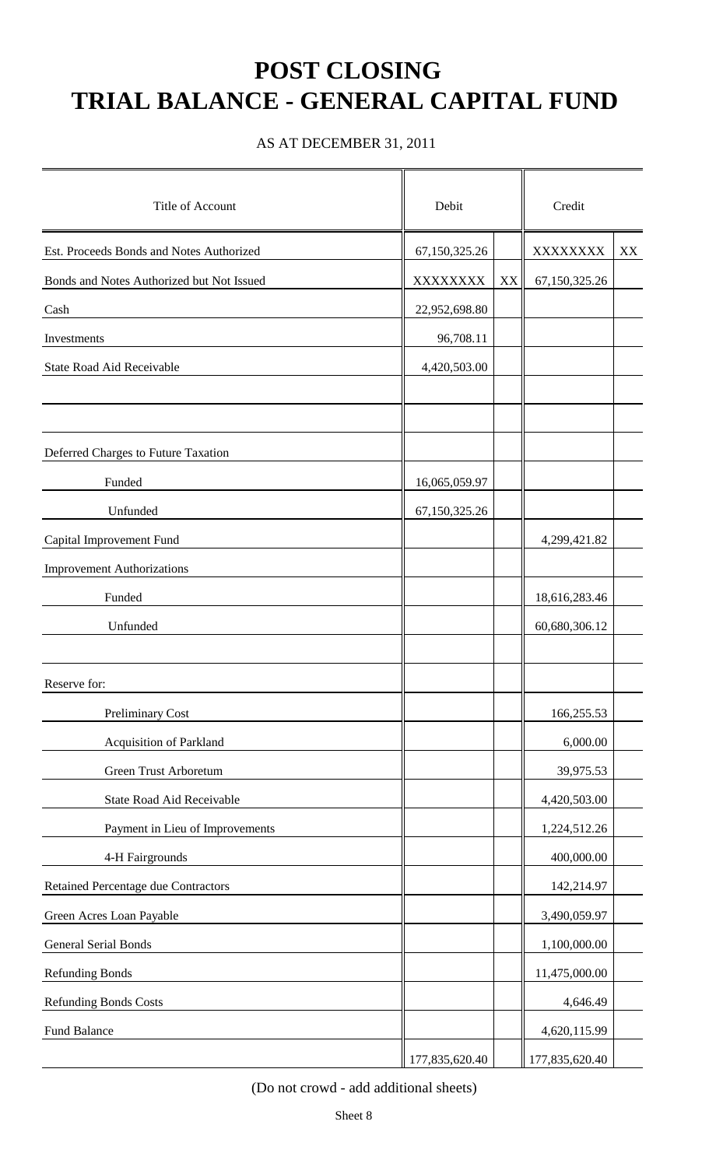# **POST CLOSING TRIAL BALANCE - GENERAL CAPITAL FUND**

AS AT DECEMBER 31, 2011

| Title of Account                           | Debit          |                         | Credit         |    |  |
|--------------------------------------------|----------------|-------------------------|----------------|----|--|
| Est. Proceeds Bonds and Notes Authorized   | 67,150,325.26  |                         | XXXXXXXX       | XX |  |
| Bonds and Notes Authorized but Not Issued  | XXXXXXXX       | $\mathbf{X} \mathbf{X}$ | 67,150,325.26  |    |  |
| Cash                                       | 22,952,698.80  |                         |                |    |  |
| Investments                                | 96,708.11      |                         |                |    |  |
| State Road Aid Receivable                  | 4,420,503.00   |                         |                |    |  |
|                                            |                |                         |                |    |  |
|                                            |                |                         |                |    |  |
| Deferred Charges to Future Taxation        |                |                         |                |    |  |
| Funded                                     | 16,065,059.97  |                         |                |    |  |
| Unfunded                                   | 67,150,325.26  |                         |                |    |  |
| Capital Improvement Fund                   |                |                         | 4,299,421.82   |    |  |
| <b>Improvement Authorizations</b>          |                |                         |                |    |  |
| Funded                                     |                |                         | 18,616,283.46  |    |  |
| Unfunded                                   |                |                         | 60,680,306.12  |    |  |
|                                            |                |                         |                |    |  |
| Reserve for:                               |                |                         |                |    |  |
| <b>Preliminary Cost</b>                    |                |                         | 166,255.53     |    |  |
| Acquisition of Parkland                    |                |                         | 6,000.00       |    |  |
| Green Trust Arboretum                      |                |                         | 39,975.53      |    |  |
| State Road Aid Receivable                  |                |                         | 4,420,503.00   |    |  |
| Payment in Lieu of Improvements            |                |                         | 1,224,512.26   |    |  |
| 4-H Fairgrounds                            |                |                         | 400,000.00     |    |  |
| <b>Retained Percentage due Contractors</b> |                |                         | 142,214.97     |    |  |
| Green Acres Loan Payable                   |                |                         | 3,490,059.97   |    |  |
| <b>General Serial Bonds</b>                |                |                         | 1,100,000.00   |    |  |
| <b>Refunding Bonds</b>                     |                |                         | 11,475,000.00  |    |  |
| <b>Refunding Bonds Costs</b>               |                |                         | 4,646.49       |    |  |
| Fund Balance                               |                |                         | 4,620,115.99   |    |  |
|                                            | 177,835,620.40 |                         | 177,835,620.40 |    |  |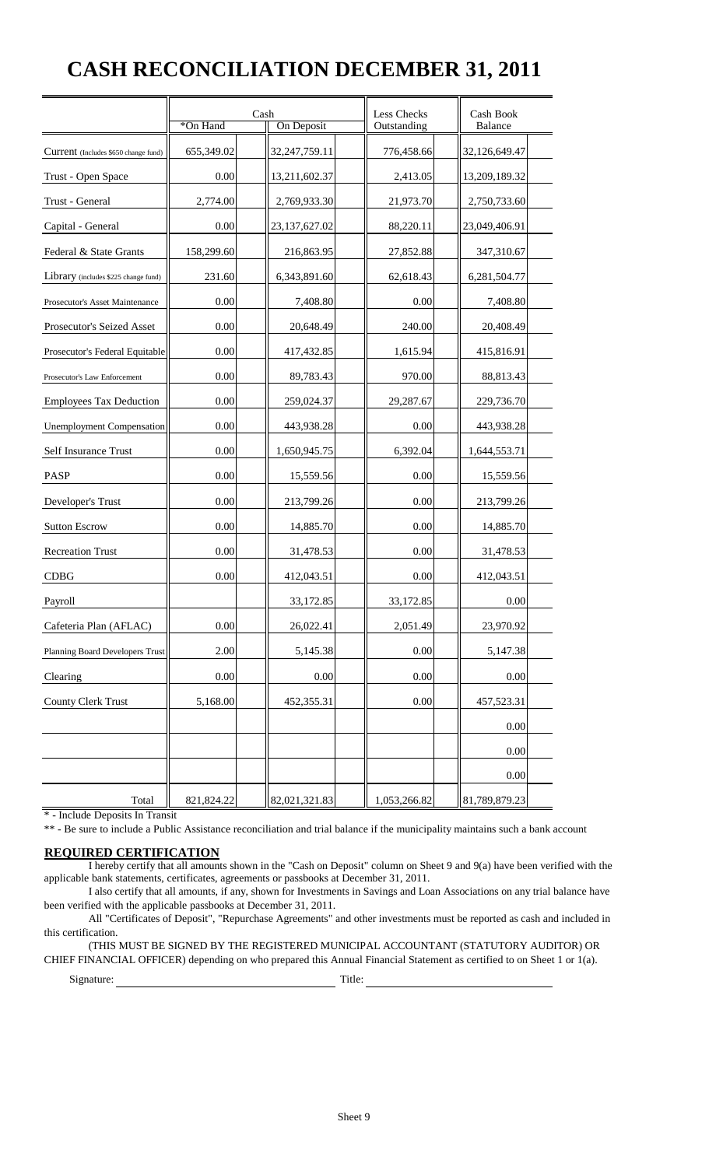### **CASH RECONCILIATION DECEMBER 31, 2011**

|                                      | *On Hand   | Cash<br>On Deposit | Less Checks<br>Outstanding | Cash Book<br><b>Balance</b> |
|--------------------------------------|------------|--------------------|----------------------------|-----------------------------|
| Current (Includes \$650 change fund) | 655,349.02 | 32,247,759.11      | 776,458.66                 | 32,126,649.47               |
| Trust - Open Space                   | 0.00       | 13,211,602.37      | 2,413.05                   | 13,209,189.32               |
| Trust - General                      | 2,774.00   | 2,769,933.30       | 21,973.70                  | 2,750,733.60                |
| Capital - General                    | 0.00       | 23,137,627.02      | 88,220.11                  | 23,049,406.91               |
| Federal & State Grants               | 158,299.60 | 216,863.95         | 27,852.88                  | 347,310.67                  |
| Library (includes \$225 change fund) | 231.60     | 6,343,891.60       | 62,618.43                  | 6,281,504.77                |
| Prosecutor's Asset Maintenance       | 0.00       | 7,408.80           | 0.00                       | 7,408.80                    |
| Prosecutor's Seized Asset            | 0.00       | 20,648.49          | 240.00                     | 20,408.49                   |
| Prosecutor's Federal Equitable       | 0.00       | 417,432.85         | 1,615.94                   | 415,816.91                  |
| Prosecutor's Law Enforcement         | 0.00       | 89,783.43          | 970.00                     | 88,813.43                   |
| <b>Employees Tax Deduction</b>       | 0.00       | 259,024.37         | 29,287.67                  | 229,736.70                  |
| <b>Unemployment Compensation</b>     | 0.00       |                    | 0.00                       | 443,938.28                  |
| Self Insurance Trust                 | 0.00       | 1,650,945.75       | 6,392.04                   | 1,644,553.71                |
| PASP                                 | 0.00       | 15,559.56          | 0.00                       | 15,559.56                   |
| Developer's Trust                    | 0.00       | 213,799.26         | 0.00                       | 213,799.26                  |
| <b>Sutton Escrow</b>                 | 0.00       | 14,885.70          | 0.00                       | 14,885.70                   |
| <b>Recreation Trust</b>              | 0.00       | 31,478.53          | 0.00                       | 31,478.53                   |
| <b>CDBG</b>                          | 0.00       | 412,043.51         | 0.00                       | 412,043.51                  |
| Payroll                              |            | 33,172.85          | 33,172.85                  | 0.00                        |
| Cafeteria Plan (AFLAC)               | 0.00       | 26,022.41          | 2,051.49                   | 23,970.92                   |
| Planning Board Developers Trust      | 2.00       | 5,145.38           | 0.00                       | 5,147.38                    |
| Clearing                             | 0.00       | 0.00               | 0.00                       | 0.00                        |
| County Clerk Trust                   | 5,168.00   | 452,355.31         | 0.00                       | 457,523.31                  |
|                                      |            |                    |                            | 0.00                        |
|                                      |            |                    |                            | 0.00                        |
|                                      |            |                    |                            | 0.00                        |
| Total                                | 821,824.22 | 82,021,321.83      | 1,053,266.82               | 81,789,879.23               |

\* - Include Deposits In Transit

\*\* - Be sure to include a Public Assistance reconciliation and trial balance if the municipality maintains such a bank account

#### **REQUIRED CERTIFICATION**

 I hereby certify that all amounts shown in the "Cash on Deposit" column on Sheet 9 and 9(a) have been verified with the applicable bank statements, certificates, agreements or passbooks at December 31, 2011.

 I also certify that all amounts, if any, shown for Investments in Savings and Loan Associations on any trial balance have been verified with the applicable passbooks at December 31, 2011.

 All "Certificates of Deposit", "Repurchase Agreements" and other investments must be reported as cash and included in this certification.

 (THIS MUST BE SIGNED BY THE REGISTERED MUNICIPAL ACCOUNTANT (STATUTORY AUDITOR) OR CHIEF FINANCIAL OFFICER) depending on who prepared this Annual Financial Statement as certified to on Sheet 1 or 1(a).

Signature: Title: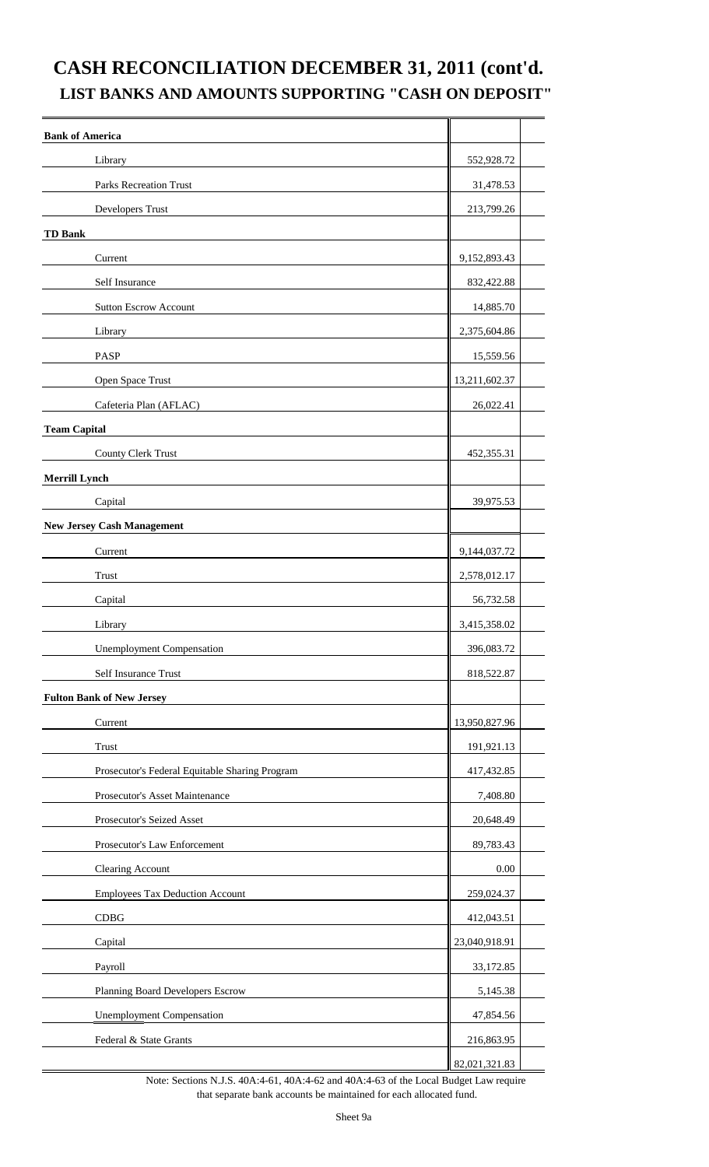### **CASH RECONCILIATION DECEMBER 31, 2011 (cont'd. LIST BANKS AND AMOUNTS SUPPORTING "CASH ON DEPOSIT"**

| <b>Bank of America</b>                         |               |
|------------------------------------------------|---------------|
| Library                                        | 552,928.72    |
| <b>Parks Recreation Trust</b>                  | 31,478.53     |
| Developers Trust                               | 213,799.26    |
| <b>TD Bank</b>                                 |               |
| Current                                        | 9,152,893.43  |
| Self Insurance                                 | 832,422.88    |
| <b>Sutton Escrow Account</b>                   | 14,885.70     |
| Library                                        | 2,375,604.86  |
| <b>PASP</b>                                    | 15,559.56     |
| Open Space Trust                               | 13,211,602.37 |
| Cafeteria Plan (AFLAC)                         | 26,022.41     |
| <b>Team Capital</b>                            |               |
| County Clerk Trust                             | 452,355.31    |
| <b>Merrill Lynch</b>                           |               |
| Capital                                        | 39,975.53     |
| <b>New Jersey Cash Management</b>              |               |
| Current                                        | 9,144,037.72  |
| <b>Trust</b>                                   | 2,578,012.17  |
| Capital                                        | 56,732.58     |
| Library                                        | 3,415,358.02  |
| <b>Unemployment Compensation</b>               | 396,083.72    |
| Self Insurance Trust                           | 818,522.87    |
| <b>Fulton Bank of New Jersey</b>               |               |
| Current                                        | 13,950,827.96 |
| Trust                                          | 191,921.13    |
| Prosecutor's Federal Equitable Sharing Program | 417,432.85    |
| Prosecutor's Asset Maintenance                 | 7,408.80      |
| Prosecutor's Seized Asset                      | 20,648.49     |
| Prosecutor's Law Enforcement                   | 89,783.43     |
| Clearing Account                               | 0.00          |
| <b>Employees Tax Deduction Account</b>         | 259,024.37    |
| CDBG                                           | 412,043.51    |
| Capital                                        | 23,040,918.91 |
| Payroll                                        | 33,172.85     |
| Planning Board Developers Escrow               | 5,145.38      |
| <b>Unemployment Compensation</b>               | 47,854.56     |
| Federal & State Grants                         | 216,863.95    |
|                                                | 82,021,321.83 |

Note: Sections N.J.S. 40A:4-61, 40A:4-62 and 40A:4-63 of the Local Budget Law require that separate bank accounts be maintained for each allocated fund.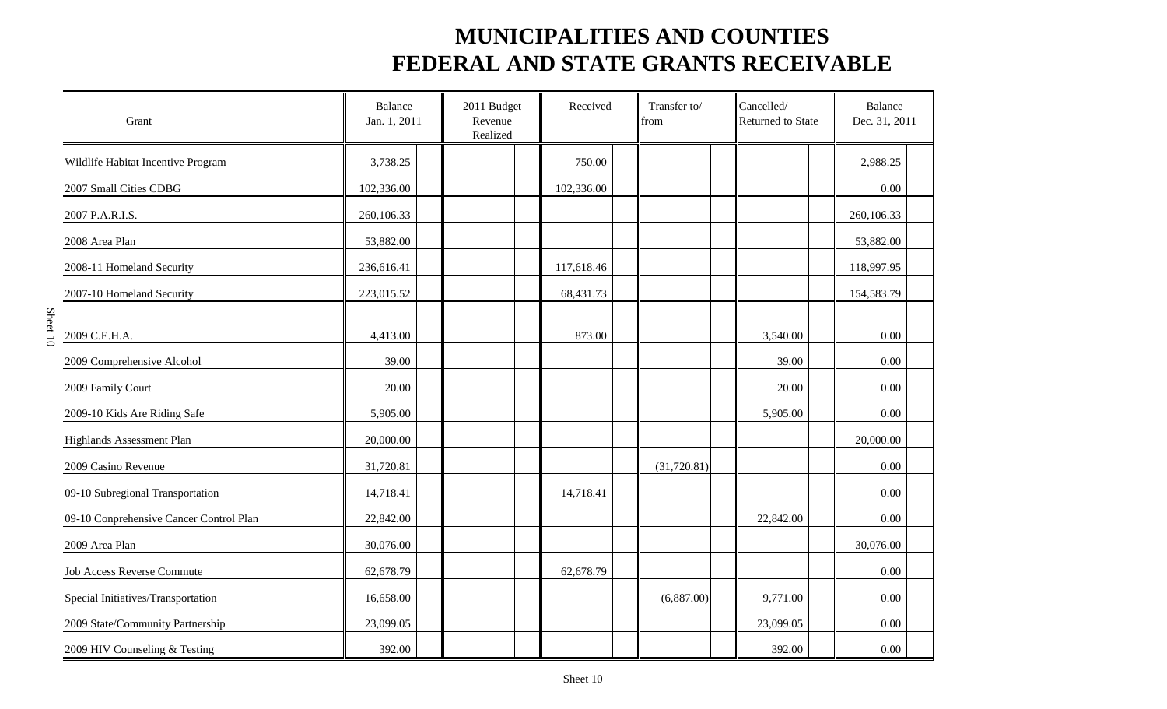| Grant                                   | Balance<br>Jan. 1, 2011 | 2011 Budget<br>Revenue<br>Realized | Received   | Transfer to/<br>from | Cancelled/<br>Returned to State | <b>Balance</b><br>Dec. 31, 2011 |
|-----------------------------------------|-------------------------|------------------------------------|------------|----------------------|---------------------------------|---------------------------------|
| Wildlife Habitat Incentive Program      | 3,738.25                |                                    | 750.00     |                      |                                 | 2,988.25                        |
| 2007 Small Cities CDBG                  | 102,336.00              |                                    | 102,336.00 |                      |                                 | 0.00                            |
| 2007 P.A.R.I.S.                         | 260,106.33              |                                    |            |                      |                                 | 260,106.33                      |
| 2008 Area Plan                          | 53,882.00               |                                    |            |                      |                                 | 53,882.00                       |
| 2008-11 Homeland Security               | 236,616.41              |                                    | 117,618.46 |                      |                                 | 118,997.95                      |
| 2007-10 Homeland Security               | 223,015.52              |                                    | 68,431.73  |                      |                                 | 154,583.79                      |
| 2009 C.E.H.A.                           | 4,413.00                |                                    | 873.00     |                      | 3,540.00                        | 0.00                            |
| 2009 Comprehensive Alcohol              | 39.00                   |                                    |            |                      | 39.00                           | 0.00                            |
| 2009 Family Court                       | 20.00                   |                                    |            |                      | 20.00                           | 0.00                            |
| 2009-10 Kids Are Riding Safe            | 5,905.00                |                                    |            |                      | 5,905.00                        | 0.00                            |
| Highlands Assessment Plan               | 20,000.00               |                                    |            |                      |                                 | 20,000.00                       |
| 2009 Casino Revenue                     | 31,720.81               |                                    |            | (31,720.81)          |                                 | 0.00                            |
| 09-10 Subregional Transportation        | 14,718.41               |                                    | 14,718.41  |                      |                                 | 0.00                            |
| 09-10 Conprehensive Cancer Control Plan | 22,842.00               |                                    |            |                      | 22,842.00                       | 0.00                            |
| 2009 Area Plan                          | 30,076.00               |                                    |            |                      |                                 | 30,076.00                       |
| Job Access Reverse Commute              | 62,678.79               |                                    | 62,678.79  |                      |                                 | 0.00                            |
| Special Initiatives/Transportation      | 16,658.00               |                                    |            | (6,887.00)           | 9,771.00                        | 0.00                            |
| 2009 State/Community Partnership        | 23,099.05               |                                    |            |                      | 23,099.05                       | 0.00                            |
| 2009 HIV Counseling & Testing           | 392.00                  |                                    |            |                      | 392.00                          | 0.00                            |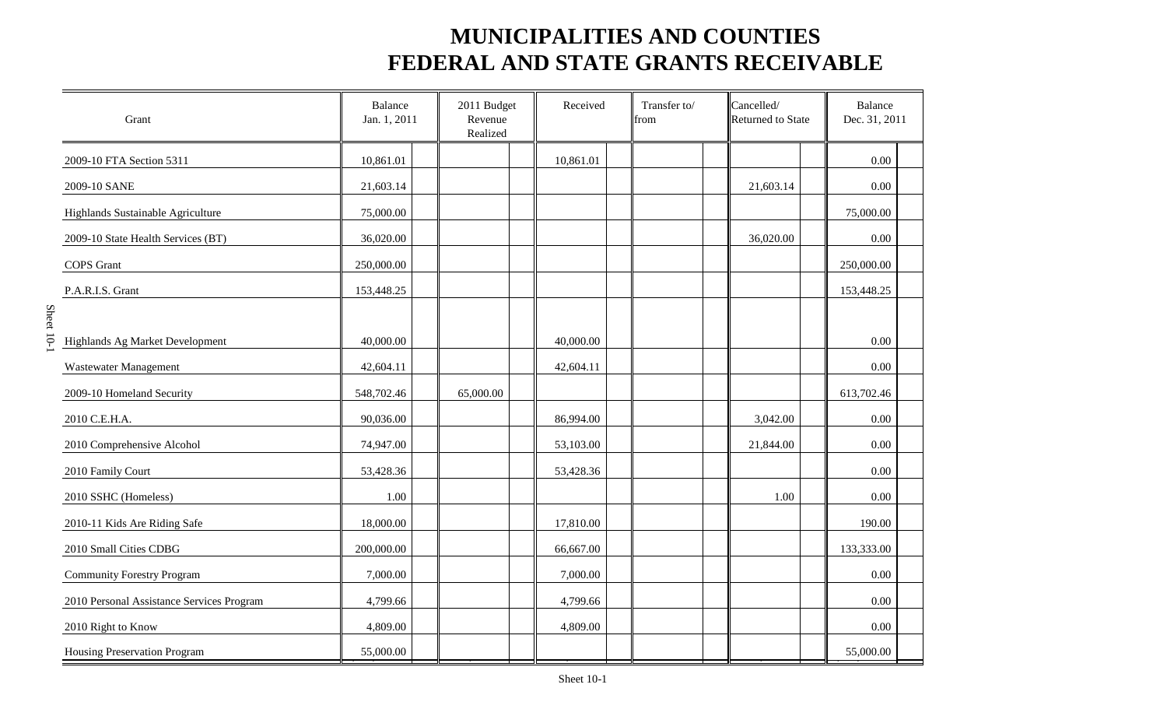| Grant                                     | Balance<br>Jan. 1, 2011 | 2011 Budget<br>Revenue<br>Realized | Received  | Transfer to/<br>from | Cancelled/<br>Returned to State | <b>Balance</b><br>Dec. 31, 2011 |  |
|-------------------------------------------|-------------------------|------------------------------------|-----------|----------------------|---------------------------------|---------------------------------|--|
| 2009-10 FTA Section 5311                  | 10,861.01               |                                    | 10,861.01 |                      |                                 | 0.00                            |  |
| 2009-10 SANE                              | 21,603.14               |                                    |           |                      | 21,603.14                       | 0.00                            |  |
| Highlands Sustainable Agriculture         | 75,000.00               |                                    |           |                      |                                 | 75,000.00                       |  |
| 2009-10 State Health Services (BT)        | 36,020.00               |                                    |           |                      | 36,020.00                       | 0.00                            |  |
| <b>COPS</b> Grant                         | 250,000.00              |                                    |           |                      |                                 | 250,000.00                      |  |
| P.A.R.I.S. Grant                          | 153,448.25              |                                    |           |                      |                                 | 153,448.25                      |  |
| Highlands Ag Market Development           | 40,000.00               |                                    | 40,000.00 |                      |                                 | 0.00                            |  |
| Wastewater Management                     | 42,604.11               |                                    | 42,604.11 |                      |                                 | 0.00                            |  |
| 2009-10 Homeland Security                 | 548,702.46              | 65,000.00                          |           |                      |                                 | 613,702.46                      |  |
| 2010 C.E.H.A.                             | 90,036.00               |                                    | 86,994.00 |                      | 3,042.00                        | 0.00                            |  |
| 2010 Comprehensive Alcohol                | 74,947.00               |                                    | 53,103.00 |                      | 21,844.00                       | 0.00                            |  |
| 2010 Family Court                         | 53,428.36               |                                    | 53,428.36 |                      |                                 | 0.00                            |  |
| 2010 SSHC (Homeless)                      | 1.00                    |                                    |           |                      | 1.00                            | 0.00                            |  |
| 2010-11 Kids Are Riding Safe              | 18,000.00               |                                    | 17,810.00 |                      |                                 | 190.00                          |  |
| 2010 Small Cities CDBG                    | 200,000.00              |                                    | 66,667.00 |                      |                                 | 133,333.00                      |  |
| <b>Community Forestry Program</b>         | 7,000.00                |                                    | 7,000.00  |                      |                                 | 0.00                            |  |
| 2010 Personal Assistance Services Program | 4,799.66                |                                    | 4,799.66  |                      |                                 | 0.00                            |  |
| 2010 Right to Know                        | 4,809.00                |                                    | 4,809.00  |                      |                                 | $0.00\,$                        |  |
| Housing Preservation Program              | 55,000.00               |                                    |           |                      |                                 | 55,000.00                       |  |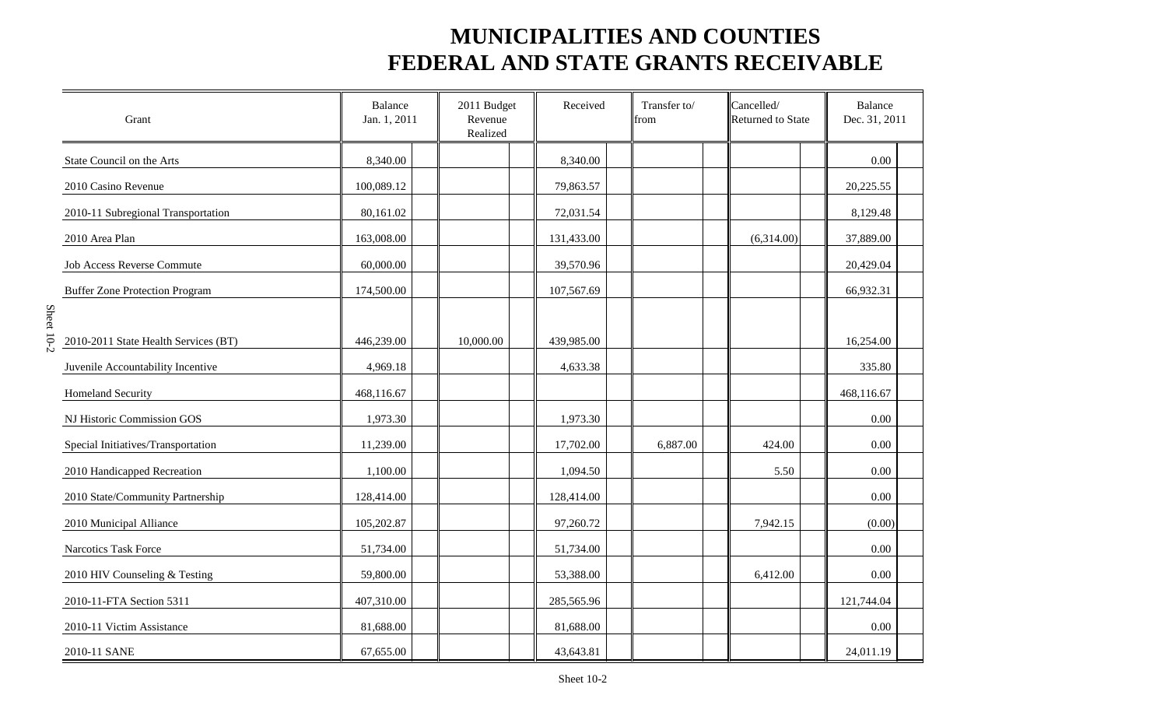| Grant                                 | <b>Balance</b><br>Jan. 1, 2011 | 2011 Budget<br>Revenue<br>Realized | Received   | Transfer to/<br>from | Cancelled/<br>Returned to State | <b>Balance</b><br>Dec. 31, 2011 |
|---------------------------------------|--------------------------------|------------------------------------|------------|----------------------|---------------------------------|---------------------------------|
| State Council on the Arts             | 8,340.00                       |                                    | 8,340.00   |                      |                                 | 0.00                            |
| 2010 Casino Revenue                   | 100,089.12                     |                                    | 79,863.57  |                      |                                 | 20,225.55                       |
| 2010-11 Subregional Transportation    | 80,161.02                      |                                    | 72,031.54  |                      |                                 | 8,129.48                        |
| 2010 Area Plan                        | 163,008.00                     |                                    | 131,433.00 |                      | (6,314.00)                      | 37,889.00                       |
| <b>Job Access Reverse Commute</b>     | 60,000.00                      |                                    | 39,570.96  |                      |                                 | 20,429.04                       |
| <b>Buffer Zone Protection Program</b> | 174,500.00                     |                                    | 107,567.69 |                      |                                 | 66,932.31                       |
| 2010-2011 State Health Services (BT)  | 446,239.00                     | 10,000.00                          | 439,985.00 |                      |                                 | 16,254.00                       |
| Juvenile Accountability Incentive     | 4,969.18                       |                                    | 4,633.38   |                      |                                 | 335.80                          |
| <b>Homeland Security</b>              | 468,116.67                     |                                    |            |                      |                                 | 468,116.67                      |
| NJ Historic Commission GOS            | 1,973.30                       |                                    | 1,973.30   |                      |                                 | 0.00                            |
| Special Initiatives/Transportation    | 11,239.00                      |                                    | 17,702.00  | 6,887.00             | 424.00                          | 0.00                            |
| 2010 Handicapped Recreation           | 1,100.00                       |                                    | 1,094.50   |                      | 5.50                            | 0.00                            |
| 2010 State/Community Partnership      | 128,414.00                     |                                    | 128,414.00 |                      |                                 | 0.00                            |
| 2010 Municipal Alliance               | 105,202.87                     |                                    | 97,260.72  |                      | 7,942.15                        | (0.00)                          |
| Narcotics Task Force                  | 51,734.00                      |                                    | 51,734.00  |                      |                                 | 0.00                            |
| 2010 HIV Counseling & Testing         | 59,800.00                      |                                    | 53,388.00  |                      | 6,412.00                        | 0.00                            |
| 2010-11-FTA Section 5311              | 407,310.00                     |                                    | 285,565.96 |                      |                                 | 121,744.04                      |
| 2010-11 Victim Assistance             | 81,688.00                      |                                    | 81,688.00  |                      |                                 | 0.00                            |
| 2010-11 SANE                          | 67,655.00                      |                                    | 43,643.81  |                      |                                 | 24,011.19                       |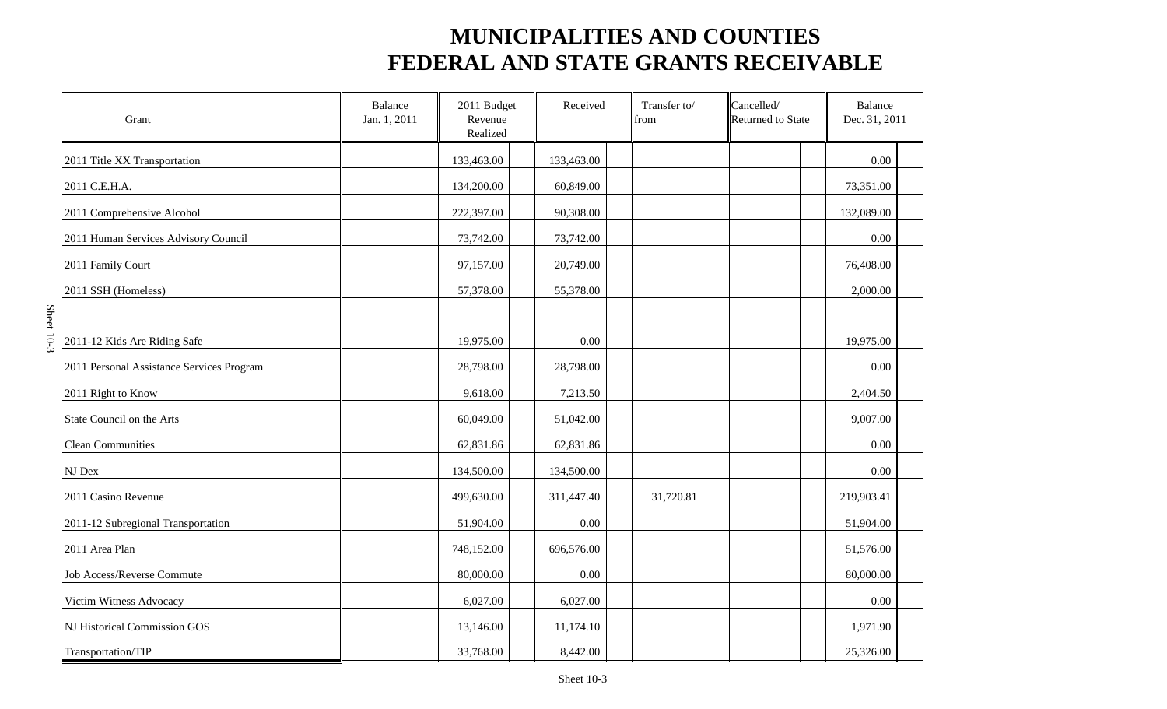| Grant                                     | Balance<br>Jan. 1, 2011 | 2011 Budget<br>Revenue<br>Realized | Received   | Transfer to/<br>from | Cancelled/<br>Returned to State | <b>Balance</b><br>Dec. 31, 2011 |  |
|-------------------------------------------|-------------------------|------------------------------------|------------|----------------------|---------------------------------|---------------------------------|--|
| 2011 Title XX Transportation              |                         | 133,463.00                         | 133,463.00 |                      |                                 | 0.00                            |  |
| 2011 C.E.H.A.                             |                         | 134,200.00                         | 60,849.00  |                      |                                 | 73,351.00                       |  |
| 2011 Comprehensive Alcohol                |                         | 222,397.00                         | 90,308.00  |                      |                                 | 132,089.00                      |  |
| 2011 Human Services Advisory Council      |                         | 73,742.00                          | 73,742.00  |                      |                                 | $0.00\,$                        |  |
| 2011 Family Court                         |                         | 97,157.00                          | 20,749.00  |                      |                                 | 76,408.00                       |  |
| 2011 SSH (Homeless)                       |                         | 57,378.00                          | 55,378.00  |                      |                                 | 2,000.00                        |  |
|                                           |                         |                                    |            |                      |                                 |                                 |  |
| 2011-12 Kids Are Riding Safe              |                         | 19,975.00                          | 0.00       |                      |                                 | 19,975.00                       |  |
| 2011 Personal Assistance Services Program |                         | 28,798.00                          | 28,798.00  |                      |                                 | 0.00                            |  |
| 2011 Right to Know                        |                         | 9,618.00                           | 7,213.50   |                      |                                 | 2,404.50                        |  |
| State Council on the Arts                 |                         | 60,049.00                          | 51,042.00  |                      |                                 | 9,007.00                        |  |
| <b>Clean Communities</b>                  |                         | 62,831.86                          | 62,831.86  |                      |                                 | 0.00                            |  |
| $\rm{NJ}$ Dex                             |                         | 134,500.00                         | 134,500.00 |                      |                                 | 0.00                            |  |
| 2011 Casino Revenue                       |                         | 499,630.00                         | 311,447.40 | 31,720.81            |                                 | 219,903.41                      |  |
| 2011-12 Subregional Transportation        |                         | 51,904.00                          | 0.00       |                      |                                 | 51,904.00                       |  |
| 2011 Area Plan                            |                         | 748,152.00                         | 696,576.00 |                      |                                 | 51,576.00                       |  |
| Job Access/Reverse Commute                |                         | 80,000.00                          | 0.00       |                      |                                 | 80,000.00                       |  |
| Victim Witness Advocacy                   |                         | 6,027.00                           | 6,027.00   |                      |                                 | 0.00                            |  |
| NJ Historical Commission GOS              |                         | 13,146.00                          | 11,174.10  |                      |                                 | 1,971.90                        |  |
| Transportation/TIP                        |                         | 33,768.00                          | 8,442.00   |                      |                                 | 25,326.00                       |  |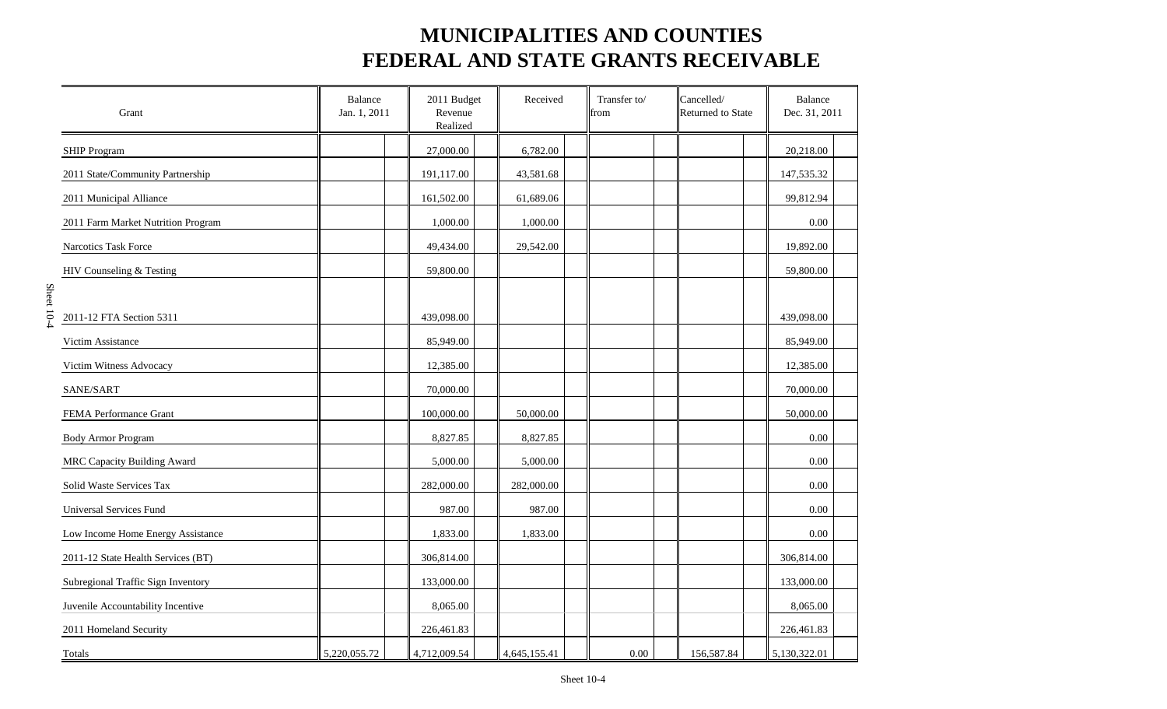| Grant                              | <b>Balance</b><br>Jan. 1, 2011 | 2011 Budget<br>Revenue<br>Realized | Received     | Transfer to/<br>from | Cancelled/<br>Returned to State | Balance<br>Dec. 31, 2011 |
|------------------------------------|--------------------------------|------------------------------------|--------------|----------------------|---------------------------------|--------------------------|
| <b>SHIP Program</b>                |                                | 27,000.00                          | 6,782.00     |                      |                                 | 20,218.00                |
| 2011 State/Community Partnership   |                                | 191,117.00                         | 43,581.68    |                      |                                 | 147,535.32               |
| 2011 Municipal Alliance            |                                | 161,502.00                         | 61,689.06    |                      |                                 | 99,812.94                |
| 2011 Farm Market Nutrition Program |                                | 1,000.00                           | 1,000.00     |                      |                                 | 0.00                     |
| Narcotics Task Force               |                                | 49,434.00                          | 29,542.00    |                      |                                 | 19,892.00                |
| HIV Counseling & Testing           |                                | 59,800.00                          |              |                      |                                 | 59,800.00                |
| 2011-12 FTA Section 5311           |                                | 439,098.00                         |              |                      |                                 | 439,098.00               |
| Victim Assistance                  |                                | 85,949.00                          |              |                      |                                 | 85,949.00                |
| Victim Witness Advocacy            |                                | 12,385.00                          |              |                      |                                 | 12,385.00                |
| SANE/SART                          |                                | 70,000.00                          |              |                      |                                 | 70,000.00                |
| FEMA Performance Grant             |                                | 100,000.00                         | 50,000.00    |                      |                                 | 50,000.00                |
| <b>Body Armor Program</b>          |                                | 8,827.85                           | 8,827.85     |                      |                                 | 0.00                     |
| <b>MRC Capacity Building Award</b> |                                | 5,000.00                           | 5,000.00     |                      |                                 | 0.00                     |
| Solid Waste Services Tax           |                                | 282,000.00                         | 282,000.00   |                      |                                 | 0.00                     |
| Universal Services Fund            |                                | 987.00                             | 987.00       |                      |                                 | 0.00                     |
| Low Income Home Energy Assistance  |                                | 1,833.00                           | 1,833.00     |                      |                                 | 0.00                     |
| 2011-12 State Health Services (BT) |                                | 306,814.00                         |              |                      |                                 | 306,814.00               |
| Subregional Traffic Sign Inventory |                                | 133,000.00                         |              |                      |                                 | 133,000.00               |
| Juvenile Accountability Incentive  |                                | 8,065.00                           |              |                      |                                 | 8,065.00                 |
| 2011 Homeland Security             |                                | 226,461.83                         |              |                      |                                 | 226,461.83               |
| Totals                             | 5,220,055.72                   | 4,712,009.54                       | 4,645,155.41 | 0.00                 | 156,587.84                      | 5,130,322.01             |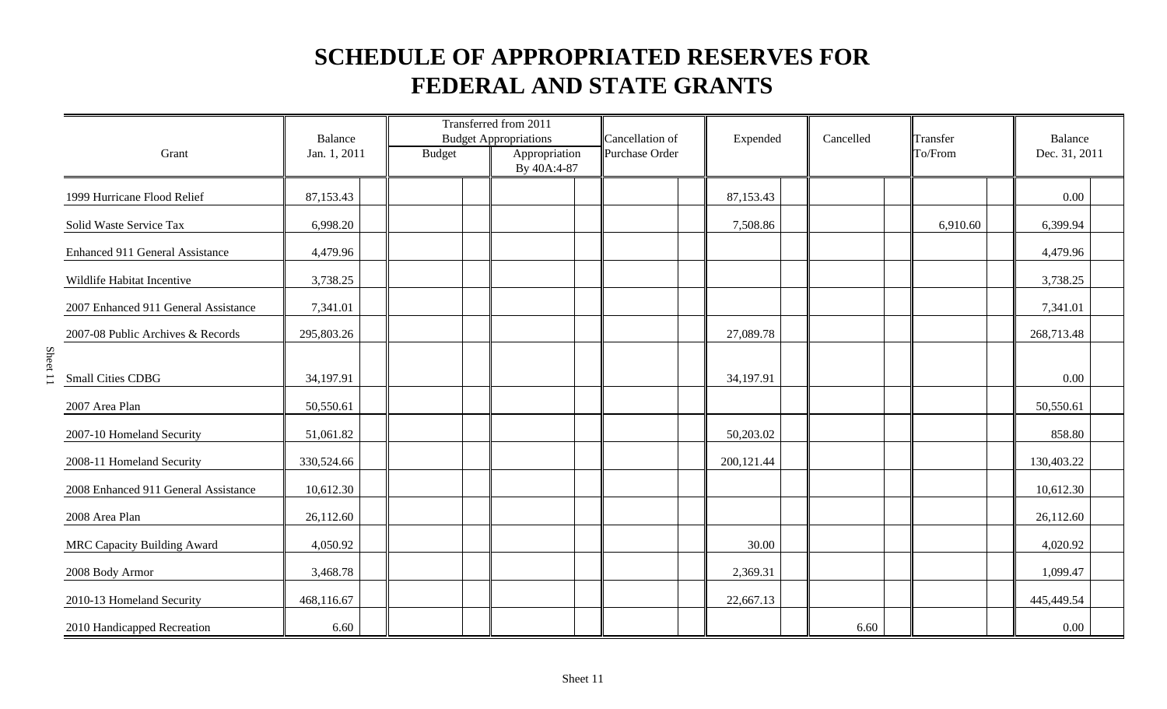| Grant                                | Balance<br>Jan. 1, 2011 | <b>Budget</b> | Transferred from 2011<br><b>Budget Appropriations</b><br>Appropriation<br>By 40A:4-87 | Cancellation of<br>Purchase Order | Expended   | Cancelled | Transfer<br>To/From | Balance<br>Dec. 31, 2011 |
|--------------------------------------|-------------------------|---------------|---------------------------------------------------------------------------------------|-----------------------------------|------------|-----------|---------------------|--------------------------|
| 1999 Hurricane Flood Relief          | 87,153.43               |               |                                                                                       |                                   | 87,153.43  |           |                     | 0.00                     |
| Solid Waste Service Tax              | 6,998.20                |               |                                                                                       |                                   | 7,508.86   |           | 6,910.60            | 6,399.94                 |
| Enhanced 911 General Assistance      | 4,479.96                |               |                                                                                       |                                   |            |           |                     | 4,479.96                 |
| Wildlife Habitat Incentive           | 3,738.25                |               |                                                                                       |                                   |            |           |                     | 3,738.25                 |
| 2007 Enhanced 911 General Assistance | 7,341.01                |               |                                                                                       |                                   |            |           |                     | 7,341.01                 |
| 2007-08 Public Archives & Records    | 295,803.26              |               |                                                                                       |                                   | 27,089.78  |           |                     | 268,713.48               |
| <b>Small Cities CDBG</b>             | 34,197.91               |               |                                                                                       |                                   | 34,197.91  |           |                     | 0.00                     |
| 2007 Area Plan                       | 50,550.61               |               |                                                                                       |                                   |            |           |                     | 50,550.61                |
| 2007-10 Homeland Security            | 51,061.82               |               |                                                                                       |                                   | 50,203.02  |           |                     | 858.80                   |
| 2008-11 Homeland Security            | 330,524.66              |               |                                                                                       |                                   | 200,121.44 |           |                     | 130,403.22               |
| 2008 Enhanced 911 General Assistance | 10,612.30               |               |                                                                                       |                                   |            |           |                     | 10,612.30                |
| 2008 Area Plan                       | 26,112.60               |               |                                                                                       |                                   |            |           |                     | 26,112.60                |
| MRC Capacity Building Award          | 4,050.92                |               |                                                                                       |                                   | 30.00      |           |                     | 4,020.92                 |
| 2008 Body Armor                      | 3,468.78                |               |                                                                                       |                                   | 2,369.31   |           |                     | 1,099.47                 |
| 2010-13 Homeland Security            | 468,116.67              |               |                                                                                       |                                   | 22,667.13  |           |                     | 445,449.54               |
| 2010 Handicapped Recreation          | 6.60                    |               |                                                                                       |                                   |            | 6.60      |                     | 0.00                     |

Sheet 11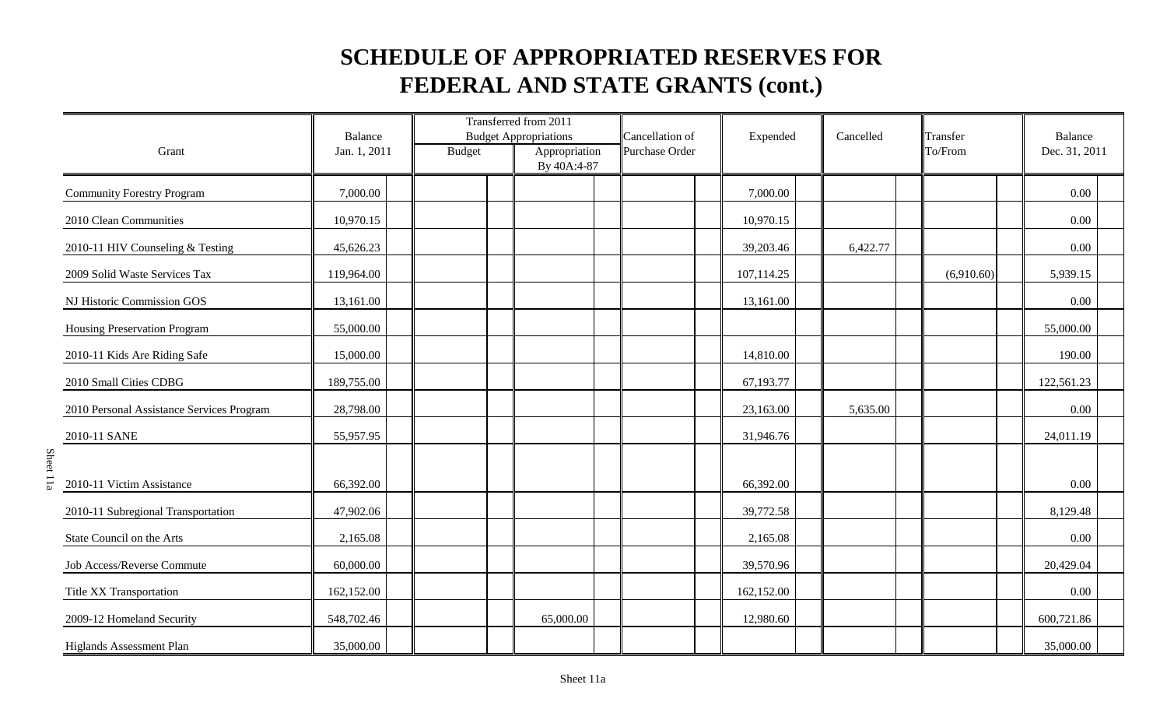|                                           | <b>Balance</b> |               | Transferred from 2011<br><b>Budget Appropriations</b> | Cancellation of | Expended   | Cancelled | Transfer   | Balance       |
|-------------------------------------------|----------------|---------------|-------------------------------------------------------|-----------------|------------|-----------|------------|---------------|
| Grant                                     | Jan. 1, 2011   | <b>Budget</b> | Appropriation<br>By 40A:4-87                          | Purchase Order  |            |           | To/From    | Dec. 31, 2011 |
| <b>Community Forestry Program</b>         | 7,000.00       |               |                                                       |                 | 7,000.00   |           |            | 0.00          |
| 2010 Clean Communities                    | 10,970.15      |               |                                                       |                 | 10,970.15  |           |            | 0.00          |
| 2010-11 HIV Counseling & Testing          | 45,626.23      |               |                                                       |                 | 39,203.46  | 6,422.77  |            | 0.00          |
| 2009 Solid Waste Services Tax             | 119,964.00     |               |                                                       |                 | 107,114.25 |           | (6,910.60) | 5,939.15      |
| NJ Historic Commission GOS                | 13,161.00      |               |                                                       |                 | 13,161.00  |           |            | 0.00          |
| Housing Preservation Program              | 55,000.00      |               |                                                       |                 |            |           |            | 55,000.00     |
| 2010-11 Kids Are Riding Safe              | 15,000.00      |               |                                                       |                 | 14,810.00  |           |            | 190.00        |
| 2010 Small Cities CDBG                    | 189,755.00     |               |                                                       |                 | 67,193.77  |           |            | 122,561.23    |
| 2010 Personal Assistance Services Program | 28,798.00      |               |                                                       |                 | 23,163.00  | 5,635.00  |            | 0.00          |
| 2010-11 SANE                              | 55,957.95      |               |                                                       |                 | 31,946.76  |           |            | 24,011.19     |
| 2010-11 Victim Assistance                 | 66,392.00      |               |                                                       |                 | 66,392.00  |           |            | 0.00          |
| 2010-11 Subregional Transportation        | 47,902.06      |               |                                                       |                 | 39,772.58  |           |            | 8,129.48      |
| State Council on the Arts                 | 2,165.08       |               |                                                       |                 | 2,165.08   |           |            | 0.00          |
| Job Access/Reverse Commute                | 60,000.00      |               |                                                       |                 | 39,570.96  |           |            | 20,429.04     |
| Title XX Transportation                   | 162,152.00     |               |                                                       |                 | 162,152.00 |           |            | 0.00          |
| 2009-12 Homeland Security                 | 548,702.46     |               | 65,000.00                                             |                 | 12,980.60  |           |            | 600,721.86    |
| <b>Higlands Assessment Plan</b>           | 35,000.00      |               |                                                       |                 |            |           |            | 35,000.00     |

Sheet 11a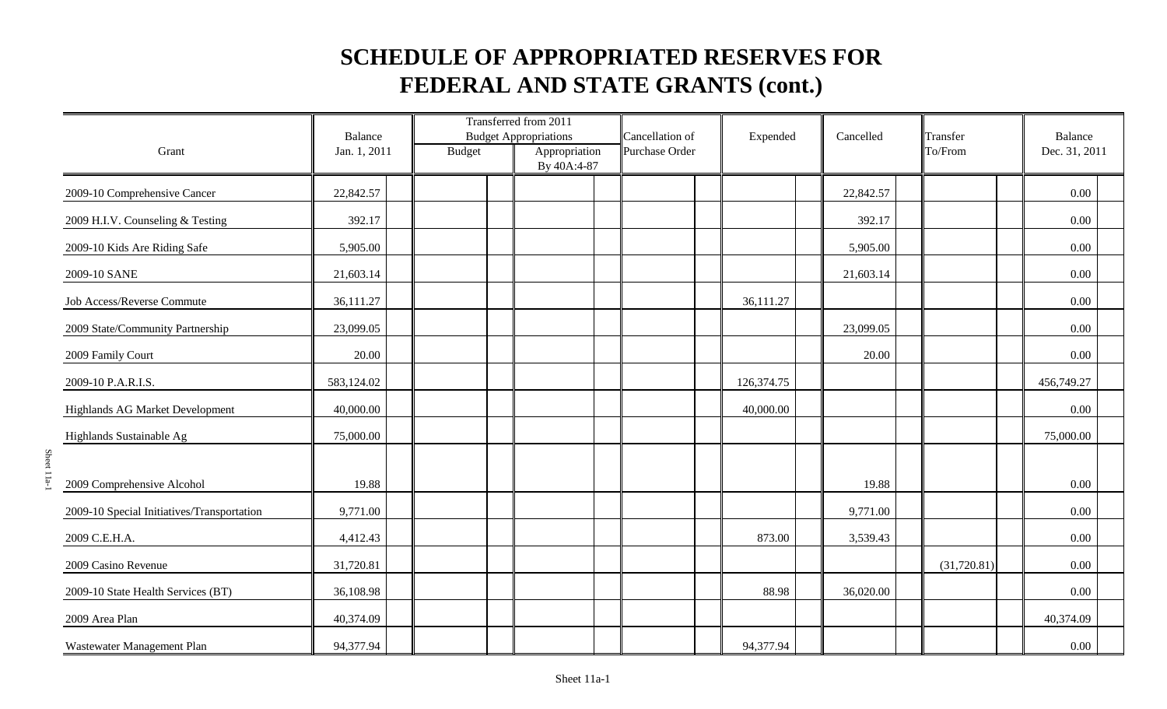|                                            | Balance      |               | Transferred from 2011<br><b>Budget Appropriations</b> | Cancellation of | Expended   | Cancelled | Transfer    | <b>Balance</b> |
|--------------------------------------------|--------------|---------------|-------------------------------------------------------|-----------------|------------|-----------|-------------|----------------|
| Grant                                      | Jan. 1, 2011 | <b>Budget</b> | Appropriation<br>By 40A:4-87                          | Purchase Order  |            |           | To/From     | Dec. 31, 2011  |
| 2009-10 Comprehensive Cancer               | 22,842.57    |               |                                                       |                 |            | 22,842.57 |             | 0.00           |
| 2009 H.I.V. Counseling & Testing           | 392.17       |               |                                                       |                 |            | 392.17    |             | 0.00           |
| 2009-10 Kids Are Riding Safe               | 5,905.00     |               |                                                       |                 |            | 5,905.00  |             | 0.00           |
| 2009-10 SANE                               | 21,603.14    |               |                                                       |                 |            | 21,603.14 |             | 0.00           |
| Job Access/Reverse Commute                 | 36,111.27    |               |                                                       |                 | 36,111.27  |           |             | 0.00           |
| 2009 State/Community Partnership           | 23,099.05    |               |                                                       |                 |            | 23,099.05 |             | 0.00           |
| 2009 Family Court                          | 20.00        |               |                                                       |                 |            | 20.00     |             | 0.00           |
| 2009-10 P.A.R.I.S.                         | 583,124.02   |               |                                                       |                 | 126,374.75 |           |             | 456,749.27     |
| Highlands AG Market Development            | 40,000.00    |               |                                                       |                 | 40,000.00  |           |             | 0.00           |
| Highlands Sustainable Ag                   | 75,000.00    |               |                                                       |                 |            |           |             | 75,000.00      |
| 2009 Comprehensive Alcohol                 | 19.88        |               |                                                       |                 |            | 19.88     |             | 0.00           |
| 2009-10 Special Initiatives/Transportation | 9,771.00     |               |                                                       |                 |            | 9,771.00  |             | 0.00           |
| 2009 C.E.H.A.                              | 4,412.43     |               |                                                       |                 | 873.00     | 3,539.43  |             | 0.00           |
| 2009 Casino Revenue                        | 31,720.81    |               |                                                       |                 |            |           | (31,720.81) | 0.00           |
| 2009-10 State Health Services (BT)         | 36,108.98    |               |                                                       |                 | 88.98      | 36,020.00 |             | 0.00           |
| 2009 Area Plan                             | 40,374.09    |               |                                                       |                 |            |           |             | 40,374.09      |
| Wastewater Management Plan                 | 94,377.94    |               |                                                       |                 | 94,377.94  |           |             | 0.00           |

Sheet 11a-1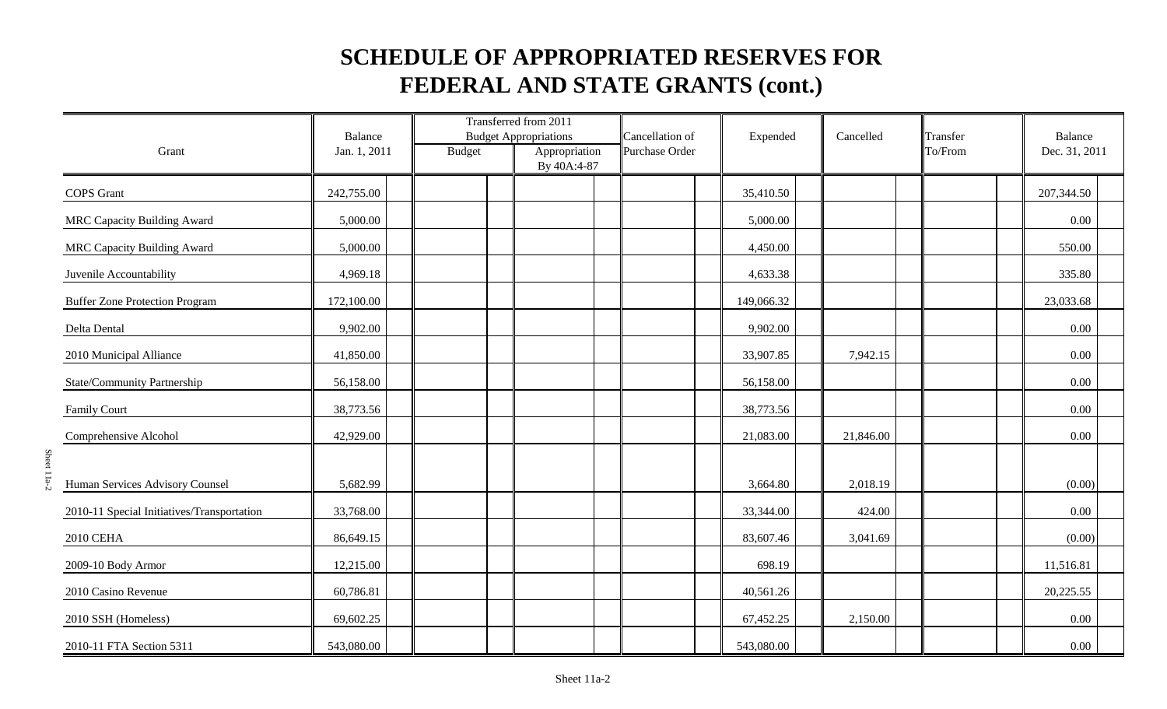|                                            | Balance      |               | Transferred from 2011<br><b>Budget Appropriations</b> |                              | Cancellation of | Expended   | Cancelled | Transfer | Balance       |
|--------------------------------------------|--------------|---------------|-------------------------------------------------------|------------------------------|-----------------|------------|-----------|----------|---------------|
| Grant                                      | Jan. 1, 2011 | <b>Budget</b> |                                                       | Appropriation<br>By 40A:4-87 | Purchase Order  |            |           | To/From  | Dec. 31, 2011 |
| <b>COPS</b> Grant                          | 242,755.00   |               |                                                       |                              |                 | 35,410.50  |           |          | 207,344.50    |
| <b>MRC Capacity Building Award</b>         | 5,000.00     |               |                                                       |                              |                 | 5,000.00   |           |          | $0.00\,$      |
| MRC Capacity Building Award                | 5,000.00     |               |                                                       |                              |                 | 4,450.00   |           |          | 550.00        |
| Juvenile Accountability                    | 4,969.18     |               |                                                       |                              |                 | 4,633.38   |           |          | 335.80        |
| <b>Buffer Zone Protection Program</b>      | 172,100.00   |               |                                                       |                              |                 | 149,066.32 |           |          | 23,033.68     |
| Delta Dental                               | 9,902.00     |               |                                                       |                              |                 | 9,902.00   |           |          | 0.00          |
| 2010 Municipal Alliance                    | 41,850.00    |               |                                                       |                              |                 | 33,907.85  | 7,942.15  |          | 0.00          |
| State/Community Partnership                | 56,158.00    |               |                                                       |                              |                 | 56,158.00  |           |          | 0.00          |
| <b>Family Court</b>                        | 38,773.56    |               |                                                       |                              |                 | 38,773.56  |           |          | 0.00          |
| Comprehensive Alcohol                      | 42,929.00    |               |                                                       |                              |                 | 21,083.00  | 21,846.00 |          | 0.00          |
| Human Services Advisory Counsel            | 5,682.99     |               |                                                       |                              |                 | 3,664.80   | 2,018.19  |          | (0.00)        |
| 2010-11 Special Initiatives/Transportation | 33,768.00    |               |                                                       |                              |                 | 33,344.00  | 424.00    |          | 0.00          |
| 2010 CEHA                                  | 86,649.15    |               |                                                       |                              |                 | 83,607.46  | 3,041.69  |          | (0.00)        |
| 2009-10 Body Armor                         | 12,215.00    |               |                                                       |                              |                 | 698.19     |           |          | 11,516.81     |
| 2010 Casino Revenue                        | 60,786.81    |               |                                                       |                              |                 | 40,561.26  |           |          | 20,225.55     |
| 2010 SSH (Homeless)                        | 69,602.25    |               |                                                       |                              |                 | 67,452.25  | 2,150.00  |          | 0.00          |
| 2010-11 FTA Section 5311                   | 543,080.00   |               |                                                       |                              |                 | 543,080.00 |           |          | 0.00          |

Sheet 11a-2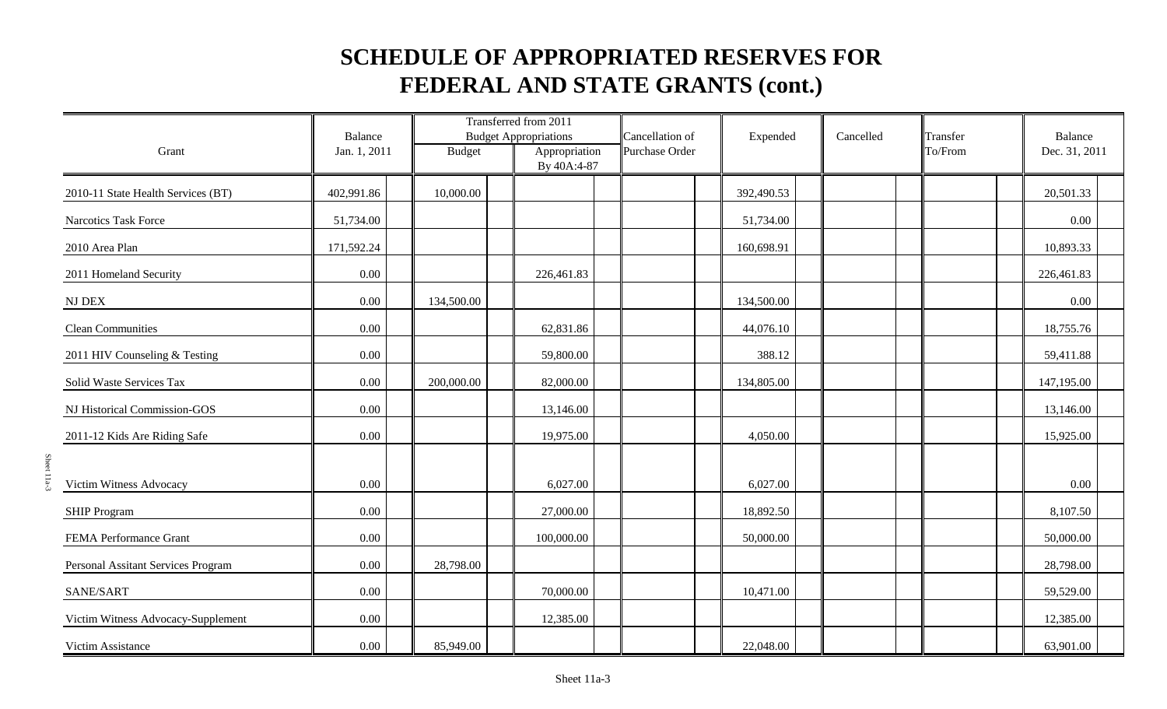|                                    | Balance      |               | Transferred from 2011<br><b>Budget Appropriations</b> | Cancellation of | Expended   | Cancelled | Transfer | Balance       |
|------------------------------------|--------------|---------------|-------------------------------------------------------|-----------------|------------|-----------|----------|---------------|
| Grant                              | Jan. 1, 2011 | <b>Budget</b> | Appropriation<br>By 40A:4-87                          | Purchase Order  |            |           | To/From  | Dec. 31, 2011 |
| 2010-11 State Health Services (BT) | 402,991.86   | 10,000.00     |                                                       |                 | 392,490.53 |           |          | 20,501.33     |
| Narcotics Task Force               | 51,734.00    |               |                                                       |                 | 51,734.00  |           |          | 0.00          |
| 2010 Area Plan                     | 171,592.24   |               |                                                       |                 | 160,698.91 |           |          | 10,893.33     |
| 2011 Homeland Security             | 0.00         |               | 226,461.83                                            |                 |            |           |          | 226,461.83    |
| $\rm{NJ}$ DEX                      | $0.00\,$     | 134,500.00    |                                                       |                 | 134,500.00 |           |          | $0.00\,$      |
| <b>Clean Communities</b>           | 0.00         |               | 62,831.86                                             |                 | 44,076.10  |           |          | 18,755.76     |
| 2011 HIV Counseling & Testing      | 0.00         |               | 59,800.00                                             |                 | 388.12     |           |          | 59,411.88     |
| Solid Waste Services Tax           | 0.00         | 200,000.00    | 82,000.00                                             |                 | 134,805.00 |           |          | 147,195.00    |
| NJ Historical Commission-GOS       | 0.00         |               | 13,146.00                                             |                 |            |           |          | 13,146.00     |
| 2011-12 Kids Are Riding Safe       | $0.00\,$     |               | 19,975.00                                             |                 | 4,050.00   |           |          | 15,925.00     |
| Victim Witness Advocacy            | $0.00\,$     |               | 6,027.00                                              |                 | 6,027.00   |           |          | 0.00          |
| <b>SHIP Program</b>                | 0.00         |               | 27,000.00                                             |                 | 18,892.50  |           |          | 8,107.50      |
| FEMA Performance Grant             | $0.00\,$     |               | 100,000.00                                            |                 | 50,000.00  |           |          | 50,000.00     |
| Personal Assitant Services Program | 0.00         | 28,798.00     |                                                       |                 |            |           |          | 28,798.00     |
| SANE/SART                          | 0.00         |               | 70,000.00                                             |                 | 10,471.00  |           |          | 59,529.00     |
| Victim Witness Advocacy-Supplement | $0.00\,$     |               | 12,385.00                                             |                 |            |           |          | 12,385.00     |
| Victim Assistance                  | 0.00         | 85,949.00     |                                                       |                 | 22,048.00  |           |          | 63,901.00     |

Sheet 11a-3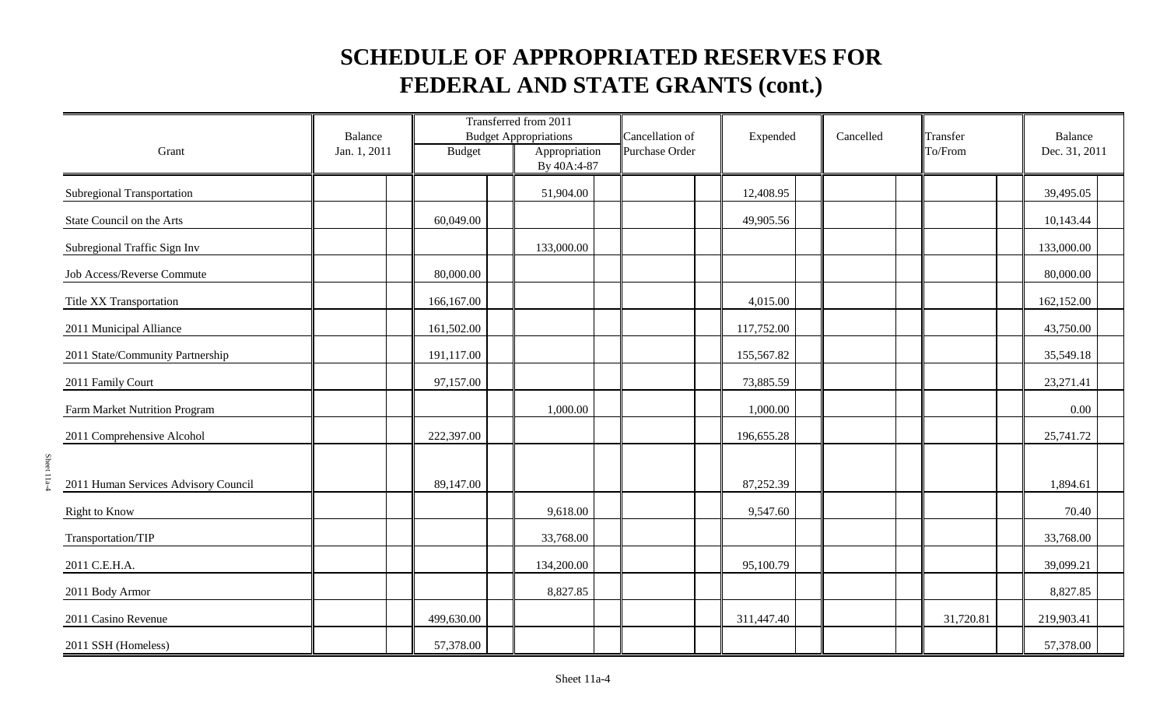|                                      | <b>Balance</b> |               | Transferred from 2011<br><b>Budget Appropriations</b> | Cancellation of | Expended   | Cancelled | Transfer  | Balance       |
|--------------------------------------|----------------|---------------|-------------------------------------------------------|-----------------|------------|-----------|-----------|---------------|
| Grant                                | Jan. 1, 2011   | <b>Budget</b> | Appropriation<br>By 40A:4-87                          | Purchase Order  |            |           | To/From   | Dec. 31, 2011 |
| Subregional Transportation           |                |               | 51,904.00                                             |                 | 12,408.95  |           |           | 39,495.05     |
| State Council on the Arts            |                | 60,049.00     |                                                       |                 | 49,905.56  |           |           | 10,143.44     |
| Subregional Traffic Sign Inv         |                |               | 133,000.00                                            |                 |            |           |           | 133,000.00    |
| Job Access/Reverse Commute           |                | 80,000.00     |                                                       |                 |            |           |           | 80,000.00     |
| Title XX Transportation              |                | 166,167.00    |                                                       |                 | 4,015.00   |           |           | 162,152.00    |
| 2011 Municipal Alliance              |                | 161,502.00    |                                                       |                 | 117,752.00 |           |           | 43,750.00     |
| 2011 State/Community Partnership     |                | 191,117.00    |                                                       |                 | 155,567.82 |           |           | 35,549.18     |
| 2011 Family Court                    |                | 97,157.00     |                                                       |                 | 73,885.59  |           |           | 23,271.41     |
| Farm Market Nutrition Program        |                |               | 1,000.00                                              |                 | 1,000.00   |           |           | 0.00          |
| 2011 Comprehensive Alcohol           |                | 222,397.00    |                                                       |                 | 196,655.28 |           |           | 25,741.72     |
| 2011 Human Services Advisory Council |                | 89,147.00     |                                                       |                 | 87,252.39  |           |           | 1,894.61      |
| <b>Right to Know</b>                 |                |               | 9,618.00                                              |                 | 9,547.60   |           |           | 70.40         |
| Transportation/TIP                   |                |               | 33,768.00                                             |                 |            |           |           | 33,768.00     |
| 2011 C.E.H.A.                        |                |               | 134,200.00                                            |                 | 95,100.79  |           |           | 39,099.21     |
| 2011 Body Armor                      |                |               | 8,827.85                                              |                 |            |           |           | 8,827.85      |
| 2011 Casino Revenue                  |                | 499,630.00    |                                                       |                 | 311,447.40 |           | 31,720.81 | 219,903.41    |
| 2011 SSH (Homeless)                  |                | 57,378.00     |                                                       |                 |            |           |           | 57,378.00     |

Sheet 11a-4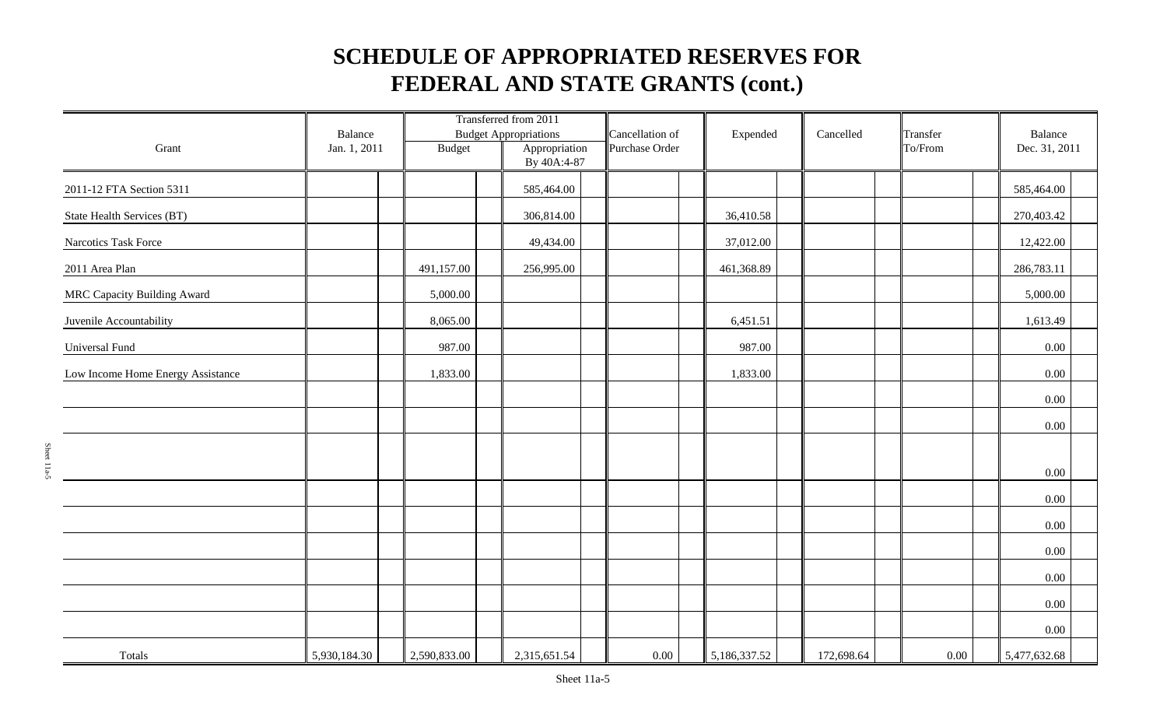|                                    | Balance      |               | Transferred from 2011<br><b>Budget Appropriations</b> | Cancellation of | Expended     | Cancelled  | Transfer | Balance       |  |
|------------------------------------|--------------|---------------|-------------------------------------------------------|-----------------|--------------|------------|----------|---------------|--|
| Grant                              | Jan. 1, 2011 | <b>Budget</b> | Appropriation<br>By 40A:4-87                          | Purchase Order  |              |            | To/From  | Dec. 31, 2011 |  |
| 2011-12 FTA Section 5311           |              |               | 585,464.00                                            |                 |              |            |          | 585,464.00    |  |
| State Health Services (BT)         |              |               | 306,814.00                                            |                 | 36,410.58    |            |          | 270,403.42    |  |
| Narcotics Task Force               |              |               | 49,434.00                                             |                 | 37,012.00    |            |          | 12,422.00     |  |
| 2011 Area Plan                     |              | 491,157.00    | 256,995.00                                            |                 | 461,368.89   |            |          | 286,783.11    |  |
| <b>MRC Capacity Building Award</b> |              | 5,000.00      |                                                       |                 |              |            |          | 5,000.00      |  |
| Juvenile Accountability            |              | 8,065.00      |                                                       |                 | 6,451.51     |            |          | 1,613.49      |  |
| Universal Fund                     |              | 987.00        |                                                       |                 | 987.00       |            |          | $0.00\,$      |  |
| Low Income Home Energy Assistance  |              | 1,833.00      |                                                       |                 | 1,833.00     |            |          | $0.00\,$      |  |
|                                    |              |               |                                                       |                 |              |            |          | $0.00\,$      |  |
|                                    |              |               |                                                       |                 |              |            |          | 0.00          |  |
|                                    |              |               |                                                       |                 |              |            |          |               |  |
|                                    |              |               |                                                       |                 |              |            |          | $0.00\,$      |  |
|                                    |              |               |                                                       |                 |              |            |          | $0.00\,$      |  |
|                                    |              |               |                                                       |                 |              |            |          | $0.00\,$      |  |
|                                    |              |               |                                                       |                 |              |            |          | 0.00          |  |
|                                    |              |               |                                                       |                 |              |            |          | 0.00          |  |
|                                    |              |               |                                                       |                 |              |            |          | $0.00\,$      |  |
|                                    |              |               |                                                       |                 |              |            |          | $0.00\,$      |  |
| Totals                             | 5,930,184.30 | 2,590,833.00  | 2,315,651.54                                          | $0.00\,$        | 5,186,337.52 | 172,698.64 | 0.00     | 5,477,632.68  |  |

Sheet 11a-5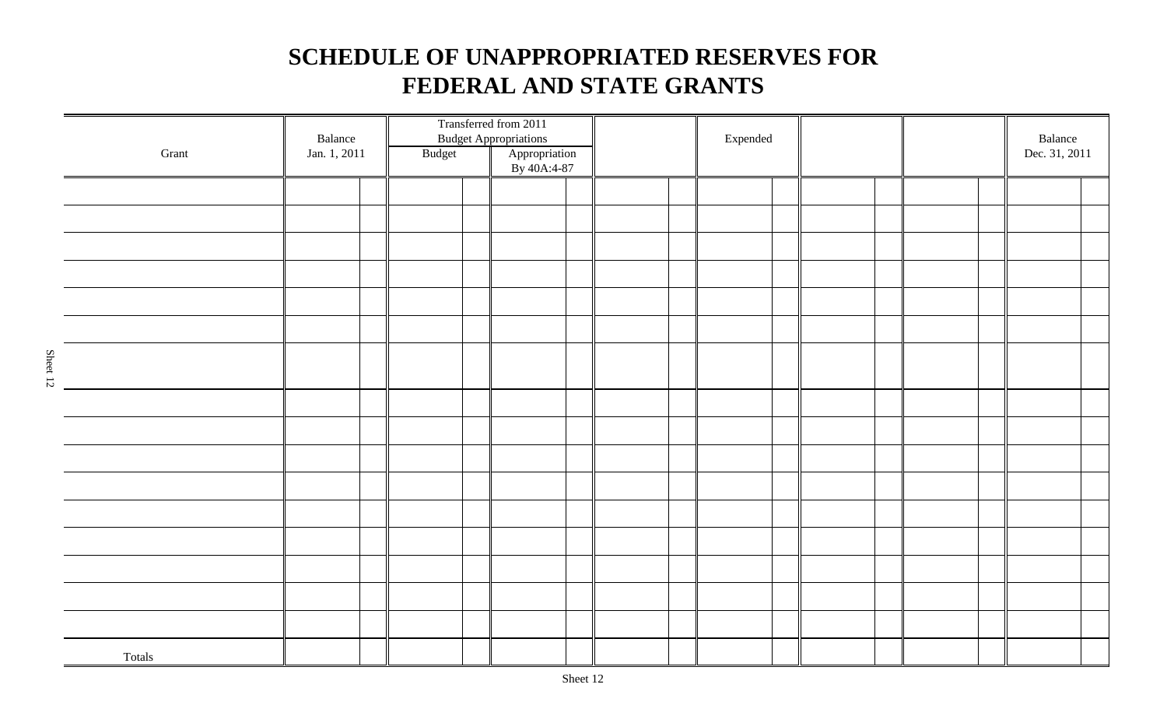| $\operatorname{Grant}$ | Balance<br>Jan. 1, 2011 | Budget | Transferred from 2011<br><b>Budget Appropriations</b><br>Appropriation<br>By 40A:4-87 |  | $\ensuremath{\mathsf{Expected}}$ |  |  | Balance<br>Dec. 31, 2011 |  |
|------------------------|-------------------------|--------|---------------------------------------------------------------------------------------|--|----------------------------------|--|--|--------------------------|--|
|                        |                         |        |                                                                                       |  |                                  |  |  |                          |  |
|                        |                         |        |                                                                                       |  |                                  |  |  |                          |  |
|                        |                         |        |                                                                                       |  |                                  |  |  |                          |  |
|                        |                         |        |                                                                                       |  |                                  |  |  |                          |  |
|                        |                         |        |                                                                                       |  |                                  |  |  |                          |  |
|                        |                         |        |                                                                                       |  |                                  |  |  |                          |  |
|                        |                         |        |                                                                                       |  |                                  |  |  |                          |  |
|                        |                         |        |                                                                                       |  |                                  |  |  |                          |  |
|                        |                         |        |                                                                                       |  |                                  |  |  |                          |  |
|                        |                         |        |                                                                                       |  |                                  |  |  |                          |  |
|                        |                         |        |                                                                                       |  |                                  |  |  |                          |  |
|                        |                         |        |                                                                                       |  |                                  |  |  |                          |  |
|                        |                         |        |                                                                                       |  |                                  |  |  |                          |  |
|                        |                         |        |                                                                                       |  |                                  |  |  |                          |  |
|                        |                         |        |                                                                                       |  |                                  |  |  |                          |  |
|                        |                         |        |                                                                                       |  |                                  |  |  |                          |  |
| Totals                 |                         |        |                                                                                       |  |                                  |  |  |                          |  |

Sheet 12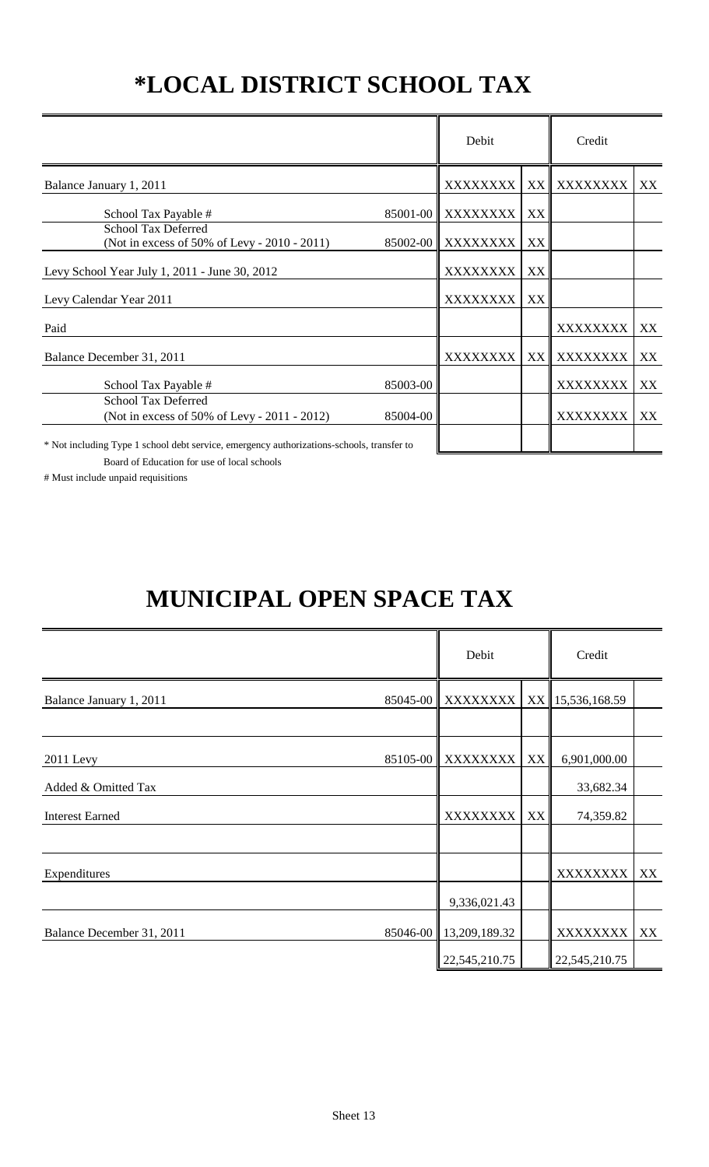# **\*LOCAL DISTRICT SCHOOL TAX**

|                                                                                         |          | Debit    |    | Credit   |    |
|-----------------------------------------------------------------------------------------|----------|----------|----|----------|----|
| Balance January 1, 2011                                                                 |          | XXXXXXXX | XX | XXXXXXXX | XX |
| School Tax Payable #                                                                    | 85001-00 | XXXXXXXX | XX |          |    |
| <b>School Tax Deferred</b><br>(Not in excess of 50% of Levy - 2010 - 2011)              | 85002-00 | XXXXXXXX | XX |          |    |
| Levy School Year July 1, 2011 - June 30, 2012                                           |          | XXXXXXXX | XX |          |    |
| Levy Calendar Year 2011                                                                 |          | XXXXXXXX | XX |          |    |
| Paid                                                                                    |          |          |    | XXXXXXXX | XX |
| Balance December 31, 2011                                                               |          | XXXXXXXX | XX | XXXXXXXX | XX |
| School Tax Payable #                                                                    | 85003-00 |          |    | XXXXXXXX | XX |
| <b>School Tax Deferred</b><br>(Not in excess of 50% of Levy - 2011 - 2012)              | 85004-00 |          |    | XXXXXXXX | XX |
| * Not including Type 1 school debt service emergency authorizations-schools transfer to |          |          |    |          |    |

ot including Type 1 school debt service, emergency authorizations-schools, transfer to

Board of Education for use of local schools

# Must include unpaid requisitions

# **MUNICIPAL OPEN SPACE TAX**

|                           | Debit                  |    | Credit           |    |
|---------------------------|------------------------|----|------------------|----|
| Balance January 1, 2011   | 85045-00 XXXXXXXX      |    | XX 15,536,168.59 |    |
|                           |                        |    |                  |    |
| 2011 Levy                 | 85105-00 XXXXXXXX      | XX | 6,901,000.00     |    |
| Added & Omitted Tax       |                        |    | 33,682.34        |    |
| <b>Interest Earned</b>    | XXXXXXXX               | XX | 74,359.82        |    |
|                           |                        |    |                  |    |
| Expenditures              |                        |    | XXXXXXXX         | XX |
|                           | 9,336,021.43           |    |                  |    |
| Balance December 31, 2011 | 85046-00 13,209,189.32 |    | XXXXXXXX         | XX |
|                           | 22,545,210.75          |    | 22,545,210.75    |    |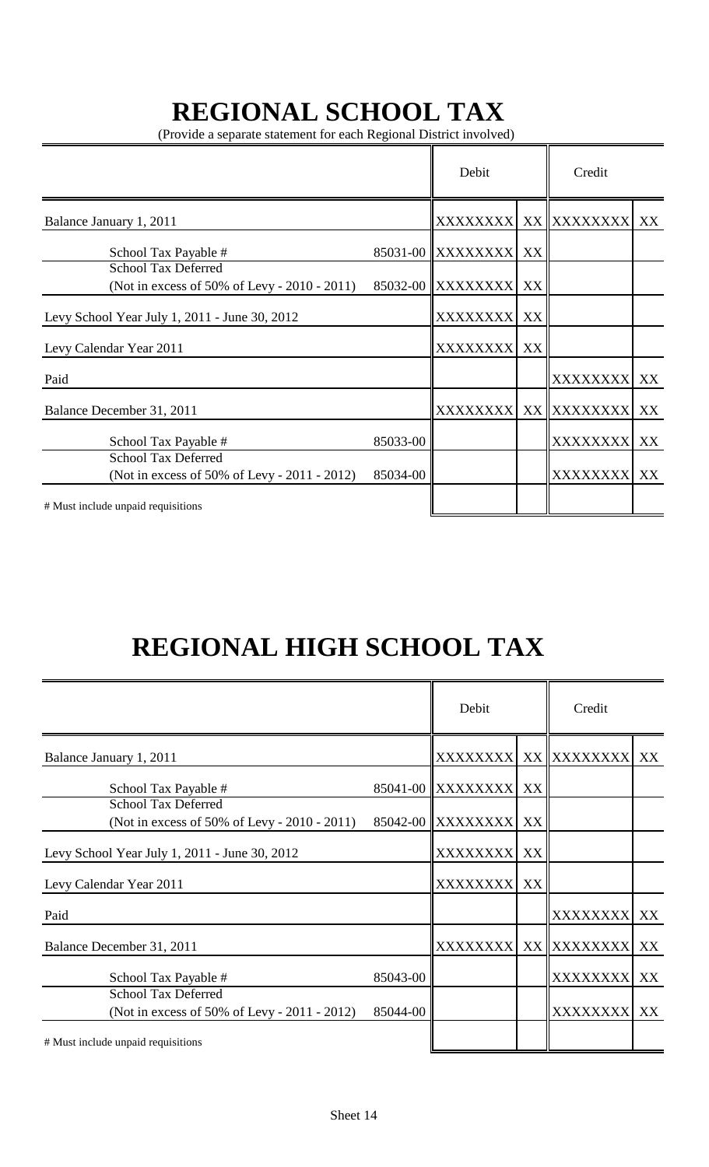# **REGIONAL SCHOOL TAX**

(Provide a separate statement for each Regional District involved)

|                                                                            |          | Debit             |    | Credit          |    |
|----------------------------------------------------------------------------|----------|-------------------|----|-----------------|----|
| Balance January 1, 2011                                                    |          | <b>XXXXXXXXI</b>  |    | XX XXXXXXXX     | XX |
| School Tax Payable #                                                       |          | 85031-00 XXXXXXXX | XX |                 |    |
| <b>School Tax Deferred</b><br>(Not in excess of 50% of Levy - 2010 - 2011) |          | 85032-00 XXXXXXXX | XX |                 |    |
| Levy School Year July 1, 2011 - June 30, 2012                              |          | <b>XXXXXXXX</b>   | XX |                 |    |
| Levy Calendar Year 2011                                                    |          | <b>XXXXXXXX</b>   | XX |                 |    |
| Paid                                                                       |          |                   |    | <b>XXXXXXXX</b> | XX |
| Balance December 31, 2011                                                  |          | <b>XXXXXXXX</b>   |    | XX XXXXXXXX     | XX |
| School Tax Payable #                                                       | 85033-00 |                   |    | <b>XXXXXXXX</b> | XX |
| <b>School Tax Deferred</b><br>(Not in excess of 50% of Levy - 2011 - 2012) | 85034-00 |                   |    | <b>XXXXXXXX</b> | XX |
| # Must include unpaid requisitions                                         |          |                   |    |                 |    |

# **REGIONAL HIGH SCHOOL TAX**

|                                                                            |          | Debit             |    | Credit          |    |
|----------------------------------------------------------------------------|----------|-------------------|----|-----------------|----|
| Balance January 1, 2011                                                    |          | <b>XXXXXXXXI</b>  |    | XX XXXXXXXX     | XX |
| School Tax Payable #                                                       |          | 85041-00 XXXXXXXX | XX |                 |    |
| <b>School Tax Deferred</b><br>(Not in excess of 50% of Levy - 2010 - 2011) |          | 85042-00 XXXXXXXX | XX |                 |    |
| Levy School Year July 1, 2011 - June 30, 2012                              |          | <b>XXXXXXXXI</b>  | XX |                 |    |
| Levy Calendar Year 2011                                                    |          | <b>XXXXXXXX</b>   | XX |                 |    |
| Paid                                                                       |          |                   |    | XXXXXXXX XX     |    |
| Balance December 31, 2011                                                  |          | <b>XXXXXXXX</b>   |    | XX XXXXXXXX XX  |    |
| School Tax Payable #                                                       | 85043-00 |                   |    | <b>XXXXXXXX</b> | XX |
| <b>School Tax Deferred</b><br>(Not in excess of 50% of Levy - 2011 - 2012) | 85044-00 |                   |    | XXXXXXXX XX     |    |
| # Must include unpaid requisitions                                         |          |                   |    |                 |    |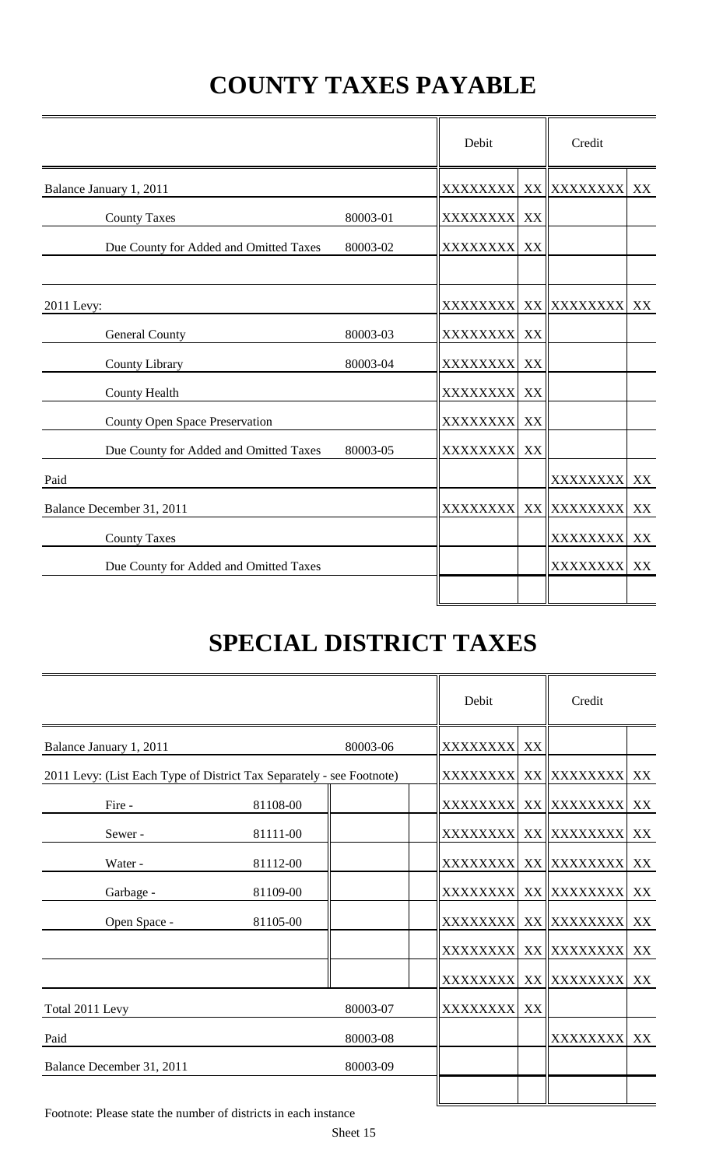# **COUNTY TAXES PAYABLE**

|                                        |          | Debit           |    |                       |    |
|----------------------------------------|----------|-----------------|----|-----------------------|----|
| Balance January 1, 2011                |          |                 |    | XXXXXXXX  XX XXXXXXXX | XX |
| <b>County Taxes</b>                    | 80003-01 | XXXXXXXX XX     |    |                       |    |
| Due County for Added and Omitted Taxes | 80003-02 | <b>XXXXXXXX</b> | XX |                       |    |
| 2011 Levy:                             |          |                 |    | XXXXXXXX XX XXXXXXXX  | XX |
| <b>General County</b>                  | 80003-03 | XXXXXXXX XX     |    |                       |    |
| County Library                         | 80003-04 | <b>XXXXXXXX</b> | XX |                       |    |
| <b>County Health</b>                   |          | XXXXXXXX XX     |    |                       |    |
| <b>County Open Space Preservation</b>  |          | XXXXXXXX XX     |    |                       |    |
| Due County for Added and Omitted Taxes | 80003-05 | <b>XXXXXXXX</b> | XX |                       |    |
| Paid                                   |          |                 |    | <b>XXXXXXXX</b>       | XX |
| Balance December 31, 2011              |          | <b>XXXXXXXX</b> |    | XX XXXXXXXX           | XX |
| <b>County Taxes</b>                    |          |                 |    | <b>XXXXXXXX</b>       | XX |
| Due County for Added and Omitted Taxes |          |                 |    | XXXXXXXX              | XX |
|                                        |          |                 |    |                       |    |

# **SPECIAL DISTRICT TAXES**

|                                                                       |          |          | Debit                 | Credit                  |    |
|-----------------------------------------------------------------------|----------|----------|-----------------------|-------------------------|----|
| Balance January 1, 2011                                               |          | 80003-06 | XXXXXXXX XX           |                         |    |
| 2011 Levy: (List Each Type of District Tax Separately - see Footnote) |          |          | XXXXXXXX  XX XXXXXXXX | XX                      |    |
| Fire -                                                                | 81108-00 |          |                       | XXXXXXXX  XX   XXXXXXXX | XX |
| Sewer-                                                                | 81111-00 |          |                       | XXXXXXXX  XX XXXXXXXX   | XX |
| Water -                                                               | 81112-00 |          |                       | XXXXXXXX  XX   XXXXXXXX | XX |
| Garbage -                                                             | 81109-00 |          |                       | XXXXXXXX  XX XXXXXXXX   | XX |
| Open Space -                                                          | 81105-00 |          |                       | XXXXXXXX  XX XXXXXXXX   | XX |
|                                                                       |          |          |                       | XXXXXXXX  XX XXXXXXXX   | XX |
|                                                                       |          |          |                       | XXXXXXXX  XX  XXXXXXXX  | XX |
| Total 2011 Levy                                                       |          | 80003-07 | XXXXXXXX XX           |                         |    |
| Paid                                                                  |          | 80003-08 |                       | XXXXXXXX XX             |    |
| Balance December 31, 2011                                             |          | 80003-09 |                       |                         |    |
|                                                                       |          |          |                       |                         |    |

Footnote: Please state the number of districts in each instance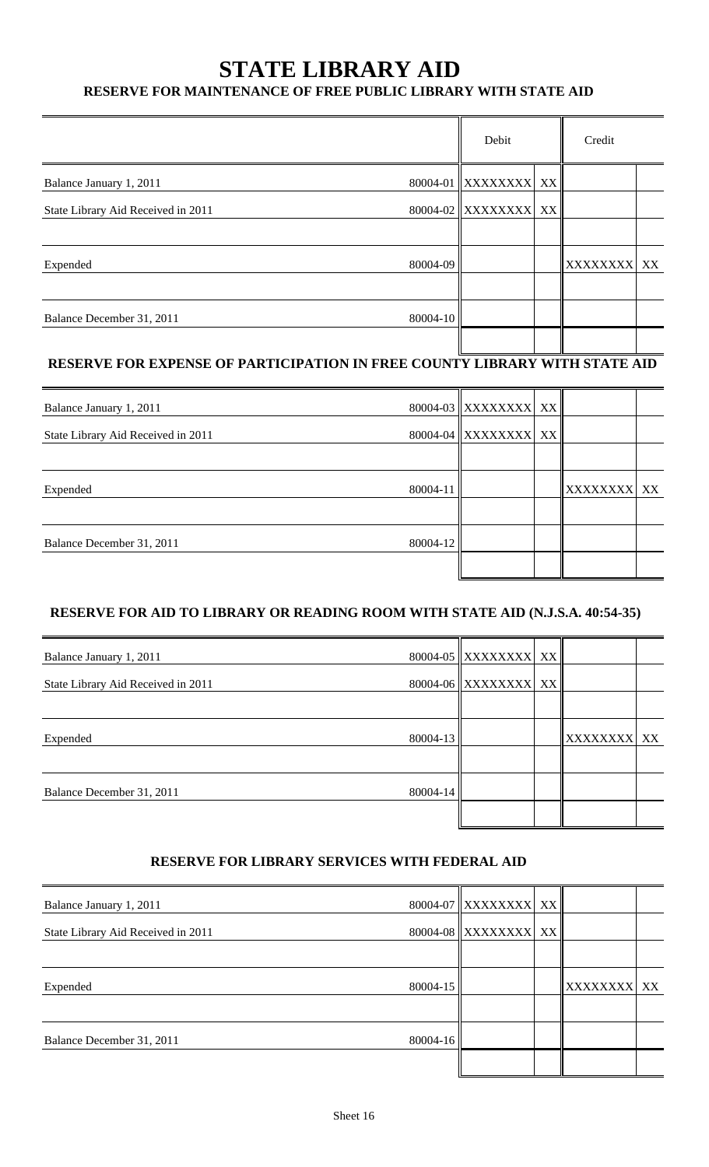## **STATE LIBRARY AID**

### **RESERVE FOR MAINTENANCE OF FREE PUBLIC LIBRARY WITH STATE AID**

|          |  |       | Credit                                       |             |
|----------|--|-------|----------------------------------------------|-------------|
|          |  |       |                                              |             |
|          |  |       |                                              |             |
|          |  |       |                                              |             |
| 80004-09 |  |       |                                              |             |
|          |  |       |                                              |             |
| 80004-10 |  |       |                                              |             |
|          |  | Debit | 80004-01 XXXXXXXX XX<br>80004-02 XXXXXXXX XX | XXXXXXXX XX |

### **RESERVE FOR EXPENSE OF PARTICIPATION IN FREE COUNTY LIBRARY WITH STATE AID**

| Balance January 1, 2011            |          | 80004-03 XXXXXXXX XX |             |  |
|------------------------------------|----------|----------------------|-------------|--|
| State Library Aid Received in 2011 |          | 80004-04 XXXXXXXX XX |             |  |
|                                    |          |                      |             |  |
| Expended                           | 80004-11 |                      | XXXXXXXX XX |  |
|                                    |          |                      |             |  |
| Balance December 31, 2011          | 80004-12 |                      |             |  |
|                                    |          |                      |             |  |

### **RESERVE FOR AID TO LIBRARY OR READING ROOM WITH STATE AID (N.J.S.A. 40:54-35)**

| Balance January 1, 2011            |          | 80004-05 XXXXXXXX XX |             |  |
|------------------------------------|----------|----------------------|-------------|--|
| State Library Aid Received in 2011 |          | 80004-06 XXXXXXXX XX |             |  |
|                                    |          |                      |             |  |
| Expended                           | 80004-13 |                      | XXXXXXXX XX |  |
|                                    |          |                      |             |  |
| Balance December 31, 2011          | 80004-14 |                      |             |  |
|                                    |          |                      |             |  |

#### **RESERVE FOR LIBRARY SERVICES WITH FEDERAL AID**

| Balance January 1, 2011            |          | 80004-07 XXXXXXXX XX |                 |    |
|------------------------------------|----------|----------------------|-----------------|----|
| State Library Aid Received in 2011 |          | 80004-08 XXXXXXXX XX |                 |    |
|                                    |          |                      |                 |    |
| Expended                           | 80004-15 |                      | <b>XXXXXXXX</b> | XX |
|                                    |          |                      |                 |    |
| Balance December 31, 2011          | 80004-16 |                      |                 |    |
|                                    |          |                      |                 |    |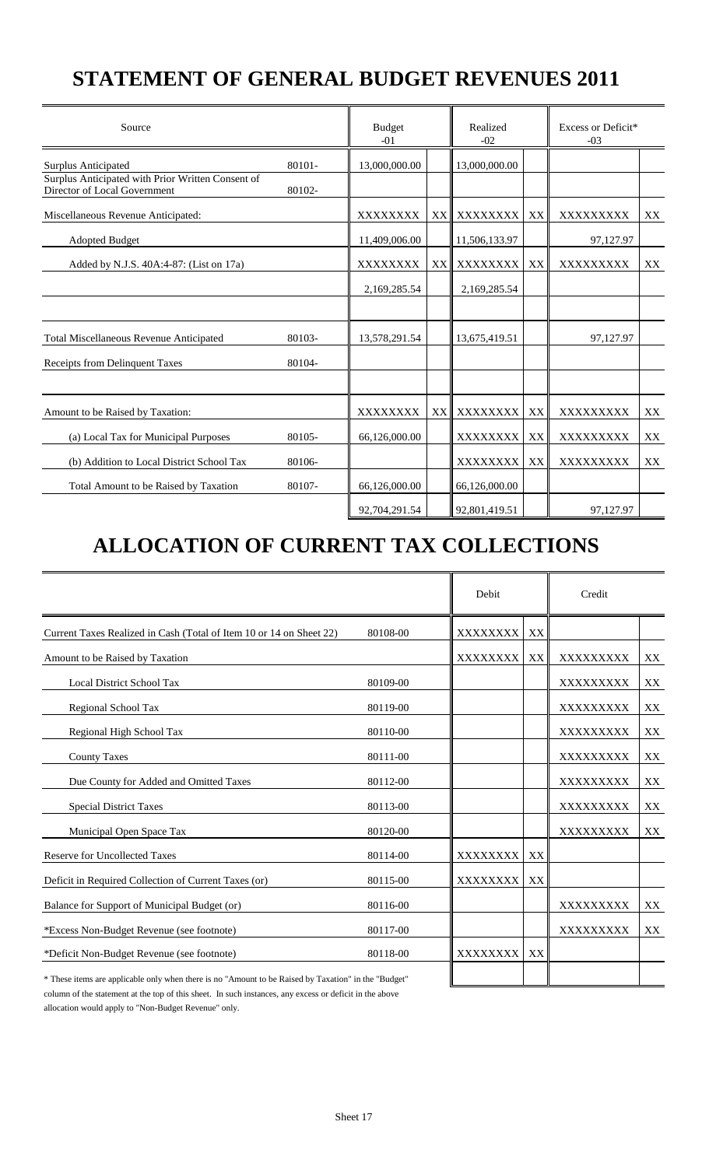## **STATEMENT OF GENERAL BUDGET REVENUES 2011**

| Source                                                                            |        | <b>Budget</b><br>$-01$ |    | Realized<br>$-02$ |    | Excess or Deficit*<br>$-03$ |    |
|-----------------------------------------------------------------------------------|--------|------------------------|----|-------------------|----|-----------------------------|----|
| <b>Surplus Anticipated</b>                                                        | 80101- | 13,000,000.00          |    | 13,000,000.00     |    |                             |    |
| Surplus Anticipated with Prior Written Consent of<br>Director of Local Government | 80102- |                        |    |                   |    |                             |    |
| Miscellaneous Revenue Anticipated:                                                |        | XXXXXXXX               |    | XX XXXXXXXX       | XX | XXXXXXXXX                   | XX |
| <b>Adopted Budget</b>                                                             |        | 11,409,006.00          |    | 11,506,133.97     |    | 97,127.97                   |    |
| Added by N.J.S. 40A:4-87: (List on 17a)                                           |        | <b>XXXXXXXX</b>        | XX | XXXXXXXX          | XX | XXXXXXXXX                   | XX |
|                                                                                   |        | 2,169,285.54           |    | 2,169,285.54      |    |                             |    |
|                                                                                   |        |                        |    |                   |    |                             |    |
| Total Miscellaneous Revenue Anticipated                                           | 80103- | 13,578,291.54          |    | 13,675,419.51     |    | 97,127.97                   |    |
| Receipts from Delinquent Taxes                                                    | 80104- |                        |    |                   |    |                             |    |
|                                                                                   |        |                        |    |                   |    |                             |    |
| Amount to be Raised by Taxation:                                                  |        | XXXXXXXX               |    | XX∥ XXXXXXXX      | XX | XXXXXXXXX                   | XX |
| (a) Local Tax for Municipal Purposes                                              | 80105- | 66,126,000.00          |    | XXXXXXXX          | XX | XXXXXXXXX                   | XX |
| (b) Addition to Local District School Tax                                         | 80106- |                        |    | XXXXXXXX          | XX | XXXXXXXXX                   | XX |
| Total Amount to be Raised by Taxation                                             | 80107- | 66,126,000.00          |    | 66,126,000.00     |    |                             |    |
|                                                                                   |        | 92,704,291.54          |    | 92,801,419.51     |    | 97.127.97                   |    |

## **ALLOCATION OF CURRENT TAX COLLECTIONS**

|                                                                                                      |          | Debit    |    | Credit    |    |
|------------------------------------------------------------------------------------------------------|----------|----------|----|-----------|----|
| Current Taxes Realized in Cash (Total of Item 10 or 14 on Sheet 22)                                  | 80108-00 | XXXXXXXX | XX |           |    |
| Amount to be Raised by Taxation                                                                      |          | XXXXXXXX | XX | XXXXXXXXX | XX |
| <b>Local District School Tax</b>                                                                     | 80109-00 |          |    | XXXXXXXXX | XX |
| Regional School Tax                                                                                  | 80119-00 |          |    | XXXXXXXXX | XX |
| Regional High School Tax                                                                             | 80110-00 |          |    | XXXXXXXXX | XX |
| <b>County Taxes</b>                                                                                  | 80111-00 |          |    | XXXXXXXXX | XX |
| Due County for Added and Omitted Taxes                                                               | 80112-00 |          |    | XXXXXXXXX | XX |
| <b>Special District Taxes</b>                                                                        | 80113-00 |          |    | XXXXXXXXX | XX |
| Municipal Open Space Tax                                                                             | 80120-00 |          |    | XXXXXXXXX | XX |
| <b>Reserve for Uncollected Taxes</b>                                                                 | 80114-00 | XXXXXXXX | XX |           |    |
| Deficit in Required Collection of Current Taxes (or)                                                 | 80115-00 | XXXXXXXX | XX |           |    |
| Balance for Support of Municipal Budget (or)                                                         | 80116-00 |          |    | XXXXXXXXX | XX |
| *Excess Non-Budget Revenue (see footnote)                                                            | 80117-00 |          |    | XXXXXXXXX | XX |
| *Deficit Non-Budget Revenue (see footnote)                                                           | 80118-00 | XXXXXXXX | XX |           |    |
| * These items are applicable only when there is no "Amount to be Raised by Taxation" in the "Budget" |          |          |    |           |    |

column of the statement at the top of this sheet. In such instances, any excess or deficit in the above allocation would apply to "Non-Budget Revenue" only.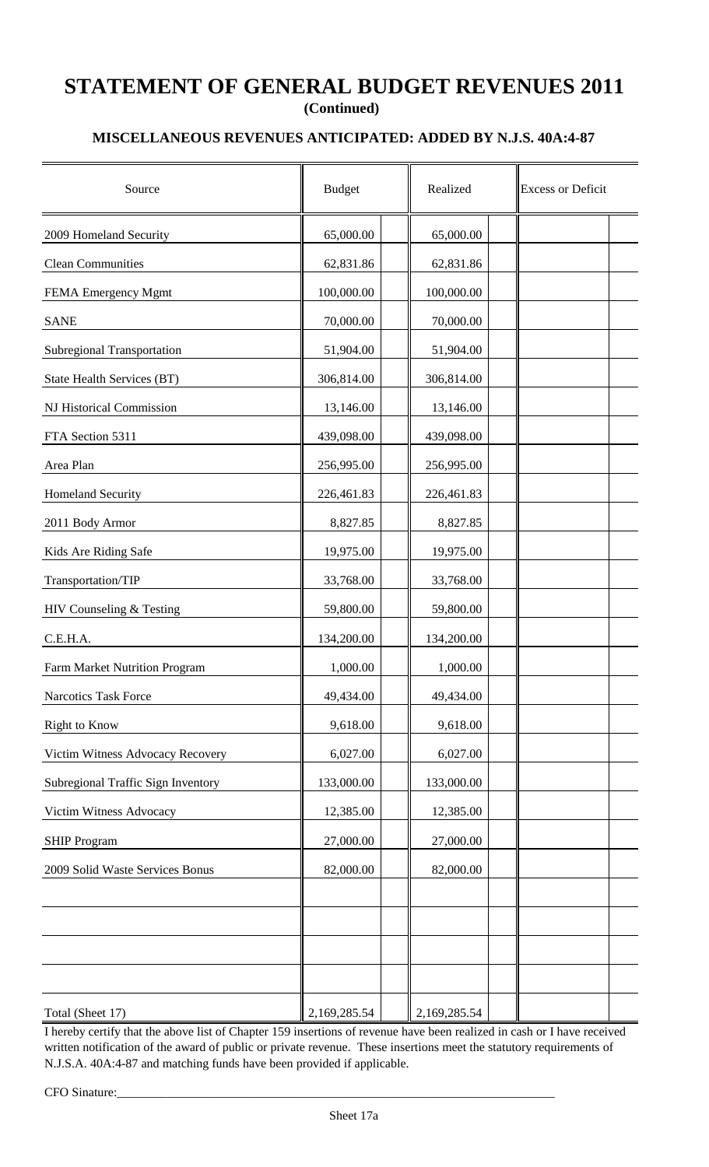### **STATEMENT OF GENERAL BUDGET REVENUES 2011 (Continued)**

### **MISCELLANEOUS REVENUES ANTICIPATED: ADDED BY N.J.S. 40A:4-87**

| Source                             | <b>Budget</b> | Realized     | <b>Excess or Deficit</b> |
|------------------------------------|---------------|--------------|--------------------------|
| 2009 Homeland Security             | 65,000.00     | 65,000.00    |                          |
| <b>Clean Communities</b>           | 62,831.86     | 62,831.86    |                          |
| FEMA Emergency Mgmt                | 100,000.00    | 100,000.00   |                          |
| <b>SANE</b>                        | 70,000.00     | 70,000.00    |                          |
| <b>Subregional Transportation</b>  | 51,904.00     | 51,904.00    |                          |
| State Health Services (BT)         | 306,814.00    | 306,814.00   |                          |
| NJ Historical Commission           | 13,146.00     | 13,146.00    |                          |
| FTA Section 5311                   | 439,098.00    | 439,098.00   |                          |
| Area Plan                          | 256,995.00    | 256,995.00   |                          |
| Homeland Security                  | 226,461.83    | 226,461.83   |                          |
| 2011 Body Armor                    | 8,827.85      | 8,827.85     |                          |
| Kids Are Riding Safe               | 19,975.00     | 19,975.00    |                          |
| Transportation/TIP                 | 33,768.00     | 33,768.00    |                          |
| HIV Counseling & Testing           | 59,800.00     | 59,800.00    |                          |
| C.E.H.A.                           | 134,200.00    | 134,200.00   |                          |
| Farm Market Nutrition Program      | 1,000.00      | 1,000.00     |                          |
| Narcotics Task Force               | 49,434.00     | 49,434.00    |                          |
| Right to Know                      | 9,618.00      | 9,618.00     |                          |
| Victim Witness Advocacy Recovery   | 6,027.00      | 6,027.00     |                          |
| Subregional Traffic Sign Inventory | 133,000.00    | 133,000.00   |                          |
| Victim Witness Advocacy            | 12,385.00     | 12,385.00    |                          |
| <b>SHIP Program</b>                | 27,000.00     | 27,000.00    |                          |
| 2009 Solid Waste Services Bonus    | 82,000.00     | 82,000.00    |                          |
|                                    |               |              |                          |
|                                    |               |              |                          |
|                                    |               |              |                          |
|                                    |               |              |                          |
| Total (Sheet 17)                   | 2,169,285.54  | 2,169,285.54 |                          |

I hereby certify that the above list of Chapter 159 insertions of revenue have been realized in cash or I have received written notification of the award of public or private revenue. These insertions meet the statutory requirements of N.J.S.A. 40A:4-87 and matching funds have been provided if applicable.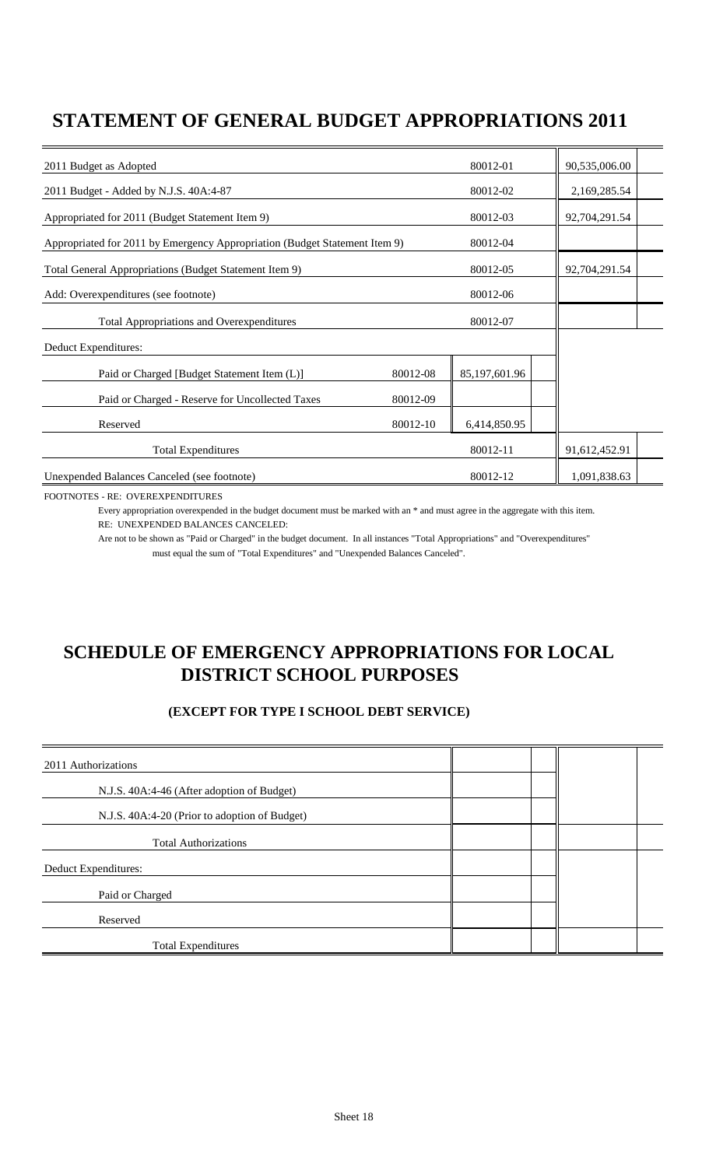### **STATEMENT OF GENERAL BUDGET APPROPRIATIONS 2011**

| 2011 Budget as Adopted                                                     |          | 80012-01      | 90,535,006.00 |  |
|----------------------------------------------------------------------------|----------|---------------|---------------|--|
| 2011 Budget - Added by N.J.S. 40A:4-87                                     |          | 80012-02      | 2,169,285.54  |  |
| Appropriated for 2011 (Budget Statement Item 9)                            |          | 80012-03      | 92,704,291.54 |  |
| Appropriated for 2011 by Emergency Appropriation (Budget Statement Item 9) |          | 80012-04      |               |  |
| Total General Appropriations (Budget Statement Item 9)                     |          | 80012-05      | 92,704,291.54 |  |
| Add: Overexpenditures (see footnote)                                       |          | 80012-06      |               |  |
| <b>Total Appropriations and Overexpenditures</b>                           |          | 80012-07      |               |  |
| Deduct Expenditures:                                                       |          |               |               |  |
| Paid or Charged [Budget Statement Item (L)]                                | 80012-08 | 85,197,601.96 |               |  |
| Paid or Charged - Reserve for Uncollected Taxes                            | 80012-09 |               |               |  |
| Reserved                                                                   | 80012-10 | 6,414,850.95  |               |  |
| <b>Total Expenditures</b>                                                  |          | 80012-11      | 91,612,452.91 |  |
| Unexpended Balances Canceled (see footnote)                                |          | 80012-12      | 1,091,838.63  |  |

FOOTNOTES - RE: OVEREXPENDITURES

Every appropriation overexpended in the budget document must be marked with an \* and must agree in the aggregate with this item. RE: UNEXPENDED BALANCES CANCELED:

Are not to be shown as "Paid or Charged" in the budget document. In all instances "Total Appropriations" and "Overexpenditures" must equal the sum of "Total Expenditures" and "Unexpended Balances Canceled".

### **SCHEDULE OF EMERGENCY APPROPRIATIONS FOR LOCAL DISTRICT SCHOOL PURPOSES**

### **(EXCEPT FOR TYPE I SCHOOL DEBT SERVICE)**

| 2011 Authorizations                           |  |  |
|-----------------------------------------------|--|--|
| N.J.S. 40A:4-46 (After adoption of Budget)    |  |  |
| N.J.S. 40A:4-20 (Prior to adoption of Budget) |  |  |
| <b>Total Authorizations</b>                   |  |  |
| Deduct Expenditures:                          |  |  |
| Paid or Charged                               |  |  |
| Reserved                                      |  |  |
| <b>Total Expenditures</b>                     |  |  |
|                                               |  |  |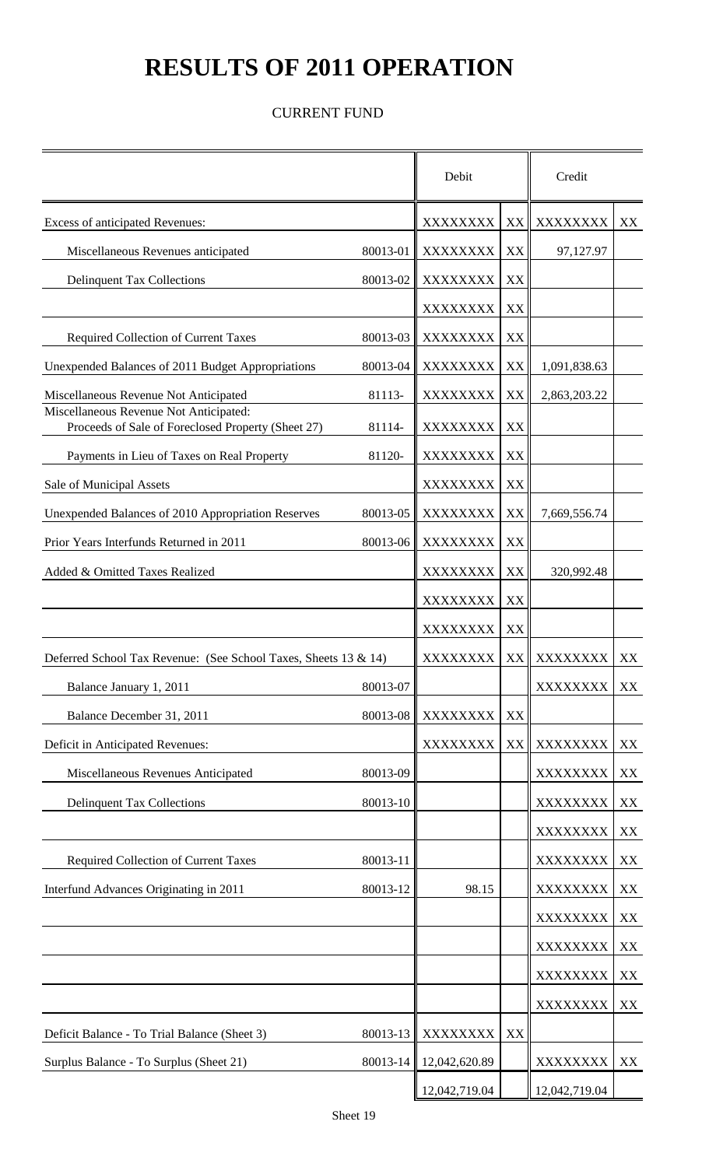# **RESULTS OF 2011 OPERATION**

### CURRENT FUND

|                                                                                              |          | Debit           |    | Credit        |    |
|----------------------------------------------------------------------------------------------|----------|-----------------|----|---------------|----|
| Excess of anticipated Revenues:                                                              |          | XXXXXXXX        | XX | XXXXXXXX      | XX |
| Miscellaneous Revenues anticipated                                                           | 80013-01 | XXXXXXXX        | XX | 97,127.97     |    |
| <b>Delinquent Tax Collections</b>                                                            | 80013-02 | XXXXXXXX        | XX |               |    |
|                                                                                              |          | XXXXXXXX        | XX |               |    |
| <b>Required Collection of Current Taxes</b>                                                  | 80013-03 | XXXXXXXX        | XX |               |    |
| Unexpended Balances of 2011 Budget Appropriations                                            | 80013-04 | XXXXXXXX        | XX | 1,091,838.63  |    |
| Miscellaneous Revenue Not Anticipated                                                        | 81113-   | XXXXXXXX        | XX | 2,863,203.22  |    |
| Miscellaneous Revenue Not Anticipated:<br>Proceeds of Sale of Foreclosed Property (Sheet 27) | 81114-   | <b>XXXXXXXX</b> | XX |               |    |
| Payments in Lieu of Taxes on Real Property                                                   | 81120-   | XXXXXXXX        | XX |               |    |
| Sale of Municipal Assets                                                                     |          | XXXXXXXX        | XX |               |    |
| Unexpended Balances of 2010 Appropriation Reserves                                           | 80013-05 | XXXXXXXX        | XX | 7,669,556.74  |    |
| Prior Years Interfunds Returned in 2011                                                      | 80013-06 | XXXXXXXX        | XX |               |    |
| Added & Omitted Taxes Realized                                                               |          | XXXXXXXX        | XX | 320,992.48    |    |
|                                                                                              |          | XXXXXXXX        | XX |               |    |
|                                                                                              |          | XXXXXXXX        | XX |               |    |
| Deferred School Tax Revenue: (See School Taxes, Sheets 13 & 14)                              |          | XXXXXXXX        |    | XX XXXXXXXX   | XX |
| Balance January 1, 2011                                                                      | 80013-07 |                 |    | XXXXXXXX      | XX |
| Balance December 31, 2011                                                                    | 80013-08 | XXXXXXXX        | XX |               |    |
| Deficit in Anticipated Revenues:                                                             |          | XXXXXXXX        | XX | XXXXXXXX      | XX |
| Miscellaneous Revenues Anticipated                                                           | 80013-09 |                 |    | XXXXXXXX      | XX |
| <b>Delinquent Tax Collections</b>                                                            | 80013-10 |                 |    | XXXXXXXX      | XX |
|                                                                                              |          |                 |    | XXXXXXXX      | XX |
| Required Collection of Current Taxes                                                         | 80013-11 |                 |    | XXXXXXXX      | XX |
| Interfund Advances Originating in 2011                                                       | 80013-12 | 98.15           |    | XXXXXXXX      | XX |
|                                                                                              |          |                 |    | XXXXXXXX      | XX |
|                                                                                              |          |                 |    | XXXXXXXX      | XX |
|                                                                                              |          |                 |    | XXXXXXXX      | XX |
|                                                                                              |          |                 |    | XXXXXXXX      | XX |
| Deficit Balance - To Trial Balance (Sheet 3)                                                 | 80013-13 | XXXXXXXX        | XX |               |    |
| Surplus Balance - To Surplus (Sheet 21)                                                      | 80013-14 | 12,042,620.89   |    | XXXXXXXX      | XX |
|                                                                                              |          | 12,042,719.04   |    | 12,042,719.04 |    |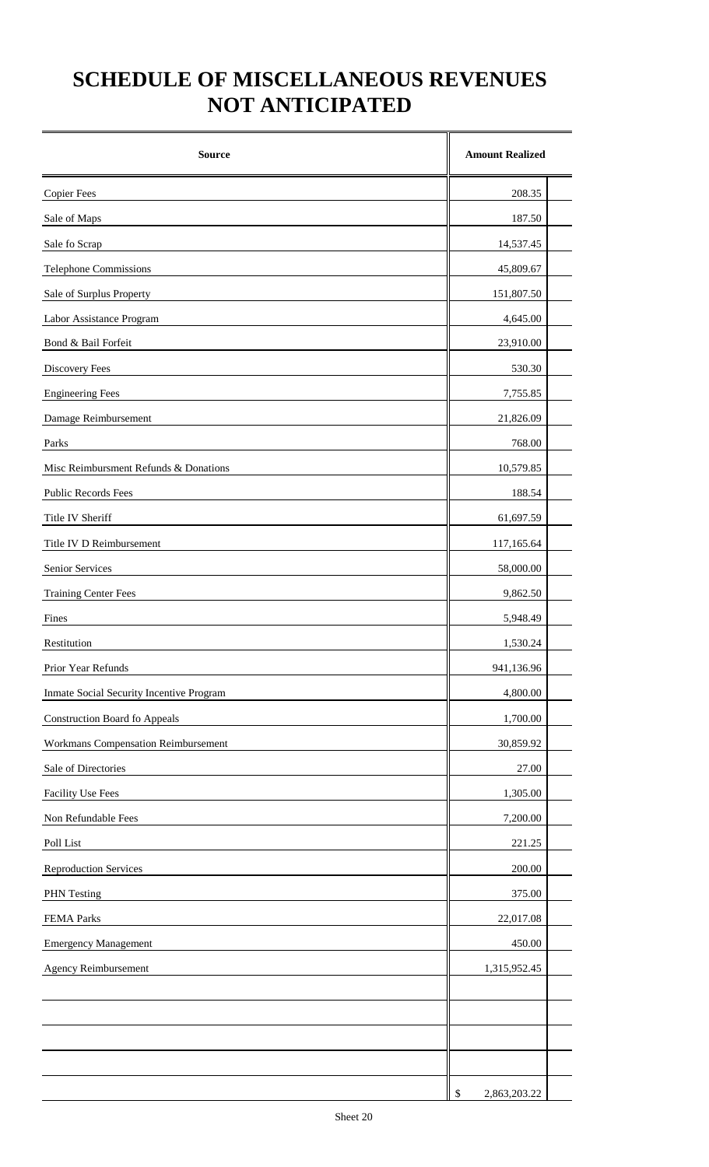## **SCHEDULE OF MISCELLANEOUS REVENUES NOT ANTICIPATED**

| <b>Source</b>                            | <b>Amount Realized</b> |
|------------------------------------------|------------------------|
| <b>Copier Fees</b>                       | 208.35                 |
| Sale of Maps                             | 187.50                 |
| Sale fo Scrap                            | 14,537.45              |
| <b>Telephone Commissions</b>             | 45,809.67              |
| Sale of Surplus Property                 | 151,807.50             |
| Labor Assistance Program                 | 4,645.00               |
| Bond & Bail Forfeit                      | 23,910.00              |
| <b>Discovery Fees</b>                    | 530.30                 |
| <b>Engineering Fees</b>                  | 7,755.85               |
| Damage Reimbursement                     | 21,826.09              |
| Parks                                    | 768.00                 |
| Misc Reimbursment Refunds & Donations    | 10,579.85              |
| Public Records Fees                      | 188.54                 |
| Title IV Sheriff                         | 61,697.59              |
| Title IV D Reimbursement                 | 117,165.64             |
| Senior Services                          | 58,000.00              |
| <b>Training Center Fees</b>              | 9,862.50               |
| Fines                                    | 5,948.49               |
| Restitution                              | 1,530.24               |
| Prior Year Refunds                       | 941,136.96             |
| Inmate Social Security Incentive Program | 4,800.00               |
| <b>Construction Board fo Appeals</b>     | 1,700.00               |
| Workmans Compensation Reimbursement      | 30,859.92              |
| Sale of Directories                      | 27.00                  |
| <b>Facility Use Fees</b>                 | 1,305.00               |
| Non Refundable Fees                      | 7,200.00               |
| Poll List                                | 221.25                 |
| <b>Reproduction Services</b>             | 200.00                 |
| <b>PHN</b> Testing                       | 375.00                 |
| FEMA Parks                               | 22,017.08              |
| <b>Emergency Management</b>              | 450.00                 |
| <b>Agency Reimbursement</b>              | 1,315,952.45           |
|                                          |                        |
|                                          |                        |
|                                          |                        |
|                                          |                        |
|                                          | \$<br>2,863,203.22     |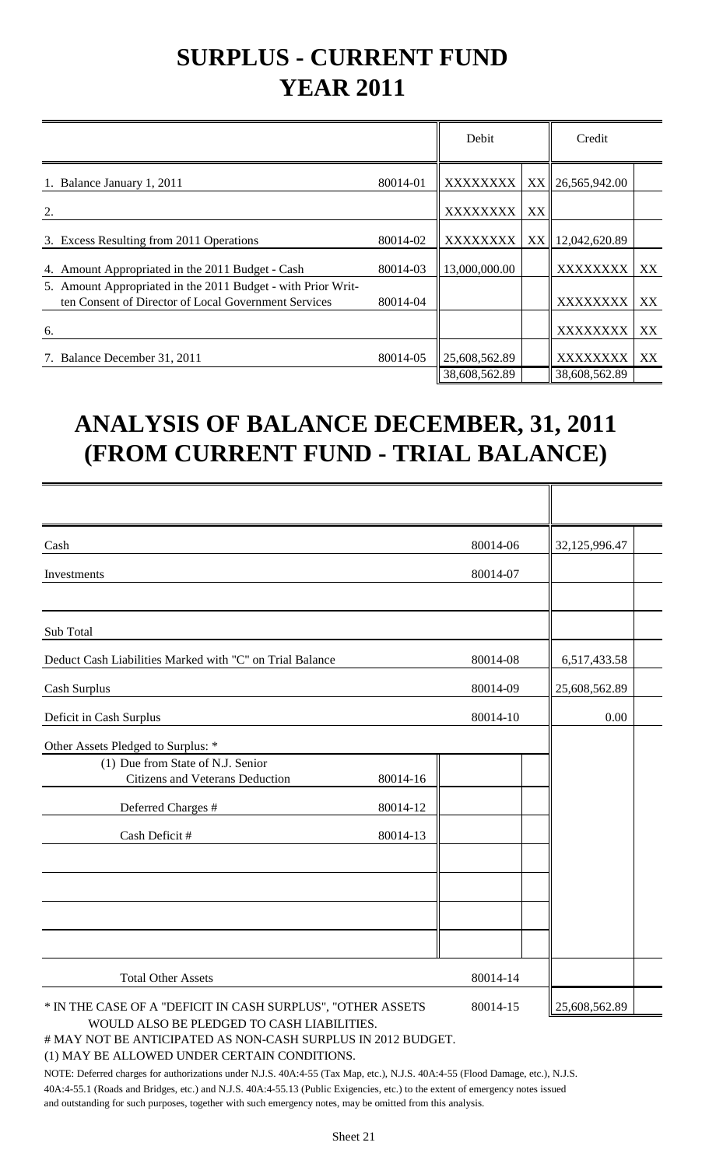# **SURPLUS - CURRENT FUND YEAR 2011**

|                                                                                                                      |          | Debit         |                 | Credit        |    |
|----------------------------------------------------------------------------------------------------------------------|----------|---------------|-----------------|---------------|----|
| Balance January 1, 2011                                                                                              | 80014-01 | XXXXXXXX      | XX <sup>I</sup> | 26,565,942.00 |    |
| 2.                                                                                                                   |          | XXXXXXXX      | XX              |               |    |
| 3. Excess Resulting from 2011 Operations                                                                             | 80014-02 | XXXXXXXX      | XX              | 12,042,620.89 |    |
| Amount Appropriated in the 2011 Budget - Cash<br>4.                                                                  | 80014-03 | 13,000,000.00 |                 | XXXXXXXX      | XX |
| 5. Amount Appropriated in the 2011 Budget - with Prior Writ-<br>ten Consent of Director of Local Government Services | 80014-04 |               |                 | XXXXXXXX      | XX |
| 6.                                                                                                                   |          |               |                 | XXXXXXXX      | XX |
| Balance December 31, 2011<br>7.                                                                                      | 80014-05 | 25,608,562.89 |                 | XXXXXXXX      | XX |
|                                                                                                                      |          | 38,608,562.89 |                 | 38,608,562.89 |    |

# **ANALYSIS OF BALANCE DECEMBER, 31, 2011 (FROM CURRENT FUND - TRIAL BALANCE)**

| Cash                                                        |          | 80014-06 | 32,125,996.47 |  |
|-------------------------------------------------------------|----------|----------|---------------|--|
| Investments                                                 |          | 80014-07 |               |  |
|                                                             |          |          |               |  |
| Sub Total                                                   |          |          |               |  |
| Deduct Cash Liabilities Marked with "C" on Trial Balance    |          | 80014-08 | 6,517,433.58  |  |
| Cash Surplus                                                |          | 80014-09 | 25,608,562.89 |  |
| Deficit in Cash Surplus                                     |          | 80014-10 | 0.00          |  |
| Other Assets Pledged to Surplus: *                          |          |          |               |  |
| (1) Due from State of N.J. Senior                           |          |          |               |  |
| Citizens and Veterans Deduction                             | 80014-16 |          |               |  |
| Deferred Charges #                                          | 80014-12 |          |               |  |
| Cash Deficit #                                              | 80014-13 |          |               |  |
|                                                             |          |          |               |  |
|                                                             |          |          |               |  |
|                                                             |          |          |               |  |
|                                                             |          |          |               |  |
| <b>Total Other Assets</b>                                   |          | 80014-14 |               |  |
| * IN THE CASE OF A "DEFICIT IN CASH SURPLUS", "OTHER ASSETS |          | 80014-15 | 25,608,562.89 |  |
| WOULD ALSO BE PLEDGED TO CASH LIABILITIES                   |          |          |               |  |

#### # MAY NOT BE ANTICIPATED AS NON-CASH SURPLUS IN 2012 BUDGET.

#### (1) MAY BE ALLOWED UNDER CERTAIN CONDITIONS.

NOTE: Deferred charges for authorizations under N.J.S. 40A:4-55 (Tax Map, etc.), N.J.S. 40A:4-55 (Flood Damage, etc.), N.J.S. 40A:4-55.1 (Roads and Bridges, etc.) and N.J.S. 40A:4-55.13 (Public Exigencies, etc.) to the extent of emergency notes issued and outstanding for such purposes, together with such emergency notes, may be omitted from this analysis.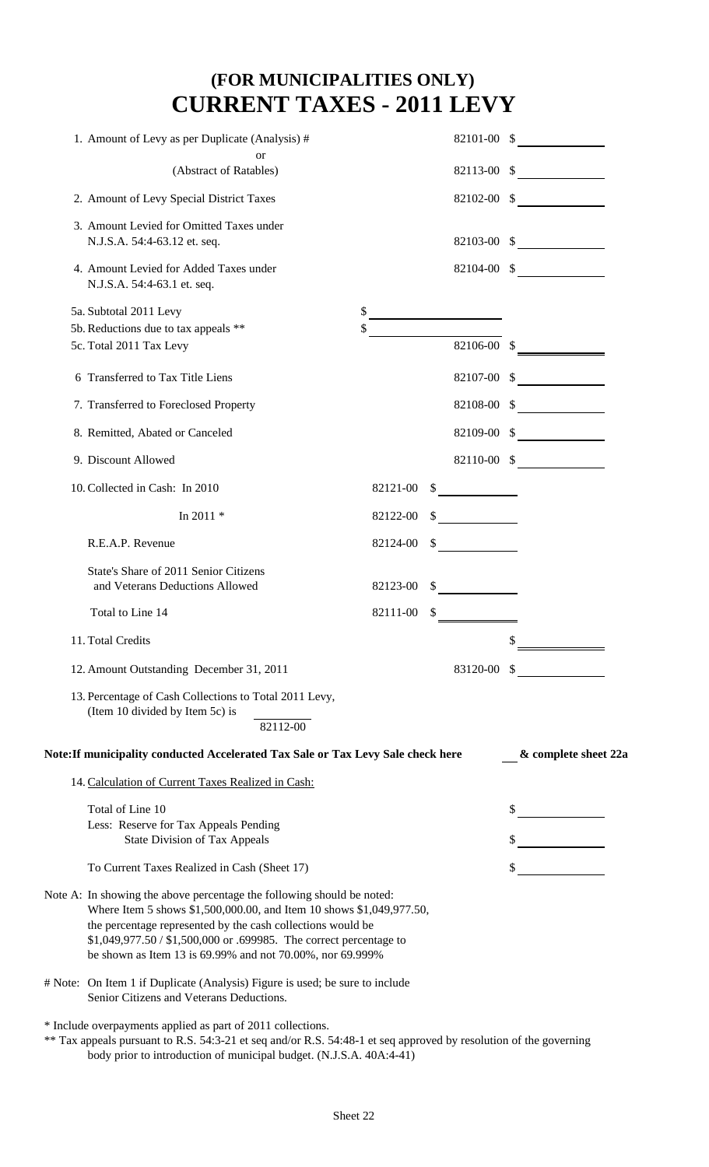## **(FOR MUNICIPALITIES ONLY) CURRENT TAXES - 2011 LEVY**

| 1. Amount of Levy as per Duplicate (Analysis) #                                                                                                                                                                                                                                                                                                  |          | 82101-00 \$ |                      |
|--------------------------------------------------------------------------------------------------------------------------------------------------------------------------------------------------------------------------------------------------------------------------------------------------------------------------------------------------|----------|-------------|----------------------|
| <sub>or</sub><br>(Abstract of Ratables)                                                                                                                                                                                                                                                                                                          |          |             | $82113-00$ \$        |
|                                                                                                                                                                                                                                                                                                                                                  |          |             |                      |
| 2. Amount of Levy Special District Taxes                                                                                                                                                                                                                                                                                                         |          |             | $82102-00$ \$        |
| 3. Amount Levied for Omitted Taxes under<br>N.J.S.A. 54:4-63.12 et. seq.                                                                                                                                                                                                                                                                         |          |             | $82103-00$ \$        |
| 4. Amount Levied for Added Taxes under<br>N.J.S.A. 54:4-63.1 et. seq.                                                                                                                                                                                                                                                                            |          |             | $82104-00$ \$        |
| 5a. Subtotal 2011 Levy                                                                                                                                                                                                                                                                                                                           |          |             |                      |
| 5b. Reductions due to tax appeals **                                                                                                                                                                                                                                                                                                             |          |             |                      |
| 5c. Total 2011 Tax Levy                                                                                                                                                                                                                                                                                                                          |          | 82106-00 \$ |                      |
| 6 Transferred to Tax Title Liens                                                                                                                                                                                                                                                                                                                 |          |             | 82107-00 \$          |
| 7. Transferred to Foreclosed Property                                                                                                                                                                                                                                                                                                            |          | 82108-00 \$ |                      |
| 8. Remitted, Abated or Canceled                                                                                                                                                                                                                                                                                                                  |          | 82109-00 \$ |                      |
| 9. Discount Allowed                                                                                                                                                                                                                                                                                                                              |          |             | 82110-00 \$          |
| 10. Collected in Cash: In 2010                                                                                                                                                                                                                                                                                                                   | 82121-00 |             |                      |
| In 2011 $*$                                                                                                                                                                                                                                                                                                                                      | 82122-00 |             |                      |
| R.E.A.P. Revenue                                                                                                                                                                                                                                                                                                                                 | 82124-00 |             |                      |
| State's Share of 2011 Senior Citizens<br>and Veterans Deductions Allowed                                                                                                                                                                                                                                                                         | 82123-00 |             |                      |
| Total to Line 14                                                                                                                                                                                                                                                                                                                                 | 82111-00 |             |                      |
| 11. Total Credits                                                                                                                                                                                                                                                                                                                                |          |             | \$                   |
| 12. Amount Outstanding December 31, 2011                                                                                                                                                                                                                                                                                                         |          | 83120-00 \$ |                      |
| 13. Percentage of Cash Collections to Total 2011 Levy,<br>(Item 10 divided by Item 5c) is<br>82112-00                                                                                                                                                                                                                                            |          |             |                      |
| Note: If municipality conducted Accelerated Tax Sale or Tax Levy Sale check here                                                                                                                                                                                                                                                                 |          |             | & complete sheet 22a |
| 14. Calculation of Current Taxes Realized in Cash:                                                                                                                                                                                                                                                                                               |          |             |                      |
| Total of Line 10                                                                                                                                                                                                                                                                                                                                 |          |             |                      |
| Less: Reserve for Tax Appeals Pending<br><b>State Division of Tax Appeals</b>                                                                                                                                                                                                                                                                    |          |             |                      |
| To Current Taxes Realized in Cash (Sheet 17)                                                                                                                                                                                                                                                                                                     |          |             |                      |
|                                                                                                                                                                                                                                                                                                                                                  |          |             |                      |
| Note A: In showing the above percentage the following should be noted:<br>Where Item 5 shows \$1,500,000.00, and Item 10 shows \$1,049,977.50,<br>the percentage represented by the cash collections would be<br>\$1,049,977.50 / \$1,500,000 or .699985. The correct percentage to<br>be shown as Item 13 is 69.99% and not 70.00%, nor 69.999% |          |             |                      |
| # Note: On Item 1 if Duplicate (Analysis) Figure is used; be sure to include<br>Senior Citizens and Veterans Deductions.                                                                                                                                                                                                                         |          |             |                      |
| * Include overpayments applied as part of 2011 collections.                                                                                                                                                                                                                                                                                      |          |             |                      |
| ** Tax appeals pursuant to R.S. 54:3-21 et seq and/or R.S. 54:48-1 et seq approved by resolution of the governing<br>body prior to introduction of municipal budget. (N.J.S.A. 40A:4-41)                                                                                                                                                         |          |             |                      |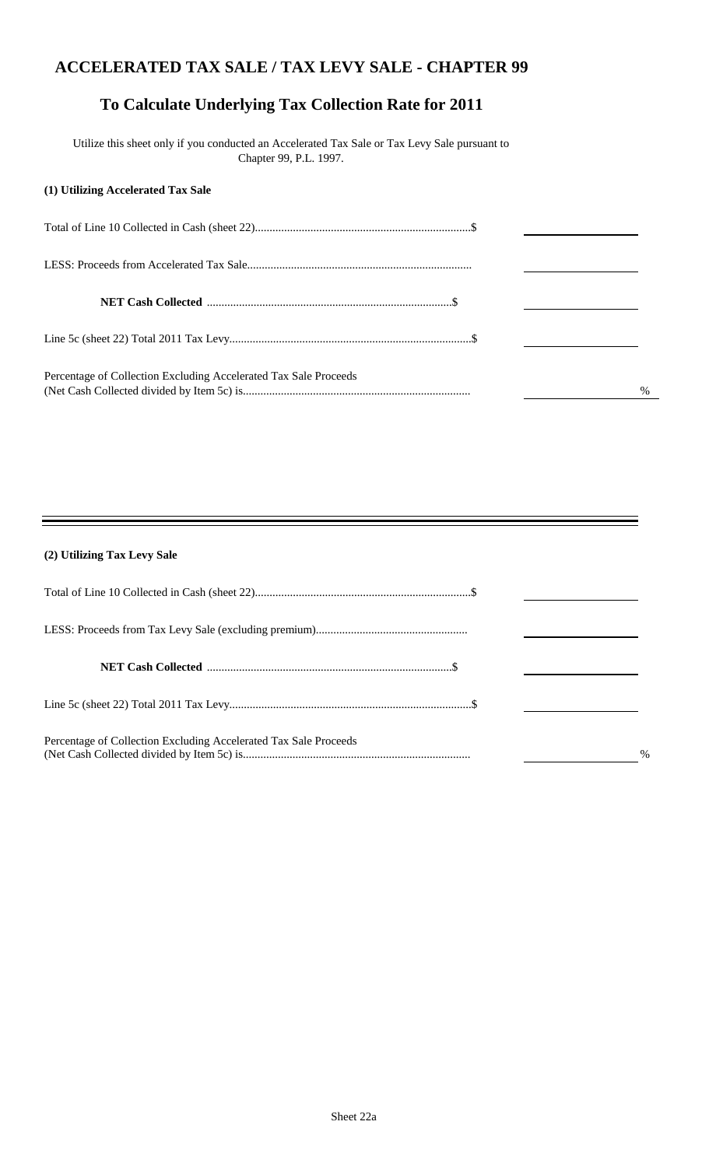### **ACCELERATED TAX SALE / TAX LEVY SALE - CHAPTER 99**

### **To Calculate Underlying Tax Collection Rate for 2011**

 Utilize this sheet only if you conducted an Accelerated Tax Sale or Tax Levy Sale pursuant to Chapter 99, P.L. 1997.

#### **(1) Utilizing Accelerated Tax Sale**

| Percentage of Collection Excluding Accelerated Tax Sale Proceeds | $\%$ |
|------------------------------------------------------------------|------|

#### **(2) Utilizing Tax Levy Sale**

| Percentage of Collection Excluding Accelerated Tax Sale Proceeds | $\%$ |
|------------------------------------------------------------------|------|

Ξ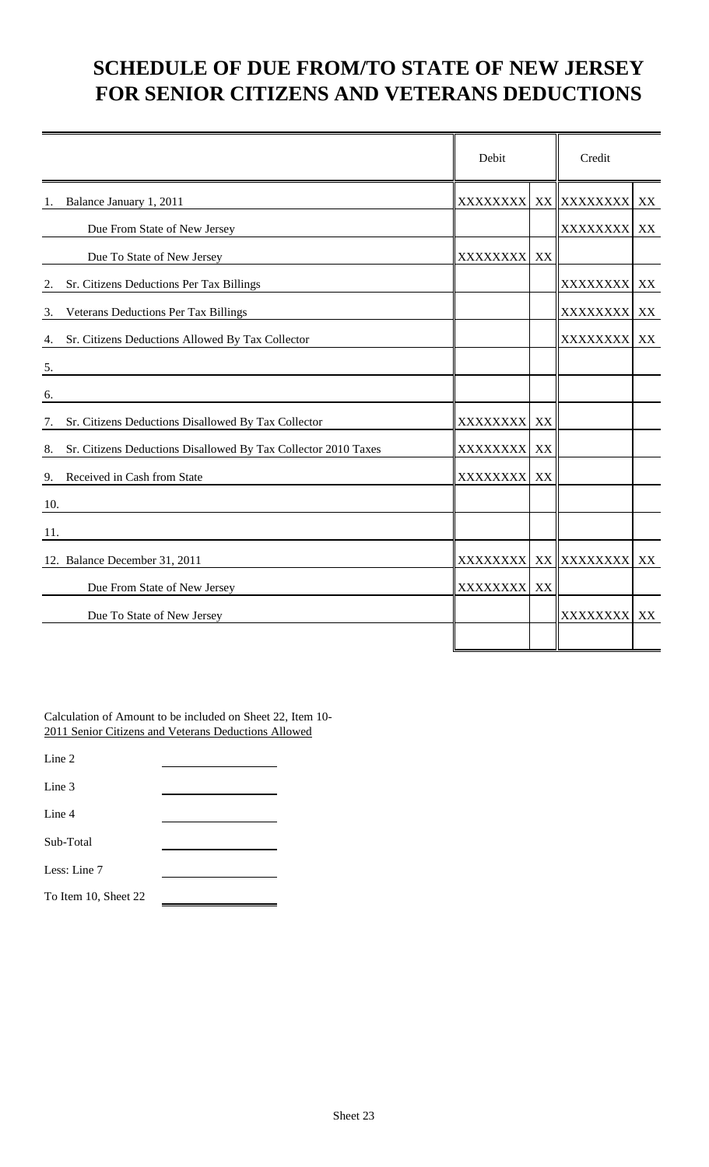## **SCHEDULE OF DUE FROM/TO STATE OF NEW JERSEY FOR SENIOR CITIZENS AND VETERANS DEDUCTIONS**

|                                                                      | Debit            |    | Credit          |    |
|----------------------------------------------------------------------|------------------|----|-----------------|----|
| Balance January 1, 2011<br>1.                                        | <b>XXXXXXXX</b>  |    | XX XXXXXXXX     | XX |
| Due From State of New Jersey                                         |                  |    | <b>XXXXXXXX</b> | XX |
| Due To State of New Jersey                                           | XXXXXXXX         | XX |                 |    |
| Sr. Citizens Deductions Per Tax Billings<br>2.                       |                  |    | XXXXXXXX        | XX |
| Veterans Deductions Per Tax Billings<br>3.                           |                  |    | XXXXXXXX        | XX |
| Sr. Citizens Deductions Allowed By Tax Collector<br>4.               |                  |    | XXXXXXXX        | XX |
| 5.                                                                   |                  |    |                 |    |
| 6.                                                                   |                  |    |                 |    |
| Sr. Citizens Deductions Disallowed By Tax Collector<br>7.            | <b>XXXXXXXX</b>  | XX |                 |    |
| Sr. Citizens Deductions Disallowed By Tax Collector 2010 Taxes<br>8. | XXXXXXXX         | XX |                 |    |
| Received in Cash from State<br>9.                                    | XXXXXXXX         | XX |                 |    |
| 10.                                                                  |                  |    |                 |    |
| 11.                                                                  |                  |    |                 |    |
| 12. Balance December 31, 2011                                        | XXXXXXXXI        |    | XX XXXXXXXX     | XX |
| Due From State of New Jersey                                         | <b>XXXXXXXXI</b> | XX |                 |    |
| Due To State of New Jersey                                           |                  |    | XXXXXXXX XX     |    |
|                                                                      |                  |    |                 |    |

Calculation of Amount to be included on Sheet 22, Item 10- 2011 Senior Citizens and Veterans Deductions Allowed

Line 2

Line 3

Line 4

Sub-Total

Less: Line 7

To Item 10, Sheet 22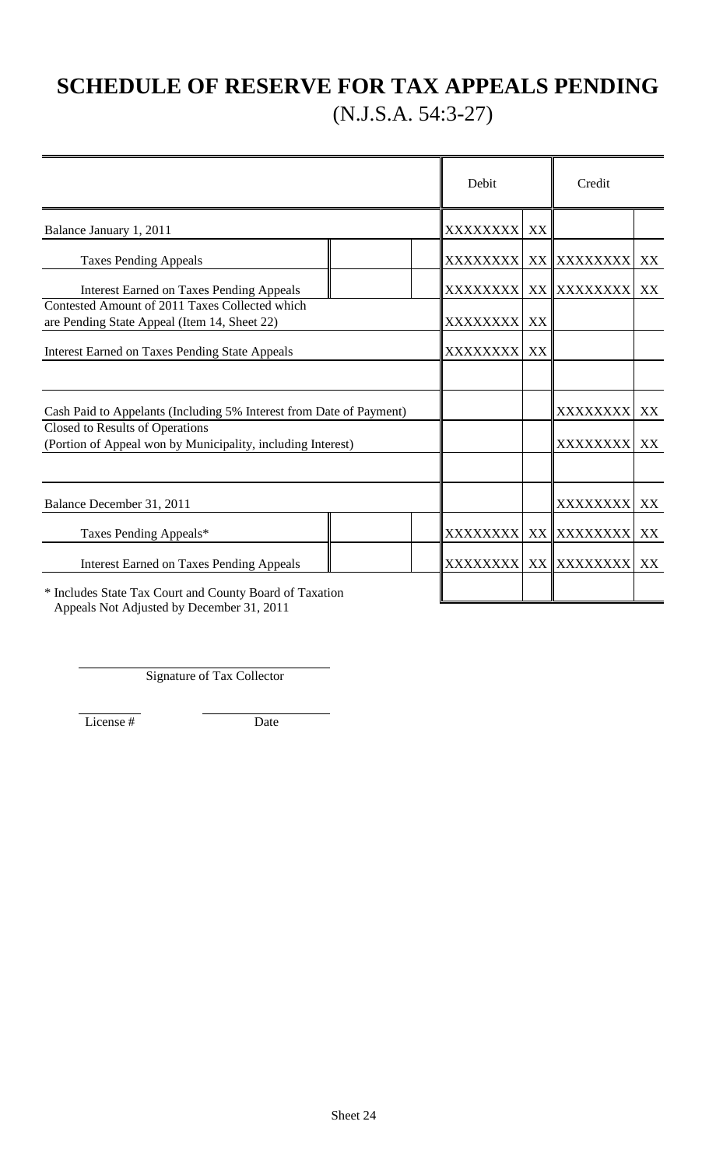## **SCHEDULE OF RESERVE FOR TAX APPEALS PENDING** (N.J.S.A. 54:3-27)

|                                                                                                |  | Debit            |    | Credit                   |    |
|------------------------------------------------------------------------------------------------|--|------------------|----|--------------------------|----|
| Balance January 1, 2011                                                                        |  | <b>XXXXXXXXI</b> | XX |                          |    |
| <b>Taxes Pending Appeals</b>                                                                   |  |                  |    | XXXXXXXX  XX   XXXXXXXXX | XX |
| <b>Interest Earned on Taxes Pending Appeals</b>                                                |  | <b>XXXXXXXX</b>  |    | XX XXXXXXXX              | XX |
| Contested Amount of 2011 Taxes Collected which<br>are Pending State Appeal (Item 14, Sheet 22) |  | <b>XXXXXXXX</b>  | XX |                          |    |
| <b>Interest Earned on Taxes Pending State Appeals</b>                                          |  | <b>XXXXXXXX</b>  | XX |                          |    |
|                                                                                                |  |                  |    |                          |    |
| Cash Paid to Appelants (Including 5% Interest from Date of Payment)                            |  |                  |    | <b>XXXXXXXX</b>          | XX |
| Closed to Results of Operations<br>(Portion of Appeal won by Municipality, including Interest) |  |                  |    | <b>XXXXXXXX</b>          | XX |
| Balance December 31, 2011                                                                      |  |                  |    | XXXXXXXX                 | XX |
| Taxes Pending Appeals*                                                                         |  | XXXXXXXX         |    | XX XXXXXXXX              | XX |
| <b>Interest Earned on Taxes Pending Appeals</b>                                                |  | XXXXXXXX         |    | XX XXXXXXXX              | XX |
| * Includes State Tax Court and County Board of Taxation                                        |  |                  |    |                          |    |

Appeals Not Adjusted by December 31, 2011

Signature of Tax Collector

License # Date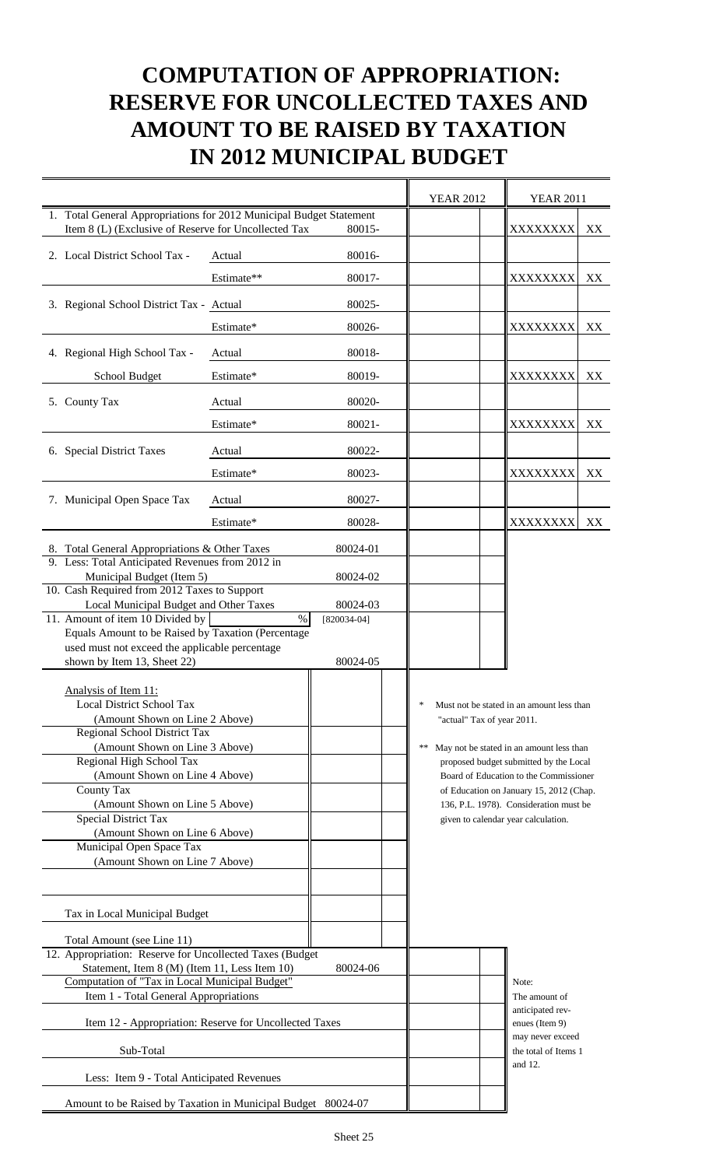## **COMPUTATION OF APPROPRIATION: RESERVE FOR UNCOLLECTED TAXES AND AMOUNT TO BE RAISED BY TAXATION IN 2012 MUNICIPAL BUDGET**

|                                                                                                                             |            |                                   | <b>YEAR 2012</b>           | <b>YEAR 2011</b>                                                                  |    |
|-----------------------------------------------------------------------------------------------------------------------------|------------|-----------------------------------|----------------------------|-----------------------------------------------------------------------------------|----|
| 1. Total General Appropriations for 2012 Municipal Budget Statement<br>Item 8 (L) (Exclusive of Reserve for Uncollected Tax |            | 80015-                            |                            | XXXXXXXX                                                                          | XX |
| 2. Local District School Tax -                                                                                              | Actual     | 80016-                            |                            |                                                                                   |    |
|                                                                                                                             | Estimate** | 80017-                            |                            | XXXXXXXX                                                                          | XX |
| 3. Regional School District Tax - Actual                                                                                    |            | 80025-                            |                            |                                                                                   |    |
|                                                                                                                             | Estimate*  | 80026-                            |                            | XXXXXXXX                                                                          | XX |
| 4. Regional High School Tax -                                                                                               | Actual     | 80018-                            |                            |                                                                                   |    |
| School Budget                                                                                                               | Estimate*  | 80019-                            |                            | XXXXXXXX                                                                          | XX |
| 5. County Tax                                                                                                               | Actual     | 80020-                            |                            |                                                                                   |    |
|                                                                                                                             | Estimate*  | 80021-                            |                            | XXXXXXXX                                                                          | XX |
| 6. Special District Taxes                                                                                                   | Actual     | 80022-                            |                            |                                                                                   |    |
|                                                                                                                             | Estimate*  | 80023-                            |                            | XXXXXXXX                                                                          | XX |
| 7. Municipal Open Space Tax                                                                                                 | Actual     | 80027-                            |                            |                                                                                   |    |
|                                                                                                                             | Estimate*  | 80028-                            |                            | <b>XXXXXXXX</b>                                                                   | XX |
| 8. Total General Appropriations & Other Taxes                                                                               |            | 80024-01                          |                            |                                                                                   |    |
| 9. Less: Total Anticipated Revenues from 2012 in<br>Municipal Budget (Item 5)                                               |            | 80024-02                          |                            |                                                                                   |    |
| 10. Cash Required from 2012 Taxes to Support                                                                                |            |                                   |                            |                                                                                   |    |
| Local Municipal Budget and Other Taxes<br>11. Amount of item 10 Divided by                                                  |            | 80024-03<br>$\%$<br>$[820034-04]$ |                            |                                                                                   |    |
| Equals Amount to be Raised by Taxation (Percentage                                                                          |            |                                   |                            |                                                                                   |    |
| used must not exceed the applicable percentage                                                                              |            |                                   |                            |                                                                                   |    |
| shown by Item 13, Sheet 22)                                                                                                 |            | 80024-05                          |                            |                                                                                   |    |
| Analysis of Item 11:                                                                                                        |            |                                   |                            |                                                                                   |    |
| Local District School Tax                                                                                                   |            |                                   |                            | Must not be stated in an amount less than                                         |    |
| (Amount Shown on Line 2 Above)<br>Regional School District Tax                                                              |            |                                   | "actual" Tax of year 2011. |                                                                                   |    |
| (Amount Shown on Line 3 Above)                                                                                              |            |                                   | **                         | May not be stated in an amount less than                                          |    |
| Regional High School Tax                                                                                                    |            |                                   |                            | proposed budget submitted by the Local                                            |    |
| (Amount Shown on Line 4 Above)<br>County Tax                                                                                |            |                                   |                            | Board of Education to the Commissioner<br>of Education on January 15, 2012 (Chap. |    |
| (Amount Shown on Line 5 Above)                                                                                              |            |                                   |                            | 136, P.L. 1978). Consideration must be                                            |    |
| <b>Special District Tax</b>                                                                                                 |            |                                   |                            | given to calendar year calculation.                                               |    |
| (Amount Shown on Line 6 Above)<br>Municipal Open Space Tax                                                                  |            |                                   |                            |                                                                                   |    |
| (Amount Shown on Line 7 Above)                                                                                              |            |                                   |                            |                                                                                   |    |
|                                                                                                                             |            |                                   |                            |                                                                                   |    |
| Tax in Local Municipal Budget                                                                                               |            |                                   |                            |                                                                                   |    |
| Total Amount (see Line 11)                                                                                                  |            |                                   |                            |                                                                                   |    |
| 12. Appropriation: Reserve for Uncollected Taxes (Budget                                                                    |            |                                   |                            |                                                                                   |    |
| Statement, Item 8 (M) (Item 11, Less Item 10)                                                                               |            | 80024-06                          |                            |                                                                                   |    |
| Computation of "Tax in Local Municipal Budget"<br>Item 1 - Total General Appropriations                                     |            |                                   |                            | Note:<br>The amount of                                                            |    |
| Item 12 - Appropriation: Reserve for Uncollected Taxes                                                                      |            |                                   |                            | anticipated rev-<br>enues (Item 9)                                                |    |
| Sub-Total                                                                                                                   |            |                                   |                            | may never exceed<br>the total of Items 1                                          |    |
| Less: Item 9 - Total Anticipated Revenues                                                                                   |            |                                   |                            | and 12.                                                                           |    |
| Amount to be Raised by Taxation in Municipal Budget 80024-07                                                                |            |                                   |                            |                                                                                   |    |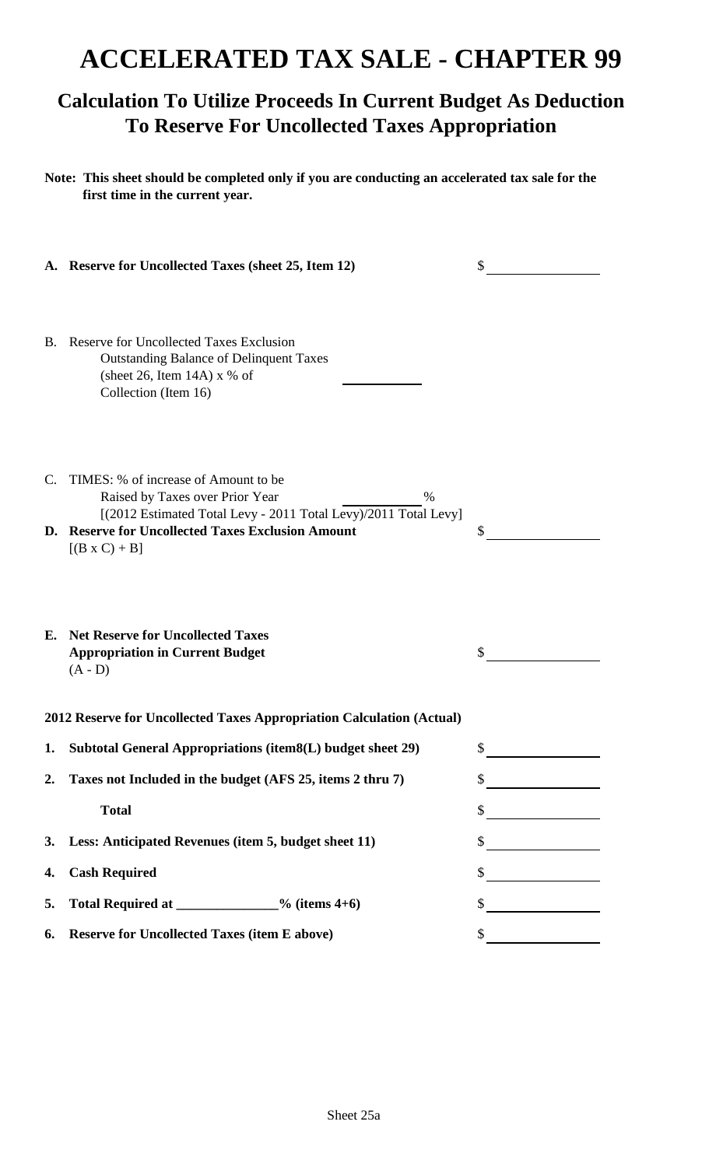# **ACCELERATED TAX SALE - CHAPTER 99**

### **Calculation To Utilize Proceeds In Current Budget As Deduction To Reserve For Uncollected Taxes Appropriation**

**Note: This sheet should be completed only if you are conducting an accelerated tax sale for the first time in the current year.**

|    | A. Reserve for Uncollected Taxes (sheet 25, Item 12)                                                                                                                                                                            | \$ |
|----|---------------------------------------------------------------------------------------------------------------------------------------------------------------------------------------------------------------------------------|----|
|    | B. Reserve for Uncollected Taxes Exclusion<br><b>Outstanding Balance of Delinquent Taxes</b><br>(sheet 26, Item 14A) $x$ % of<br>Collection (Item 16)                                                                           |    |
| C. | TIMES: % of increase of Amount to be<br>Raised by Taxes over Prior Year<br>$\%$<br>[(2012 Estimated Total Levy - 2011 Total Levy)/2011 Total Levy]<br>D. Reserve for Uncollected Taxes Exclusion Amount<br>$[(B \times C) + B]$ | \$ |
|    | <b>E.</b> Net Reserve for Uncollected Taxes<br><b>Appropriation in Current Budget</b><br>$(A - D)$                                                                                                                              |    |
|    | 2012 Reserve for Uncollected Taxes Appropriation Calculation (Actual)                                                                                                                                                           |    |
| 1. | Subtotal General Appropriations (item8(L) budget sheet 29)                                                                                                                                                                      | S  |
| 2. | Taxes not Included in the budget (AFS 25, items 2 thru 7)                                                                                                                                                                       | Φ  |
|    | <b>Total</b>                                                                                                                                                                                                                    | \$ |
| 3. | Less: Anticipated Revenues (item 5, budget sheet 11)                                                                                                                                                                            | \$ |
| 4. | <b>Cash Required</b>                                                                                                                                                                                                            | \$ |
| 5. | Total Required at _____________% (items 4+6)                                                                                                                                                                                    | \$ |
| 6. | <b>Reserve for Uncollected Taxes (item E above)</b>                                                                                                                                                                             | \$ |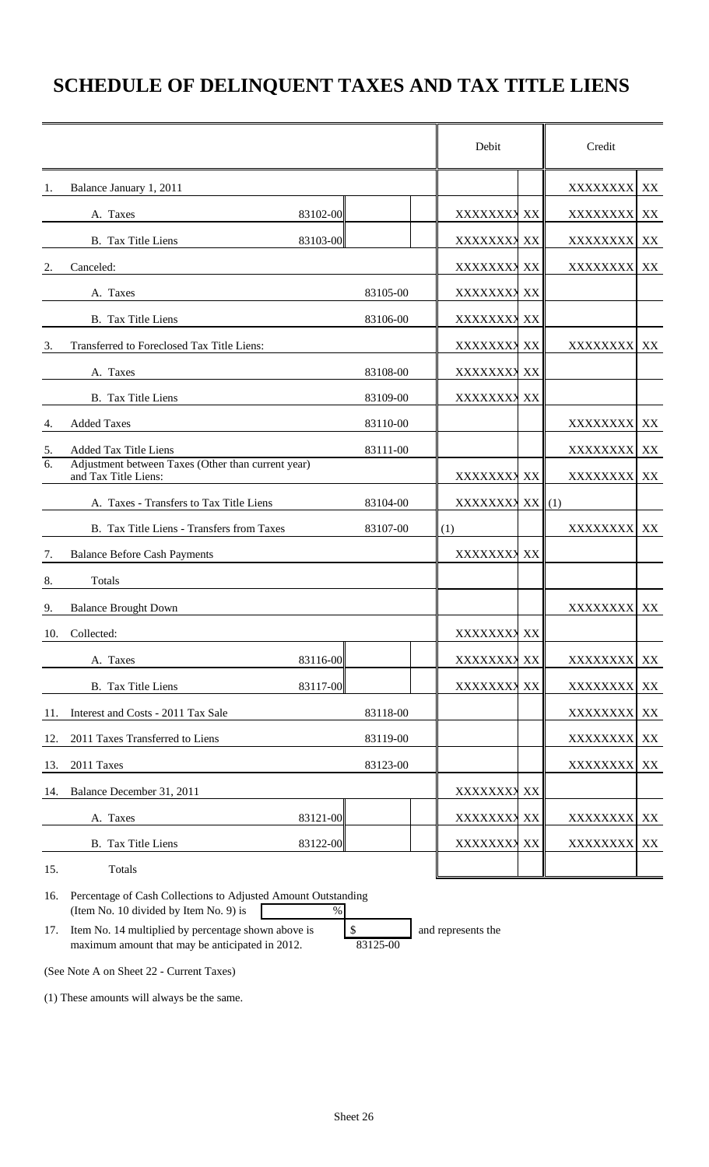## **SCHEDULE OF DELINQUENT TAXES AND TAX TITLE LIENS**

|     |                                                                                                         |          | Debit           |    | Credit          |    |
|-----|---------------------------------------------------------------------------------------------------------|----------|-----------------|----|-----------------|----|
| 1.  | Balance January 1, 2011                                                                                 |          |                 |    | XXXXXXXX        | XX |
|     | A. Taxes                                                                                                | 83102-00 | XXXXXXXX XX     |    | <b>XXXXXXXX</b> | XX |
|     | <b>B.</b> Tax Title Liens                                                                               | 83103-00 | XXXXXXXX XX     |    | XXXXXXXX XX     |    |
| 2.  | Canceled:                                                                                               |          | XXXXXXXX XX     |    | XXXXXXXX XX     |    |
|     | A. Taxes                                                                                                | 83105-00 | XXXXXXXX XX     |    |                 |    |
|     | B. Tax Title Liens                                                                                      | 83106-00 | XXXXXXXX XX     |    |                 |    |
| 3.  | Transferred to Foreclosed Tax Title Liens:                                                              |          | XXXXXXXX XX     |    | XXXXXXXX        | XX |
|     | A. Taxes                                                                                                | 83108-00 | XXXXXXXX XX     |    |                 |    |
|     | B. Tax Title Liens                                                                                      | 83109-00 | XXXXXXXX XX     |    |                 |    |
| 4.  | <b>Added Taxes</b>                                                                                      | 83110-00 |                 |    | XXXXXXXX        | XX |
| 5.  | <b>Added Tax Title Liens</b>                                                                            | 83111-00 |                 |    | XXXXXXXX        | XX |
| 6.  | Adjustment between Taxes (Other than current year)<br>and Tax Title Liens:                              |          | XXXXXXXX XX     |    | <b>XXXXXXXX</b> | XX |
|     | A. Taxes - Transfers to Tax Title Liens                                                                 | 83104-00 | XXXXXXXX XX (1) |    |                 |    |
|     | B. Tax Title Liens - Transfers from Taxes                                                               | 83107-00 | (1)             |    | XXXXXXXX        | XX |
| 7.  | <b>Balance Before Cash Payments</b>                                                                     |          | XXXXXXXX XX     |    |                 |    |
| 8.  | Totals                                                                                                  |          |                 |    |                 |    |
| 9.  | <b>Balance Brought Down</b>                                                                             |          |                 |    | XXXXXXXX XX     |    |
| 10. | Collected:                                                                                              |          | XXXXXXXX XX     |    |                 |    |
|     | A. Taxes                                                                                                | 83116-00 | XXXXXXX         | XX | XXXXXXXX        | XX |
|     | B. Tax Title Liens                                                                                      | 83117-00 | XXXXXXX         | XX | XXXXXXXX        | XX |
| 11. | Interest and Costs - 2011 Tax Sale                                                                      | 83118-00 |                 |    | XXXXXXXX        | XX |
| 12. | 2011 Taxes Transferred to Liens                                                                         | 83119-00 |                 |    | XXXXXXXX XX     |    |
| 13. | 2011 Taxes                                                                                              | 83123-00 |                 |    | XXXXXXXX        | XX |
| 14. | Balance December 31, 2011                                                                               |          | XXXXXXXX XX     |    |                 |    |
|     | A. Taxes                                                                                                | 83121-00 | XXXXXXXX XX     |    | XXXXXXXX        | XX |
|     | B. Tax Title Liens                                                                                      | 83122-00 | XXXXXXXX XX     |    | XXXXXXXX XX     |    |
| 15. | Totals                                                                                                  |          |                 |    |                 |    |
| 16. | Percentage of Cash Collections to Adjusted Amount Outstanding<br>(Item No. 10 divided by Item No. 9) is | $\%$     |                 |    |                 |    |

17. Item No. 14 multiplied by percentage shown above is \$ and represents the maximum amount that may be anticipated in 2012. 83125-00

(See Note A on Sheet 22 - Current Taxes)

(1) These amounts will always be the same.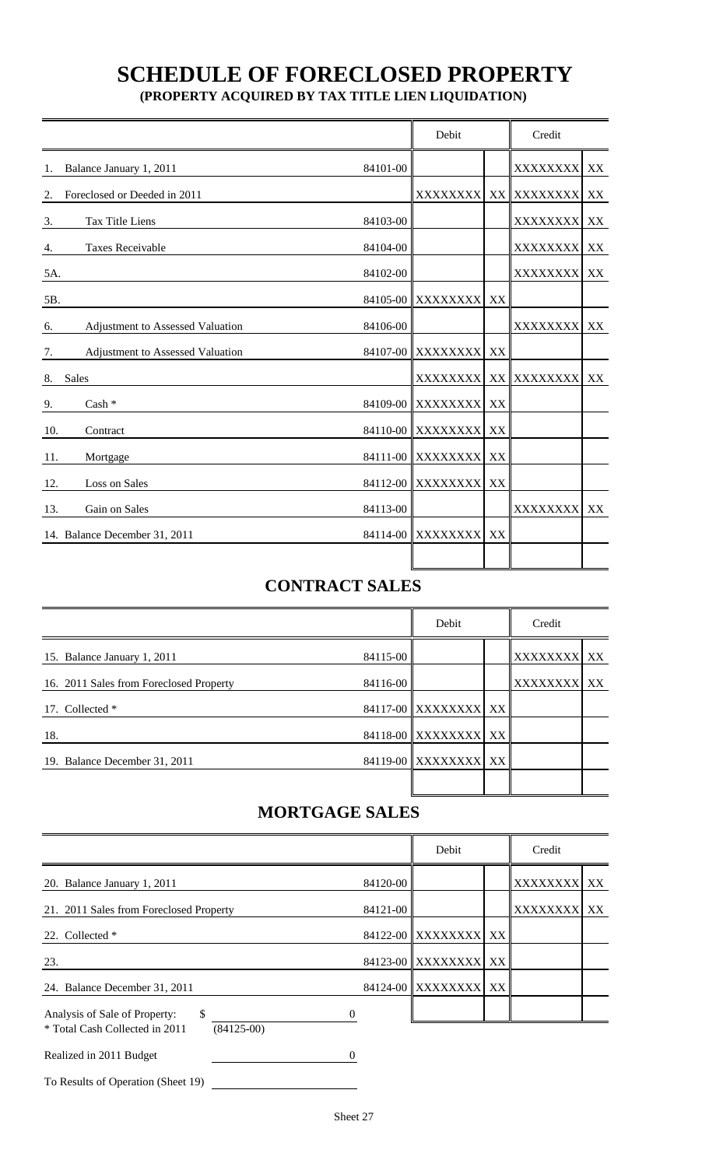# **SCHEDULE OF FORECLOSED PROPERTY**

 **(PROPERTY ACQUIRED BY TAX TITLE LIEN LIQUIDATION)**

|                    |                                  |          | Debit                |    | Credit          |               |
|--------------------|----------------------------------|----------|----------------------|----|-----------------|---------------|
| 1.                 | Balance January 1, 2011          | 84101-00 |                      |    | XXXXXXXX        | $\mathbf{XX}$ |
| 2.                 | Foreclosed or Deeded in 2011     |          | XXXXXXXX             |    | XX XXXXXXXX     | XX            |
| 3.                 | Tax Title Liens                  | 84103-00 |                      |    | XXXXXXXX        | XX            |
| 4.                 | <b>Taxes Receivable</b>          | 84104-00 |                      |    | <b>XXXXXXXX</b> | XX            |
| 5A.                |                                  | 84102-00 |                      |    | <b>XXXXXXXX</b> | XX            |
| 5B.                |                                  | 84105-00 | <b>XXXXXXXX</b>      | XX |                 |               |
| 6.                 | Adjustment to Assessed Valuation | 84106-00 |                      |    | XXXXXXXX        | XX            |
| 7.                 | Adjustment to Assessed Valuation |          | 84107-00 XXXXXXXX    | XX |                 |               |
| <b>Sales</b><br>8. |                                  |          | XXXXXXXX             | XX | XXXXXXXX        | XX            |
| 9.                 | Cash *                           |          | 84109-00 XXXXXXXX    | XX |                 |               |
| 10.                | Contract                         |          | 84110-00 XXXXXXXX    | XX |                 |               |
| 11.                | Mortgage                         |          | 84111-00 XXXXXXXX    | XX |                 |               |
| 12.                | Loss on Sales                    |          | 84112-00 XXXXXXXX    | XX |                 |               |
| 13.                | Gain on Sales                    | 84113-00 |                      |    | XXXXXXXX        | XX            |
|                    | 14. Balance December 31, 2011    |          | 84114-00 XXXXXXXX XX |    |                 |               |
|                    |                                  |          |                      |    |                 |               |

### **CONTRACT SALES**

|                                         |          | Debit                | Credit      |  |  |
|-----------------------------------------|----------|----------------------|-------------|--|--|
| 15. Balance January 1, 2011             | 84115-00 |                      | XXXXXXXX XX |  |  |
| 16. 2011 Sales from Foreclosed Property | 84116-00 |                      | XXXXXXXX XX |  |  |
| 17. Collected *                         |          | 84117-00 XXXXXXXX XX |             |  |  |
| 18.                                     |          | 84118-00 XXXXXXXX XX |             |  |  |
| 19. Balance December 31, 2011           |          | 84119-00 XXXXXXXX XX |             |  |  |
|                                         |          |                      |             |  |  |

### **MORTGAGE SALES**

|                                                                                        | Debit    | Credit               |                 |    |
|----------------------------------------------------------------------------------------|----------|----------------------|-----------------|----|
| 20. Balance January 1, 2011                                                            | 84120-00 |                      | XXXXXXXX        | XX |
| 21. 2011 Sales from Foreclosed Property                                                | 84121-00 |                      | <b>XXXXXXXX</b> | XX |
| 22. Collected *                                                                        |          | 84122-00 XXXXXXXX XX |                 |    |
| 23.                                                                                    |          | 84123-00 XXXXXXXX XX |                 |    |
| 24. Balance December 31, 2011                                                          |          | 84124-00 XXXXXXXX XX |                 |    |
| Analysis of Sale of Property:<br>\$.<br>* Total Cash Collected in 2011<br>$(84125-00)$ |          |                      |                 |    |
| Realized in 2011 Budget                                                                | 0        |                      |                 |    |

To Results of Operation (Sheet 19)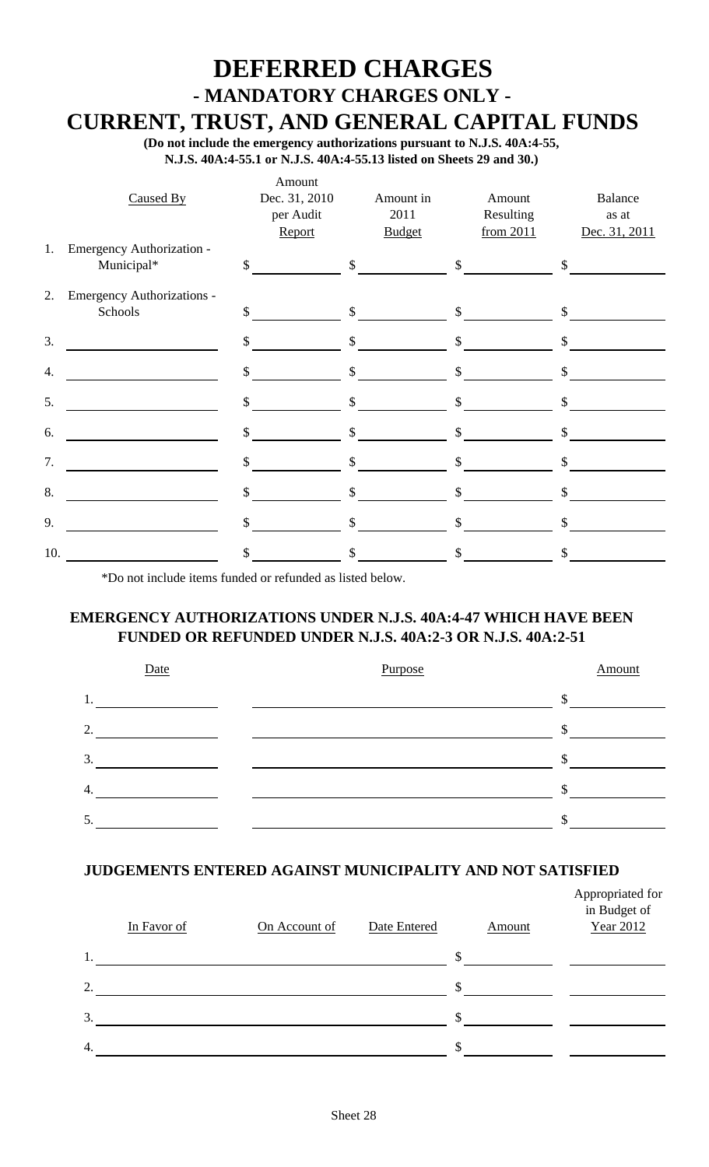# **DEFERRED CHARGES - MANDATORY CHARGES ONLY -**

 **CURRENT, TRUST, AND GENERAL CAPITAL FUNDS**

 **(Do not include the emergency authorizations pursuant to N.J.S. 40A:4-55, N.J.S. 40A:4-55.1 or N.J.S. 40A:4-55.13 listed on Sheets 29 and 30.)**

|     | Caused By                               | Amount<br>Dec. 31, 2010<br>per Audit<br>Report | Amount in<br>2011<br><b>Budget</b> | Amount<br>Resulting<br>from 2011 | Balance<br>as at<br>Dec. 31, 2011 |
|-----|-----------------------------------------|------------------------------------------------|------------------------------------|----------------------------------|-----------------------------------|
| 1.  | Emergency Authorization -<br>Municipal* | $\mathcal{S}$                                  | \$                                 | $\mathbb{S}$                     | $\mathcal{S}$                     |
| 2.  | Emergency Authorizations -<br>Schools   | $\mathbb{S}$                                   | $\mathbb{S}$                       | $\mathbb{S}$                     | \$                                |
| 3.  |                                         | $\mathbb{S}$                                   | $\mathsf{S}$                       | $\mathbb{S}$                     | \$                                |
| 4.  |                                         | $\mathbb{S}$                                   | $\mathbb{S}$                       | $\mathcal{S}$                    | $\mathbb{S}$                      |
| 5.  |                                         | $\mathcal{S}$                                  | $\mathsf{\$}$                      | $\boldsymbol{\mathsf{S}}$        | $\mathsf{\$}$                     |
| 6.  |                                         | \$                                             | \$                                 | \$                               | \$                                |
| 7.  |                                         | \$                                             | \$                                 | \$                               | \$                                |
| 8.  |                                         | \$                                             | \$                                 | \$                               | \$                                |
| 9.  |                                         | \$                                             | $\mathbb{S}$                       | $\mathbb{S}$                     | $\mathbb{S}$                      |
| 10. |                                         | \$                                             | \$                                 | \$                               | \$                                |

\*Do not include items funded or refunded as listed below.

### **EMERGENCY AUTHORIZATIONS UNDER N.J.S. 40A:4-47 WHICH HAVE BEEN FUNDED OR REFUNDED UNDER N.J.S. 40A:2-3 OR N.J.S. 40A:2-51**



### **JUDGEMENTS ENTERED AGAINST MUNICIPALITY AND NOT SATISFIED**

|                | In Favor of | On Account of | Date Entered |     | Amount | Appropriated for<br>in Budget of<br>Year 2012 |
|----------------|-------------|---------------|--------------|-----|--------|-----------------------------------------------|
| 1.             |             |               |              | \$. |        |                                               |
| $\overline{2}$ |             |               |              | \$  |        |                                               |
| 3.             |             |               |              | S.  |        |                                               |
| 4.             |             |               |              | \$  |        |                                               |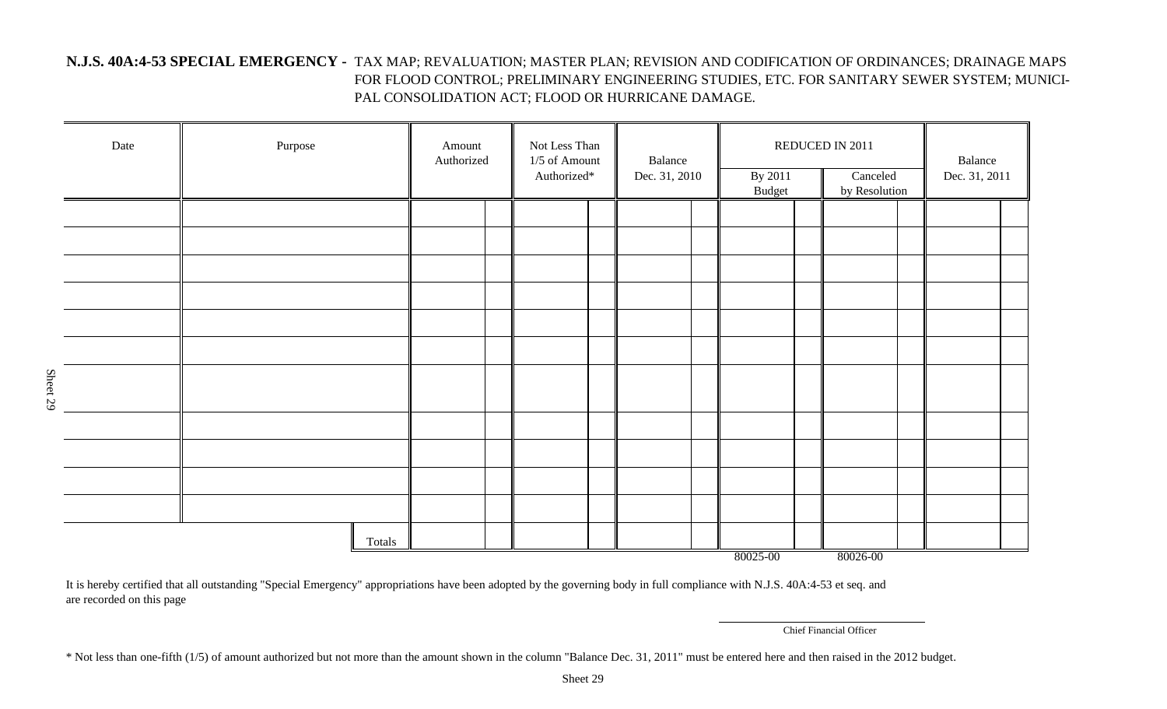#### **N.J.S. 40A:4-53 SPECIAL EMERGENCY -** TAX MAP; REVALUATION; MASTER PLAN; REVISION AND CODIFICATION OF ORDINANCES; DRAINAGE MAPS FOR FLOOD CONTROL; PRELIMINARY ENGINEERING STUDIES, ETC. FOR SANITARY SEWER SYSTEM; MUNICI-PAL CONSOLIDATION ACT; FLOOD OR HURRICANE DAMAGE.

| Date     | Purpose | Amount<br>Authorized |  | Not Less Than<br>1/5 of Amount<br>Authorized* |  | Balance<br>Dec. 31, 2010 |  | By 2011<br><b>Budget</b> |  | REDUCED IN 2011<br>Canceled<br>by Resolution |  | Balance<br>Dec. 31, 2011 |  |
|----------|---------|----------------------|--|-----------------------------------------------|--|--------------------------|--|--------------------------|--|----------------------------------------------|--|--------------------------|--|
|          |         |                      |  |                                               |  |                          |  |                          |  |                                              |  |                          |  |
|          |         |                      |  |                                               |  |                          |  |                          |  |                                              |  |                          |  |
|          |         |                      |  |                                               |  |                          |  |                          |  |                                              |  |                          |  |
|          |         |                      |  |                                               |  |                          |  |                          |  |                                              |  |                          |  |
|          |         |                      |  |                                               |  |                          |  |                          |  |                                              |  |                          |  |
|          |         |                      |  |                                               |  |                          |  |                          |  |                                              |  |                          |  |
|          |         |                      |  |                                               |  |                          |  |                          |  |                                              |  |                          |  |
| Sheet 29 |         |                      |  |                                               |  |                          |  |                          |  |                                              |  |                          |  |
|          |         |                      |  |                                               |  |                          |  |                          |  |                                              |  |                          |  |
|          |         |                      |  |                                               |  |                          |  |                          |  |                                              |  |                          |  |
|          |         |                      |  |                                               |  |                          |  |                          |  |                                              |  |                          |  |
|          |         |                      |  |                                               |  |                          |  |                          |  |                                              |  |                          |  |
|          | Totals  |                      |  |                                               |  |                          |  | 80025-00                 |  | 80026-00                                     |  |                          |  |

It is hereby certified that all outstanding "Special Emergency" appropriations have been adopted by the governing body in full compliance with N.J.S. 40A:4-53 et seq. and are recorded on this page

Chief Financial Officer

\* Not less than one-fifth (1/5) of amount authorized but not more than the amount shown in the column "Balance Dec. 31, 2011" must be entered here and then raised in the 2012 budget.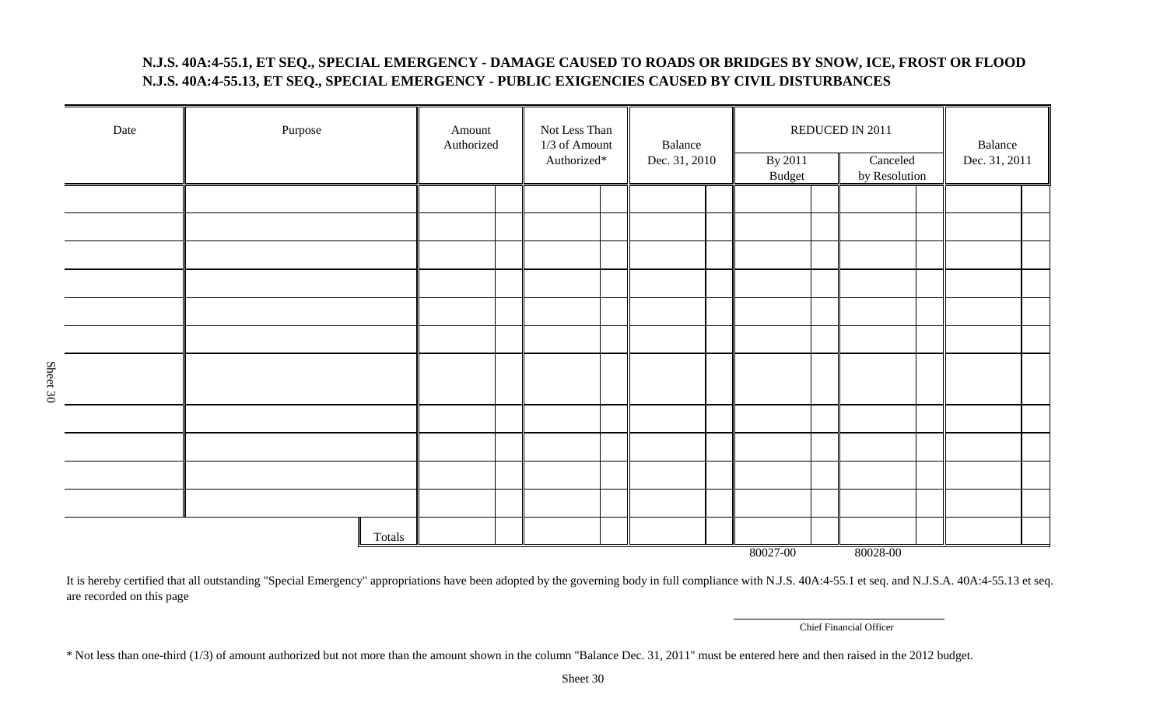#### **N.J.S. 40A:4-55.1, ET SEQ., SPECIAL EMERGENCY - DAMAGE CAUSED TO ROADS OR BRIDGES BY SNOW, ICE, FROST OR FLOOD N.J.S. 40A:4-55.13, ET SEQ., SPECIAL EMERGENCY - PUBLIC EXIGENCIES CAUSED BY CIVIL DISTURBANCES**

|          | Date | Purpose | Amount<br>Authorized | Not Less Than<br>1/3 of Amount<br>Authorized* | Balance<br>Dec. 31, 2010 | By 2011<br><b>Budget</b> | REDUCED IN 2011<br>Canceled<br>by Resolution | Balance<br>Dec. 31, 2011 |
|----------|------|---------|----------------------|-----------------------------------------------|--------------------------|--------------------------|----------------------------------------------|--------------------------|
|          |      |         |                      |                                               |                          |                          |                                              |                          |
|          |      |         |                      |                                               |                          |                          |                                              |                          |
|          |      |         |                      |                                               |                          |                          |                                              |                          |
|          |      |         |                      |                                               |                          |                          |                                              |                          |
|          |      |         |                      |                                               |                          |                          |                                              |                          |
|          |      |         |                      |                                               |                          |                          |                                              |                          |
| Sheet 30 |      |         |                      |                                               |                          |                          |                                              |                          |
|          |      |         |                      |                                               |                          |                          |                                              |                          |
|          |      |         |                      |                                               |                          |                          |                                              |                          |
|          |      |         |                      |                                               |                          |                          |                                              |                          |
|          |      |         |                      |                                               |                          |                          |                                              |                          |
|          |      | Totals  |                      |                                               |                          | 80027-00                 | 80028-00                                     |                          |

It is hereby certified that all outstanding "Special Emergency" appropriations have been adopted by the governing body in full compliance with N.J.S. 40A:4-55.1 et seq. and N.J.S.A. 40A:4-55.13 et seq. are recorded on this page

Chief Financial Officer

\* Not less than one-third (1/3) of amount authorized but not more than the amount shown in the column "Balance Dec. 31, 2011" must be entered here and then raised in the 2012 budget.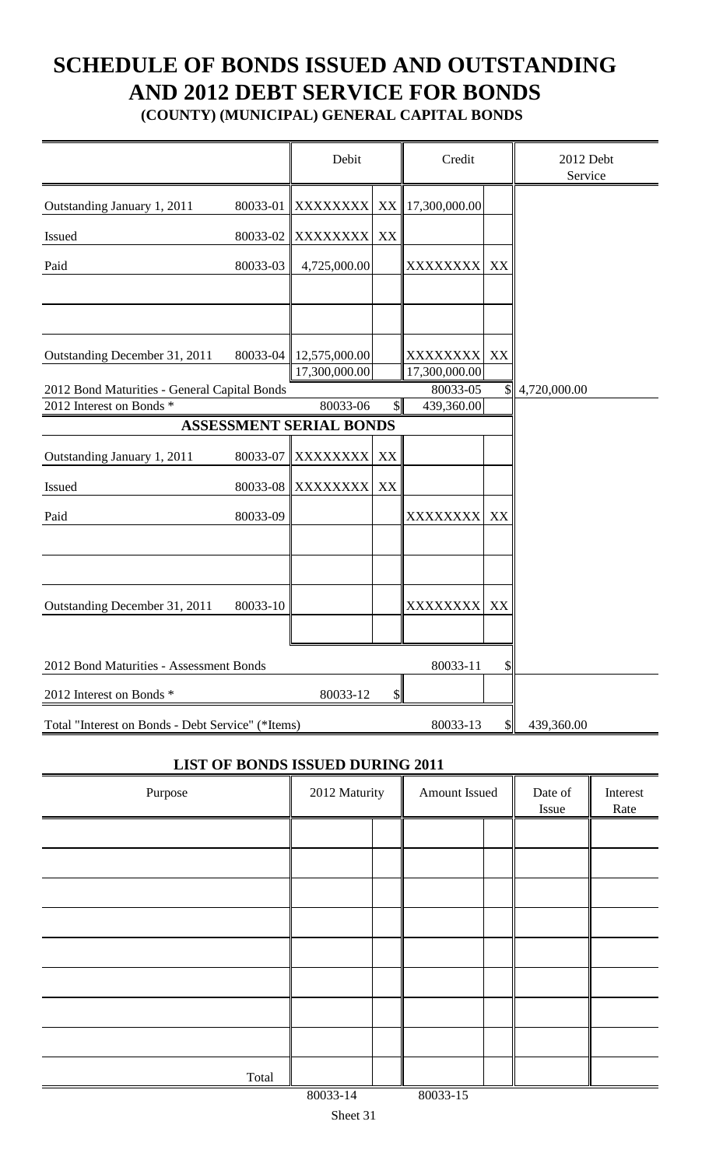# **SCHEDULE OF BONDS ISSUED AND OUTSTANDING AND 2012 DEBT SERVICE FOR BONDS**

**(COUNTY) (MUNICIPAL) GENERAL CAPITAL BONDS**

|                                                   |          | Debit                          |               | Credit                    |                           | 2012 Debt<br>Service |
|---------------------------------------------------|----------|--------------------------------|---------------|---------------------------|---------------------------|----------------------|
| Outstanding January 1, 2011                       | 80033-01 | <b>XXXXXXXX</b>                |               | XX 17,300,000.00          |                           |                      |
| Issued                                            | 80033-02 | <b>XXXXXXXX</b>                | XX            |                           |                           |                      |
| Paid                                              | 80033-03 | 4,725,000.00                   |               | XXXXXXXX                  | XX                        |                      |
|                                                   |          |                                |               |                           |                           |                      |
| Outstanding December 31, 2011                     | 80033-04 | 12,575,000.00<br>17,300,000.00 |               | XXXXXXXX<br>17,300,000.00 | XX                        |                      |
| 2012 Bond Maturities - General Capital Bonds      |          |                                |               | 80033-05                  | $\mathbb{S}$              | 4,720,000.00         |
| 2012 Interest on Bonds *                          |          | 80033-06                       | $\mathcal{S}$ | 439,360.00                |                           |                      |
|                                                   |          | <b>ASSESSMENT SERIAL BONDS</b> |               |                           |                           |                      |
| Outstanding January 1, 2011                       | 80033-07 | XXXXXXXX                       | XX            |                           |                           |                      |
| Issued                                            | 80033-08 | <b>XXXXXXXX</b>                | XX            |                           |                           |                      |
|                                                   |          |                                |               |                           |                           |                      |
| Paid                                              | 80033-09 |                                |               | XXXXXXXX                  | XX                        |                      |
|                                                   |          |                                |               |                           |                           |                      |
| Outstanding December 31, 2011                     | 80033-10 |                                |               | XXXXXXXX                  | XX                        |                      |
| 2012 Bond Maturities - Assessment Bonds           |          |                                |               |                           |                           |                      |
| 2012 Interest on Bonds *                          |          | 80033-12                       | $\mathcal{S}$ |                           |                           |                      |
| Total "Interest on Bonds - Debt Service" (*Items) |          |                                |               | 80033-13                  | $\boldsymbol{\mathsf{S}}$ | 439,360.00           |

### **LIST OF BONDS ISSUED DURING 2011**

| Purpose | 2012 Maturity |  | Amount Issued | Date of<br>Issue | Interest<br>Rate |
|---------|---------------|--|---------------|------------------|------------------|
|         |               |  |               |                  |                  |
|         |               |  |               |                  |                  |
|         |               |  |               |                  |                  |
|         |               |  |               |                  |                  |
|         |               |  |               |                  |                  |
|         |               |  |               |                  |                  |
|         |               |  |               |                  |                  |
|         |               |  |               |                  |                  |
| Total   |               |  |               |                  |                  |
|         | 80033-14      |  | 80033-15      |                  |                  |

Sheet 31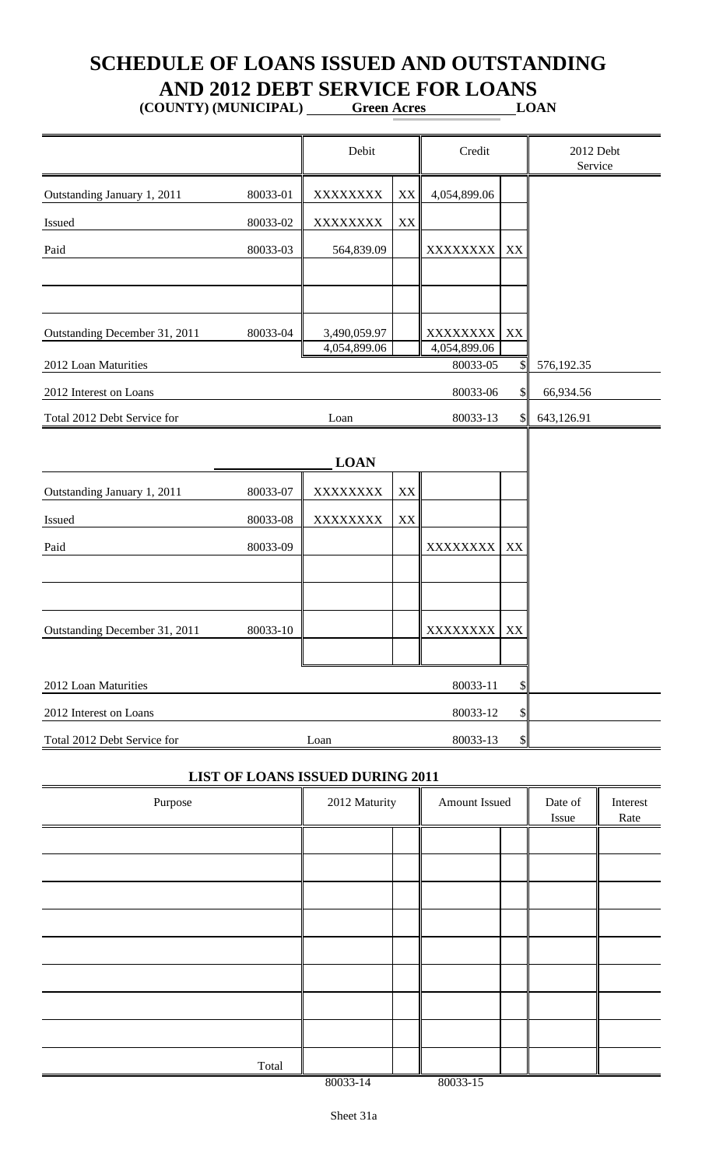## **SCHEDULE OF LOANS ISSUED AND OUTSTANDING AND 2012 DEBT SERVICE FOR LOANS**

**(COUNTY) (MUNICIPAL) Green Acres LOAN**

|                               |          | Debit                        |               | Credit                   |                           | 2012 Debt<br>Service |
|-------------------------------|----------|------------------------------|---------------|--------------------------|---------------------------|----------------------|
| Outstanding January 1, 2011   | 80033-01 | XXXXXXXX                     | $\mathbf{XX}$ | 4,054,899.06             |                           |                      |
| Issued                        | 80033-02 | XXXXXXXX                     | XX            |                          |                           |                      |
| Paid                          | 80033-03 | 564,839.09                   |               | XXXXXXXX                 | XX                        |                      |
|                               |          |                              |               |                          |                           |                      |
| Outstanding December 31, 2011 | 80033-04 | 3,490,059.97<br>4,054,899.06 |               | XXXXXXXX<br>4,054,899.06 | XX                        |                      |
| 2012 Loan Maturities          |          |                              |               | 80033-05                 | $\mathcal{S}$             | 576,192.35           |
| 2012 Interest on Loans        |          |                              |               | 80033-06                 | \$                        | 66,934.56            |
| Total 2012 Debt Service for   |          | Loan                         |               | 80033-13                 | \$I                       | 643,126.91           |
|                               |          | <b>LOAN</b>                  |               |                          |                           |                      |
| Outstanding January 1, 2011   | 80033-07 | XXXXXXXX                     | XX            |                          |                           |                      |
| Issued                        | 80033-08 | XXXXXXXX                     | XX            |                          |                           |                      |
| Paid                          | 80033-09 |                              |               | XXXXXXXX                 | XX                        |                      |
|                               |          |                              |               |                          |                           |                      |
| Outstanding December 31, 2011 | 80033-10 |                              |               | XXXXXXXX                 | XX                        |                      |
|                               |          |                              |               |                          |                           |                      |
| 2012 Loan Maturities          |          |                              |               | 80033-11                 | Φ                         |                      |
| 2012 Interest on Loans        |          |                              |               | 80033-12                 |                           |                      |
| Total 2012 Debt Service for   |          | Loan                         |               | 80033-13                 | $\boldsymbol{\mathsf{S}}$ |                      |

|  |  |  |  | <b>LIST OF LOANS ISSUED DURING 2011</b> |
|--|--|--|--|-----------------------------------------|
|--|--|--|--|-----------------------------------------|

| Purpose | 2012 Maturity |  | Amount Issued | Date of<br>Issue | Interest<br>Rate |
|---------|---------------|--|---------------|------------------|------------------|
|         |               |  |               |                  |                  |
|         |               |  |               |                  |                  |
|         |               |  |               |                  |                  |
|         |               |  |               |                  |                  |
|         |               |  |               |                  |                  |
|         |               |  |               |                  |                  |
|         |               |  |               |                  |                  |
|         |               |  |               |                  |                  |
| Total   |               |  |               |                  |                  |
|         | 80033-14      |  | 80033-15      |                  |                  |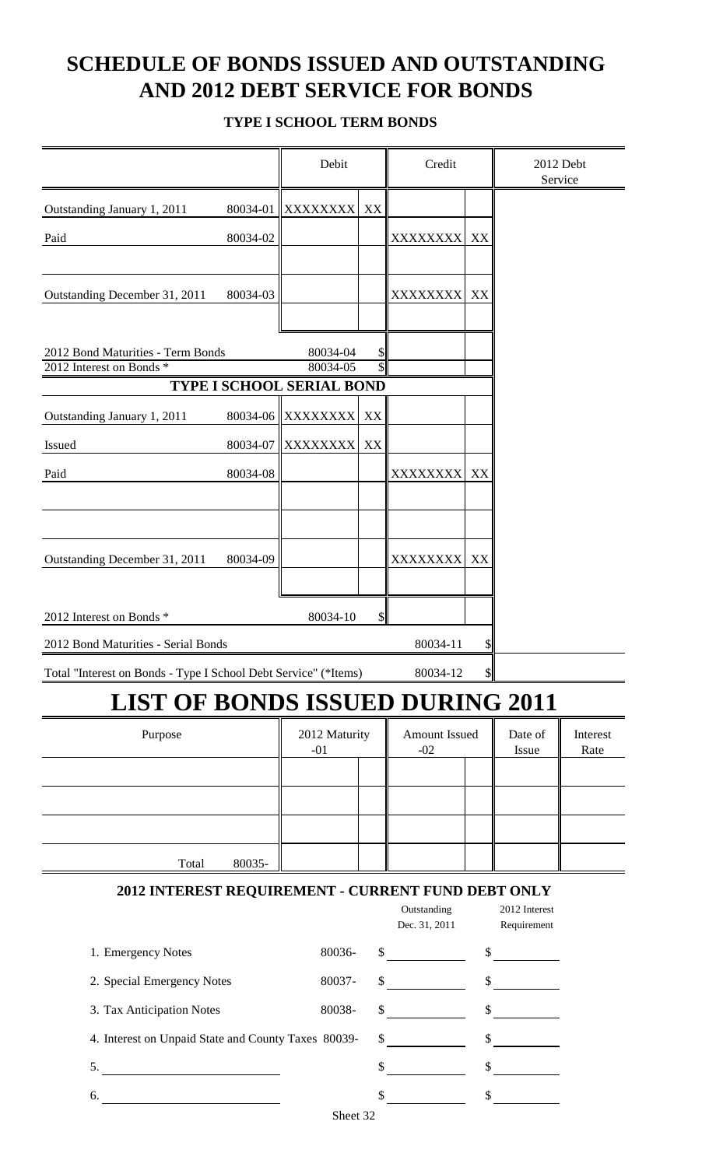## **SCHEDULE OF BONDS ISSUED AND OUTSTANDING AND 2012 DEBT SERVICE FOR BONDS**

#### **TYPE I SCHOOL TERM BONDS**

|                                                                 |          | Debit                                        |    | Credit                                                                                                                                                                                                                                                                                                                                                                                                                          |               | 2012 Debt<br>Service         |          |
|-----------------------------------------------------------------|----------|----------------------------------------------|----|---------------------------------------------------------------------------------------------------------------------------------------------------------------------------------------------------------------------------------------------------------------------------------------------------------------------------------------------------------------------------------------------------------------------------------|---------------|------------------------------|----------|
| Outstanding January 1, 2011                                     | 80034-01 | <b>XXXXXXXX</b>                              | XX |                                                                                                                                                                                                                                                                                                                                                                                                                                 |               |                              |          |
| Paid                                                            | 80034-02 |                                              |    | XXXXXXXX                                                                                                                                                                                                                                                                                                                                                                                                                        | XX            |                              |          |
|                                                                 |          |                                              |    |                                                                                                                                                                                                                                                                                                                                                                                                                                 |               |                              |          |
| Outstanding December 31, 2011                                   | 80034-03 |                                              |    | XXXXXXXX                                                                                                                                                                                                                                                                                                                                                                                                                        | XX            |                              |          |
|                                                                 |          |                                              |    |                                                                                                                                                                                                                                                                                                                                                                                                                                 |               |                              |          |
| 2012 Bond Maturities - Term Bonds                               |          | 80034-04                                     | \$ |                                                                                                                                                                                                                                                                                                                                                                                                                                 |               |                              |          |
| 2012 Interest on Bonds *                                        |          | 80034-05<br><b>TYPE I SCHOOL SERIAL BOND</b> | \$ |                                                                                                                                                                                                                                                                                                                                                                                                                                 |               |                              |          |
| Outstanding January 1, 2011                                     | 80034-06 | XXXXXXXX                                     | XX |                                                                                                                                                                                                                                                                                                                                                                                                                                 |               |                              |          |
|                                                                 |          |                                              |    |                                                                                                                                                                                                                                                                                                                                                                                                                                 |               |                              |          |
| Issued                                                          | 80034-07 | XXXXXXXX                                     | XX |                                                                                                                                                                                                                                                                                                                                                                                                                                 |               |                              |          |
| Paid                                                            | 80034-08 |                                              |    | XXXXXXXX                                                                                                                                                                                                                                                                                                                                                                                                                        | XX            |                              |          |
|                                                                 |          |                                              |    |                                                                                                                                                                                                                                                                                                                                                                                                                                 |               |                              |          |
|                                                                 |          |                                              |    |                                                                                                                                                                                                                                                                                                                                                                                                                                 |               |                              |          |
| Outstanding December 31, 2011                                   | 80034-09 |                                              |    | XXXXXXXX                                                                                                                                                                                                                                                                                                                                                                                                                        | XX            |                              |          |
|                                                                 |          |                                              |    |                                                                                                                                                                                                                                                                                                                                                                                                                                 |               |                              |          |
| 2012 Interest on Bonds *                                        |          | 80034-10                                     | \$ |                                                                                                                                                                                                                                                                                                                                                                                                                                 |               |                              |          |
| 2012 Bond Maturities - Serial Bonds                             |          |                                              |    | 80034-11                                                                                                                                                                                                                                                                                                                                                                                                                        | SI            |                              |          |
| Total "Interest on Bonds - Type I School Debt Service" (*Items) |          |                                              |    | 80034-12                                                                                                                                                                                                                                                                                                                                                                                                                        | $\frac{1}{2}$ |                              |          |
| <b>LIST OF BONDS ISSUED DURING 2011</b>                         |          |                                              |    |                                                                                                                                                                                                                                                                                                                                                                                                                                 |               |                              |          |
| Purpose                                                         |          | 2012 Maturity                                |    | <b>Amount Issued</b>                                                                                                                                                                                                                                                                                                                                                                                                            |               | Date of                      | Interest |
|                                                                 |          | $-01$                                        |    | $-02$                                                                                                                                                                                                                                                                                                                                                                                                                           |               | Issue                        | Rate     |
|                                                                 |          |                                              |    |                                                                                                                                                                                                                                                                                                                                                                                                                                 |               |                              |          |
|                                                                 |          |                                              |    |                                                                                                                                                                                                                                                                                                                                                                                                                                 |               |                              |          |
|                                                                 |          |                                              |    |                                                                                                                                                                                                                                                                                                                                                                                                                                 |               |                              |          |
| Total                                                           | 80035-   |                                              |    |                                                                                                                                                                                                                                                                                                                                                                                                                                 |               |                              |          |
|                                                                 |          |                                              |    |                                                                                                                                                                                                                                                                                                                                                                                                                                 |               |                              |          |
| 2012 INTEREST REQUIREMENT - CURRENT FUND DEBT ONLY              |          |                                              |    | Outstanding<br>Dec. 31, 2011                                                                                                                                                                                                                                                                                                                                                                                                    |               | 2012 Interest<br>Requirement |          |
| 1. Emergency Notes                                              |          | 80036-                                       |    | $\frac{1}{\sqrt{1-\frac{1}{2}}}\frac{1}{\sqrt{1-\frac{1}{2}}}\frac{1}{\sqrt{1-\frac{1}{2}}}\frac{1}{\sqrt{1-\frac{1}{2}}}\frac{1}{\sqrt{1-\frac{1}{2}}}\frac{1}{\sqrt{1-\frac{1}{2}}}\frac{1}{\sqrt{1-\frac{1}{2}}}\frac{1}{\sqrt{1-\frac{1}{2}}}\frac{1}{\sqrt{1-\frac{1}{2}}}\frac{1}{\sqrt{1-\frac{1}{2}}}\frac{1}{\sqrt{1-\frac{1}{2}}}\frac{1}{\sqrt{1-\frac{1}{2}}}\frac{1}{\sqrt{1-\frac{1}{2}}}\frac{1}{\sqrt{1-\frac{$ |               | $\frac{\text{S}}{\text{S}}$  |          |
| 2. Special Emergency Notes                                      |          | 80037-                                       | \$ |                                                                                                                                                                                                                                                                                                                                                                                                                                 |               | $\sim$                       |          |
| 3. Tax Anticipation Notes                                       |          | 80038-                                       |    |                                                                                                                                                                                                                                                                                                                                                                                                                                 |               |                              |          |
| 4. Interest on Unpaid State and County Taxes 80039-             |          |                                              |    | $\sim$                                                                                                                                                                                                                                                                                                                                                                                                                          |               | $\frac{\sqrt{2}}{2}$         |          |
| 5.<br><u> 1980 - Andrea Andrew Maria (b. 1980)</u>              |          |                                              |    | $\sim$                                                                                                                                                                                                                                                                                                                                                                                                                          |               | $\sim$                       |          |
| 6.                                                              |          |                                              |    | $\mathbb{S}$                                                                                                                                                                                                                                                                                                                                                                                                                    |               | $\sim$                       |          |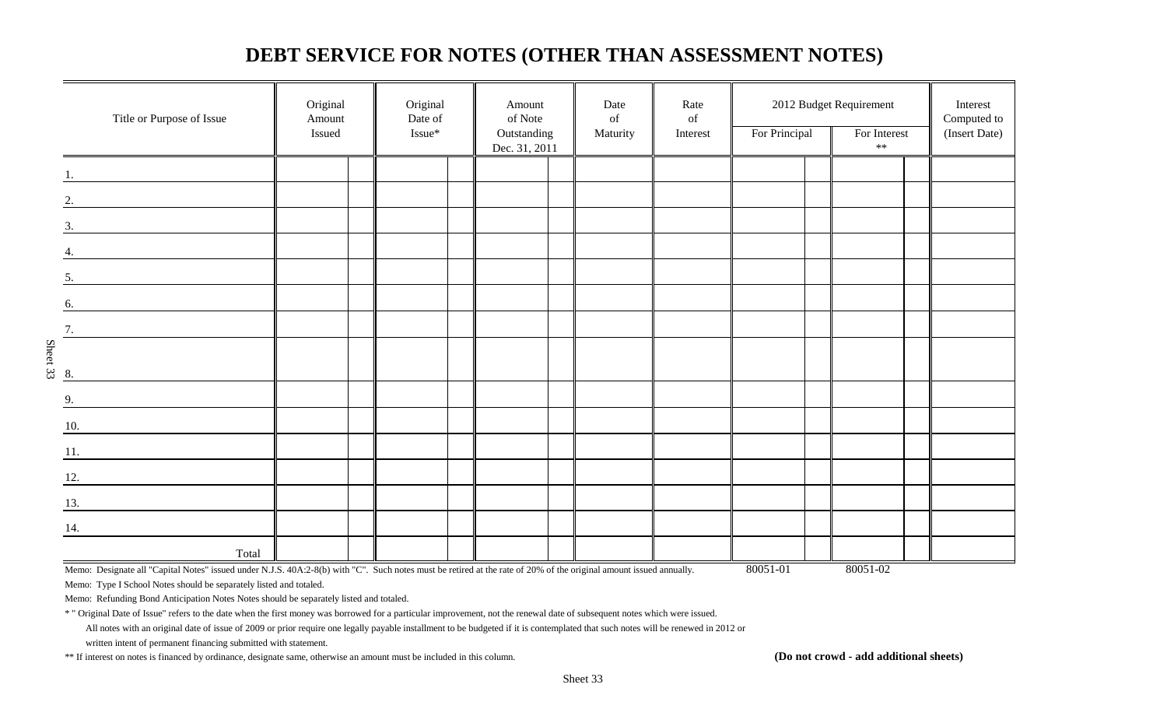### **DEBT SERVICE FOR NOTES (OTHER THAN ASSESSMENT NOTES)**

|                    | Title or Purpose of Issue                                                                                                                                                   | Original<br>Amount<br>Issued | Original<br>Date of<br>Issue* | Amount<br>of Note<br>Outstanding | Date<br>$% \left( \left( \mathcal{A},\mathcal{A}\right) \right) =\left( \mathcal{A},\mathcal{A}\right)$ of<br>Maturity | Rate<br>of<br>Interest | For Principal | 2012 Budget Requirement<br>For Interest | Interest<br>Computed to<br>(Insert Date) |
|--------------------|-----------------------------------------------------------------------------------------------------------------------------------------------------------------------------|------------------------------|-------------------------------|----------------------------------|------------------------------------------------------------------------------------------------------------------------|------------------------|---------------|-----------------------------------------|------------------------------------------|
|                    |                                                                                                                                                                             |                              |                               | Dec. 31, 2011                    |                                                                                                                        |                        |               | $**$                                    |                                          |
|                    |                                                                                                                                                                             |                              |                               |                                  |                                                                                                                        |                        |               |                                         |                                          |
| 2.                 |                                                                                                                                                                             |                              |                               |                                  |                                                                                                                        |                        |               |                                         |                                          |
|                    |                                                                                                                                                                             |                              |                               |                                  |                                                                                                                        |                        |               |                                         |                                          |
| 4.                 | $\frac{3}{2}$                                                                                                                                                               |                              |                               |                                  |                                                                                                                        |                        |               |                                         |                                          |
| 5.                 |                                                                                                                                                                             |                              |                               |                                  |                                                                                                                        |                        |               |                                         |                                          |
| 6.                 |                                                                                                                                                                             |                              |                               |                                  |                                                                                                                        |                        |               |                                         |                                          |
|                    | <u> 1989 - Jan Barbara Barat, prima popula</u>                                                                                                                              |                              |                               |                                  |                                                                                                                        |                        |               |                                         |                                          |
| 7.                 |                                                                                                                                                                             |                              |                               |                                  |                                                                                                                        |                        |               |                                         |                                          |
| Sheet 33<br>8.     |                                                                                                                                                                             |                              |                               |                                  |                                                                                                                        |                        |               |                                         |                                          |
| 9.                 |                                                                                                                                                                             |                              |                               |                                  |                                                                                                                        |                        |               |                                         |                                          |
| $\underline{10}$ . |                                                                                                                                                                             |                              |                               |                                  |                                                                                                                        |                        |               |                                         |                                          |
|                    | $\overline{11}$ .                                                                                                                                                           |                              |                               |                                  |                                                                                                                        |                        |               |                                         |                                          |
|                    | $\overline{12.}$                                                                                                                                                            |                              |                               |                                  |                                                                                                                        |                        |               |                                         |                                          |
|                    |                                                                                                                                                                             |                              |                               |                                  |                                                                                                                        |                        |               |                                         |                                          |
| 13.                | <u> 1980 - Jan Barat, prima prima prima prima prima prima prima prima prima prima prima prima prima prima prima p</u>                                                       |                              |                               |                                  |                                                                                                                        |                        |               |                                         |                                          |
| 14.                |                                                                                                                                                                             |                              |                               |                                  |                                                                                                                        |                        |               |                                         |                                          |
|                    | Total<br>Memo: Designate all "Capital Notes" issued under N.J.S. 40A:2-8(b) with "C". Such notes must be retired at the rate of 20% of the original amount issued annually. |                              |                               |                                  |                                                                                                                        |                        | 80051-01      | 80051-02                                |                                          |

Memo: Type I School Notes should be separately listed and totaled.

Memo: Refunding Bond Anticipation Notes Notes should be separately listed and totaled.

\* " Original Date of Issue" refers to the date when the first money was borrowed for a particular improvement, not the renewal date of subsequent notes which were issued.

All notes with an original date of issue of 2009 or prior require one legally payable installment to be budgeted if it is contemplated that such notes will be renewed in 2012 or

written intent of permanent financing submitted with statement.

\*\* If interest on notes is financed by ordinance, designate same, otherwise an amount must be included in this column. **(Do not crowd - add additional sheets)**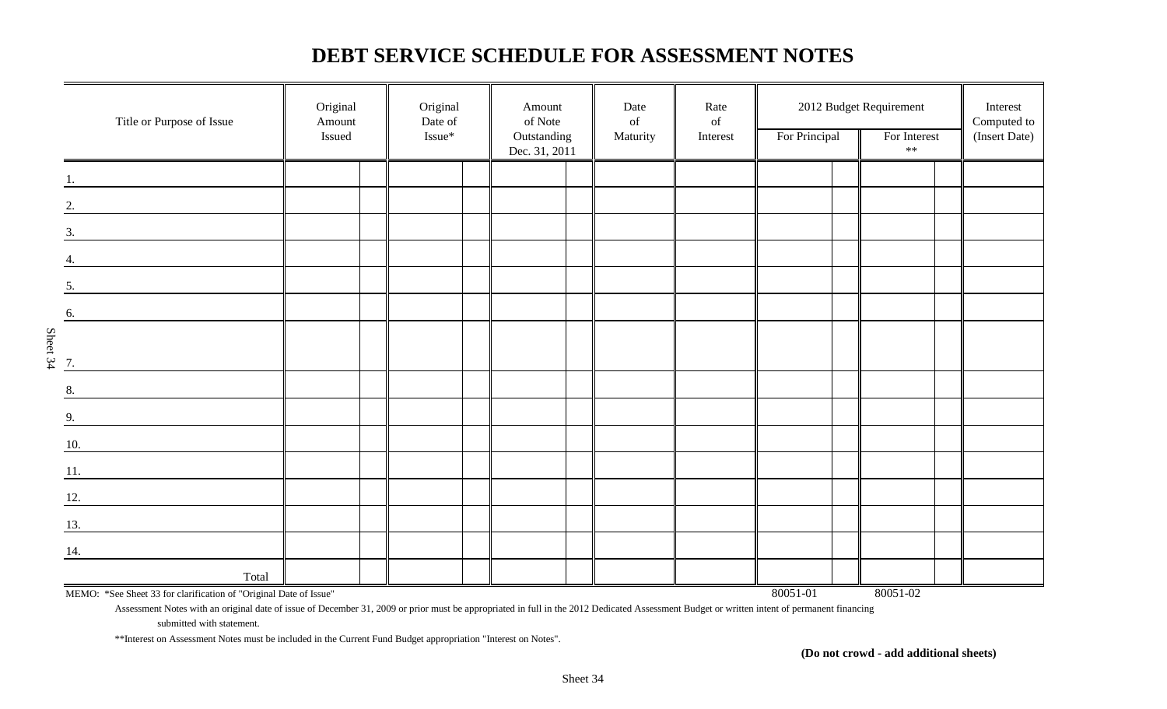### **DEBT SERVICE SCHEDULE FOR ASSESSMENT NOTES**

|          | Title or Purpose of Issue                                         | Original<br>Amount<br>Issued | Original<br>Date of<br>Issue* | Amount<br>of Note<br>Outstanding | Date<br>$% \left( \left( \mathcal{A},\mathcal{A}\right) \right) =\left( \mathcal{A},\mathcal{A}\right)$ of<br>Maturity | Rate<br>$% \left( \left( \mathcal{A},\mathcal{A}\right) \right) =\left( \mathcal{A},\mathcal{A}\right)$ of<br>Interest | For Principal | 2012 Budget Requirement<br>For Interest | Interest<br>Computed to<br>(Insert Date) |
|----------|-------------------------------------------------------------------|------------------------------|-------------------------------|----------------------------------|------------------------------------------------------------------------------------------------------------------------|------------------------------------------------------------------------------------------------------------------------|---------------|-----------------------------------------|------------------------------------------|
|          |                                                                   |                              |                               | Dec. 31, 2011                    |                                                                                                                        |                                                                                                                        |               | $\ast\ast$                              |                                          |
|          |                                                                   |                              |                               |                                  |                                                                                                                        |                                                                                                                        |               |                                         |                                          |
|          | 2.                                                                |                              |                               |                                  |                                                                                                                        |                                                                                                                        |               |                                         |                                          |
|          | 3.                                                                |                              |                               |                                  |                                                                                                                        |                                                                                                                        |               |                                         |                                          |
|          | 4.                                                                |                              |                               |                                  |                                                                                                                        |                                                                                                                        |               |                                         |                                          |
|          | 5.                                                                |                              |                               |                                  |                                                                                                                        |                                                                                                                        |               |                                         |                                          |
|          | 6.                                                                |                              |                               |                                  |                                                                                                                        |                                                                                                                        |               |                                         |                                          |
|          |                                                                   |                              |                               |                                  |                                                                                                                        |                                                                                                                        |               |                                         |                                          |
| Sheet 34 | 7.                                                                |                              |                               |                                  |                                                                                                                        |                                                                                                                        |               |                                         |                                          |
|          | 8.                                                                |                              |                               |                                  |                                                                                                                        |                                                                                                                        |               |                                         |                                          |
|          | 9.                                                                |                              |                               |                                  |                                                                                                                        |                                                                                                                        |               |                                         |                                          |
|          | 10.                                                               |                              |                               |                                  |                                                                                                                        |                                                                                                                        |               |                                         |                                          |
|          | 11.                                                               |                              |                               |                                  |                                                                                                                        |                                                                                                                        |               |                                         |                                          |
|          | 12.                                                               |                              |                               |                                  |                                                                                                                        |                                                                                                                        |               |                                         |                                          |
|          | 13.                                                               |                              |                               |                                  |                                                                                                                        |                                                                                                                        |               |                                         |                                          |
|          | 14.                                                               |                              |                               |                                  |                                                                                                                        |                                                                                                                        |               |                                         |                                          |
|          | Total                                                             |                              |                               |                                  |                                                                                                                        |                                                                                                                        |               |                                         |                                          |
|          | MEMO: *See Sheet 33 for clarification of "Original Date of Issue" |                              |                               |                                  |                                                                                                                        |                                                                                                                        | 80051-01      | 80051-02                                |                                          |

Assessment Notes with an original date of issue of December 31, 2009 or prior must be appropriated in full in the 2012 Dedicated Assessment Budget or written intent of permanent financing

submitted with statement.

\*\*Interest on Assessment Notes must be included in the Current Fund Budget appropriation "Interest on Notes".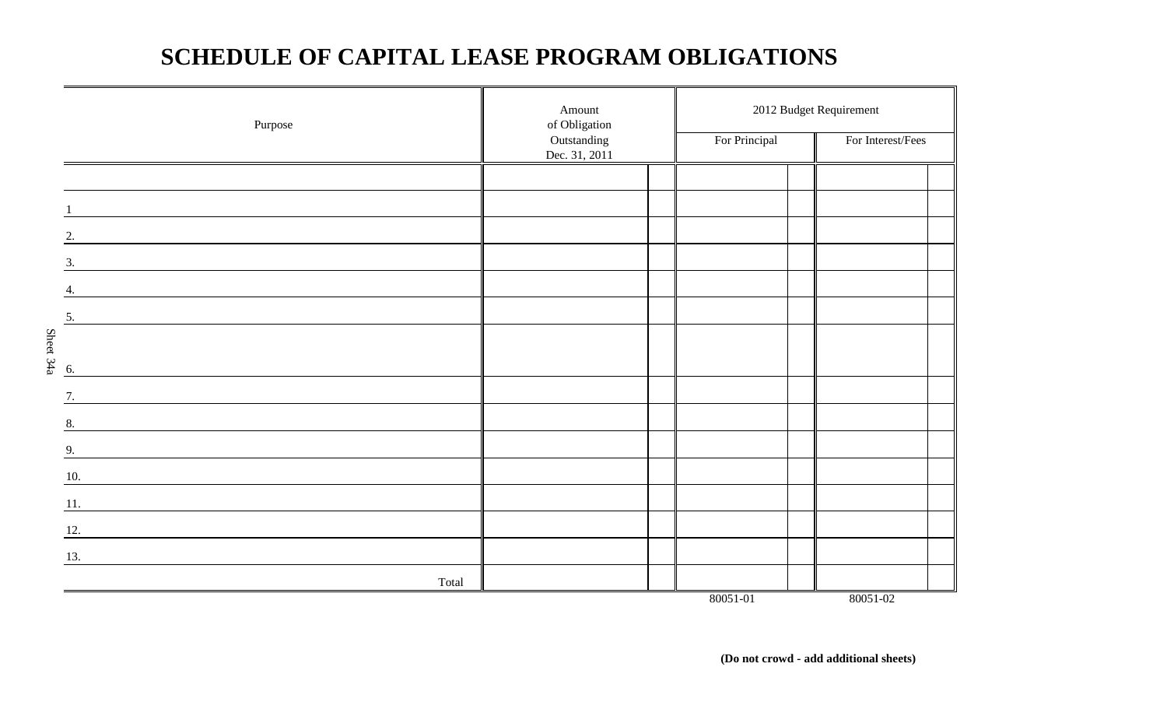## **SCHEDULE OF CAPITAL LEASE PROGRAM OBLIGATIONS**

|           | Purpose                                                                   | Amount<br>of Obligation<br>Outstanding<br>Dec. 31, 2011 | For Principal | 2012 Budget Requirement<br>For Interest/Fees |
|-----------|---------------------------------------------------------------------------|---------------------------------------------------------|---------------|----------------------------------------------|
|           |                                                                           |                                                         |               |                                              |
|           |                                                                           |                                                         |               |                                              |
|           | 2.                                                                        |                                                         |               |                                              |
|           | 3.                                                                        |                                                         |               |                                              |
|           | 4.                                                                        |                                                         |               |                                              |
|           | 5.                                                                        |                                                         |               |                                              |
|           |                                                                           |                                                         |               |                                              |
| Sheet 34a | 6.                                                                        |                                                         |               |                                              |
|           | 7.                                                                        |                                                         |               |                                              |
|           | 8.                                                                        |                                                         |               |                                              |
|           | 9.                                                                        |                                                         |               |                                              |
|           | 10.                                                                       |                                                         |               |                                              |
|           | 11.<br><u> 1989 - Johann Barbara, martxa amerikan personal (h. 1989).</u> |                                                         |               |                                              |
|           | 12.                                                                       |                                                         |               |                                              |
|           | 13.                                                                       |                                                         |               |                                              |
|           | Total                                                                     |                                                         | 80051-01      | 80051-02                                     |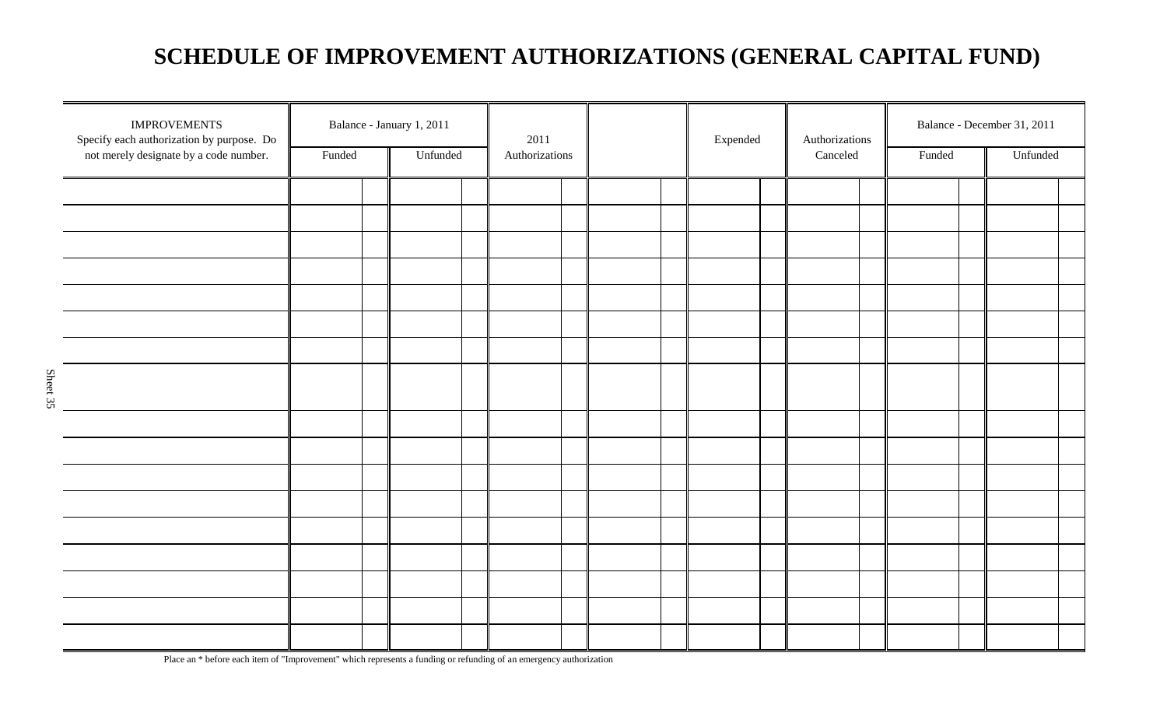## **SCHEDULE OF IMPROVEMENT AUTHORIZATIONS (GENERAL CAPITAL FUND)**

|          | <b>IMPROVEMENTS</b><br>Specify each authorization by purpose. Do |        | Balance - January 1, 2011 | 2011           |  | Expended | Authorizations |        | Balance - December 31, 2011 |  |
|----------|------------------------------------------------------------------|--------|---------------------------|----------------|--|----------|----------------|--------|-----------------------------|--|
|          | not merely designate by a code number.                           | Funded | Unfunded                  | Authorizations |  |          | Canceled       | Funded | Unfunded                    |  |
|          |                                                                  |        |                           |                |  |          |                |        |                             |  |
|          |                                                                  |        |                           |                |  |          |                |        |                             |  |
|          |                                                                  |        |                           |                |  |          |                |        |                             |  |
|          |                                                                  |        |                           |                |  |          |                |        |                             |  |
|          |                                                                  |        |                           |                |  |          |                |        |                             |  |
|          |                                                                  |        |                           |                |  |          |                |        |                             |  |
|          |                                                                  |        |                           |                |  |          |                |        |                             |  |
|          |                                                                  |        |                           |                |  |          |                |        |                             |  |
|          |                                                                  |        |                           |                |  |          |                |        |                             |  |
| Sheet 35 |                                                                  |        |                           |                |  |          |                |        |                             |  |
|          |                                                                  |        |                           |                |  |          |                |        |                             |  |
|          |                                                                  |        |                           |                |  |          |                |        |                             |  |
|          |                                                                  |        |                           |                |  |          |                |        |                             |  |
|          |                                                                  |        |                           |                |  |          |                |        |                             |  |
|          |                                                                  |        |                           |                |  |          |                |        |                             |  |
|          |                                                                  |        |                           |                |  |          |                |        |                             |  |
|          |                                                                  |        |                           |                |  |          |                |        |                             |  |
|          |                                                                  |        |                           |                |  |          |                |        |                             |  |
|          |                                                                  |        |                           |                |  |          |                |        |                             |  |
|          |                                                                  |        |                           |                |  |          |                |        |                             |  |
|          |                                                                  |        |                           |                |  |          |                |        |                             |  |
|          |                                                                  |        |                           |                |  |          |                |        |                             |  |

Place an \* before each item of "Improvement" which represents a funding or refunding of an emergency authorization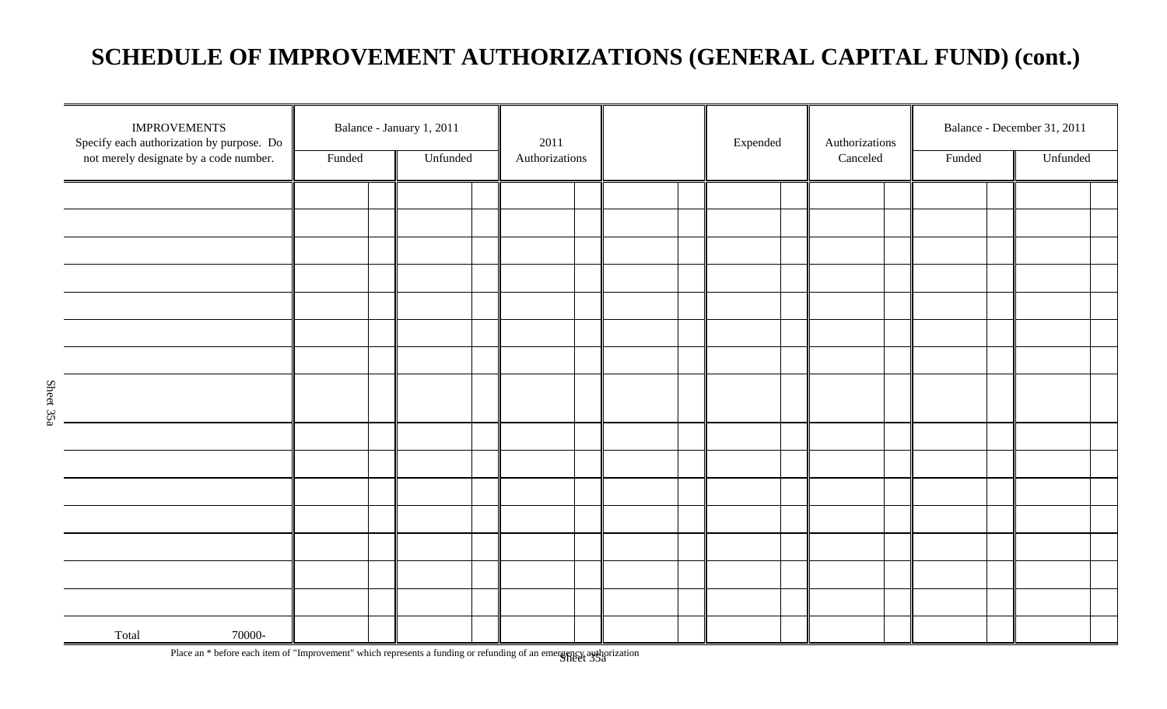## **SCHEDULE OF IMPROVEMENT AUTHORIZATIONS (GENERAL CAPITAL FUND) (cont.)**

| <b>IMPROVEMENTS</b><br>Specify each authorization by purpose. Do<br>not merely designate by a code number. | Funded | Balance - January 1, 2011<br>Unfunded | 2011<br>Authorizations | Expended | Authorizations<br>Canceled | Funded | Balance - December 31, 2011<br>Unfunded |  |
|------------------------------------------------------------------------------------------------------------|--------|---------------------------------------|------------------------|----------|----------------------------|--------|-----------------------------------------|--|
|                                                                                                            |        |                                       |                        |          |                            |        |                                         |  |
|                                                                                                            |        |                                       |                        |          |                            |        |                                         |  |
|                                                                                                            |        |                                       |                        |          |                            |        |                                         |  |
|                                                                                                            |        |                                       |                        |          |                            |        |                                         |  |
|                                                                                                            |        |                                       |                        |          |                            |        |                                         |  |
|                                                                                                            |        |                                       |                        |          |                            |        |                                         |  |
|                                                                                                            |        |                                       |                        |          |                            |        |                                         |  |
|                                                                                                            |        |                                       |                        |          |                            |        |                                         |  |
|                                                                                                            |        |                                       |                        |          |                            |        |                                         |  |
|                                                                                                            |        |                                       |                        |          |                            |        |                                         |  |
|                                                                                                            |        |                                       |                        |          |                            |        |                                         |  |
|                                                                                                            |        |                                       |                        |          |                            |        |                                         |  |
|                                                                                                            |        |                                       |                        |          |                            |        |                                         |  |
|                                                                                                            |        |                                       |                        |          |                            |        |                                         |  |
|                                                                                                            |        |                                       |                        |          |                            |        |                                         |  |
|                                                                                                            |        |                                       |                        |          |                            |        |                                         |  |
| 70000-<br>Total                                                                                            |        |                                       |                        |          |                            |        |                                         |  |

Place an \* before each item of "Improvement" which represents a funding or refunding of an emergency authorization<br>Sheet 35a

Sheet 35a

Sheet 35a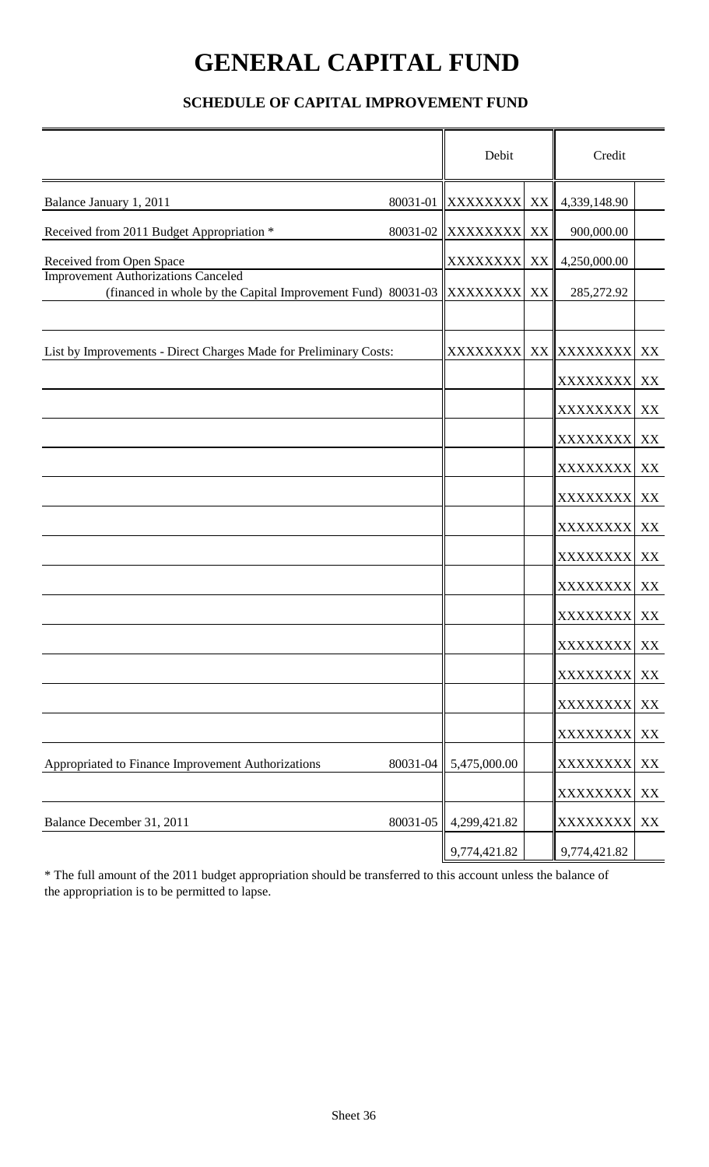# **GENERAL CAPITAL FUND**

### **SCHEDULE OF CAPITAL IMPROVEMENT FUND**

|                                                                                                            |          | Debit             |    | Credit           |    |
|------------------------------------------------------------------------------------------------------------|----------|-------------------|----|------------------|----|
| Balance January 1, 2011                                                                                    |          | 80031-01 XXXXXXXX | XX | 4,339,148.90     |    |
| Received from 2011 Budget Appropriation *                                                                  | 80031-02 | <b>XXXXXXXX</b>   | XX | 900,000.00       |    |
| Received from Open Space                                                                                   |          | <b>XXXXXXXX</b>   | XX | 4,250,000.00     |    |
| <b>Improvement Authorizations Canceled</b><br>(financed in whole by the Capital Improvement Fund) 80031-03 |          | <b>XXXXXXXX</b>   | XX | 285,272.92       |    |
|                                                                                                            |          |                   |    |                  |    |
| List by Improvements - Direct Charges Made for Preliminary Costs:                                          |          | XXXXXXXX          |    | XX XXXXXXXX XX   |    |
|                                                                                                            |          |                   |    | XXXXXXXX XX      |    |
|                                                                                                            |          |                   |    | XXXXXXXX XX      |    |
|                                                                                                            |          |                   |    | XXXXXXXX XX      |    |
|                                                                                                            |          |                   |    | <b>XXXXXXXXI</b> | XX |
|                                                                                                            |          |                   |    | XXXXXXXX XX      |    |
|                                                                                                            |          |                   |    | XXXXXXXX XX      |    |
|                                                                                                            |          |                   |    | XXXXXXXX XX      |    |
|                                                                                                            |          |                   |    | <b>XXXXXXXX</b>  | XX |
|                                                                                                            |          |                   |    | XXXXXXXX XX      |    |
|                                                                                                            |          |                   |    | XXXXXXXX XX      |    |
|                                                                                                            |          |                   |    | XXXXXXXX XX      |    |
|                                                                                                            |          |                   |    | XXXXXXXX XX      |    |
|                                                                                                            |          |                   |    | XXXXXXXX XX      |    |
| Appropriated to Finance Improvement Authorizations                                                         | 80031-04 | 5,475,000.00      |    | XXXXXXXX XX      |    |
|                                                                                                            |          |                   |    | XXXXXXXX XX      |    |
| Balance December 31, 2011                                                                                  | 80031-05 | 4,299,421.82      |    | XXXXXXXX         | XX |
|                                                                                                            |          | 9,774,421.82      |    | 9,774,421.82     |    |

\* The full amount of the 2011 budget appropriation should be transferred to this account unless the balance of the appropriation is to be permitted to lapse.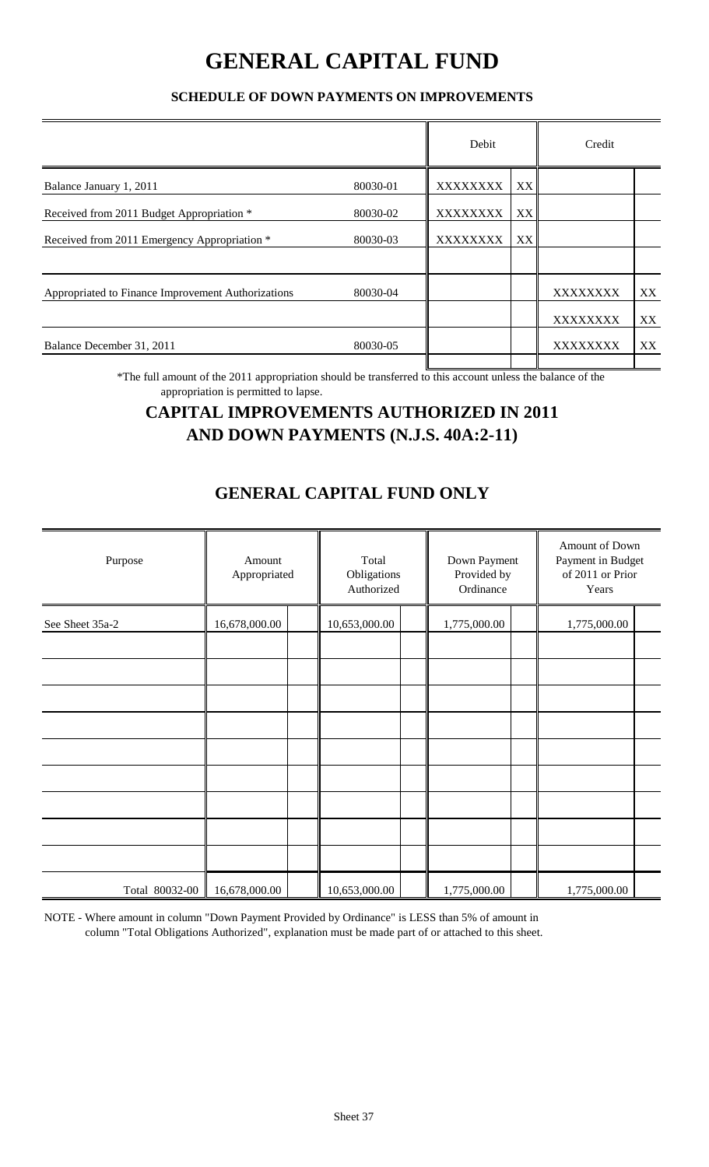## **GENERAL CAPITAL FUND**

### **SCHEDULE OF DOWN PAYMENTS ON IMPROVEMENTS**

| Debit                                                    |    | Credit          |    |
|----------------------------------------------------------|----|-----------------|----|
| <b>XXXXXXXX</b>                                          | XX |                 |    |
| <b>XXXXXXXX</b>                                          | XX |                 |    |
| <b>XXXXXXXX</b>                                          | XX |                 |    |
|                                                          |    | XXXXXXXX        | XX |
|                                                          |    | <b>XXXXXXXX</b> | XX |
|                                                          |    | <b>XXXXXXXX</b> | XX |
| 80030-01<br>80030-02<br>80030-03<br>80030-04<br>80030-05 |    |                 |    |

\*The full amount of the 2011 appropriation should be transferred to this account unless the balance of the appropriation is permitted to lapse.

### **CAPITAL IMPROVEMENTS AUTHORIZED IN 2011 AND DOWN PAYMENTS (N.J.S. 40A:2-11)**

### **GENERAL CAPITAL FUND ONLY**

| Purpose         | Amount<br>Appropriated | Total<br>Obligations<br>Authorized | Down Payment<br>Provided by<br>Ordinance | Amount of Down<br>Payment in Budget<br>of 2011 or Prior<br>Years |  |
|-----------------|------------------------|------------------------------------|------------------------------------------|------------------------------------------------------------------|--|
| See Sheet 35a-2 | 16,678,000.00          | 10,653,000.00                      | 1,775,000.00                             | 1,775,000.00                                                     |  |
|                 |                        |                                    |                                          |                                                                  |  |
|                 |                        |                                    |                                          |                                                                  |  |
|                 |                        |                                    |                                          |                                                                  |  |
|                 |                        |                                    |                                          |                                                                  |  |
|                 |                        |                                    |                                          |                                                                  |  |
|                 |                        |                                    |                                          |                                                                  |  |
|                 |                        |                                    |                                          |                                                                  |  |
| Total 80032-00  | 16,678,000.00          | 10,653,000.00                      | 1,775,000.00                             | 1,775,000.00                                                     |  |

NOTE - Where amount in column "Down Payment Provided by Ordinance" is LESS than 5% of amount in column "Total Obligations Authorized", explanation must be made part of or attached to this sheet.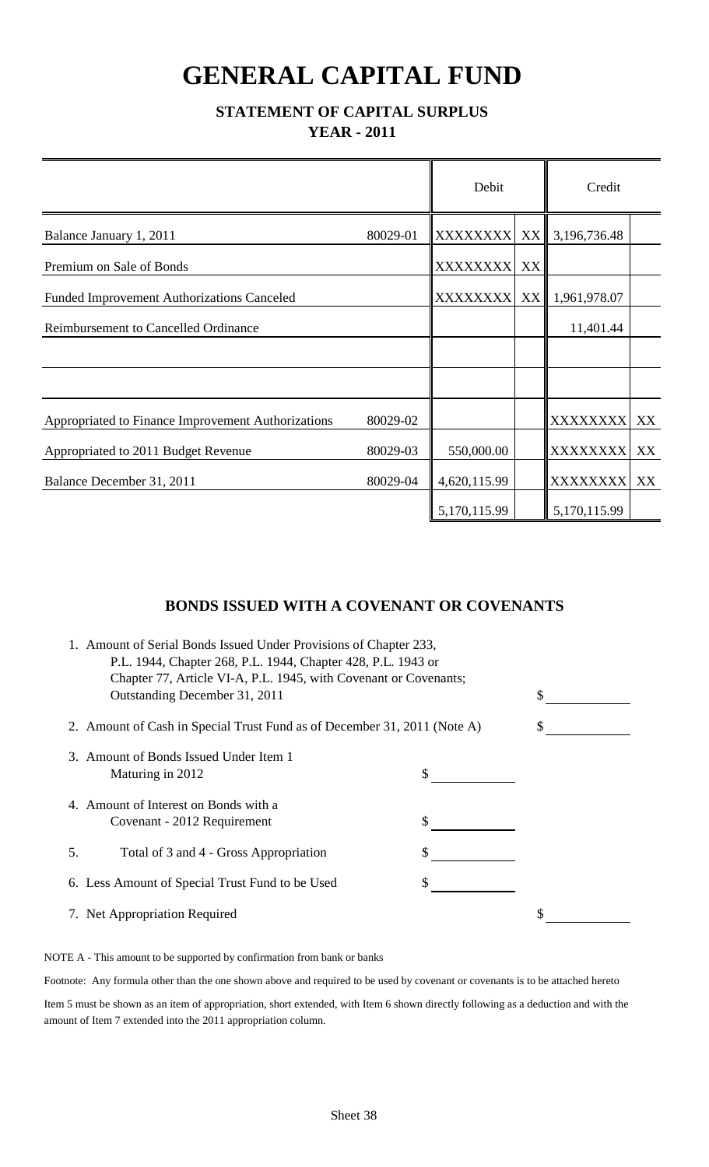# **GENERAL CAPITAL FUND**

### **STATEMENT OF CAPITAL SURPLUS YEAR - 2011**

|                                                    |          | Debit            |                 | Credit          |    |
|----------------------------------------------------|----------|------------------|-----------------|-----------------|----|
| Balance January 1, 2011                            | 80029-01 | <b>XXXXXXXXI</b> | XX <sup>I</sup> | 3,196,736.48    |    |
| Premium on Sale of Bonds                           |          | <b>XXXXXXXX</b>  | XX              |                 |    |
| <b>Funded Improvement Authorizations Canceled</b>  |          | <b>XXXXXXXX</b>  |                 | XX 1,961,978.07 |    |
| <b>Reimbursement to Cancelled Ordinance</b>        |          |                  |                 | 11,401.44       |    |
|                                                    |          |                  |                 |                 |    |
|                                                    |          |                  |                 |                 |    |
| Appropriated to Finance Improvement Authorizations | 80029-02 |                  |                 | XXXXXXXX XX     |    |
| Appropriated to 2011 Budget Revenue                | 80029-03 | 550,000.00       |                 | XXXXXXXX XX     |    |
| Balance December 31, 2011                          | 80029-04 | 4,620,115.99     |                 | <b>XXXXXXXX</b> | XX |
|                                                    |          | 5,170,115.99     |                 | 5,170,115.99    |    |

### **BONDS ISSUED WITH A COVENANT OR COVENANTS**

|    | 1. Amount of Serial Bonds Issued Under Provisions of Chapter 233,<br>P.L. 1944, Chapter 268, P.L. 1944, Chapter 428, P.L. 1943 or<br>Chapter 77, Article VI-A, P.L. 1945, with Covenant or Covenants; |    |  |
|----|-------------------------------------------------------------------------------------------------------------------------------------------------------------------------------------------------------|----|--|
|    | Outstanding December 31, 2011                                                                                                                                                                         | \$ |  |
|    | 2. Amount of Cash in Special Trust Fund as of December 31, 2011 (Note A)                                                                                                                              |    |  |
|    | 3. Amount of Bonds Issued Under Item 1<br>Maturing in 2012                                                                                                                                            |    |  |
|    | 4. Amount of Interest on Bonds with a<br>Covenant - 2012 Requirement                                                                                                                                  |    |  |
| 5. | Total of 3 and 4 - Gross Appropriation                                                                                                                                                                |    |  |
|    | 6. Less Amount of Special Trust Fund to be Used                                                                                                                                                       |    |  |
|    | 7. Net Appropriation Required                                                                                                                                                                         | \$ |  |

NOTE A - This amount to be supported by confirmation from bank or banks

Footnote: Any formula other than the one shown above and required to be used by covenant or covenants is to be attached hereto

Item 5 must be shown as an item of appropriation, short extended, with Item 6 shown directly following as a deduction and with the amount of Item 7 extended into the 2011 appropriation column.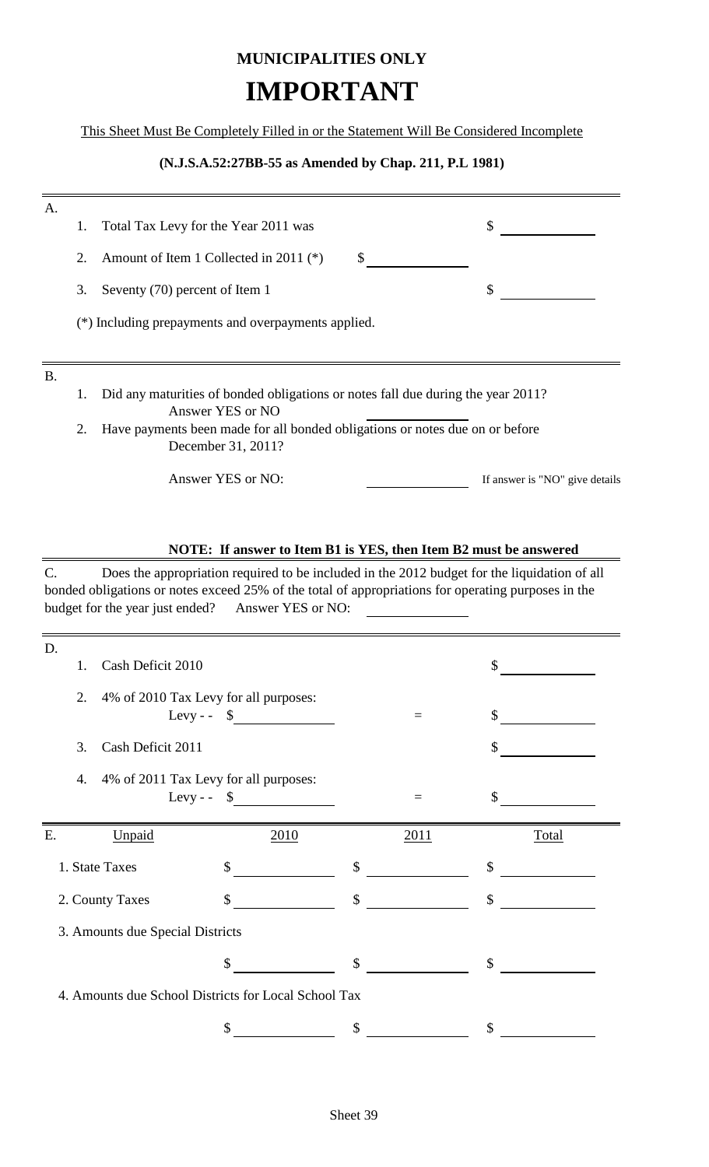## **MUNICIPALITIES ONLY IMPORTANT**

This Sheet Must Be Completely Filled in or the Statement Will Be Considered Incomplete

#### **(N.J.S.A.52:27BB-55 as Amended by Chap. 211, P.L 1981)**

| A.        |    |                                                                                                      |                                |
|-----------|----|------------------------------------------------------------------------------------------------------|--------------------------------|
|           | 1. | Total Tax Levy for the Year 2011 was                                                                 | \$                             |
|           | 2. | Amount of Item 1 Collected in 2011 (*)<br>\$                                                         |                                |
|           | 3. | Seventy (70) percent of Item 1                                                                       | \$                             |
|           |    | (*) Including prepayments and overpayments applied.                                                  |                                |
| <b>B.</b> |    |                                                                                                      |                                |
|           | 1. | Did any maturities of bonded obligations or notes fall due during the year 2011?<br>Answer YES or NO |                                |
|           | 2. | Have payments been made for all bonded obligations or notes due on or before<br>December 31, 2011?   |                                |
|           |    | Answer YES or NO:                                                                                    | If answer is "NO" give details |
|           |    |                                                                                                      |                                |
|           |    | NOTE: If answer to Item B1 is YES, then Item B2 must be answered                                     |                                |

### C. Does the appropriation required to be included in the 2012 budget for the liquidation of all bonded obligations or notes exceed 25% of the total of appropriations for operating purposes in the budget for the year just ended? Answer YES or NO:

| D.<br>1. | Cash Deficit 2010                     |                                                      |               |      | \$                        |       |
|----------|---------------------------------------|------------------------------------------------------|---------------|------|---------------------------|-------|
| 2.       | 4% of 2010 Tax Levy for all purposes: |                                                      |               |      |                           |       |
|          |                                       | Levy-- $\frac{1}{2}$                                 |               | $=$  | $\mathcal{S}$             |       |
| 3.       | Cash Deficit 2011                     |                                                      |               |      | $\mathcal{S}$             |       |
| 4.       | 4% of 2011 Tax Levy for all purposes: |                                                      |               |      |                           |       |
|          |                                       | Levy - $\sim$ $\sim$                                 |               | $=$  | \$                        |       |
|          |                                       |                                                      |               |      |                           |       |
| Ε.       | Unpaid                                |                                                      |               | 2011 |                           | Total |
|          |                                       | 2010                                                 |               |      |                           |       |
|          | 1. State Taxes                        | \$                                                   | \$            |      | \$                        |       |
|          | 2. County Taxes                       | \$                                                   | $\mathcal{S}$ |      | $\boldsymbol{\mathsf{S}}$ |       |
|          | 3. Amounts due Special Districts      |                                                      |               |      |                           |       |
|          |                                       | \$                                                   | \$            |      | \$                        |       |
|          |                                       | 4. Amounts due School Districts for Local School Tax |               |      |                           |       |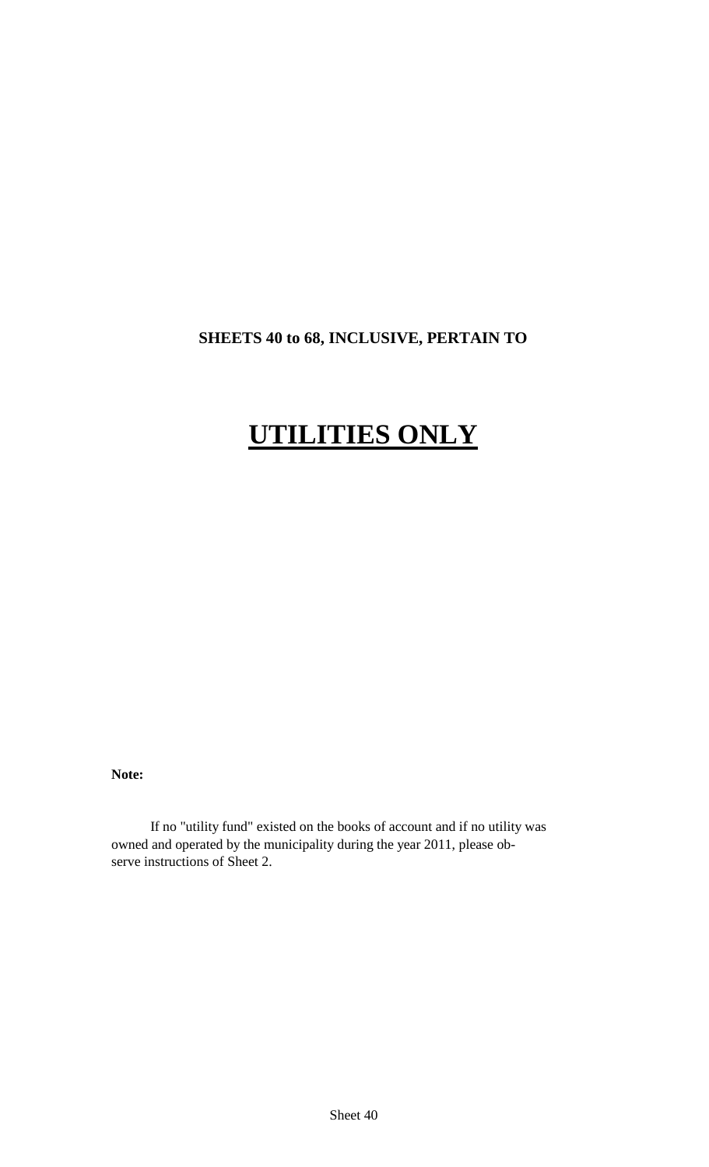### **SHEETS 40 to 68, INCLUSIVE, PERTAIN TO**

# **UTILITIES ONLY**

**Note:**

If no "utility fund" existed on the books of account and if no utility was owned and operated by the municipality during the year 2011, please observe instructions of Sheet 2.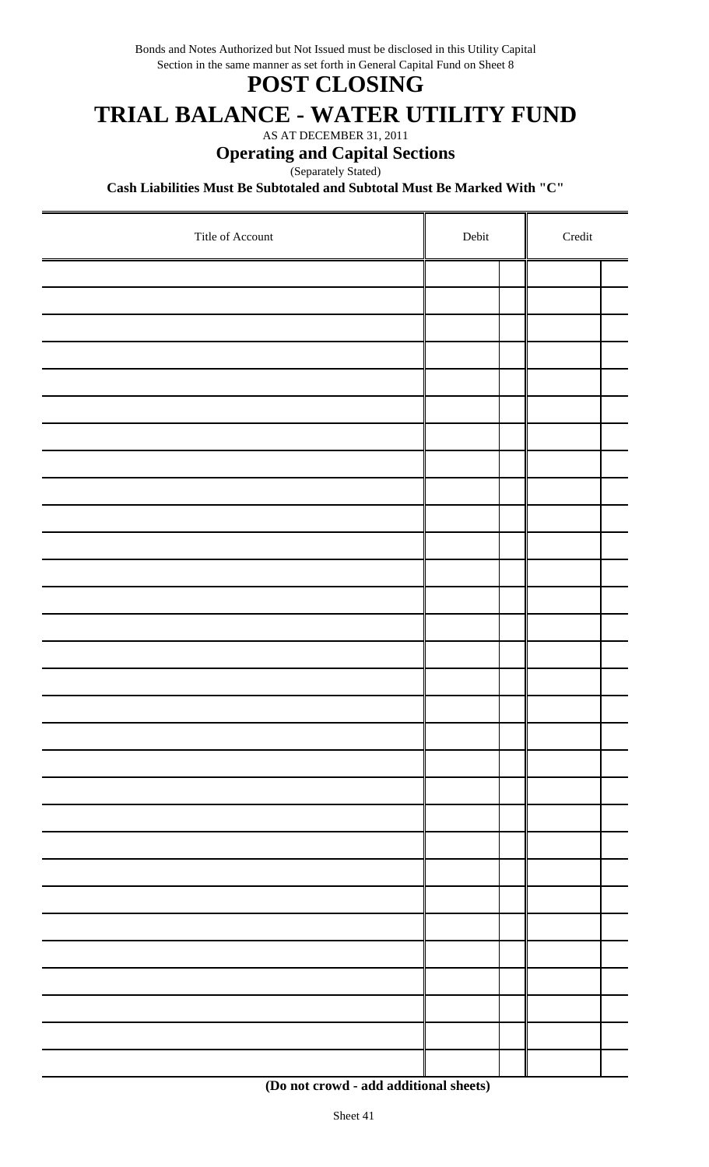Section in the same manner as set forth in General Capital Fund on Sheet 8 Bonds and Notes Authorized but Not Issued must be disclosed in this Utility Capital

## **POST CLOSING**

## **TRIAL BALANCE - WATER UTILITY FUND**

AS AT DECEMBER 31, 2011

### **Operating and Capital Sections**

Separately Stated)

**Cash Liabilities Must Be Subtotaled and Subtotal Must Be Marked With "C"**

| Title of Account | Debit | $\bf Credit$ |  |  |  |
|------------------|-------|--------------|--|--|--|
|                  |       |              |  |  |  |
|                  |       |              |  |  |  |
|                  |       |              |  |  |  |
|                  |       |              |  |  |  |
|                  |       |              |  |  |  |
|                  |       |              |  |  |  |
|                  |       |              |  |  |  |
|                  |       |              |  |  |  |
|                  |       |              |  |  |  |
|                  |       |              |  |  |  |
|                  |       |              |  |  |  |
|                  |       |              |  |  |  |
|                  |       |              |  |  |  |
|                  |       |              |  |  |  |
|                  |       |              |  |  |  |
|                  |       |              |  |  |  |
|                  |       |              |  |  |  |
|                  |       |              |  |  |  |
|                  |       |              |  |  |  |
|                  |       |              |  |  |  |
|                  |       |              |  |  |  |
|                  |       |              |  |  |  |
|                  |       |              |  |  |  |
|                  |       |              |  |  |  |
|                  |       |              |  |  |  |
|                  |       |              |  |  |  |
|                  |       |              |  |  |  |
|                  |       |              |  |  |  |
|                  |       |              |  |  |  |
|                  |       |              |  |  |  |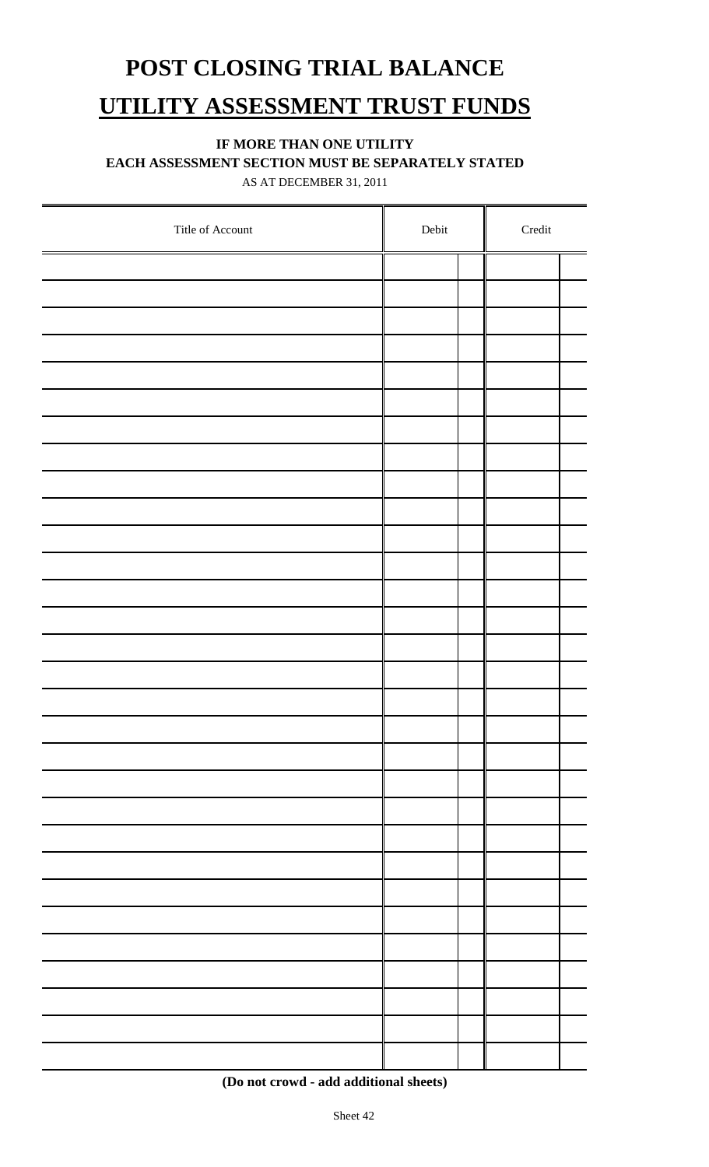# **POST CLOSING TRIAL BALANCE UTILITY ASSESSMENT TRUST FUNDS**

### **IF MORE THAN ONE UTILITY**

**EACH ASSESSMENT SECTION MUST BE SEPARATELY STATED**

AS AT DECEMBER 31, 2011

| Title of Account | ${\rm Debit}$ | $\bf Credit$ |
|------------------|---------------|--------------|
|                  |               |              |
|                  |               |              |
|                  |               |              |
|                  |               |              |
|                  |               |              |
|                  |               |              |
|                  |               |              |
|                  |               |              |
|                  |               |              |
|                  |               |              |
|                  |               |              |
|                  |               |              |
|                  |               |              |
|                  |               |              |
|                  |               |              |
|                  |               |              |
|                  |               |              |
|                  |               |              |
|                  |               |              |
|                  |               |              |
|                  |               |              |
|                  |               |              |
|                  |               |              |
|                  |               |              |
|                  |               |              |
|                  |               |              |
|                  |               |              |
|                  |               |              |
|                  |               |              |
|                  |               |              |

 **<sup>(</sup>Do not crowd - add additional sheets)**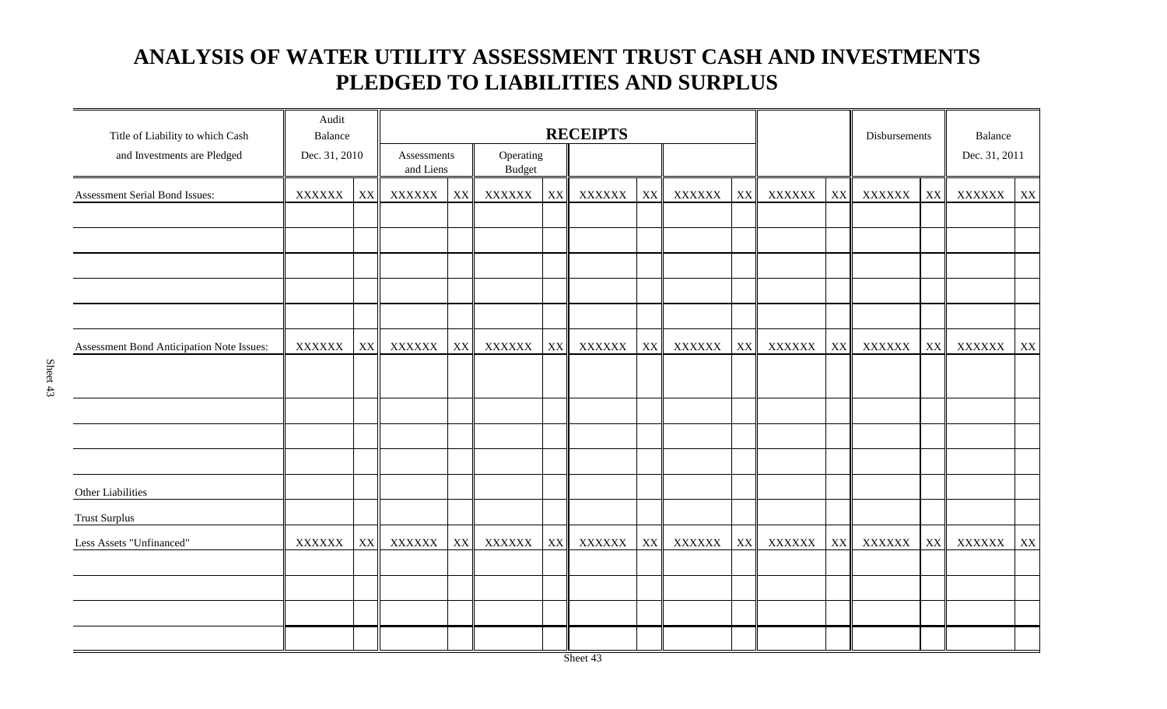### **ANALYSIS OF WATER UTILITY ASSESSMENT TRUST CASH AND INVESTMENTS PLEDGED TO LIABILITIES AND SURPLUS**

| Title of Liability to which Cash          | Audit<br>Balance |    | <b>RECEIPTS</b> |                                                        |               |    |               |    | Disbursements |    | Balance       |                        |        |    |               |    |
|-------------------------------------------|------------------|----|-----------------|--------------------------------------------------------|---------------|----|---------------|----|---------------|----|---------------|------------------------|--------|----|---------------|----|
| and Investments are Pledged               | Dec. 31, 2010    |    |                 | Operating<br>Assessments<br>and Liens<br><b>Budget</b> |               |    |               |    |               |    | Dec. 31, 2011 |                        |        |    |               |    |
| Assessment Serial Bond Issues:            | ${\bf XXXXXX}$   | XX | <b>XXXXXX</b>   | $\mathbf{X}\mathbf{X}$                                 | XXXXXX        | XX | <b>XXXXXX</b> | XX | <b>XXXXXX</b> | XX | XXXXXX        | XX                     | XXXXXX | XX | <b>XXXXXX</b> | XX |
|                                           |                  |    |                 |                                                        |               |    |               |    |               |    |               |                        |        |    |               |    |
|                                           |                  |    |                 |                                                        |               |    |               |    |               |    |               |                        |        |    |               |    |
| Assessment Bond Anticipation Note Issues: | <b>XXXXXX</b>    | XX | <b>XXXXXX</b>   | XX                                                     | <b>XXXXXX</b> | XX | XXXXXX        | XX | XXXXXX        | XX | XXXXXX        | $\mathbf{X}\mathbf{X}$ | XXXXXX | XX | XXXXXX        | XX |
|                                           |                  |    |                 |                                                        |               |    |               |    |               |    |               |                        |        |    |               |    |
|                                           |                  |    |                 |                                                        |               |    |               |    |               |    |               |                        |        |    |               |    |
| Other Liabilities                         |                  |    |                 |                                                        |               |    |               |    |               |    |               |                        |        |    |               |    |
| <b>Trust Surplus</b>                      |                  |    |                 |                                                        |               |    |               |    |               |    |               |                        |        |    |               |    |
| Less Assets "Unfinanced"                  | <b>XXXXXX</b>    | XX | <b>XXXXXX</b>   | $\mathbf{X}\mathbf{X}$                                 | XXXXXX        | XX | <b>XXXXXX</b> | XX | <b>XXXXXX</b> | XX | <b>XXXXXX</b> | $\mathbf{X}\mathbf{X}$ | XXXXXX | XX | <b>XXXXXX</b> | XX |
|                                           |                  |    |                 |                                                        |               |    |               |    |               |    |               |                        |        |    |               |    |
|                                           |                  |    |                 |                                                        |               |    |               |    |               |    |               |                        |        |    |               |    |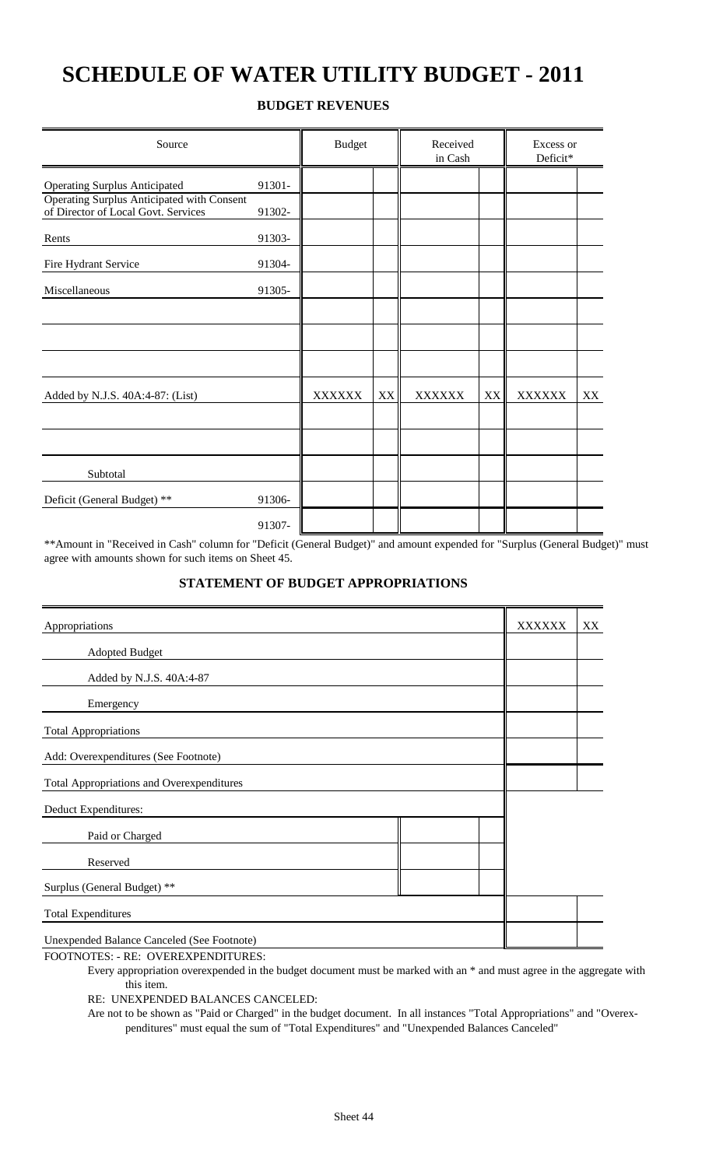## **SCHEDULE OF WATER UTILITY BUDGET - 2011**

#### **BUDGET REVENUES**

| Source                                                                            | <b>Budget</b> |               | Received<br>in Cash |               | Excess or<br>Deficit* |               |    |
|-----------------------------------------------------------------------------------|---------------|---------------|---------------------|---------------|-----------------------|---------------|----|
| <b>Operating Surplus Anticipated</b>                                              | 91301-        |               |                     |               |                       |               |    |
| Operating Surplus Anticipated with Consent<br>of Director of Local Govt. Services | 91302-        |               |                     |               |                       |               |    |
| Rents                                                                             | 91303-        |               |                     |               |                       |               |    |
| Fire Hydrant Service                                                              | 91304-        |               |                     |               |                       |               |    |
| Miscellaneous                                                                     | 91305-        |               |                     |               |                       |               |    |
|                                                                                   |               |               |                     |               |                       |               |    |
|                                                                                   |               |               |                     |               |                       |               |    |
|                                                                                   |               |               |                     |               |                       |               |    |
| Added by N.J.S. 40A:4-87: (List)                                                  |               | <b>XXXXXX</b> | XX                  | <b>XXXXXX</b> | XX                    | <b>XXXXXX</b> | XX |
|                                                                                   |               |               |                     |               |                       |               |    |
|                                                                                   |               |               |                     |               |                       |               |    |
| Subtotal                                                                          |               |               |                     |               |                       |               |    |
| Deficit (General Budget) **                                                       | 91306-        |               |                     |               |                       |               |    |
|                                                                                   | 91307-        |               |                     |               |                       |               |    |

\*\*Amount in "Received in Cash" column for "Deficit (General Budget)" and amount expended for "Surplus (General Budget)" must agree with amounts shown for such items on Sheet 45.

#### **STATEMENT OF BUDGET APPROPRIATIONS**

| Appropriations                                   | <b>XXXXXX</b> | XX |
|--------------------------------------------------|---------------|----|
| Adopted Budget                                   |               |    |
| Added by N.J.S. 40A:4-87                         |               |    |
| Emergency                                        |               |    |
| <b>Total Appropriations</b>                      |               |    |
| Add: Overexpenditures (See Footnote)             |               |    |
| <b>Total Appropriations and Overexpenditures</b> |               |    |
| Deduct Expenditures:                             |               |    |
| Paid or Charged                                  |               |    |
| Reserved                                         |               |    |
| Surplus (General Budget) **                      |               |    |
| <b>Total Expenditures</b>                        |               |    |
| Unexpended Balance Canceled (See Footnote)       |               |    |

FOOTNOTES: - RE: OVEREXPENDITURES:

Every appropriation overexpended in the budget document must be marked with an \* and must agree in the aggregate with this item.

RE: UNEXPENDED BALANCES CANCELED:

Are not to be shown as "Paid or Charged" in the budget document. In all instances "Total Appropriations" and "Overexpenditures" must equal the sum of "Total Expenditures" and "Unexpended Balances Canceled"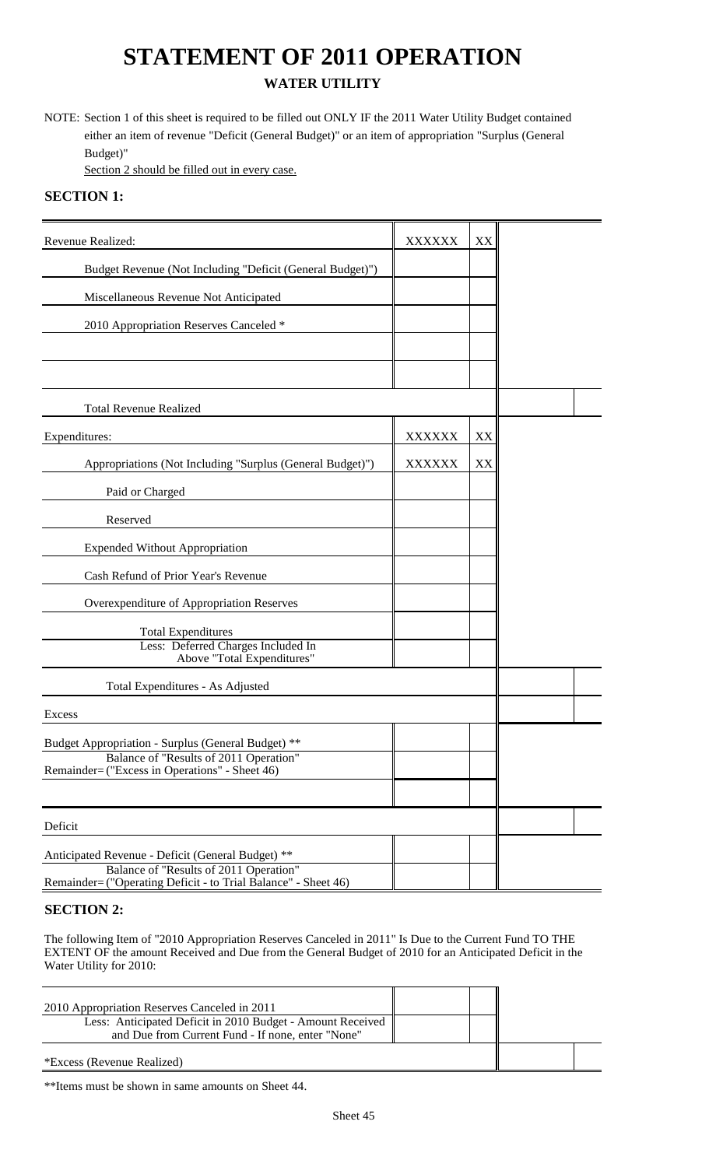## **STATEMENT OF 2011 OPERATION WATER UTILITY**

NOTE: Section 1 of this sheet is required to be filled out ONLY IF the 2011 Water Utility Budget contained either an item of revenue "Deficit (General Budget)" or an item of appropriation "Surplus (General Budget)"

Section 2 should be filled out in every case.

### **SECTION 1:**

| Revenue Realized:                                                                                                                                             | <b>XXXXXX</b> | XX |  |
|---------------------------------------------------------------------------------------------------------------------------------------------------------------|---------------|----|--|
| Budget Revenue (Not Including "Deficit (General Budget)")                                                                                                     |               |    |  |
| Miscellaneous Revenue Not Anticipated                                                                                                                         |               |    |  |
| 2010 Appropriation Reserves Canceled *                                                                                                                        |               |    |  |
|                                                                                                                                                               |               |    |  |
|                                                                                                                                                               |               |    |  |
| <b>Total Revenue Realized</b>                                                                                                                                 |               |    |  |
| Expenditures:                                                                                                                                                 | <b>XXXXXX</b> | XX |  |
| Appropriations (Not Including "Surplus (General Budget)")                                                                                                     | <b>XXXXXX</b> | XX |  |
| Paid or Charged                                                                                                                                               |               |    |  |
| Reserved                                                                                                                                                      |               |    |  |
| <b>Expended Without Appropriation</b>                                                                                                                         |               |    |  |
| Cash Refund of Prior Year's Revenue                                                                                                                           |               |    |  |
| Overexpenditure of Appropriation Reserves                                                                                                                     |               |    |  |
| <b>Total Expenditures</b><br>Less: Deferred Charges Included In<br>Above "Total Expenditures"                                                                 |               |    |  |
| Total Expenditures - As Adjusted                                                                                                                              |               |    |  |
| Excess                                                                                                                                                        |               |    |  |
| Budget Appropriation - Surplus (General Budget) **<br>Balance of "Results of 2011 Operation"<br>Remainder= ("Excess in Operations" - Sheet 46)                |               |    |  |
|                                                                                                                                                               |               |    |  |
| Deficit                                                                                                                                                       |               |    |  |
| Anticipated Revenue - Deficit (General Budget) **<br>Balance of "Results of 2011 Operation"<br>Remainder= ("Operating Deficit - to Trial Balance" - Sheet 46) |               |    |  |

### **SECTION 2:**

The following Item of "2010 Appropriation Reserves Canceled in 2011" Is Due to the Current Fund TO THE EXTENT OF the amount Received and Due from the General Budget of 2010 for an Anticipated Deficit in the Water Utility for 2010:

| 2010 Appropriation Reserves Canceled in 2011                                                                    |  |  |
|-----------------------------------------------------------------------------------------------------------------|--|--|
| Less: Anticipated Deficit in 2010 Budget - Amount Received<br>and Due from Current Fund - If none, enter "None" |  |  |
| *Excess (Revenue Realized)                                                                                      |  |  |

\*\*Items must be shown in same amounts on Sheet 44.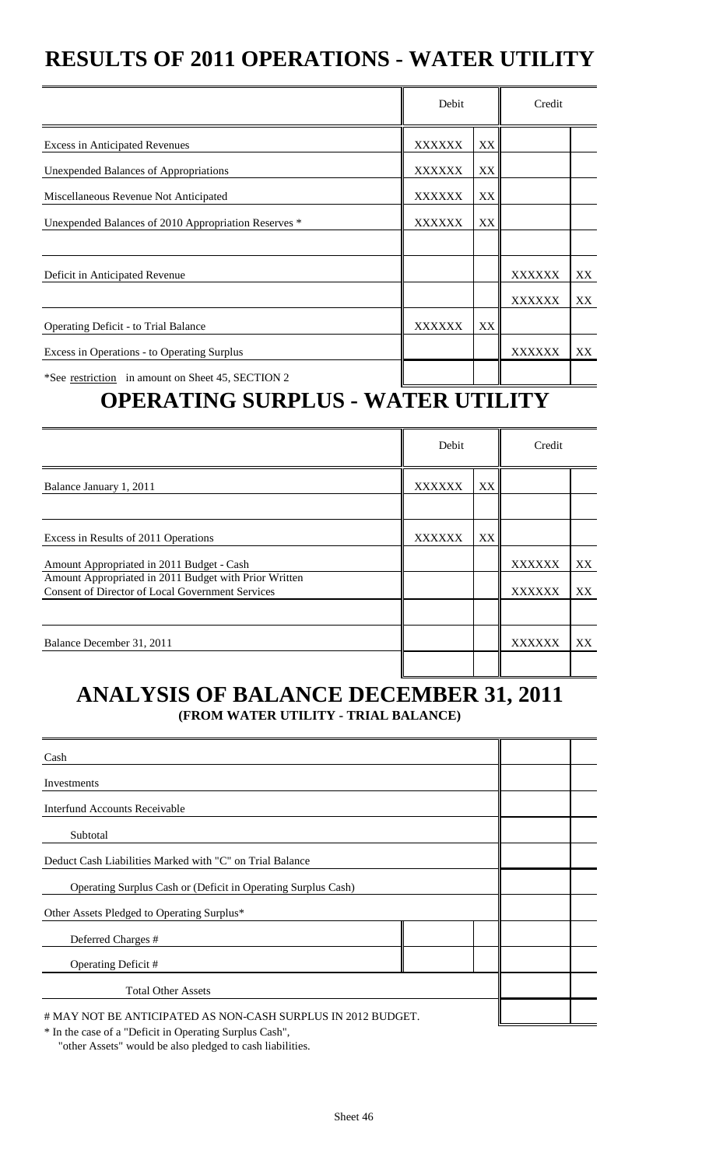## **RESULTS OF 2011 OPERATIONS - WATER UTILITY**

|                                                                                    | Debit               |                   | Credit               |    |
|------------------------------------------------------------------------------------|---------------------|-------------------|----------------------|----|
| <b>Excess in Anticipated Revenues</b>                                              | XX<br><b>XXXXXX</b> |                   |                      |    |
| <b>Unexpended Balances of Appropriations</b>                                       | <b>XXXXXX</b>       | XX                |                      |    |
| Miscellaneous Revenue Not Anticipated                                              | <b>XXXXXX</b>       | XX                |                      |    |
| Unexpended Balances of 2010 Appropriation Reserves *                               | <b>XXXXXX</b>       | XX                |                      |    |
|                                                                                    |                     |                   |                      |    |
| Deficit in Anticipated Revenue                                                     |                     |                   | <b>XXXXXX</b>        | XX |
|                                                                                    |                     |                   | <b>XXXXXX</b>        | XX |
| <b>Operating Deficit - to Trial Balance</b>                                        | <b>XXXXXX</b>       | XX.               |                      |    |
| Excess in Operations - to Operating Surplus                                        |                     |                   | <b>XXXXXX</b>        | XX |
| *See restriction in amount on Sheet 45, SECTION 2<br>ABUR LEBIA AIDBE IIA<br>– – 7 | $\mathbf{r}$        | ¥ 7 <b>rint v</b> | <del>- - - -</del> - |    |

## **OPERATING SURPLUS - WATER UTILITY**

|                                                                                                                  | Debit         |    | Credit        |    |
|------------------------------------------------------------------------------------------------------------------|---------------|----|---------------|----|
| Balance January 1, 2011                                                                                          | <b>XXXXXX</b> | XX |               |    |
|                                                                                                                  |               |    |               |    |
| Excess in Results of 2011 Operations                                                                             | <b>XXXXXX</b> | XX |               |    |
| Amount Appropriated in 2011 Budget - Cash                                                                        |               |    | <b>XXXXXX</b> | XX |
| Amount Appropriated in 2011 Budget with Prior Written<br><b>Consent of Director of Local Government Services</b> |               |    | <b>XXXXXX</b> | XX |
|                                                                                                                  |               |    |               |    |
| Balance December 31, 2011                                                                                        |               |    | <b>XXXXXX</b> | XX |
|                                                                                                                  |               |    |               |    |

## **ANALYSIS OF BALANCE DECEMBER 31, 2011 (FROM WATER UTILITY - TRIAL BALANCE)**

| Cash                                                          |  |
|---------------------------------------------------------------|--|
| Investments                                                   |  |
| Interfund Accounts Receivable                                 |  |
| Subtotal                                                      |  |
| Deduct Cash Liabilities Marked with "C" on Trial Balance      |  |
| Operating Surplus Cash or (Deficit in Operating Surplus Cash) |  |
| Other Assets Pledged to Operating Surplus*                    |  |
| Deferred Charges #                                            |  |
| Operating Deficit #                                           |  |
| <b>Total Other Assets</b>                                     |  |
| # MAY NOT BE ANTICIPATED AS NON-CASH SURPLUS IN 2012 BUDGET.  |  |

\* In the case of a "Deficit in Operating Surplus Cash",

"other Assets" would be also pledged to cash liabilities.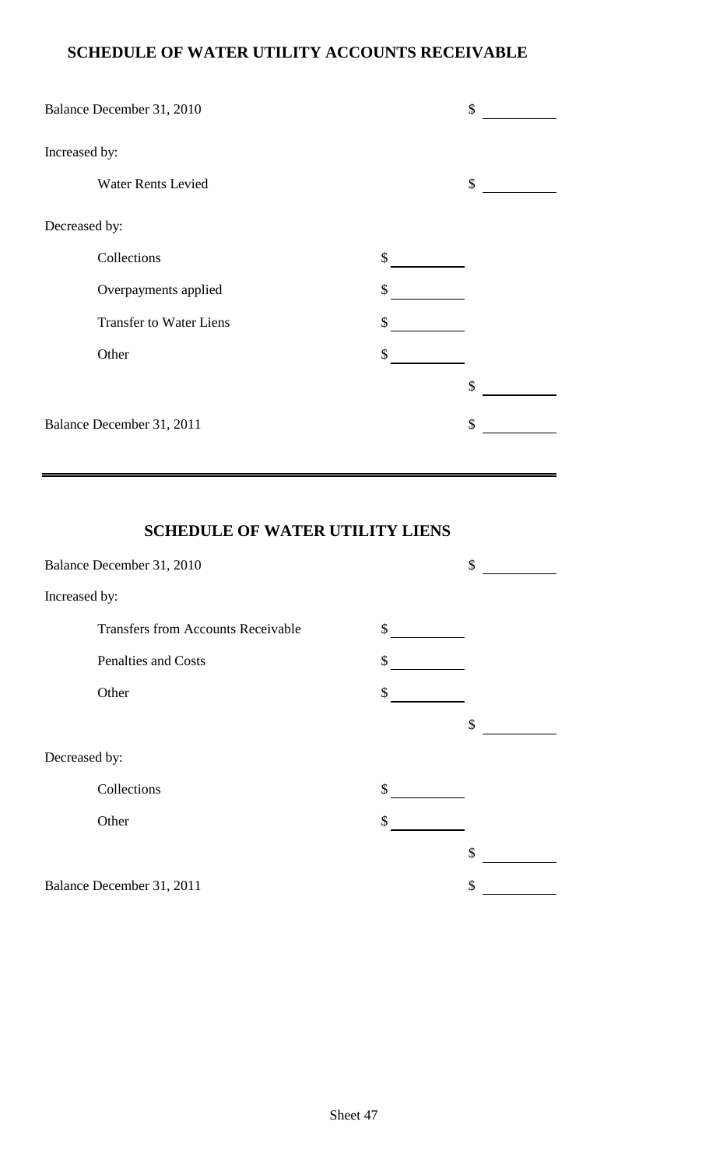### **SCHEDULE OF WATER UTILITY ACCOUNTS RECEIVABLE**

|               | Balance December 31, 2010      | \$ |
|---------------|--------------------------------|----|
| Increased by: |                                |    |
|               | <b>Water Rents Levied</b>      | \$ |
| Decreased by: |                                |    |
|               | Collections                    | \$ |
|               | Overpayments applied           | \$ |
|               | <b>Transfer to Water Liens</b> | \$ |
|               | Other                          | \$ |
|               |                                | \$ |
|               | Balance December 31, 2011      | \$ |

## **SCHEDULE OF WATER UTILITY LIENS**

|               | Balance December 31, 2010                 | \$ |
|---------------|-------------------------------------------|----|
| Increased by: |                                           |    |
|               | <b>Transfers from Accounts Receivable</b> | \$ |
|               | <b>Penalties and Costs</b>                | \$ |
|               | Other                                     | \$ |
|               |                                           | \$ |
| Decreased by: |                                           |    |
|               | Collections                               | \$ |
|               | Other                                     | \$ |
|               |                                           | \$ |
|               | Balance December 31, 2011                 | \$ |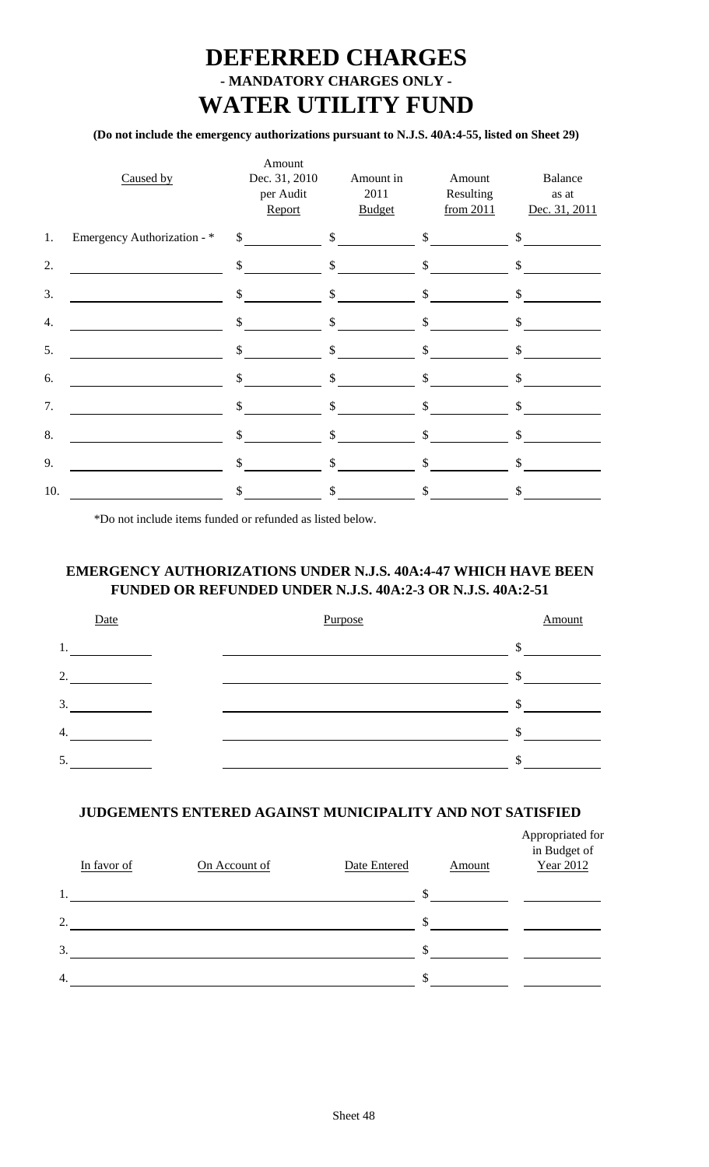## **DEFERRED CHARGES - MANDATORY CHARGES ONLY - WATER UTILITY FUND**

### **(Do not include the emergency authorizations pursuant to N.J.S. 40A:4-55, listed on Sheet 29)**

|     | Caused by                   |              | Amount<br>Dec. 31, 2010<br>per Audit<br>Report | Amount in<br>2011<br><b>Budget</b>                      |                           | Amount<br>Resulting<br>from 2011 |               | Balance<br>as at<br>Dec. 31, 2011 |
|-----|-----------------------------|--------------|------------------------------------------------|---------------------------------------------------------|---------------------------|----------------------------------|---------------|-----------------------------------|
| 1.  | Emergency Authorization - * |              |                                                | $\frac{s}{s}$ $\frac{s}{s}$ $\frac{s}{s}$ $\frac{s}{s}$ |                           |                                  |               |                                   |
| 2.  |                             |              | $\sim$                                         | $\sim$                                                  |                           | $\sim$                           |               | $\mathbb{S}$                      |
| 3.  |                             |              | $\sim$                                         | \$                                                      |                           | $\mathcal{S}$                    | $\mathsf{\$}$ |                                   |
| 4.  |                             |              | $\sim$                                         | \$                                                      |                           | $\frac{1}{2}$                    | \$            |                                   |
| 5.  |                             | $\mathbb{S}$ |                                                | \$                                                      | $\mathcal{S}$             |                                  | \$            |                                   |
| 6.  |                             | \$           |                                                | \$                                                      | $\boldsymbol{\mathsf{S}}$ |                                  | \$            |                                   |
| 7.  |                             | \$           |                                                | \$                                                      | \$                        |                                  | \$            |                                   |
| 8.  |                             | \$           |                                                | \$                                                      | \$                        |                                  | \$            |                                   |
| 9.  |                             | \$           |                                                | \$                                                      | \$                        |                                  | \$            |                                   |
| 10. |                             | \$           |                                                | \$                                                      | \$.                       |                                  | \$.           |                                   |

\*Do not include items funded or refunded as listed below.

### **EMERGENCY AUTHORIZATIONS UNDER N.J.S. 40A:4-47 WHICH HAVE BEEN FUNDED OR REFUNDED UNDER N.J.S. 40A:2-3 OR N.J.S. 40A:2-51**

| Date | Purpose | Amount        |
|------|---------|---------------|
| 1.   |         | $\mathcal{D}$ |
| 2.   |         |               |
| 3.   |         |               |
| 4.   |         |               |
| 5.   |         |               |

### **JUDGEMENTS ENTERED AGAINST MUNICIPALITY AND NOT SATISFIED**

|    | In favor of | On Account of | Date Entered | Amount | Appropriated for<br>in Budget of<br><b>Year 2012</b> |
|----|-------------|---------------|--------------|--------|------------------------------------------------------|
| 1. |             |               |              | \$     |                                                      |
| 2. |             |               |              | \$     |                                                      |
| 3. |             |               |              | \$     |                                                      |
| 4. |             |               |              | \$     |                                                      |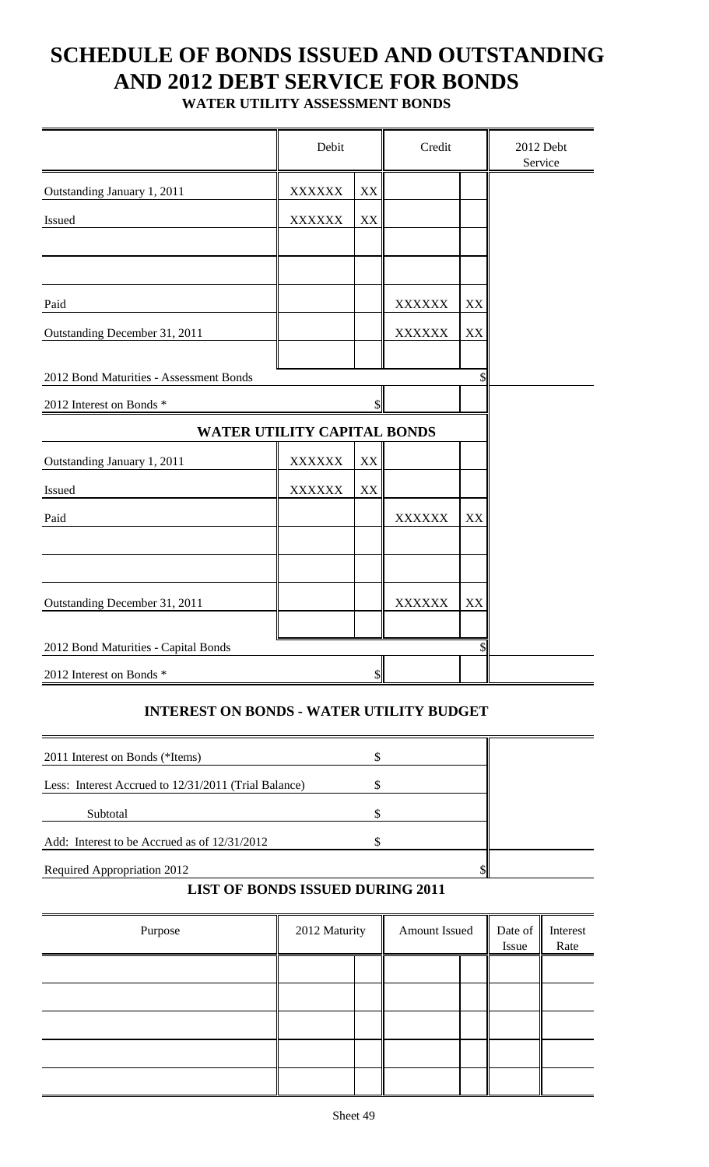# **SCHEDULE OF BONDS ISSUED AND OUTSTANDING AND 2012 DEBT SERVICE FOR BONDS**

**WATER UTILITY ASSESSMENT BONDS**

|                                         | Debit         |                           | Credit                         |          | 2012 Debt<br>Service |
|-----------------------------------------|---------------|---------------------------|--------------------------------|----------|----------------------|
| Outstanding January 1, 2011             | <b>XXXXXX</b> | XX                        |                                |          |                      |
| Issued                                  | <b>XXXXXX</b> | XX                        |                                |          |                      |
|                                         |               |                           |                                |          |                      |
| Paid<br>Outstanding December 31, 2011   |               |                           | <b>XXXXXX</b><br><b>XXXXXX</b> | XX<br>XX |                      |
| 2012 Bond Maturities - Assessment Bonds |               |                           |                                | S        |                      |
| 2012 Interest on Bonds *                |               | \$                        |                                |          |                      |
| <b>WATER UTILITY CAPITAL BONDS</b>      |               |                           |                                |          |                      |
| Outstanding January 1, 2011             | <b>XXXXXX</b> | XX                        |                                |          |                      |
| Issued                                  | <b>XXXXXX</b> | XX                        |                                |          |                      |
| Paid                                    |               |                           | <b>XXXXXX</b>                  | XX       |                      |
|                                         |               |                           |                                |          |                      |
| Outstanding December 31, 2011           |               |                           | <b>XXXXXX</b>                  | XX       |                      |
| 2012 Bond Maturities - Capital Bonds    |               |                           |                                | \$       |                      |
| 2012 Interest on Bonds *                |               | $\boldsymbol{\mathsf{S}}$ |                                |          |                      |

### **INTEREST ON BONDS - WATER UTILITY BUDGET**

| 2011 Interest on Bonds (*Items)                      |  |  |
|------------------------------------------------------|--|--|
| Less: Interest Accrued to 12/31/2011 (Trial Balance) |  |  |
| Subtotal                                             |  |  |
| Add: Interest to be Accrued as of 12/31/2012         |  |  |
| Required Appropriation 2012                          |  |  |

### **LIST OF BONDS ISSUED DURING 2011**

| Purpose | 2012 Maturity | Amount Issued | Date of $\parallel$<br>Issue | Interest<br>Rate |
|---------|---------------|---------------|------------------------------|------------------|
|         |               |               |                              |                  |
|         |               |               |                              |                  |
|         |               |               |                              |                  |
|         |               |               |                              |                  |
|         |               |               |                              |                  |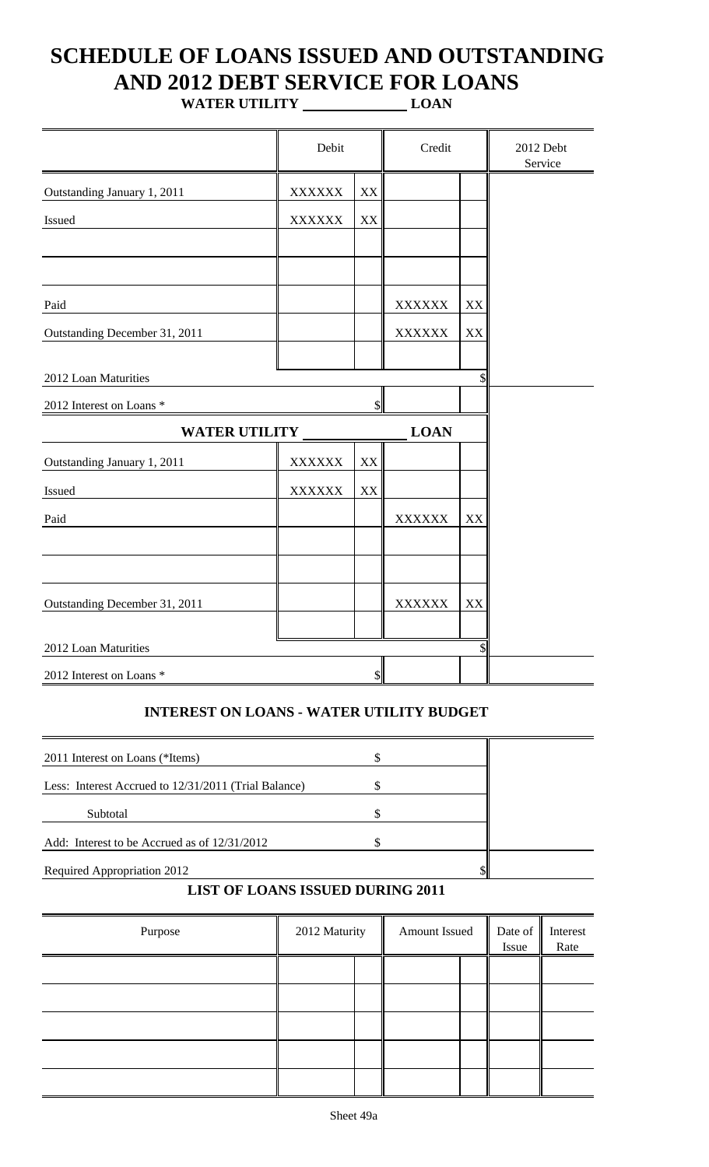# **SCHEDULE OF LOANS ISSUED AND OUTSTANDING AND 2012 DEBT SERVICE FOR LOANS**

**WATER UTILITY LOAN**

|                                       | Debit         |                         | Credit                         |          | 2012 Debt<br>Service |
|---------------------------------------|---------------|-------------------------|--------------------------------|----------|----------------------|
| Outstanding January 1, 2011           | <b>XXXXXX</b> | XX                      |                                |          |                      |
| Issued                                | <b>XXXXXX</b> | XX                      |                                |          |                      |
|                                       |               |                         |                                |          |                      |
| Paid<br>Outstanding December 31, 2011 |               |                         | <b>XXXXXX</b><br><b>XXXXXX</b> | XX<br>XX |                      |
| 2012 Loan Maturities                  |               |                         |                                | \$       |                      |
| 2012 Interest on Loans *              |               | \$                      |                                |          |                      |
| <b>WATER UTILITY</b>                  |               |                         | <b>LOAN</b>                    |          |                      |
| Outstanding January 1, 2011           | <b>XXXXXX</b> | XX                      |                                |          |                      |
| Issued                                | <b>XXXXXX</b> | $\mathbf{X} \mathbf{X}$ |                                |          |                      |
| Paid                                  |               |                         | <b>XXXXXX</b>                  | XX       |                      |
|                                       |               |                         |                                |          |                      |
| Outstanding December 31, 2011         |               |                         | <b>XXXXXX</b>                  | XX       |                      |
| 2012 Loan Maturities                  |               |                         |                                | \$       |                      |
| 2012 Interest on Loans *              |               | $\$$                    |                                |          |                      |

### **INTEREST ON LOANS - WATER UTILITY BUDGET**

| 2011 Interest on Loans (*Items)                      |  |  |
|------------------------------------------------------|--|--|
| Less: Interest Accrued to 12/31/2011 (Trial Balance) |  |  |
| Subtotal                                             |  |  |
| Add: Interest to be Accrued as of $12/31/2012$       |  |  |
| <b>Required Appropriation 2012</b>                   |  |  |

## **LIST OF LOANS ISSUED DURING 2011**

| Purpose | 2012 Maturity | Amount Issued | Issue | Date of Interest<br>Rate |
|---------|---------------|---------------|-------|--------------------------|
|         |               |               |       |                          |
|         |               |               |       |                          |
|         |               |               |       |                          |
|         |               |               |       |                          |
|         |               |               |       |                          |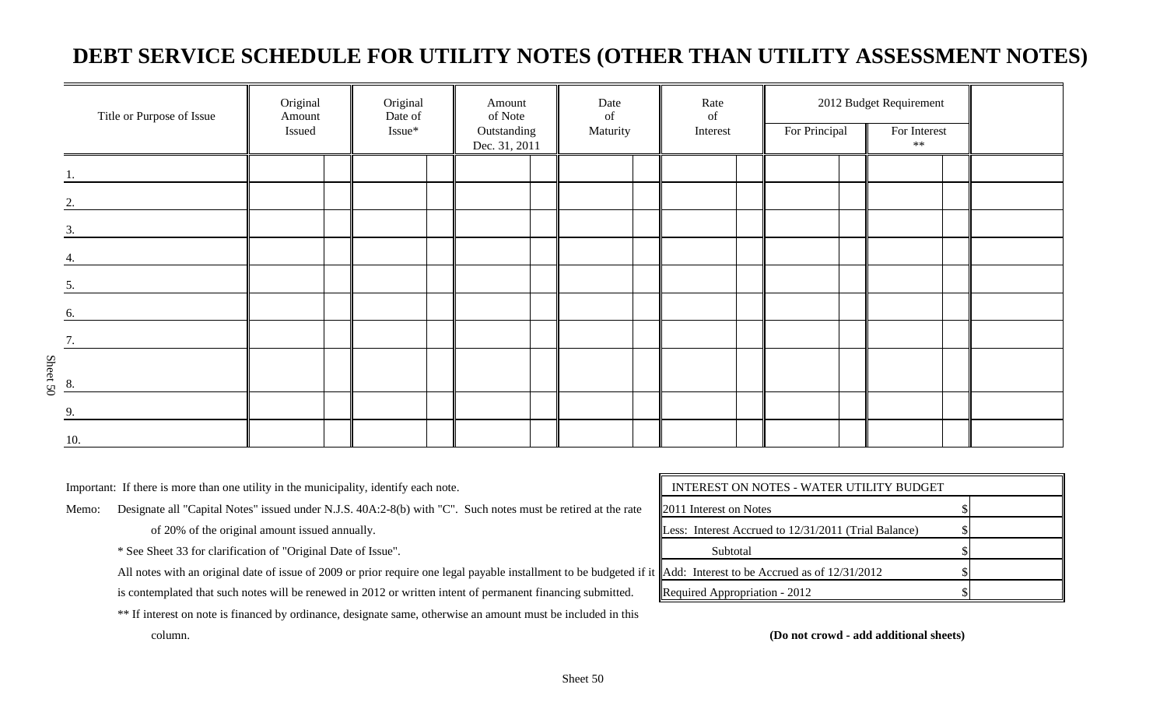## **DEBT SERVICE SCHEDULE FOR UTILITY NOTES (OTHER THAN UTILITY ASSESSMENT NOTES)**

| Title or Purpose of Issue      | Original<br>Amount<br>Issued | Original<br>Date of<br>Issue* | Amount<br>of Note<br>Outstanding<br>Dec. 31, 2011 | Date<br>of<br>Maturity | Rate<br>of<br>Interest | For Principal | 2012 Budget Requirement<br>For Interest<br>$**$ |  |
|--------------------------------|------------------------------|-------------------------------|---------------------------------------------------|------------------------|------------------------|---------------|-------------------------------------------------|--|
|                                |                              |                               |                                                   |                        |                        |               |                                                 |  |
| 2.                             |                              |                               |                                                   |                        |                        |               |                                                 |  |
| 3.                             |                              |                               |                                                   |                        |                        |               |                                                 |  |
|                                |                              |                               |                                                   |                        |                        |               |                                                 |  |
| 5.                             |                              |                               |                                                   |                        |                        |               |                                                 |  |
| 6.                             |                              |                               |                                                   |                        |                        |               |                                                 |  |
| 7.                             |                              |                               |                                                   |                        |                        |               |                                                 |  |
| $rac{\infty}{\text{Sheet 50}}$ |                              |                               |                                                   |                        |                        |               |                                                 |  |
| $\mathbf{Q}$                   |                              |                               |                                                   |                        |                        |               |                                                 |  |
| 10.                            |                              |                               |                                                   |                        |                        |               |                                                 |  |

Important: If there is more than one utility in the municipality, identify each note.

Memo: Designate all "Capital Notes" issued under N.J.S. 40A:2-8(b) with "C". Such notes must be retired at the rate

of 20% of the original amount issued annually.

\* See Sheet 33 for clarification of "Original Date of Issue".

All notes with an original date of issue of 2009 or prior require one legal payable installment to be budgeted if it

is contemplated that such notes will be renewed in 2012 or written intent of permanent financing submitted.

\*\* If interest on note is financed by ordinance, designate same, otherwise an amount must be included in this

| INTEREST ON NOTES - WATER UTILITY BUDGET             |  |  |  |  |  |  |  |  |
|------------------------------------------------------|--|--|--|--|--|--|--|--|
| 2011 Interest on Notes                               |  |  |  |  |  |  |  |  |
| Less: Interest Accrued to 12/31/2011 (Trial Balance) |  |  |  |  |  |  |  |  |
| Subtotal                                             |  |  |  |  |  |  |  |  |
| Add: Interest to be Accrued as of $12/31/2012$       |  |  |  |  |  |  |  |  |
| Required Appropriation - 2012                        |  |  |  |  |  |  |  |  |

column. **(Do not crowd - add additional sheets)**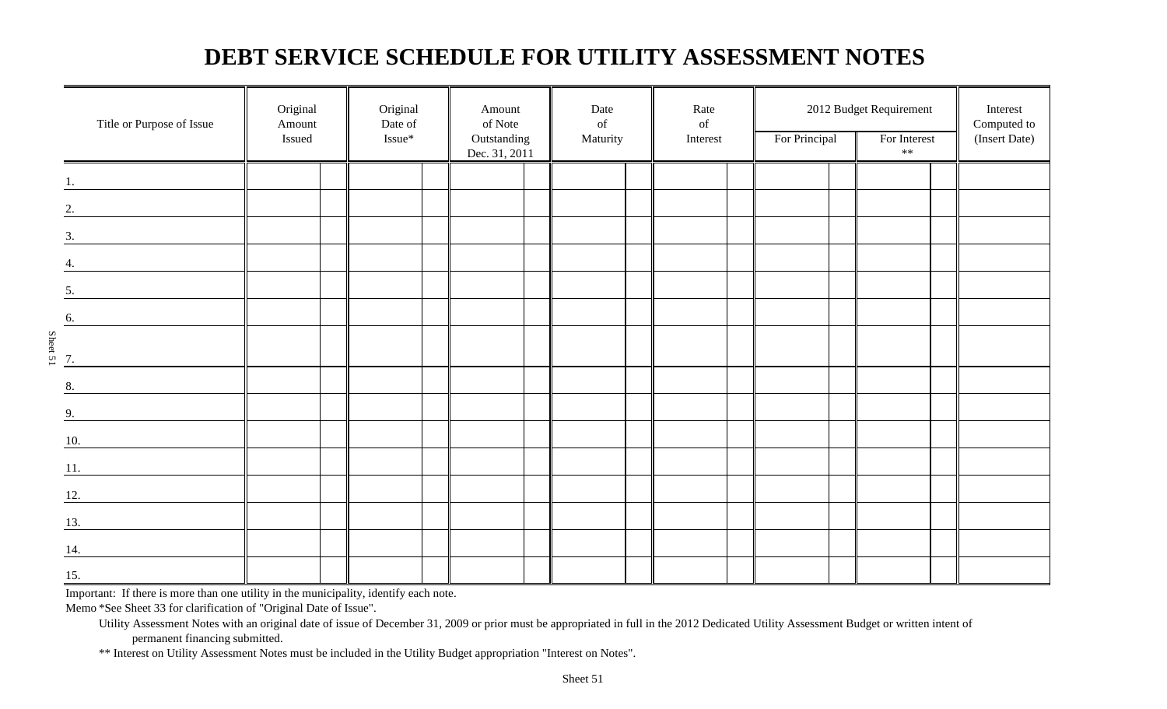## **DEBT SERVICE SCHEDULE FOR UTILITY ASSESSMENT NOTES**

|                      | Title or Purpose of Issue      | Original<br>Amount<br>Issued | Original<br>Date of<br>Issue* | Amount<br>of Note<br>Outstanding<br>Dec. 31, 2011 | Date<br>$% \left( \left( \mathcal{A},\mathcal{A}\right) \right)$ of<br>Maturity | Rate<br>of<br>Interest | For Principal | 2012 Budget Requirement<br>For Interest<br>$***$ | Interest<br>Computed to<br>(Insert Date) |
|----------------------|--------------------------------|------------------------------|-------------------------------|---------------------------------------------------|---------------------------------------------------------------------------------|------------------------|---------------|--------------------------------------------------|------------------------------------------|
| 1.                   |                                |                              |                               |                                                   |                                                                                 |                        |               |                                                  |                                          |
|                      | 2.                             |                              |                               |                                                   |                                                                                 |                        |               |                                                  |                                          |
| 3.                   |                                |                              |                               |                                                   |                                                                                 |                        |               |                                                  |                                          |
| 4.                   |                                |                              |                               |                                                   |                                                                                 |                        |               |                                                  |                                          |
| 5.                   |                                |                              |                               |                                                   |                                                                                 |                        |               |                                                  |                                          |
| 6.                   |                                |                              |                               |                                                   |                                                                                 |                        |               |                                                  |                                          |
| Sheet 51<br>Sheet 51 |                                |                              |                               |                                                   |                                                                                 |                        |               |                                                  |                                          |
|                      |                                |                              |                               |                                                   |                                                                                 |                        |               |                                                  |                                          |
| 8.                   |                                |                              |                               |                                                   |                                                                                 |                        |               |                                                  |                                          |
| 9.                   |                                |                              |                               |                                                   |                                                                                 |                        |               |                                                  |                                          |
| 10.                  |                                |                              |                               |                                                   |                                                                                 |                        |               |                                                  |                                          |
| 12.                  | $\underline{\hspace{1cm}}$ 11. |                              |                               |                                                   |                                                                                 |                        |               |                                                  |                                          |
| 13.                  |                                |                              |                               |                                                   |                                                                                 |                        |               |                                                  |                                          |
| 14.                  |                                |                              |                               |                                                   |                                                                                 |                        |               |                                                  |                                          |
| 15.                  |                                |                              |                               |                                                   |                                                                                 |                        |               |                                                  |                                          |

Important: If there is more than one utility in the municipality, identify each note.

Memo \*See Sheet 33 for clarification of "Original Date of Issue".

Utility Assessment Notes with an original date of issue of December 31, 2009 or prior must be appropriated in full in the 2012 Dedicated Utility Assessment Budget or written intent of permanent financing submitted.

\*\* Interest on Utility Assessment Notes must be included in the Utility Budget appropriation "Interest on Notes".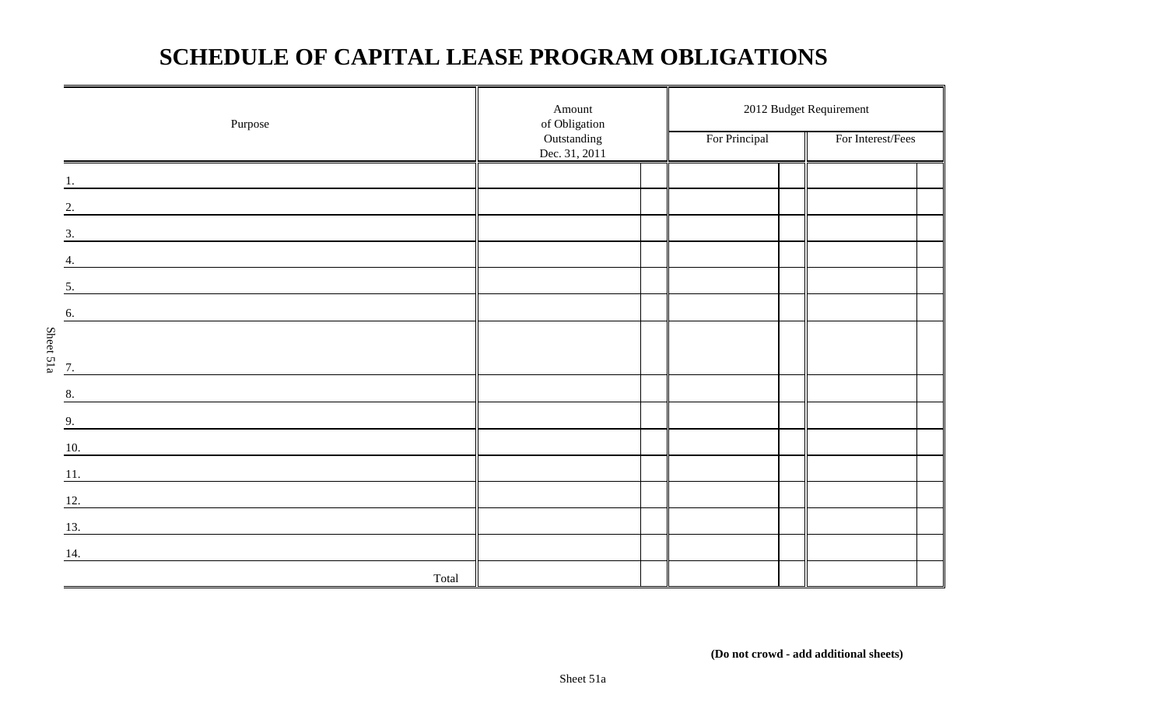## **SCHEDULE OF CAPITAL LEASE PROGRAM OBLIGATIONS**

| Purpose                                                                                                                      | Amount<br>of Obligation      |               | 2012 Budget Requirement |  |  |
|------------------------------------------------------------------------------------------------------------------------------|------------------------------|---------------|-------------------------|--|--|
|                                                                                                                              | Outstanding<br>Dec. 31, 2011 | For Principal | For Interest/Fees       |  |  |
|                                                                                                                              |                              |               |                         |  |  |
| 2.                                                                                                                           |                              |               |                         |  |  |
| 3.                                                                                                                           |                              |               |                         |  |  |
| 4.                                                                                                                           |                              |               |                         |  |  |
| 5.                                                                                                                           |                              |               |                         |  |  |
| 6.                                                                                                                           |                              |               |                         |  |  |
|                                                                                                                              |                              |               |                         |  |  |
| Sheet 51a<br>$\overline{7}$ .                                                                                                |                              |               |                         |  |  |
| 8.<br><u> 1989 - Andrea Barbara, politikar politikar (h. 1989)</u>                                                           |                              |               |                         |  |  |
| 9.                                                                                                                           |                              |               |                         |  |  |
| $\underline{10}$ .<br><u> 1980 - Jan James Barnett, fransk politik (d. 1980)</u>                                             |                              |               |                         |  |  |
| 11.<br><u> 1980 - Jan Samuel Barbara, martin di sebagai personal di sebagai personal di sebagai personal di sebagai per</u>  |                              |               |                         |  |  |
| 12.                                                                                                                          |                              |               |                         |  |  |
| 13.<br><u> 1989 - Andrea State Barbara, amerikan personal di sebagai personal di sebagai personal di sebagai personal di</u> |                              |               |                         |  |  |
| 14.                                                                                                                          |                              |               |                         |  |  |
| Total                                                                                                                        |                              |               |                         |  |  |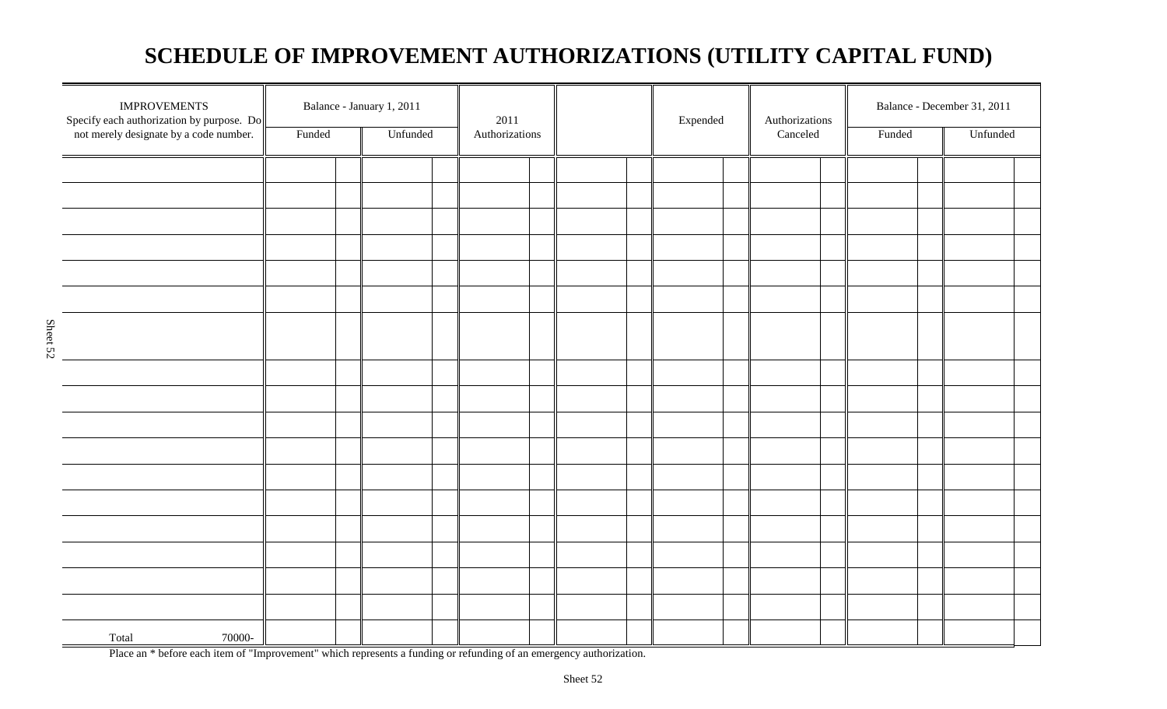## **SCHEDULE OF IMPROVEMENT AUTHORIZATIONS (UTILITY CAPITAL FUND)**

| <b>IMPROVEMENTS</b><br>Specify each authorization by purpose. $Do$<br>not merely designate by a code number. | Funded | Balance - January 1, 2011<br>Unfunded | $2011\,$<br>Authorizations |  |  | Expended |  |  |  | Authorizations<br>Canceled |  | Balance - December 31, 2011<br>Funded<br>Unfunded |  |  |
|--------------------------------------------------------------------------------------------------------------|--------|---------------------------------------|----------------------------|--|--|----------|--|--|--|----------------------------|--|---------------------------------------------------|--|--|
|                                                                                                              |        |                                       |                            |  |  |          |  |  |  |                            |  |                                                   |  |  |
|                                                                                                              |        |                                       |                            |  |  |          |  |  |  |                            |  |                                                   |  |  |
|                                                                                                              |        |                                       |                            |  |  |          |  |  |  |                            |  |                                                   |  |  |
|                                                                                                              |        |                                       |                            |  |  |          |  |  |  |                            |  |                                                   |  |  |
|                                                                                                              |        |                                       |                            |  |  |          |  |  |  |                            |  |                                                   |  |  |
|                                                                                                              |        |                                       |                            |  |  |          |  |  |  |                            |  |                                                   |  |  |
|                                                                                                              |        |                                       |                            |  |  |          |  |  |  |                            |  |                                                   |  |  |
|                                                                                                              |        |                                       |                            |  |  |          |  |  |  |                            |  |                                                   |  |  |
|                                                                                                              |        |                                       |                            |  |  |          |  |  |  |                            |  |                                                   |  |  |
|                                                                                                              |        |                                       |                            |  |  |          |  |  |  |                            |  |                                                   |  |  |
|                                                                                                              |        |                                       |                            |  |  |          |  |  |  |                            |  |                                                   |  |  |
|                                                                                                              |        |                                       |                            |  |  |          |  |  |  |                            |  |                                                   |  |  |
|                                                                                                              |        |                                       |                            |  |  |          |  |  |  |                            |  |                                                   |  |  |
|                                                                                                              |        |                                       |                            |  |  |          |  |  |  |                            |  |                                                   |  |  |
|                                                                                                              |        |                                       |                            |  |  |          |  |  |  |                            |  |                                                   |  |  |
|                                                                                                              |        |                                       |                            |  |  |          |  |  |  |                            |  |                                                   |  |  |
|                                                                                                              |        |                                       |                            |  |  |          |  |  |  |                            |  |                                                   |  |  |
|                                                                                                              |        |                                       |                            |  |  |          |  |  |  |                            |  |                                                   |  |  |
|                                                                                                              |        |                                       |                            |  |  |          |  |  |  |                            |  |                                                   |  |  |
| Total<br>70000-                                                                                              |        |                                       |                            |  |  |          |  |  |  |                            |  |                                                   |  |  |

Place an \* before each item of "Improvement" which represents a funding or refunding of an emergency authorization.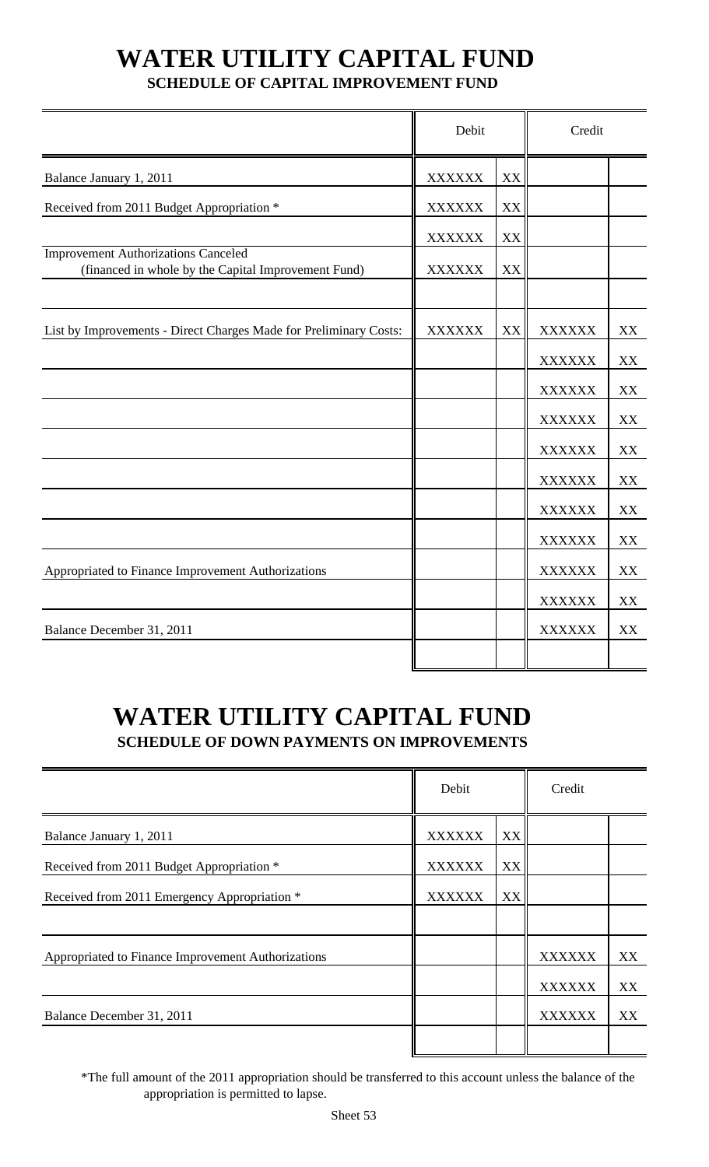# **WATER UTILITY CAPITAL FUND**

## **SCHEDULE OF CAPITAL IMPROVEMENT FUND**

|                                                                                                   | Debit         |    | Credit        |    |
|---------------------------------------------------------------------------------------------------|---------------|----|---------------|----|
| Balance January 1, 2011                                                                           | <b>XXXXXX</b> | XX |               |    |
| Received from 2011 Budget Appropriation *                                                         | <b>XXXXXX</b> | XX |               |    |
|                                                                                                   | <b>XXXXXX</b> | XX |               |    |
| <b>Improvement Authorizations Canceled</b><br>(financed in whole by the Capital Improvement Fund) | <b>XXXXXX</b> | XX |               |    |
|                                                                                                   |               |    |               |    |
| List by Improvements - Direct Charges Made for Preliminary Costs:                                 | <b>XXXXXX</b> | XX | <b>XXXXXX</b> | XX |
|                                                                                                   |               |    | <b>XXXXXX</b> | XX |
|                                                                                                   |               |    | <b>XXXXXX</b> | XX |
|                                                                                                   |               |    | <b>XXXXXX</b> | XX |
|                                                                                                   |               |    | <b>XXXXXX</b> | XX |
|                                                                                                   |               |    | <b>XXXXXX</b> | XX |
|                                                                                                   |               |    | <b>XXXXXX</b> | XX |
|                                                                                                   |               |    | <b>XXXXXX</b> | XX |
| Appropriated to Finance Improvement Authorizations                                                |               |    | <b>XXXXXX</b> | XX |
|                                                                                                   |               |    | <b>XXXXXX</b> | XX |
| Balance December 31, 2011                                                                         |               |    | <b>XXXXXX</b> | XX |
|                                                                                                   |               |    |               |    |

## **WATER UTILITY CAPITAL FUND SCHEDULE OF DOWN PAYMENTS ON IMPROVEMENTS**

|                                                    | Debit         |    | Credit        |    |
|----------------------------------------------------|---------------|----|---------------|----|
| Balance January 1, 2011                            | <b>XXXXXX</b> | XX |               |    |
| Received from 2011 Budget Appropriation *          | <b>XXXXXX</b> | XX |               |    |
| Received from 2011 Emergency Appropriation *       | <b>XXXXXX</b> | XX |               |    |
|                                                    |               |    |               |    |
| Appropriated to Finance Improvement Authorizations |               |    | <b>XXXXXX</b> | XX |
|                                                    |               |    | <b>XXXXXX</b> | XX |
| Balance December 31, 2011                          |               |    | <b>XXXXXX</b> | XX |
|                                                    |               |    |               |    |

\*The full amount of the 2011 appropriation should be transferred to this account unless the balance of the appropriation is permitted to lapse.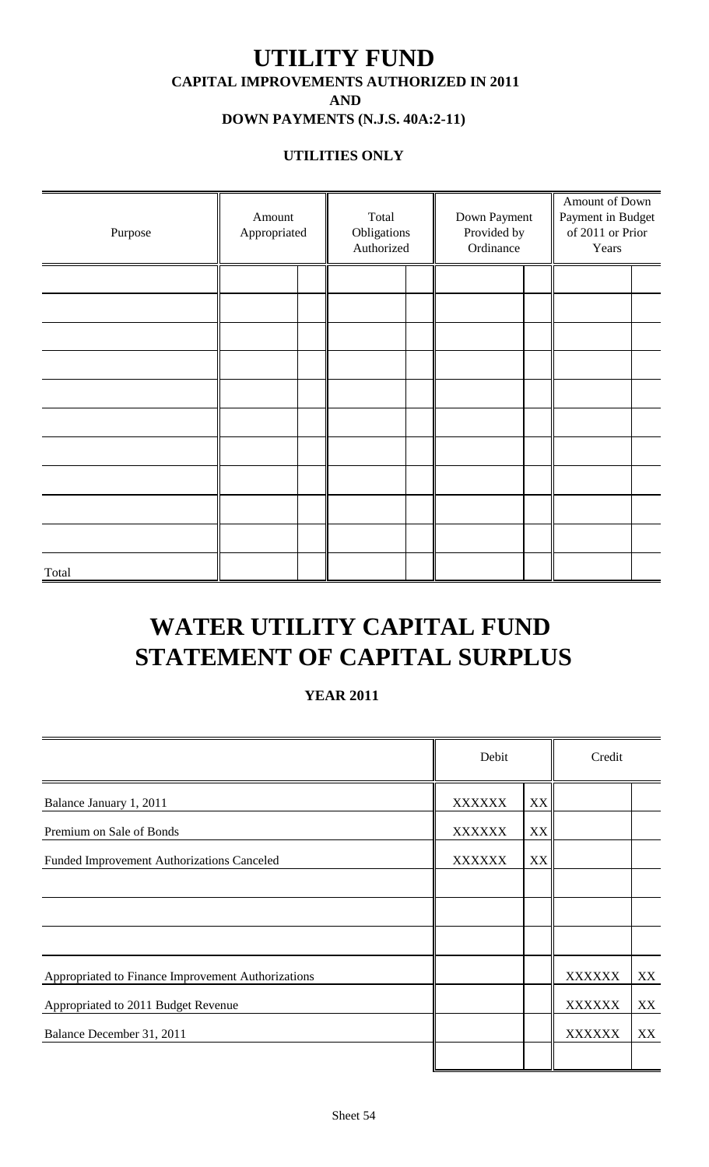## **UTILITY FUND CAPITAL IMPROVEMENTS AUTHORIZED IN 2011 AND DOWN PAYMENTS (N.J.S. 40A:2-11)**

# **UTILITIES ONLY**

| Purpose | Amount<br>Appropriated | Total<br>Obligations<br>Authorized | Down Payment<br>Provided by<br>Ordinance | Amount of Down<br>Payment in Budget<br>of 2011 or Prior<br>Years |  |  |
|---------|------------------------|------------------------------------|------------------------------------------|------------------------------------------------------------------|--|--|
|         |                        |                                    |                                          |                                                                  |  |  |
|         |                        |                                    |                                          |                                                                  |  |  |
|         |                        |                                    |                                          |                                                                  |  |  |
|         |                        |                                    |                                          |                                                                  |  |  |
|         |                        |                                    |                                          |                                                                  |  |  |
|         |                        |                                    |                                          |                                                                  |  |  |
|         |                        |                                    |                                          |                                                                  |  |  |
|         |                        |                                    |                                          |                                                                  |  |  |
|         |                        |                                    |                                          |                                                                  |  |  |
|         |                        |                                    |                                          |                                                                  |  |  |
| Total   |                        |                                    |                                          |                                                                  |  |  |

# **WATER UTILITY CAPITAL FUND STATEMENT OF CAPITAL SURPLUS**

### **YEAR 2011**

|                                                    | Debit         |    | Credit        |    |
|----------------------------------------------------|---------------|----|---------------|----|
| Balance January 1, 2011                            | <b>XXXXXX</b> | XX |               |    |
| Premium on Sale of Bonds                           | <b>XXXXXX</b> | XX |               |    |
| Funded Improvement Authorizations Canceled         | <b>XXXXXX</b> | XX |               |    |
|                                                    |               |    |               |    |
|                                                    |               |    |               |    |
|                                                    |               |    |               |    |
| Appropriated to Finance Improvement Authorizations |               |    | <b>XXXXXX</b> | XX |
| Appropriated to 2011 Budget Revenue                |               |    | <b>XXXXXX</b> | XX |
| Balance December 31, 2011                          |               |    | <b>XXXXXX</b> | XX |
|                                                    |               |    |               |    |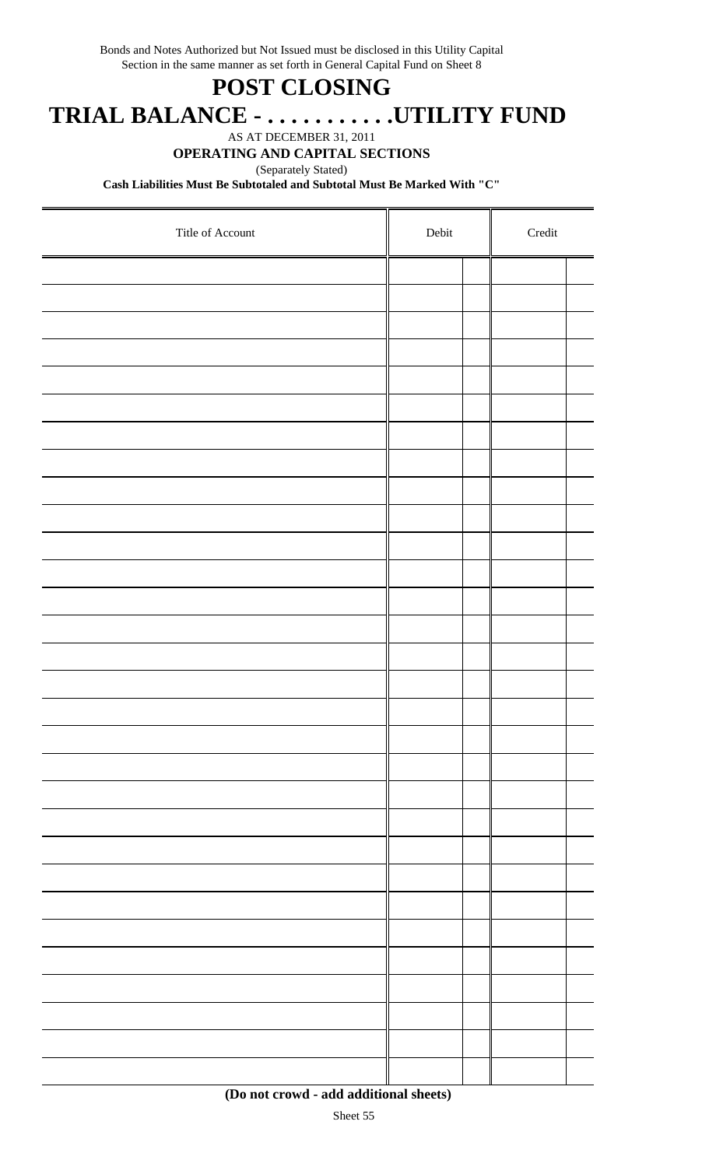Bonds and Notes Authorized but Not Issued must be disclosed in this Utility Capital Section in the same manner as set forth in General Capital Fund on Sheet 8

## **POST CLOSING**

 **TRIAL BALANCE - . . . . . . . . . . .UTILITY FUND**

AS AT DECEMBER 31, 2011

### **OPERATING AND CAPITAL SECTIONS**

(Separately Stated)

**Cash Liabilities Must Be Subtotaled and Subtotal Must Be Marked With "C"**

| Title of Account | Debit |  | $\bf Credit$ |  |
|------------------|-------|--|--------------|--|
|                  |       |  |              |  |
|                  |       |  |              |  |
|                  |       |  |              |  |
|                  |       |  |              |  |
|                  |       |  |              |  |
|                  |       |  |              |  |
|                  |       |  |              |  |
|                  |       |  |              |  |
|                  |       |  |              |  |
|                  |       |  |              |  |
|                  |       |  |              |  |
|                  |       |  |              |  |
|                  |       |  |              |  |
|                  |       |  |              |  |
|                  |       |  |              |  |
|                  |       |  |              |  |
|                  |       |  |              |  |
|                  |       |  |              |  |
|                  |       |  |              |  |
|                  |       |  |              |  |
|                  |       |  |              |  |
|                  |       |  |              |  |
|                  |       |  |              |  |
|                  |       |  |              |  |
|                  |       |  |              |  |
|                  |       |  |              |  |
|                  |       |  |              |  |
|                  |       |  |              |  |
|                  |       |  |              |  |
|                  |       |  |              |  |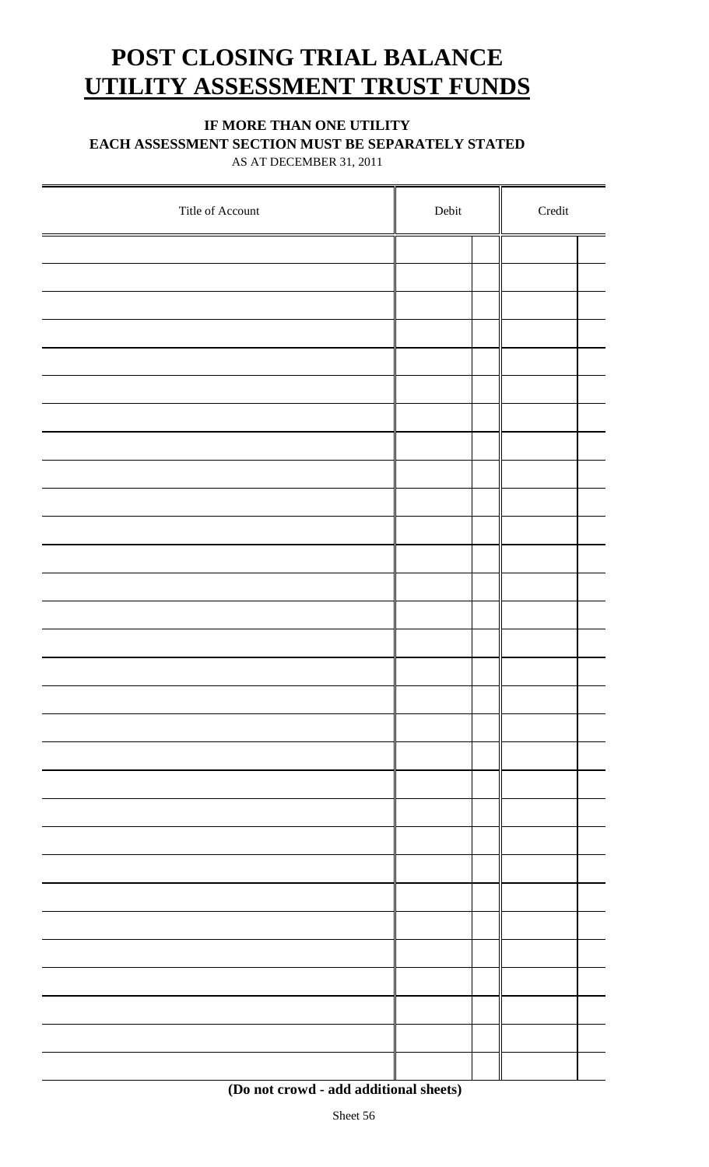## **POST CLOSING TRIAL BALANCE UTILITY ASSESSMENT TRUST FUNDS**

### **IF MORE THAN ONE UTILITY**

**EACH ASSESSMENT SECTION MUST BE SEPARATELY STATED**

AS AT DECEMBER 31, 2011

| Title of Account | Debit |  | $\bf Credit$ |  |  |
|------------------|-------|--|--------------|--|--|
|                  |       |  |              |  |  |
|                  |       |  |              |  |  |
|                  |       |  |              |  |  |
|                  |       |  |              |  |  |
|                  |       |  |              |  |  |
|                  |       |  |              |  |  |
|                  |       |  |              |  |  |
|                  |       |  |              |  |  |
|                  |       |  |              |  |  |
|                  |       |  |              |  |  |
|                  |       |  |              |  |  |
|                  |       |  |              |  |  |
|                  |       |  |              |  |  |
|                  |       |  |              |  |  |
|                  |       |  |              |  |  |
|                  |       |  |              |  |  |
|                  |       |  |              |  |  |
|                  |       |  |              |  |  |
|                  |       |  |              |  |  |
|                  |       |  |              |  |  |
|                  |       |  |              |  |  |
|                  |       |  |              |  |  |
|                  |       |  |              |  |  |
|                  |       |  |              |  |  |
|                  |       |  |              |  |  |
|                  |       |  |              |  |  |
|                  |       |  |              |  |  |
|                  |       |  |              |  |  |
|                  |       |  |              |  |  |
|                  |       |  |              |  |  |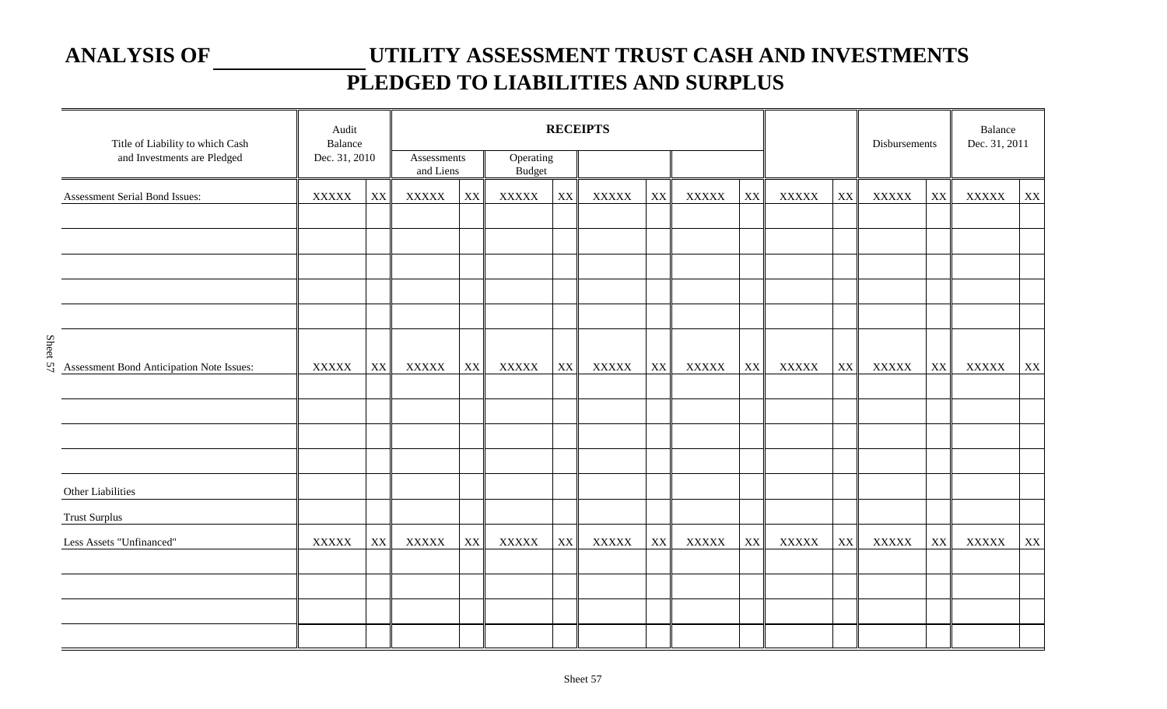## **ANALYSIS OF UTILITY ASSESSMENT TRUST CASH AND INVESTMENTS PLEDGED TO LIABILITIES AND SURPLUS**

| Title of Liability to which Cash          | Audit         | Balance                |                          | <b>RECEIPTS</b> |                            |    |                |    |              | Disbursements |              | Balance<br>Dec. 31, 2011 |              |    |              |                    |
|-------------------------------------------|---------------|------------------------|--------------------------|-----------------|----------------------------|----|----------------|----|--------------|---------------|--------------|--------------------------|--------------|----|--------------|--------------------|
| and Investments are Pledged               | Dec. 31, 2010 |                        | Assessments<br>and Liens |                 | Operating<br><b>Budget</b> |    |                |    |              |               |              |                          |              |    |              |                    |
| Assessment Serial Bond Issues:            | <b>XXXXX</b>  | XX                     | <b>XXXXX</b>             | XX              | <b>XXXXX</b>               | XX | <b>XXXXX</b>   | XX | <b>XXXXX</b> | XX            | <b>XXXXX</b> | XX                       | <b>XXXXX</b> | XX | <b>XXXXX</b> | $\bold{X}\bold{X}$ |
|                                           |               |                        |                          |                 |                            |    |                |    |              |               |              |                          |              |    |              |                    |
|                                           |               |                        |                          |                 |                            |    |                |    |              |               |              |                          |              |    |              |                    |
| Assessment Bond Anticipation Note Issues: | <b>XXXXX</b>  | $\mathbf{X}\mathbf{X}$ | <b>XXXXX</b>             | XX              | <b>XXXXX</b>               | XX | $\bold{XXXXX}$ | XX | <b>XXXXX</b> | XX            | <b>XXXXX</b> | $\mathbf{X}\mathbf{X}$   | <b>XXXXX</b> | XX | <b>XXXXX</b> | $\mathbf{XX}$      |
|                                           |               |                        |                          |                 |                            |    |                |    |              |               |              |                          |              |    |              |                    |
| Other Liabilities                         |               |                        |                          |                 |                            |    |                |    |              |               |              |                          |              |    |              |                    |
| <b>Trust Surplus</b>                      |               |                        |                          |                 |                            |    |                |    |              |               |              |                          |              |    |              |                    |
| Less Assets "Unfinanced"                  | <b>XXXXX</b>  | XX                     | <b>XXXXX</b>             | XX              | <b>XXXXX</b>               | XX | <b>XXXXX</b>   | XX | <b>XXXXX</b> | XX            | <b>XXXXX</b> | XX                       | <b>XXXXX</b> | XX | <b>XXXXX</b> | $\mathbf{XX}$      |
|                                           |               |                        |                          |                 |                            |    |                |    |              |               |              |                          |              |    |              |                    |
|                                           |               |                        |                          |                 |                            |    |                |    |              |               |              |                          |              |    |              |                    |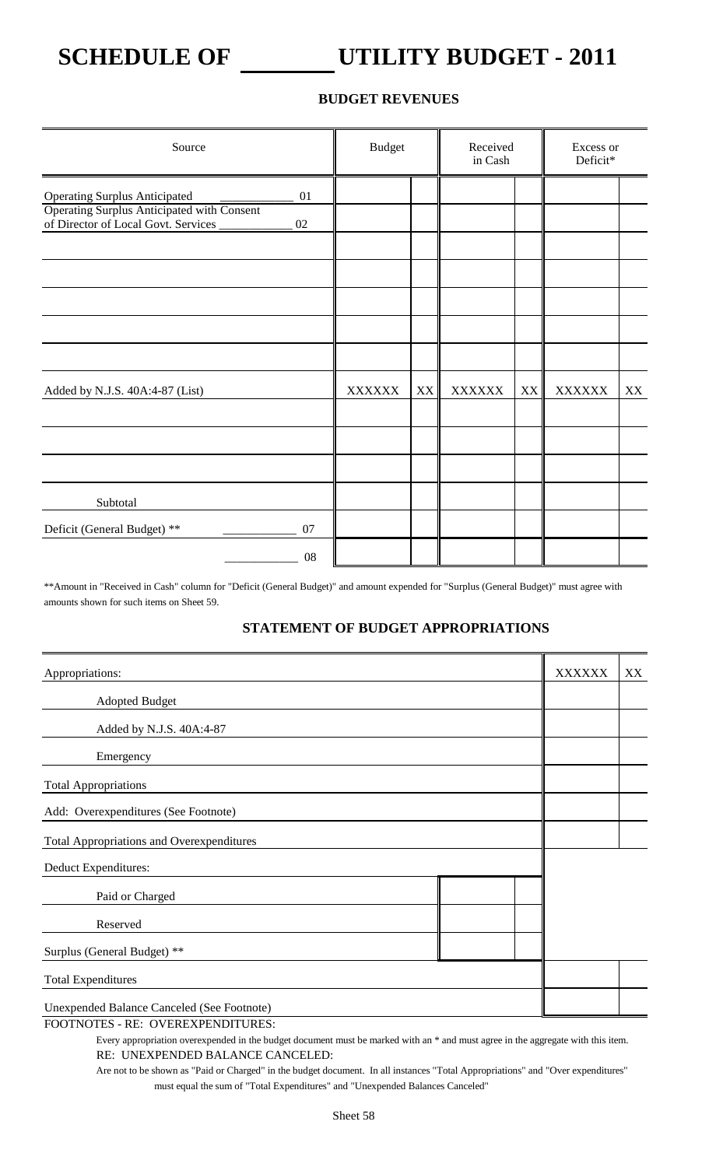## **SCHEDULE OF UTILITY BUDGET - 2011**

### **BUDGET REVENUES**

| Source                                                                                                                                | <b>Budget</b> |    | Received<br>in Cash |    | Excess or<br>Deficit* |    |
|---------------------------------------------------------------------------------------------------------------------------------------|---------------|----|---------------------|----|-----------------------|----|
| <b>Operating Surplus Anticipated</b><br>01<br>Operating Surplus Anticipated with Consent<br>of Director of Local Govt. Services<br>02 |               |    |                     |    |                       |    |
| Added by N.J.S. 40A:4-87 (List)                                                                                                       | <b>XXXXXX</b> | XX | <b>XXXXXX</b>       | XX | <b>XXXXXX</b>         | XX |
| Subtotal                                                                                                                              |               |    |                     |    |                       |    |
| Deficit (General Budget) **<br>07<br>08                                                                                               |               |    |                     |    |                       |    |

\*\*Amount in "Received in Cash" column for "Deficit (General Budget)" and amount expended for "Surplus (General Budget)" must agree with amounts shown for such items on Sheet 59.

### **STATEMENT OF BUDGET APPROPRIATIONS**

| Appropriations:                                   | <b>XXXXXX</b> | XX |
|---------------------------------------------------|---------------|----|
| <b>Adopted Budget</b>                             |               |    |
| Added by N.J.S. 40A:4-87                          |               |    |
| Emergency                                         |               |    |
| <b>Total Appropriations</b>                       |               |    |
| Add: Overexpenditures (See Footnote)              |               |    |
| <b>Total Appropriations and Overexpenditures</b>  |               |    |
| Deduct Expenditures:                              |               |    |
| Paid or Charged                                   |               |    |
| Reserved                                          |               |    |
| Surplus (General Budget) **                       |               |    |
| <b>Total Expenditures</b>                         |               |    |
| <b>Unexpended Balance Canceled (See Footnote)</b> |               |    |

FOOTNOTES - RE: OVEREXPENDITURES:

Every appropriation overexpended in the budget document must be marked with an \* and must agree in the aggregate with this item. RE: UNEXPENDED BALANCE CANCELED:

Are not to be shown as "Paid or Charged" in the budget document. In all instances "Total Appropriations" and "Over expenditures" must equal the sum of "Total Expenditures" and "Unexpended Balances Canceled"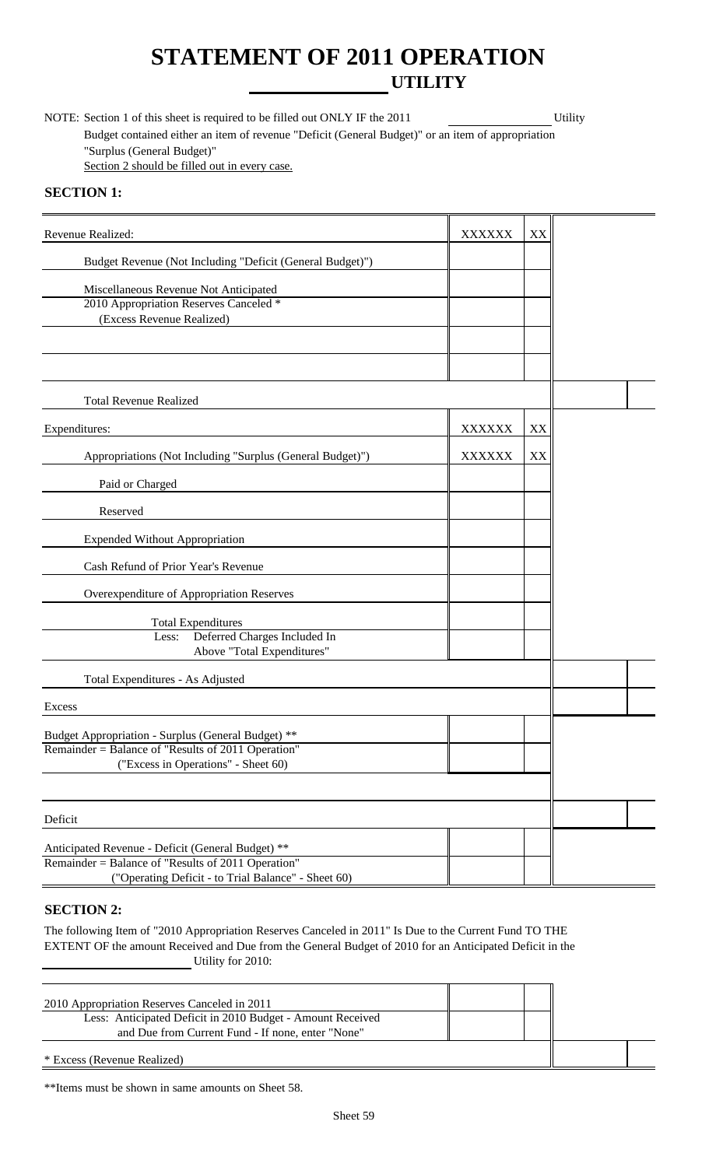## **STATEMENT OF 2011 OPERATION UTILITY**

NOTE: Section 1 of this sheet is required to be filled out ONLY IF the 2011 Utility Budget contained either an item of revenue "Deficit (General Budget)" or an item of appropriation "Surplus (General Budget)" Section 2 should be filled out in every case.

### **SECTION 1:**

| Revenue Realized:                                         | <b>XXXXXX</b> | XX |  |
|-----------------------------------------------------------|---------------|----|--|
| Budget Revenue (Not Including "Deficit (General Budget)") |               |    |  |
| Miscellaneous Revenue Not Anticipated                     |               |    |  |
| 2010 Appropriation Reserves Canceled *                    |               |    |  |
| (Excess Revenue Realized)                                 |               |    |  |
|                                                           |               |    |  |
|                                                           |               |    |  |
|                                                           |               |    |  |
| <b>Total Revenue Realized</b>                             |               |    |  |
| Expenditures:                                             | <b>XXXXXX</b> | XX |  |
| Appropriations (Not Including "Surplus (General Budget)") | <b>XXXXXX</b> | XX |  |
| Paid or Charged                                           |               |    |  |
| Reserved                                                  |               |    |  |
|                                                           |               |    |  |
| <b>Expended Without Appropriation</b>                     |               |    |  |
| Cash Refund of Prior Year's Revenue                       |               |    |  |
| Overexpenditure of Appropriation Reserves                 |               |    |  |
| <b>Total Expenditures</b>                                 |               |    |  |
| Deferred Charges Included In<br>Less:                     |               |    |  |
| Above "Total Expenditures"                                |               |    |  |
| Total Expenditures - As Adjusted                          |               |    |  |
| Excess                                                    |               |    |  |
| Budget Appropriation - Surplus (General Budget) **        |               |    |  |
| Remainder = Balance of "Results of 2011 Operation"        |               |    |  |
| ("Excess in Operations" - Sheet 60)                       |               |    |  |
|                                                           |               |    |  |
|                                                           |               |    |  |
| Deficit                                                   |               |    |  |
| Anticipated Revenue - Deficit (General Budget) **         |               |    |  |
| Remainder = Balance of "Results of 2011 Operation"        |               |    |  |
| ("Operating Deficit - to Trial Balance" - Sheet 60)       |               |    |  |

### **SECTION 2:**

The following Item of "2010 Appropriation Reserves Canceled in 2011" Is Due to the Current Fund TO THE EXTENT OF the amount Received and Due from the General Budget of 2010 for an Anticipated Deficit in the Utility for 2010:

| 2010 Appropriation Reserves Canceled in 2011               |  |  |
|------------------------------------------------------------|--|--|
| Less: Anticipated Deficit in 2010 Budget - Amount Received |  |  |
| and Due from Current Fund - If none, enter "None"          |  |  |
| * Excess (Revenue Realized)                                |  |  |

\*\*Items must be shown in same amounts on Sheet 58.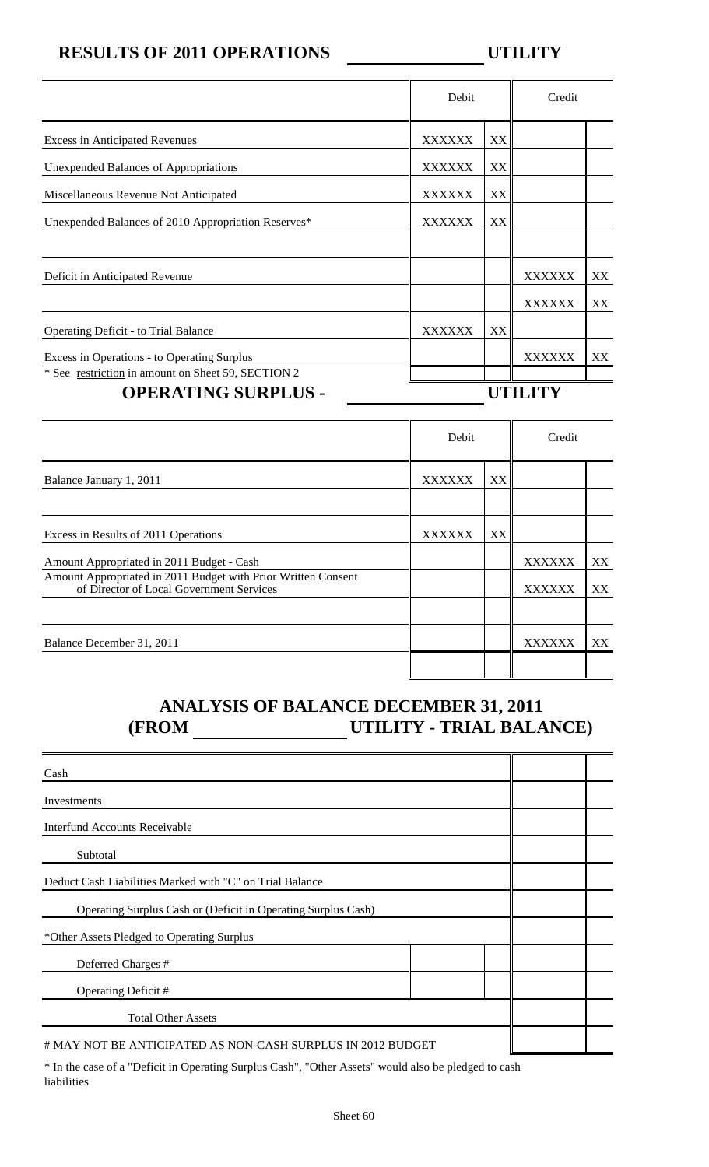## **RESULTS OF 2011 OPERATIONS UTILITY**

|                                                                                  | Debit         |    |        |     |
|----------------------------------------------------------------------------------|---------------|----|--------|-----|
| <b>Excess in Anticipated Revenues</b>                                            | <b>XXXXXX</b> | XX |        |     |
| <b>Unexpended Balances of Appropriations</b>                                     | <b>XXXXXX</b> | XX |        |     |
| Miscellaneous Revenue Not Anticipated                                            | <b>XXXXXX</b> | XX |        |     |
| Unexpended Balances of 2010 Appropriation Reserves*                              | XXXXXX        | XX |        |     |
|                                                                                  |               |    |        |     |
| Deficit in Anticipated Revenue                                                   |               |    | XXXXXX | XX  |
|                                                                                  |               |    | XXXXXX | XX  |
| <b>Operating Deficit - to Trial Balance</b>                                      | <b>XXXXXX</b> | XX |        |     |
| Excess in Operations - to Operating Surplus                                      |               |    | XXXXXX | XX. |
| * See restriction in amount on Sheet 59, SECTION 2<br><b>OPERATING SURPLUS -</b> |               |    |        |     |

|                                                                                                           | Debit         |    |        |     |
|-----------------------------------------------------------------------------------------------------------|---------------|----|--------|-----|
| Balance January 1, 2011                                                                                   | <b>XXXXXX</b> | XX |        |     |
|                                                                                                           |               |    |        |     |
| Excess in Results of 2011 Operations                                                                      | <b>XXXXXX</b> | XX |        |     |
| Amount Appropriated in 2011 Budget - Cash                                                                 |               |    | XXXXXX | XX. |
| Amount Appropriated in 2011 Budget with Prior Written Consent<br>of Director of Local Government Services |               |    | XXXXXX | XX  |
|                                                                                                           |               |    |        |     |
| Balance December 31, 2011                                                                                 |               |    | XXXXXX | XX  |
|                                                                                                           |               |    |        |     |

## **ANALYSIS OF BALANCE DECEMBER 31, 2011 (FROM UTILITY - TRIAL BALANCE)**

| Cash                                                                                                |  |  |
|-----------------------------------------------------------------------------------------------------|--|--|
| Investments                                                                                         |  |  |
| <b>Interfund Accounts Receivable</b>                                                                |  |  |
| Subtotal                                                                                            |  |  |
| Deduct Cash Liabilities Marked with "C" on Trial Balance                                            |  |  |
| Operating Surplus Cash or (Deficit in Operating Surplus Cash)                                       |  |  |
| *Other Assets Pledged to Operating Surplus                                                          |  |  |
| Deferred Charges #                                                                                  |  |  |
| Operating Deficit #                                                                                 |  |  |
| <b>Total Other Assets</b>                                                                           |  |  |
| # MAY NOT BE ANTICIPATED AS NON-CASH SURPLUS IN 2012 BUDGET                                         |  |  |
| * In the case of a "Deficit in Operating Surplus Cash" "Other Assets" would also be pledged to cash |  |  |

In the case of a "Deficit in Operating Surplus Cash", "Other Assets" would also be pledged to cash liabilities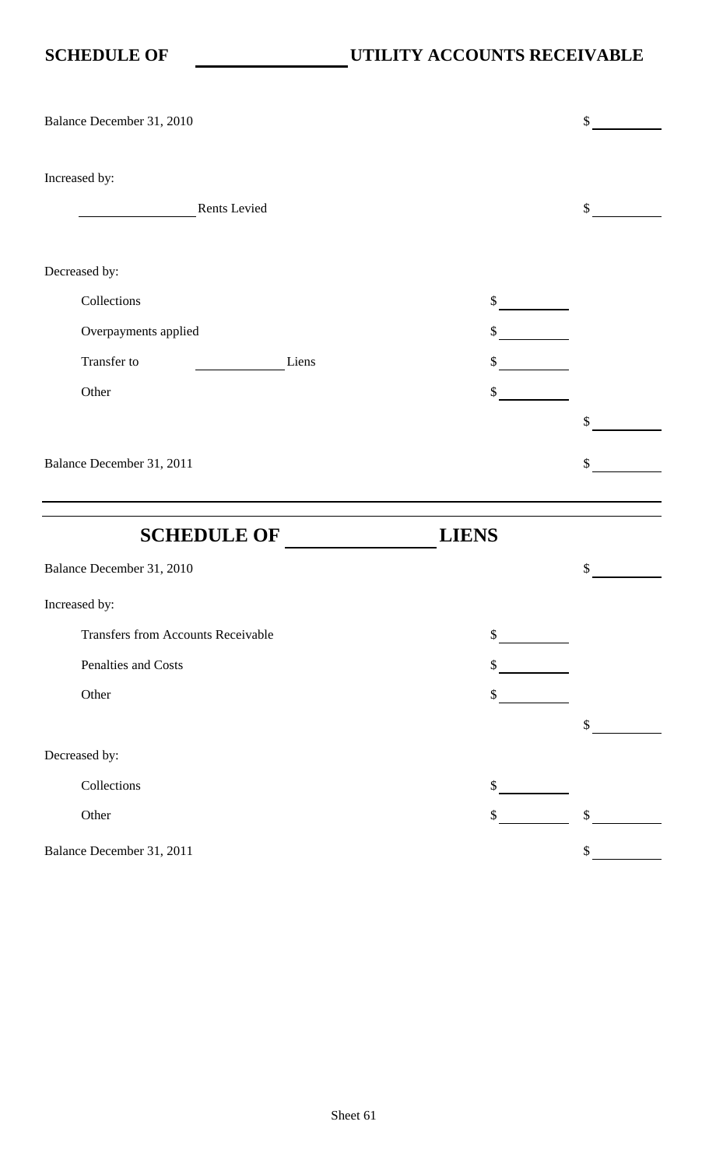| Balance December 31, 2010                 |              |                           | \$                        |
|-------------------------------------------|--------------|---------------------------|---------------------------|
| Increased by:                             | Rents Levied |                           | \$                        |
| Decreased by:                             |              |                           |                           |
| Collections                               |              | $\int$                    |                           |
| Overpayments applied                      |              | $\mathbb{S}$              |                           |
| Transfer to                               | Liens        | \$                        |                           |
| Other                                     |              | \$                        |                           |
|                                           |              |                           | \$                        |
| Balance December 31, 2011                 |              |                           | \$                        |
|                                           |              |                           |                           |
|                                           |              |                           |                           |
| <b>SCHEDULE OF</b>                        |              | <b>LIENS</b>              |                           |
| Balance December 31, 2010                 |              |                           | \$                        |
| Increased by:                             |              |                           |                           |
| <b>Transfers from Accounts Receivable</b> |              | $\mathbb{S}$              |                           |
| Penalties and Costs                       |              | $\boldsymbol{\mathsf{S}}$ |                           |
| Other                                     |              | \$                        |                           |
|                                           |              |                           | \$                        |
| Decreased by:                             |              |                           |                           |
| Collections                               |              | \$                        |                           |
| Other                                     |              | $\boldsymbol{\mathsf{S}}$ | $\boldsymbol{\mathsf{S}}$ |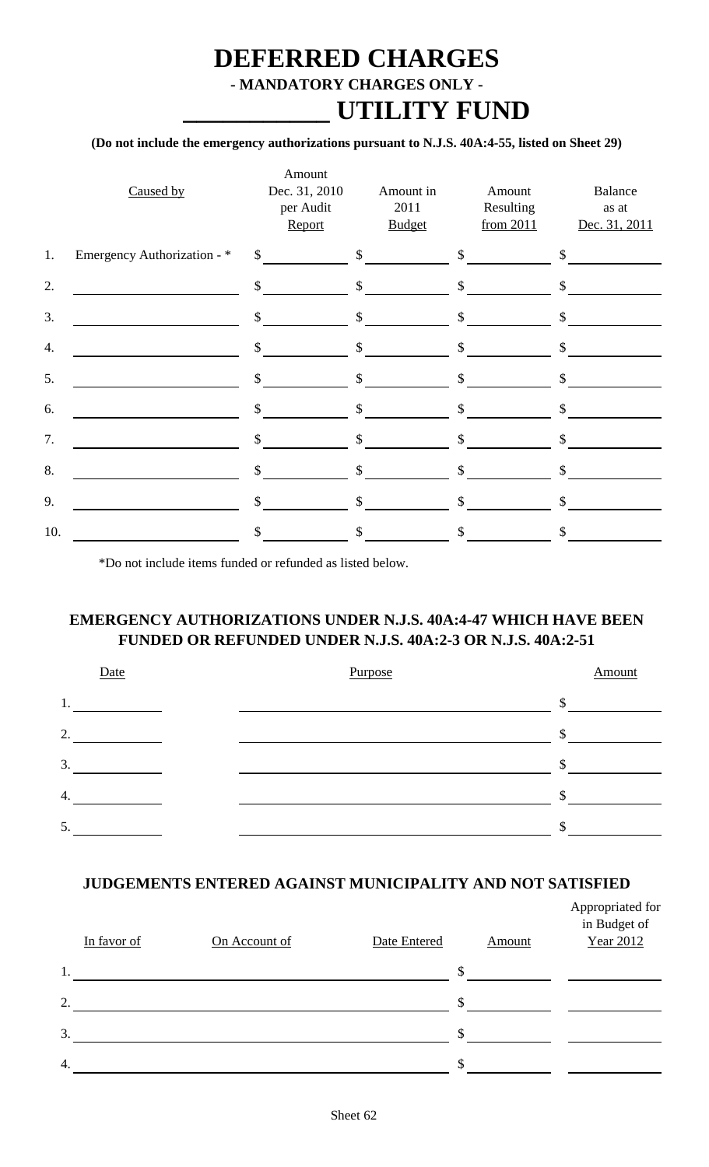## **DEFERRED CHARGES - MANDATORY CHARGES ONLY - \_\_\_\_\_\_\_\_\_\_\_ UTILITY FUND**

### **(Do not include the emergency authorizations pursuant to N.J.S. 40A:4-55, listed on Sheet 29)**

|     | Caused by                   | Amount<br>Dec. 31, 2010<br>per Audit<br>Report | Amount in<br>2011<br><b>Budget</b> | Amount<br>Resulting<br>from 2011 | Balance<br>as at<br>Dec. 31, 2011 |
|-----|-----------------------------|------------------------------------------------|------------------------------------|----------------------------------|-----------------------------------|
| 1.  | Emergency Authorization - * | $\sim$                                         | $\sim$                             | $\sim$                           | $\mathcal{S}$                     |
| 2.  |                             | $\mathcal{S}$                                  | $\mathcal{S}$                      | $\sim$                           | $\mathcal{S}$                     |
| 3.  |                             | $\mathsf{\$}$                                  | $\int$                             | $\frac{1}{2}$                    | \$                                |
| 4.  |                             | $\mathcal{S}$                                  | $\mathbb{S}$                       | $\frac{1}{2}$                    | $\mathsf{S}$                      |
| 5.  |                             | $\mathcal{S}$                                  | $\mathbb{S}$                       | $\mathbb{S}$                     | \$                                |
| 6.  |                             | $\mathbf{\hat{S}}$                             | $\mathbb{S}$                       | \$                               | \$                                |
| 7.  |                             | \$                                             | $\mathcal{S}$                      | \$                               | \$                                |
| 8.  |                             | \$                                             | \$                                 | \$                               | \$                                |
| 9.  |                             | \$                                             | \$                                 | \$                               | \$                                |
| 10. |                             | \$                                             | \$                                 | \$                               | \$                                |

\*Do not include items funded or refunded as listed below.

### **EMERGENCY AUTHORIZATIONS UNDER N.J.S. 40A:4-47 WHICH HAVE BEEN FUNDED OR REFUNDED UNDER N.J.S. 40A:2-3 OR N.J.S. 40A:2-51**



### **JUDGEMENTS ENTERED AGAINST MUNICIPALITY AND NOT SATISFIED**

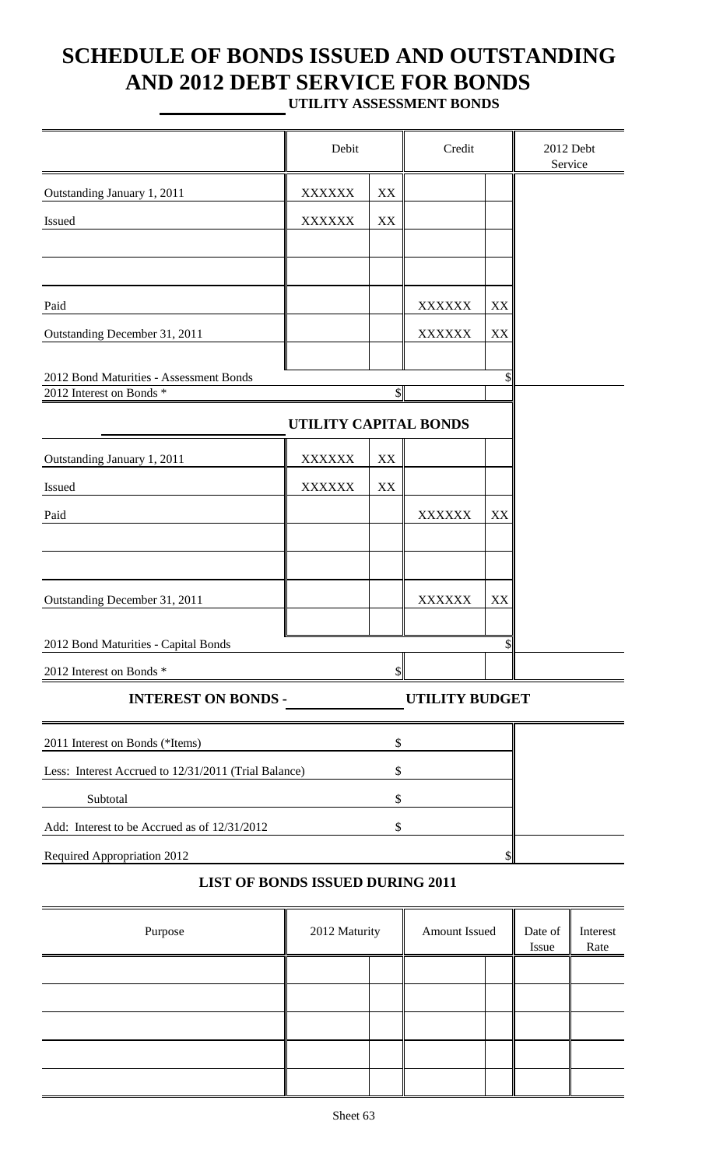# **SCHEDULE OF BONDS ISSUED AND OUTSTANDING AND 2012 DEBT SERVICE FOR BONDS**

**UTILITY ASSESSMENT BONDS**

|                                                                     | Debit                 |                         | Credit                |    | 2012 Debt<br>Service |  |
|---------------------------------------------------------------------|-----------------------|-------------------------|-----------------------|----|----------------------|--|
| Outstanding January 1, 2011                                         | <b>XXXXXX</b>         | $\mathbf{X}\mathbf{X}$  |                       |    |                      |  |
| Issued                                                              | <b>XXXXXX</b>         | XX                      |                       |    |                      |  |
|                                                                     |                       |                         |                       |    |                      |  |
|                                                                     |                       |                         |                       |    |                      |  |
| Paid                                                                |                       |                         | <b>XXXXXX</b>         | XX |                      |  |
| Outstanding December 31, 2011                                       |                       |                         | <b>XXXXXX</b>         | XX |                      |  |
|                                                                     |                       |                         |                       |    |                      |  |
| 2012 Bond Maturities - Assessment Bonds<br>2012 Interest on Bonds * |                       | $\overline{\mathbb{S}}$ |                       | \$ |                      |  |
|                                                                     | UTILITY CAPITAL BONDS |                         |                       |    |                      |  |
| Outstanding January 1, 2011                                         | <b>XXXXXX</b>         | XX                      |                       |    |                      |  |
| Issued                                                              | <b>XXXXXX</b>         | XX                      |                       |    |                      |  |
| Paid                                                                |                       |                         | <b>XXXXXX</b>         | XX |                      |  |
|                                                                     |                       |                         |                       |    |                      |  |
|                                                                     |                       |                         |                       |    |                      |  |
| Outstanding December 31, 2011                                       |                       |                         | <b>XXXXXX</b>         | XX |                      |  |
|                                                                     |                       |                         |                       |    |                      |  |
| 2012 Bond Maturities - Capital Bonds                                |                       |                         |                       | \$ |                      |  |
| 2012 Interest on Bonds *                                            |                       |                         |                       |    |                      |  |
| <b>INTEREST ON BONDS -</b>                                          |                       |                         | <b>UTILITY BUDGET</b> |    |                      |  |
| 2011 Interest on Bonds (*Items)                                     |                       | \$                      |                       |    |                      |  |
| Less: Interest Accrued to 12/31/2011 (Trial Balance)                |                       | \$                      |                       |    |                      |  |
| Subtotal                                                            |                       | \$                      |                       |    |                      |  |
| Add: Interest to be Accrued as of 12/31/2012                        |                       | \$                      |                       |    |                      |  |
| Required Appropriation 2012                                         |                       |                         |                       |    |                      |  |
| <b>LIST OF BONDS ISSUED DURING 2011</b>                             |                       |                         |                       |    |                      |  |
| Purpose                                                             | 2012 Maturity         | Date of<br>Issue        | Interest<br>Rate      |    |                      |  |
|                                                                     |                       |                         |                       |    |                      |  |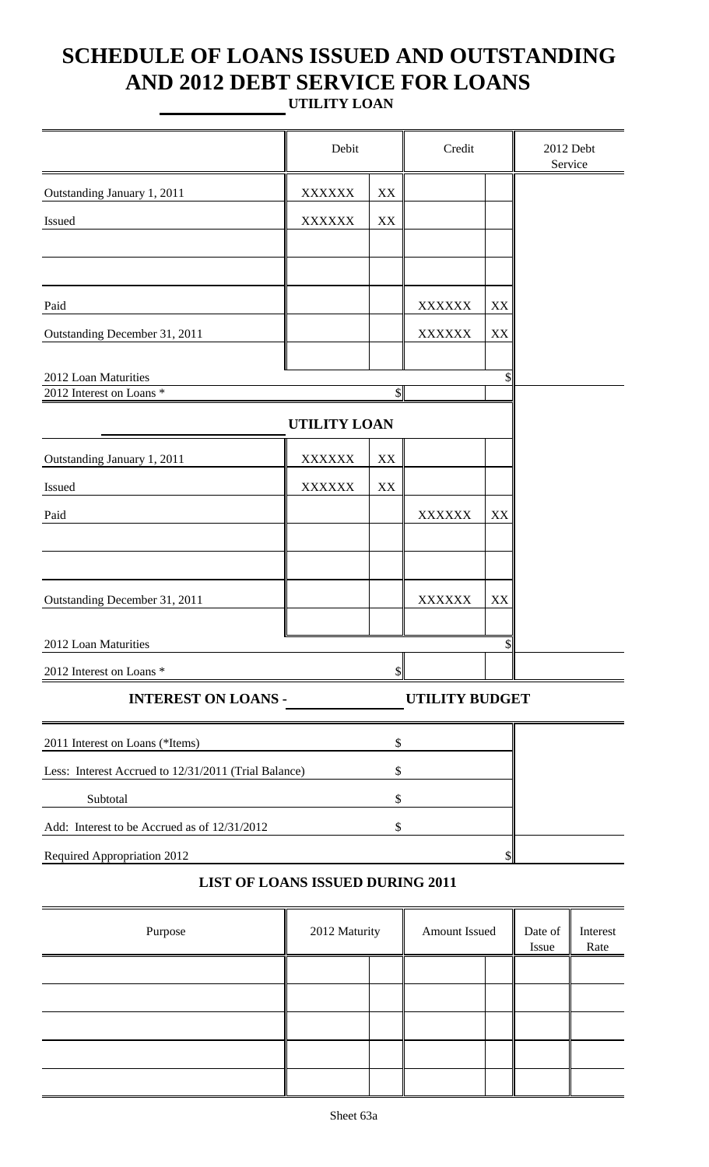## **SCHEDULE OF LOANS ISSUED AND OUTSTANDING AND 2012 DEBT SERVICE FOR LOANS UTILITY LOAN**

|                                                      | Debit               |                        | Credit                |    | 2012 Debt<br>Service |  |  |  |  |
|------------------------------------------------------|---------------------|------------------------|-----------------------|----|----------------------|--|--|--|--|
| Outstanding January 1, 2011                          | <b>XXXXXX</b>       | $\mathbf{XX}$          |                       |    |                      |  |  |  |  |
| Issued                                               | <b>XXXXXX</b>       | $\mathbf{XX}$          |                       |    |                      |  |  |  |  |
|                                                      |                     |                        |                       |    |                      |  |  |  |  |
|                                                      |                     |                        |                       |    |                      |  |  |  |  |
| Paid                                                 |                     |                        | <b>XXXXXX</b>         | XX |                      |  |  |  |  |
| Outstanding December 31, 2011                        |                     |                        | <b>XXXXXX</b>         | XX |                      |  |  |  |  |
|                                                      |                     |                        |                       |    |                      |  |  |  |  |
| 2012 Loan Maturities<br>2012 Interest on Loans *     |                     | $\mathcal{S}$          |                       |    |                      |  |  |  |  |
|                                                      | <b>UTILITY LOAN</b> |                        |                       |    |                      |  |  |  |  |
|                                                      |                     |                        |                       |    |                      |  |  |  |  |
| Outstanding January 1, 2011                          | <b>XXXXXX</b>       | XX                     |                       |    |                      |  |  |  |  |
| Issued                                               | <b>XXXXXX</b>       | $\mathbf{X}\mathbf{X}$ |                       |    |                      |  |  |  |  |
| Paid                                                 |                     |                        | <b>XXXXXX</b>         | XX |                      |  |  |  |  |
|                                                      |                     |                        |                       |    |                      |  |  |  |  |
|                                                      |                     |                        |                       |    |                      |  |  |  |  |
| Outstanding December 31, 2011                        |                     |                        | <b>XXXXXX</b>         | XX |                      |  |  |  |  |
| 2012 Loan Maturities                                 |                     |                        |                       |    |                      |  |  |  |  |
| 2012 Interest on Loans *                             |                     |                        |                       |    |                      |  |  |  |  |
| <b>INTEREST ON LOANS -</b>                           |                     |                        | <b>UTILITY BUDGET</b> |    |                      |  |  |  |  |
| 2011 Interest on Loans (*Items)                      |                     | \$                     |                       |    |                      |  |  |  |  |
| Less: Interest Accrued to 12/31/2011 (Trial Balance) |                     | \$                     |                       |    |                      |  |  |  |  |
| Subtotal<br>\$                                       |                     |                        |                       |    |                      |  |  |  |  |
| Add: Interest to be Accrued as of 12/31/2012         |                     | \$                     |                       |    |                      |  |  |  |  |
| Required Appropriation 2012                          |                     |                        |                       |    |                      |  |  |  |  |

### **LIST OF LOANS ISSUED DURING 2011**

| Purpose | 2012 Maturity | Amount Issued | Date of<br>Issue | Interest<br>Rate |
|---------|---------------|---------------|------------------|------------------|
|         |               |               |                  |                  |
|         |               |               |                  |                  |
|         |               |               |                  |                  |
|         |               |               |                  |                  |
|         |               |               |                  |                  |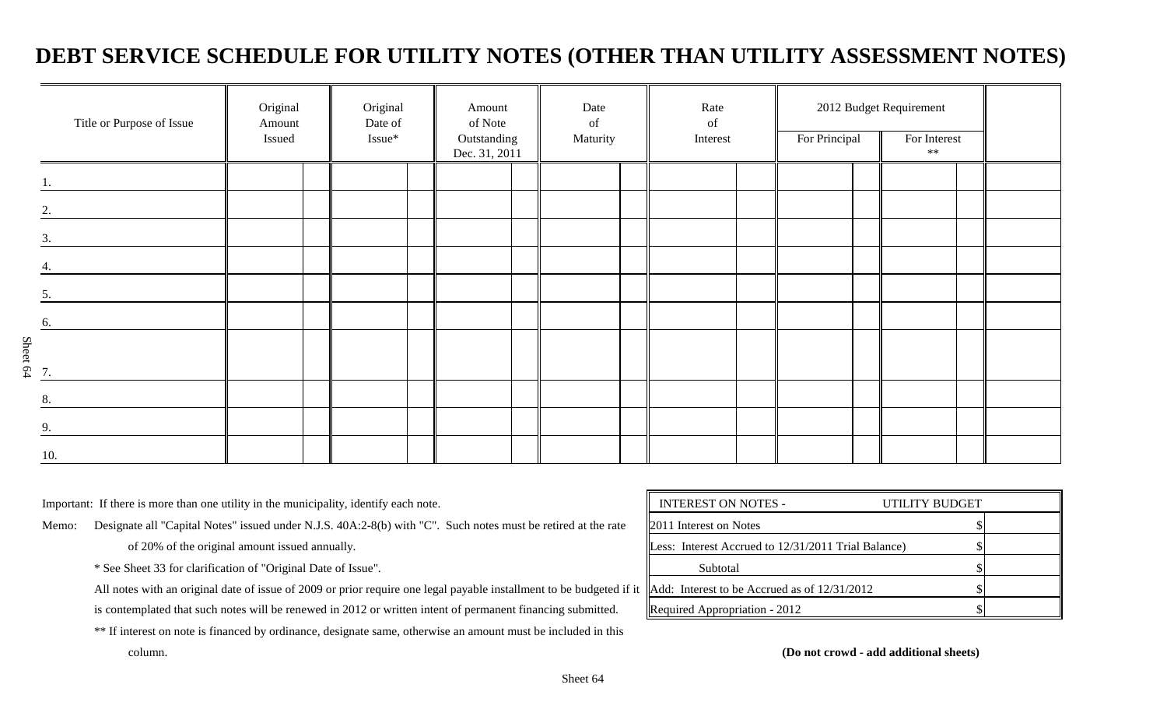## **DEBT SERVICE SCHEDULE FOR UTILITY NOTES (OTHER THAN UTILITY ASSESSMENT NOTES)**

|                      | Title or Purpose of Issue | Original<br>Amount<br>Issued | Original<br>Date of<br>Issue* | Amount<br>of Note<br>Outstanding<br>Dec. 31, 2011 | Date<br>of<br>Maturity | Rate<br>of<br>Interest | For Principal | 2012 Budget Requirement<br>For Interest<br>$\ast\ast$ |  |
|----------------------|---------------------------|------------------------------|-------------------------------|---------------------------------------------------|------------------------|------------------------|---------------|-------------------------------------------------------|--|
|                      |                           |                              |                               |                                                   |                        |                        |               |                                                       |  |
| 2.                   |                           |                              |                               |                                                   |                        |                        |               |                                                       |  |
| 3.                   |                           |                              |                               |                                                   |                        |                        |               |                                                       |  |
|                      |                           |                              |                               |                                                   |                        |                        |               |                                                       |  |
| 5.                   |                           |                              |                               |                                                   |                        |                        |               |                                                       |  |
| 6.                   |                           |                              |                               |                                                   |                        |                        |               |                                                       |  |
| $S_{\text{heet 64}}$ |                           |                              |                               |                                                   |                        |                        |               |                                                       |  |
| 8.                   |                           |                              |                               |                                                   |                        |                        |               |                                                       |  |
| 9.                   |                           |                              |                               |                                                   |                        |                        |               |                                                       |  |
| 10.                  |                           |                              |                               |                                                   |                        |                        |               |                                                       |  |

Important: If there is more than one utility in the municipality, identify each note.

Memo: Designate all "Capital Notes" issued under N.J.S. 40A:2-8(b) with "C". Such notes must be retired at the rate

of 20% of the original amount issued annually.

\* See Sheet 33 for clarification of "Original Date of Issue".

All notes with an original date of issue of 2009 or prior require one legal payable installment to be budgeted if it is contemplated that such notes will be renewed in 2012 or written intent of permanent financing submitted.

\*\* If interest on note is financed by ordinance, designate same, otherwise an amount must be included in this

| <b>INTEREST ON NOTES -</b>                          | UTILITY BUDGET |  |
|-----------------------------------------------------|----------------|--|
| <b>2011</b> Interest on Notes                       |                |  |
| Less: Interest Accrued to 12/31/2011 Trial Balance) |                |  |
| Subtotal                                            |                |  |
| Add: Interest to be Accrued as of $12/31/2012$      |                |  |
| Required Appropriation - 2012                       |                |  |

column. **(Do not crowd - add additional sheets)**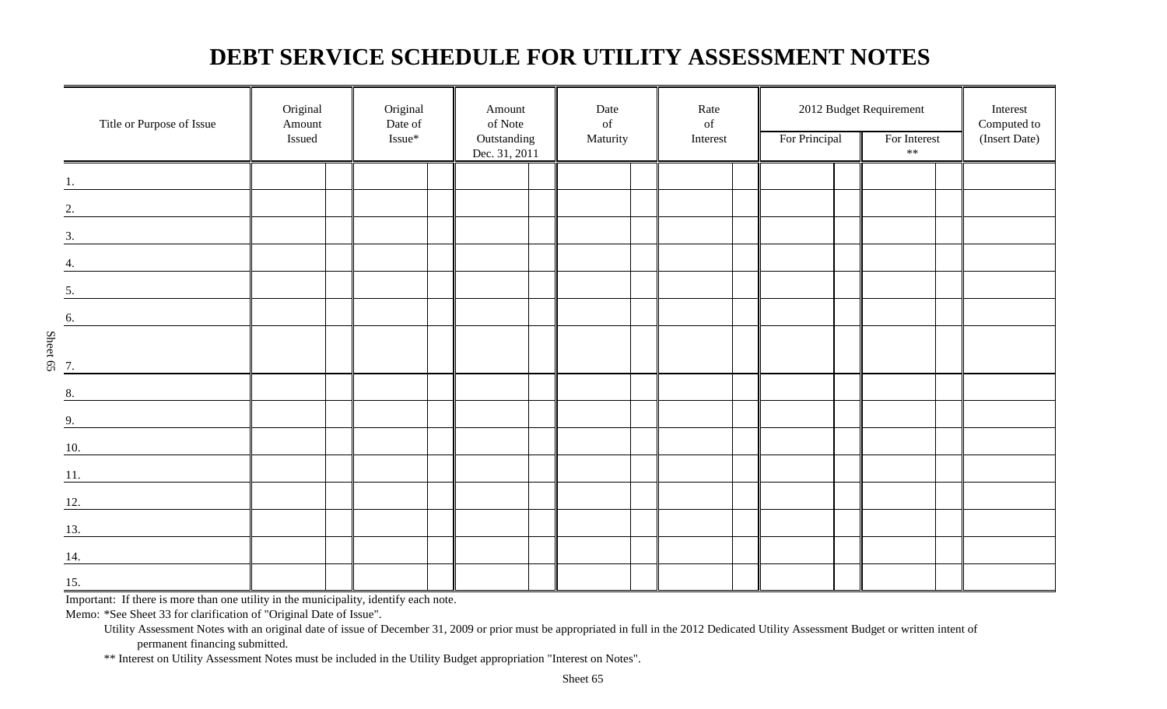## **DEBT SERVICE SCHEDULE FOR UTILITY ASSESSMENT NOTES**

|                                | Title or Purpose of Issue                    | Original<br>Amount<br>Issued | Original<br>Date of<br>Issue* | Amount<br>of Note<br>Outstanding<br>Dec. 31, 2011 | Date<br>of<br>Maturity | Rate<br>$% \left( \left( \mathcal{A},\mathcal{A}\right) \right) =\left( \mathcal{A},\mathcal{A}\right)$ of<br>Interest | For Principal | 2012 Budget Requirement<br>For Interest<br>$\ast\ast$ | Interest<br>Computed to<br>(Insert Date) |
|--------------------------------|----------------------------------------------|------------------------------|-------------------------------|---------------------------------------------------|------------------------|------------------------------------------------------------------------------------------------------------------------|---------------|-------------------------------------------------------|------------------------------------------|
|                                |                                              |                              |                               |                                                   |                        |                                                                                                                        |               |                                                       |                                          |
|                                | $\overline{\mathbf{2}}$ .                    |                              |                               |                                                   |                        |                                                                                                                        |               |                                                       |                                          |
|                                | $\overline{\mathbf{3}}$ .                    |                              |                               |                                                   |                        |                                                                                                                        |               |                                                       |                                          |
|                                | $\overline{4}$ .                             |                              |                               |                                                   |                        |                                                                                                                        |               |                                                       |                                          |
| 5.                             |                                              |                              |                               |                                                   |                        |                                                                                                                        |               |                                                       |                                          |
| 6.                             | <u> 1990 - Jan Jawa</u>                      |                              |                               |                                                   |                        |                                                                                                                        |               |                                                       |                                          |
| Sheet 65                       |                                              |                              |                               |                                                   |                        |                                                                                                                        |               |                                                       |                                          |
| 7.                             |                                              |                              |                               |                                                   |                        |                                                                                                                        |               |                                                       |                                          |
| 8.                             | <u> 1980 - Jan Salaman III, masa ka</u>      |                              |                               |                                                   |                        |                                                                                                                        |               |                                                       |                                          |
| 9.                             | <u> 1990 - Jan Barnett, fransk politik (</u> |                              |                               |                                                   |                        |                                                                                                                        |               |                                                       |                                          |
| 10.                            |                                              |                              |                               |                                                   |                        |                                                                                                                        |               |                                                       |                                          |
| 11.                            |                                              |                              |                               |                                                   |                        |                                                                                                                        |               |                                                       |                                          |
| 12.                            |                                              |                              |                               |                                                   |                        |                                                                                                                        |               |                                                       |                                          |
| 13.                            |                                              |                              |                               |                                                   |                        |                                                                                                                        |               |                                                       |                                          |
| 14.                            |                                              |                              |                               |                                                   |                        |                                                                                                                        |               |                                                       |                                          |
| $\underline{\underline{15}}$ . |                                              |                              |                               |                                                   |                        |                                                                                                                        |               |                                                       |                                          |

Important: If there is more than one utility in the municipality, identify each note.

Memo: \*See Sheet 33 for clarification of "Original Date of Issue".

\*\* Interest on Utility Assessment Notes must be included in the Utility Budget appropriation "Interest on Notes".

Utility Assessment Notes with an original date of issue of December 31, 2009 or prior must be appropriated in full in the 2012 Dedicated Utility Assessment Budget or written intent of permanent financing submitted.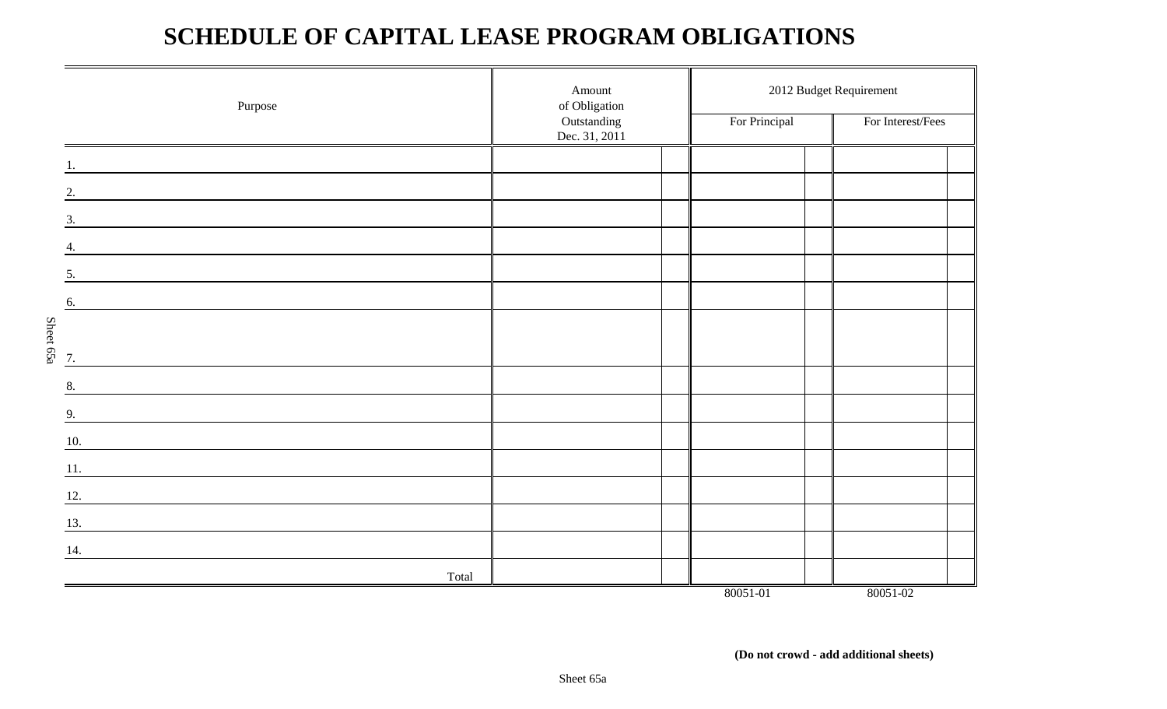## **SCHEDULE OF CAPITAL LEASE PROGRAM OBLIGATIONS**

|           | Purpose | Amount<br>of Obligation      | 2012 Budget Requirement |                   |  |  |  |  |  |
|-----------|---------|------------------------------|-------------------------|-------------------|--|--|--|--|--|
|           |         | Outstanding<br>Dec. 31, 2011 | For Principal           | For Interest/Fees |  |  |  |  |  |
|           |         |                              |                         |                   |  |  |  |  |  |
|           | 2.      |                              |                         |                   |  |  |  |  |  |
|           | 3.      |                              |                         |                   |  |  |  |  |  |
|           | 4.      |                              |                         |                   |  |  |  |  |  |
|           | 5.      |                              |                         |                   |  |  |  |  |  |
|           | 6.      |                              |                         |                   |  |  |  |  |  |
|           |         |                              |                         |                   |  |  |  |  |  |
| Sheet 65a | 7.      |                              |                         |                   |  |  |  |  |  |
|           | 8.      |                              |                         |                   |  |  |  |  |  |
|           | 9.      |                              |                         |                   |  |  |  |  |  |
|           | 10.     |                              |                         |                   |  |  |  |  |  |
|           | 11.     |                              |                         |                   |  |  |  |  |  |
|           | 12.     |                              |                         |                   |  |  |  |  |  |
|           | 13.     |                              |                         |                   |  |  |  |  |  |
|           | 14.     |                              |                         |                   |  |  |  |  |  |
|           | Total   |                              |                         |                   |  |  |  |  |  |
|           |         |                              | 80051-01                | 80051-02          |  |  |  |  |  |

 **(Do not crowd - add additional sheets)**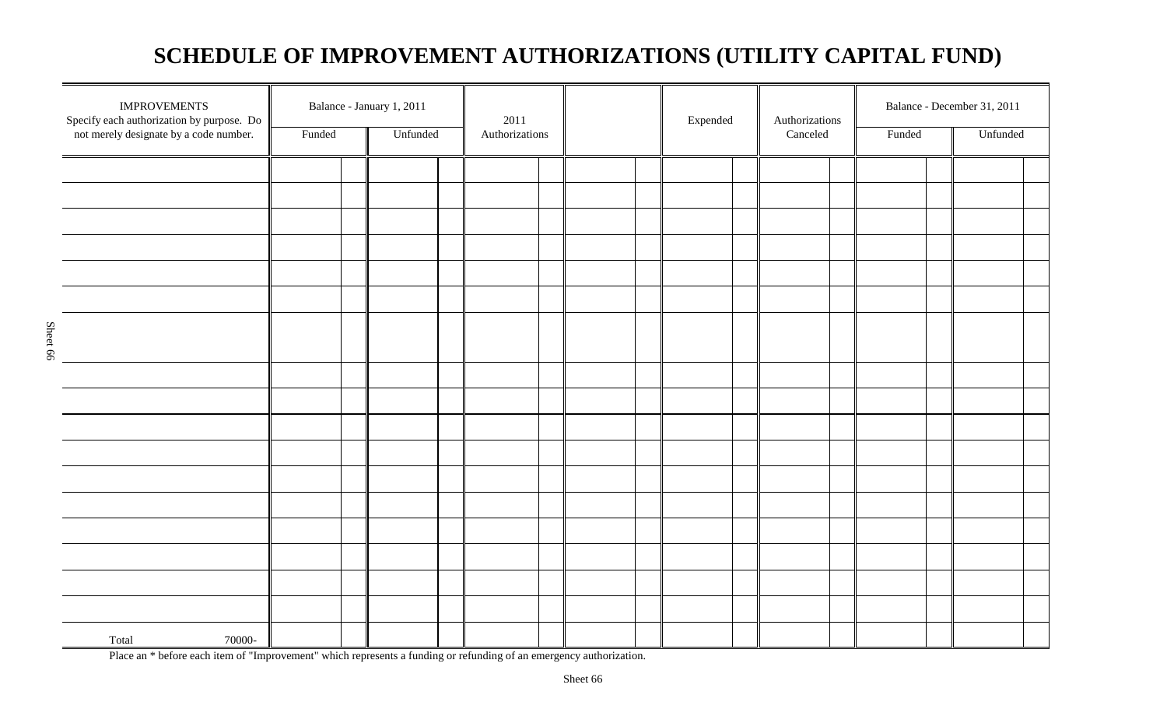## **SCHEDULE OF IMPROVEMENT AUTHORIZATIONS (UTILITY CAPITAL FUND)**

| <b>IMPROVEMENTS</b><br>Specify each authorization by purpose. Do |        | Balance - January 1, 2011 | 2011           |  | Expended | Authorizations | Balance - December 31, 2011 |          |  |
|------------------------------------------------------------------|--------|---------------------------|----------------|--|----------|----------------|-----------------------------|----------|--|
| not merely designate by a code number.                           | Funded | Unfunded                  | Authorizations |  |          | Canceled       | Funded                      | Unfunded |  |
|                                                                  |        |                           |                |  |          |                |                             |          |  |
|                                                                  |        |                           |                |  |          |                |                             |          |  |
|                                                                  |        |                           |                |  |          |                |                             |          |  |
|                                                                  |        |                           |                |  |          |                |                             |          |  |
|                                                                  |        |                           |                |  |          |                |                             |          |  |
|                                                                  |        |                           |                |  |          |                |                             |          |  |
|                                                                  |        |                           |                |  |          |                |                             |          |  |
|                                                                  |        |                           |                |  |          |                |                             |          |  |
|                                                                  |        |                           |                |  |          |                |                             |          |  |
|                                                                  |        |                           |                |  |          |                |                             |          |  |
|                                                                  |        |                           |                |  |          |                |                             |          |  |
|                                                                  |        |                           |                |  |          |                |                             |          |  |
|                                                                  |        |                           |                |  |          |                |                             |          |  |
|                                                                  |        |                           |                |  |          |                |                             |          |  |
|                                                                  |        |                           |                |  |          |                |                             |          |  |
|                                                                  |        |                           |                |  |          |                |                             |          |  |
|                                                                  |        |                           |                |  |          |                |                             |          |  |
| 70000-<br>Total                                                  |        |                           |                |  |          |                |                             |          |  |

Place an \* before each item of "Improvement" which represents a funding or refunding of an emergency authorization.

Sheet 66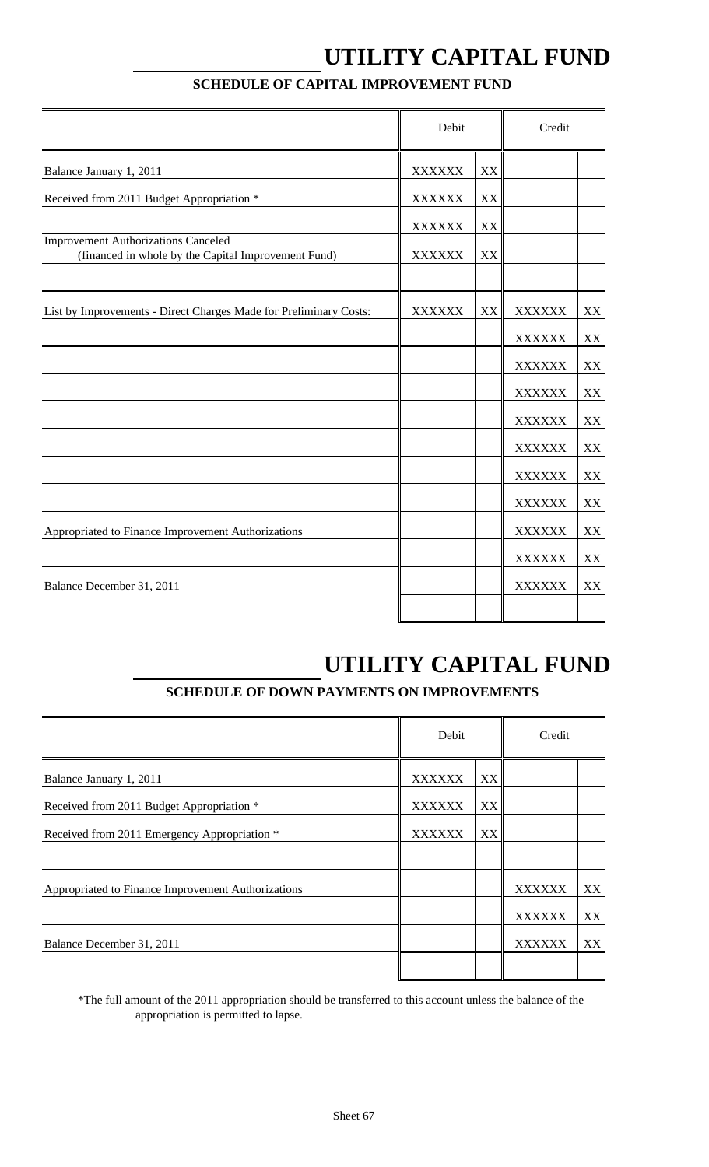# **UTILITY CAPITAL FUND**

|                                                                                                   | Debit         |    | Credit        |               |
|---------------------------------------------------------------------------------------------------|---------------|----|---------------|---------------|
| Balance January 1, 2011                                                                           | <b>XXXXXX</b> | XX |               |               |
| Received from 2011 Budget Appropriation *                                                         | <b>XXXXXX</b> | XX |               |               |
|                                                                                                   | <b>XXXXXX</b> | XX |               |               |
| <b>Improvement Authorizations Canceled</b><br>(financed in whole by the Capital Improvement Fund) | <b>XXXXXX</b> | XX |               |               |
| List by Improvements - Direct Charges Made for Preliminary Costs:                                 | XXXXXX        | XX | <b>XXXXXX</b> | XX            |
|                                                                                                   |               |    | <b>XXXXXX</b> | XX            |
|                                                                                                   |               |    | <b>XXXXXX</b> | XX            |
|                                                                                                   |               |    | <b>XXXXXX</b> | $\mathbf{XX}$ |
|                                                                                                   |               |    | <b>XXXXXX</b> | XX            |
|                                                                                                   |               |    | <b>XXXXXX</b> | XX            |
|                                                                                                   |               |    | <b>XXXXXX</b> | XX            |
|                                                                                                   |               |    | <b>XXXXXX</b> | XX            |
| Appropriated to Finance Improvement Authorizations                                                |               |    | <b>XXXXXX</b> | XX            |
|                                                                                                   |               |    | <b>XXXXXX</b> | XX            |
| Balance December 31, 2011                                                                         |               |    | <b>XXXXXX</b> | XX            |
|                                                                                                   |               |    |               |               |

### **SCHEDULE OF CAPITAL IMPROVEMENT FUND**

## **UTILITY CAPITAL FUND**

## **SCHEDULE OF DOWN PAYMENTS ON IMPROVEMENTS**

|                                                    | Debit         |    | Credit        |    |
|----------------------------------------------------|---------------|----|---------------|----|
| Balance January 1, 2011                            | <b>XXXXXX</b> | XX |               |    |
| Received from 2011 Budget Appropriation *          | <b>XXXXXX</b> | XX |               |    |
| Received from 2011 Emergency Appropriation *       | <b>XXXXXX</b> | XX |               |    |
|                                                    |               |    |               |    |
| Appropriated to Finance Improvement Authorizations |               |    | <b>XXXXXX</b> | XX |
|                                                    |               |    | <b>XXXXXX</b> | XX |
| Balance December 31, 2011                          |               |    | <b>XXXXXX</b> | XX |
|                                                    |               |    |               |    |

\*The full amount of the 2011 appropriation should be transferred to this account unless the balance of the appropriation is permitted to lapse.